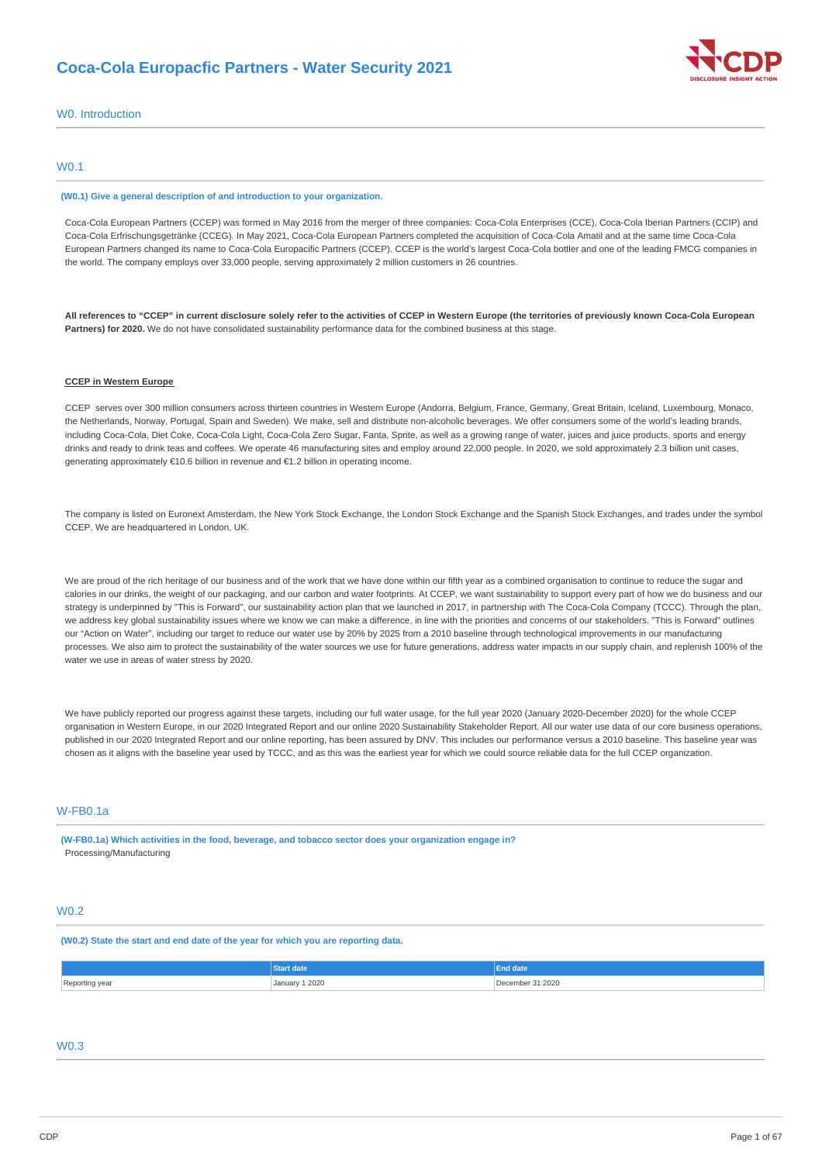

### W0. Introduction

### W0.1

#### **(W0.1) Give a general description of and introduction to your organization.**

Coca-Cola European Partners (CCEP) was formed in May 2016 from the merger of three companies: Coca-Cola Enterprises (CCE), Coca-Cola Iberian Partners (CCIP) and Coca-Cola Erfrischungsgetränke (CCEG). In May 2021, Coca-Cola European Partners completed the acquisition of Coca-Cola Amatil and at the same time Coca-Cola European Partners changed its name to Coca-Cola Europacific Partners (CCEP). CCEP is the world's largest Coca-Cola bottler and one of the leading FMCG companies in the world. The company employs over 33,000 people, serving approximately 2 million customers in 26 countries.

All references to "CCEP" in current disclosure solely refer to the activities of CCEP in Western Europe (the territories of previously known Coca-Cola European **Partners) for 2020.** We do not have consolidated sustainability performance data for the combined business at this stage.

### **CCEP in Western Europe**

CCEP serves over 300 million consumers across thirteen countries in Western Europe (Andorra, Belgium, France, Germany, Great Britain, Iceland, Luxembourg, Monaco, the Netherlands, Norway, Portugal, Spain and Sweden). We make, sell and distribute non-alcoholic beverages. We offer consumers some of the world's leading brands, including Coca-Cola, Diet Coke, Coca-Cola Light, Coca-Cola Zero Sugar, Fanta, Sprite, as well as a growing range of water, juices and juice products, sports and energy drinks and ready to drink teas and coffees. We operate 46 manufacturing sites and employ around 22,000 people. In 2020, we sold approximately 2.3 billion unit cases, generating approximately €10.6 billion in revenue and €1.2 billion in operating income.

The company is listed on Euronext Amsterdam, the New York Stock Exchange, the London Stock Exchange and the Spanish Stock Exchanges, and trades under the symbol CCEP. We are headquartered in London, UK.

We are proud of the rich heritage of our business and of the work that we have done within our fifth year as a combined organisation to continue to reduce the sugar and calories in our drinks, the weight of our packaging, and our carbon and water footprints. At CCEP, we want sustainability to support every part of how we do business and our strategy is underpinned by "This is Forward", our sustainability action plan that we launched in 2017, in partnership with The Coca-Cola Company (TCCC). Through the plan, we address key global sustainability issues where we know we can make a difference, in line with the priorities and concerns of our stakeholders. "This is Forward" outlines our "Action on Water", including our target to reduce our water use by 20% by 2025 from a 2010 baseline through technological improvements in our manufacturing processes. We also aim to protect the sustainability of the water sources we use for future generations, address water impacts in our supply chain, and replenish 100% of the water we use in areas of water stress by 2020.

We have publicly reported our progress against these targets, including our full water usage, for the full year 2020 (January 2020-December 2020) for the whole CCEP organisation in Western Europe, in our 2020 Integrated Report and our online 2020 Sustainability Stakeholder Report. All our water use data of our core business operations, published in our 2020 Integrated Report and our online reporting, has been assured by DNV. This includes our performance versus a 2010 baseline. This baseline year was chosen as it aligns with the baseline year used by TCCC, and as this was the earliest year for which we could source reliable data for the full CCEP organization.

## W-FB0.1a

**(W-FB0.1a) Which activities in the food, beverage, and tobacco sector does your organization engage in?** Processing/Manufacturing

### W0.2

#### **(W0.2) State the start and end date of the year for which you are reporting data.**

|                | ırt date       | End date         |
|----------------|----------------|------------------|
| Reporting year | January 1 2020 | December 31 2020 |

# W0.3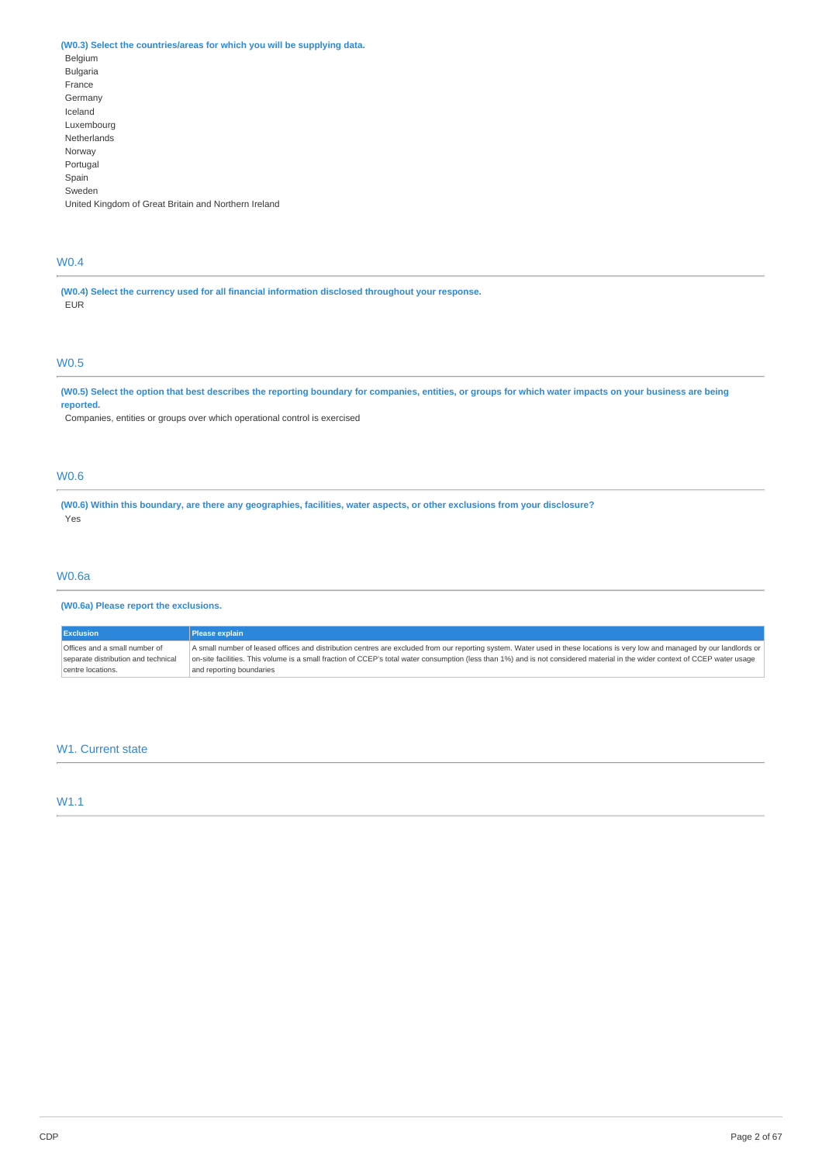### **(W0.3) Select the countries/areas for which you will be supplying data.**

Belgium Bulgaria France Germany Iceland Luxembourg Netherlands Norway Portugal Spain Sweden United Kingdom of Great Britain and Northern Ireland

# W0.4

**(W0.4) Select the currency used for all financial information disclosed throughout your response.** EUR

# W0.5

(W0.5) Select the option that best describes the reporting boundary for companies, entities, or groups for which water impacts on your business are being **reported.**

Companies, entities or groups over which operational control is exercised

### W0.6

(W0.6) Within this boundary, are there any geographies, facilities, water aspects, or other exclusions from your disclosure? Yes

### W0.6a

### **(W0.6a) Please report the exclusions.**

| <b>Exclusion</b>                    | Please explain                                                                                                                                                               |
|-------------------------------------|------------------------------------------------------------------------------------------------------------------------------------------------------------------------------|
| Offices and a small number of       | A small number of leased offices and distribution centres are excluded from our reporting system. Water used in these locations is very low and managed by our landlords or  |
| separate distribution and technical | on-site facilities. This volume is a small fraction of CCEP's total water consumption (less than 1%) and is not considered material in the wider context of CCEP water usage |
| centre locations.                   | and reporting boundaries                                                                                                                                                     |

### W1. Current state

### W1.1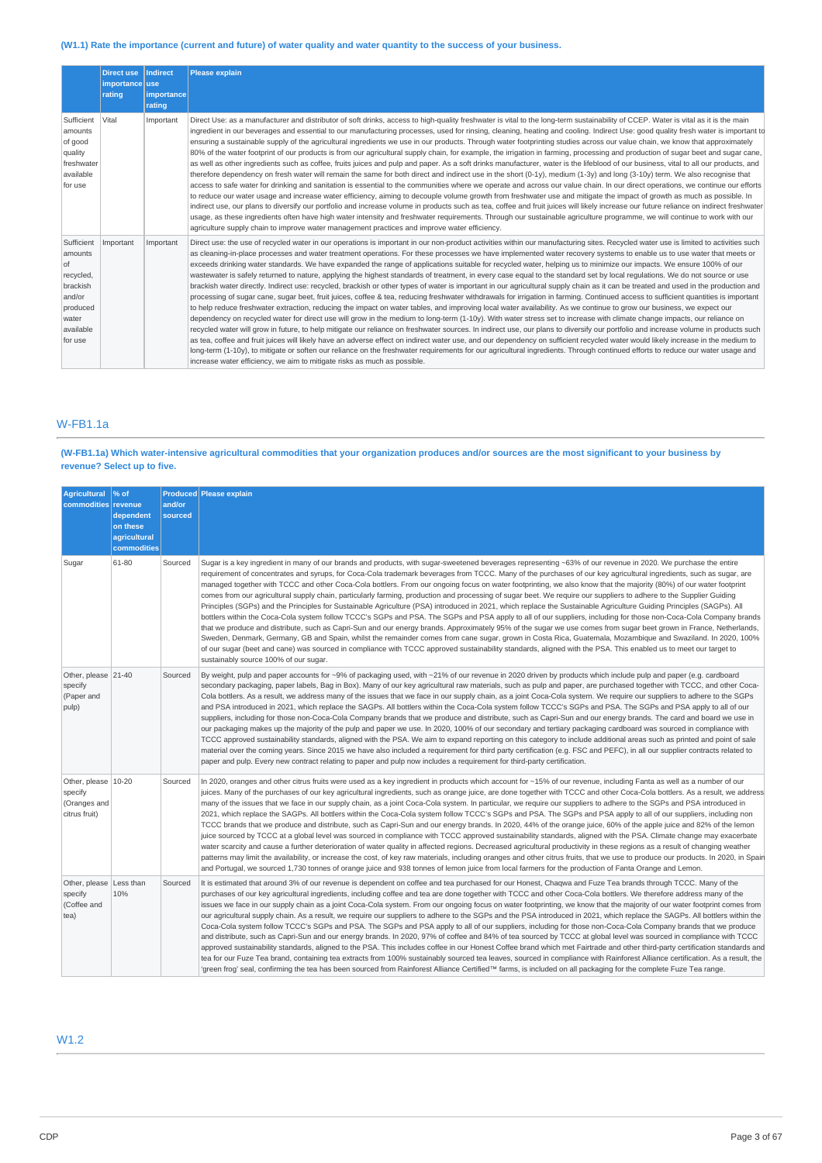### (W1.1) Rate the importance (current and future) of water quality and water quantity to the success of your business.

|                                                                                                             | Direct use Indirect<br>importance use<br>rating | <b>limportancel</b><br>rating | Please explain                                                                                                                                                                                                                                                                                                                                                                                                                                                                                                                                                                                                                                                                                                                                                                                                                                                                                                                                                                                                                                                                                                                                                                                                                                                                                                                                                                                                                                                                                                                                                                                                                                                                                                                                                                                                                                                                                                                                                                                                                                                                                 |
|-------------------------------------------------------------------------------------------------------------|-------------------------------------------------|-------------------------------|------------------------------------------------------------------------------------------------------------------------------------------------------------------------------------------------------------------------------------------------------------------------------------------------------------------------------------------------------------------------------------------------------------------------------------------------------------------------------------------------------------------------------------------------------------------------------------------------------------------------------------------------------------------------------------------------------------------------------------------------------------------------------------------------------------------------------------------------------------------------------------------------------------------------------------------------------------------------------------------------------------------------------------------------------------------------------------------------------------------------------------------------------------------------------------------------------------------------------------------------------------------------------------------------------------------------------------------------------------------------------------------------------------------------------------------------------------------------------------------------------------------------------------------------------------------------------------------------------------------------------------------------------------------------------------------------------------------------------------------------------------------------------------------------------------------------------------------------------------------------------------------------------------------------------------------------------------------------------------------------------------------------------------------------------------------------------------------------|
| Sufficient<br>amounts<br>of good<br>quality<br>freshwater<br>available<br>for use                           | Vital                                           | Important                     | Direct Use: as a manufacturer and distributor of soft drinks, access to high-quality freshwater is vital to the long-term sustainability of CCEP. Water is vital as it is the main<br>ingredient in our beverages and essential to our manufacturing processes, used for rinsing, cleaning, heating and cooling. Indirect Use: good quality fresh water is important to<br>ensuring a sustainable supply of the agricultural ingredients we use in our products. Through water footprinting studies across our value chain, we know that approximately<br>80% of the water footprint of our products is from our agricultural supply chain, for example, the irrigation in farming, processing and production of sugar beet and sugar cane,<br>as well as other ingredients such as coffee, fruits juices and pulp and paper. As a soft drinks manufacturer, water is the lifeblood of our business, vital to all our products, and<br>therefore dependency on fresh water will remain the same for both direct and indirect use in the short (0-1y), medium (1-3y) and long (3-10y) term. We also recognise that<br>access to safe water for drinking and sanitation is essential to the communities where we operate and across our value chain. In our direct operations, we continue our efforts<br>to reduce our water usage and increase water efficiency, aiming to decouple volume growth from freshwater use and mitigate the impact of growth as much as possible. In<br>indirect use, our plans to diversify our portfolio and increase volume in products such as tea, coffee and fruit juices will likely increase our future reliance on indirect freshwater<br>usage, as these ingredients often have high water intensity and freshwater requirements. Through our sustainable agriculture programme, we will continue to work with our<br>agriculture supply chain to improve water management practices and improve water efficiency.                                                                                                                                        |
| Sufficient<br>amounts<br>0f<br>recycled,<br>brackish<br>and/or<br>produced<br>water<br>available<br>for use | Important                                       | Important                     | Direct use: the use of recycled water in our operations is important in our non-product activities within our manufacturing sites. Recycled water use is limited to activities such<br>as cleaning-in-place processes and water treatment operations. For these processes we have implemented water recovery systems to enable us to use water that meets or<br>exceeds drinking water standards. We have expanded the range of applications suitable for recycled water, helping us to minimize our impacts. We ensure 100% of our<br>wastewater is safely returned to nature, applying the highest standards of treatment, in every case equal to the standard set by local regulations. We do not source or use<br>brackish water directly. Indirect use: recycled, brackish or other types of water is important in our agricultural supply chain as it can be treated and used in the production and<br>processing of sugar cane, sugar beet, fruit juices, coffee & tea, reducing freshwater withdrawals for irrigation in farming. Continued access to sufficient quantities is important<br>to help reduce freshwater extraction, reducing the impact on water tables, and improving local water availability. As we continue to grow our business, we expect our<br>dependency on recycled water for direct use will grow in the medium to long-term (1-10y). With water stress set to increase with climate change impacts, our reliance on<br>recycled water will grow in future, to help mitigate our reliance on freshwater sources. In indirect use, our plans to diversify our portfolio and increase volume in products such<br>as tea, coffee and fruit juices will likely have an adverse effect on indirect water use, and our dependency on sufficient recycled water would likely increase in the medium to<br>long-term (1-10y), to mitigate or soften our reliance on the freshwater requirements for our agricultural ingredients. Through continued efforts to reduce our water usage and<br>increase water efficiency, we aim to mitigate risks as much as possible. |

# W-FB1.1a

### (W-FB1.1a) Which water-intensive agricultural commodities that your organization produces and/or sources are the most significant to your business by **revenue? Select up to five.**

| <b>Agricultural</b><br>commodities revenue                        | % of<br>dependent<br>on these<br>agricultural<br>commodities | and/or<br>sourced | <b>Produced Please explain</b>                                                                                                                                                                                                                                                                                                                                                                                                                                                                                                                                                                                                                                                                                                                                                                                                                                                                                                                                                                                                                                                                                                                                                                                                                                                                                                                                                                                                                                                                                                                                                 |
|-------------------------------------------------------------------|--------------------------------------------------------------|-------------------|--------------------------------------------------------------------------------------------------------------------------------------------------------------------------------------------------------------------------------------------------------------------------------------------------------------------------------------------------------------------------------------------------------------------------------------------------------------------------------------------------------------------------------------------------------------------------------------------------------------------------------------------------------------------------------------------------------------------------------------------------------------------------------------------------------------------------------------------------------------------------------------------------------------------------------------------------------------------------------------------------------------------------------------------------------------------------------------------------------------------------------------------------------------------------------------------------------------------------------------------------------------------------------------------------------------------------------------------------------------------------------------------------------------------------------------------------------------------------------------------------------------------------------------------------------------------------------|
| Sugar                                                             | 61-80                                                        | Sourced           | Sugar is a key ingredient in many of our brands and products, with sugar-sweetened beverages representing ~63% of our revenue in 2020. We purchase the entire<br>requirement of concentrates and syrups, for Coca-Cola trademark beverages from TCCC. Many of the purchases of our key agricultural ingredients, such as sugar, are<br>managed together with TCCC and other Coca-Cola bottlers. From our ongoing focus on water footprinting, we also know that the majority (80%) of our water footprint<br>comes from our agricultural supply chain, particularly farming, production and processing of sugar beet. We require our suppliers to adhere to the Supplier Guiding<br>Principles (SGPs) and the Principles for Sustainable Agriculture (PSA) introduced in 2021, which replace the Sustainable Agriculture Guiding Principles (SAGPs). All<br>bottlers within the Coca-Cola system follow TCCC's SGPs and PSA. The SGPs and PSA apply to all of our suppliers, including for those non-Coca-Cola Company brands<br>that we produce and distribute, such as Capri-Sun and our energy brands. Approximately 95% of the sugar we use comes from sugar beet grown in France, Netherlands,<br>Sweden, Denmark, Germany, GB and Spain, whilst the remainder comes from cane sugar, grown in Costa Rica, Guatemala, Mozambique and Swaziland. In 2020, 100%<br>of our sugar (beet and cane) was sourced in compliance with TCCC approved sustainability standards, aligned with the PSA. This enabled us to meet our target to<br>sustainably source 100% of our sugar. |
| Other, please 21-40<br>specify<br>(Paper and<br>pulp)             |                                                              | Sourced           | By weight, pulp and paper accounts for ~9% of packaging used, with ~21% of our revenue in 2020 driven by products which include pulp and paper (e.g. cardboard<br>secondary packaging, paper labels, Bag in Box). Many of our key agricultural raw materials, such as pulp and paper, are purchased together with TCCC, and other Coca-<br>Cola bottlers. As a result, we address many of the issues that we face in our supply chain, as a joint Coca-Cola system. We require our suppliers to adhere to the SGPs<br>and PSA introduced in 2021, which replace the SAGPs. All bottlers within the Coca-Cola system follow TCCC's SGPs and PSA. The SGPs and PSA apply to all of our<br>suppliers, including for those non-Coca-Cola Company brands that we produce and distribute, such as Capri-Sun and our energy brands. The card and board we use in<br>our packaging makes up the majority of the pulp and paper we use. In 2020, 100% of our secondary and tertiary packaging cardboard was sourced in compliance with<br>TCCC approved sustainability standards, aligned with the PSA. We aim to expand reporting on this category to include additional areas such as printed and point of sale<br>material over the coming years. Since 2015 we have also included a requirement for third party certification (e.g. FSC and PEFC), in all our supplier contracts related to<br>paper and pulp. Every new contract relating to paper and pulp now includes a requirement for third-party certification.                                                              |
| Other, please   10-20<br>specify<br>(Oranges and<br>citrus fruit) |                                                              | Sourced           | In 2020, oranges and other citrus fruits were used as a key ingredient in products which account for ~15% of our revenue, including Fanta as well as a number of our<br>juices. Many of the purchases of our key agricultural ingredients, such as orange juice, are done together with TCCC and other Coca-Cola bottlers. As a result, we address<br>many of the issues that we face in our supply chain, as a joint Coca-Cola system. In particular, we require our suppliers to adhere to the SGPs and PSA introduced in<br>2021, which replace the SAGPs. All bottlers within the Coca-Cola system follow TCCC's SGPs and PSA. The SGPs and PSA apply to all of our suppliers, including non<br>TCCC brands that we produce and distribute, such as Capri-Sun and our energy brands. In 2020, 44% of the orange juice, 60% of the apple juice and 82% of the lemon<br>juice sourced by TCCC at a global level was sourced in compliance with TCCC approved sustainability standards, aligned with the PSA. Climate change may exacerbate<br>water scarcity and cause a further deterioration of water quality in affected regions. Decreased agricultural productivity in these regions as a result of changing weather<br>patterns may limit the availability, or increase the cost, of key raw materials, including oranges and other citrus fruits, that we use to produce our products. In 2020, in Spain<br>and Portugal, we sourced 1,730 tonnes of orange juice and 938 tonnes of lemon juice from local farmers for the production of Fanta Orange and Lemon.      |
| Other, please   Less than<br>specify<br>(Coffee and<br>tea)       | 10%                                                          | Sourced           | It is estimated that around 3% of our revenue is dependent on coffee and tea purchased for our Honest, Chagwa and Fuze Tea brands through TCCC. Many of the<br>purchases of our key agricultural ingredients, including coffee and tea are done together with TCCC and other Coca-Cola bottlers. We therefore address many of the<br>issues we face in our supply chain as a joint Coca-Cola system. From our ongoing focus on water footprinting, we know that the majority of our water footprint comes from<br>our agricultural supply chain. As a result, we require our suppliers to adhere to the SGPs and the PSA introduced in 2021, which replace the SAGPs. All bottlers within the<br>Coca-Cola system follow TCCC's SGPs and PSA. The SGPs and PSA apply to all of our suppliers, including for those non-Coca-Cola Company brands that we produce<br>and distribute, such as Capri-Sun and our energy brands. In 2020, 97% of coffee and 84% of tea sourced by TCCC at global level was sourced in compliance with TCCC<br>approved sustainability standards, aligned to the PSA. This includes coffee in our Honest Coffee brand which met Fairtrade and other third-party certification standards and<br>tea for our Fuze Tea brand, containing tea extracts from 100% sustainably sourced tea leaves, sourced in compliance with Rainforest Alliance certification. As a result, the<br>'green frog' seal, confirming the tea has been sourced from Rainforest Alliance Certified™ farms, is included on all packaging for the complete Fuze Tea range.        |

# W1.2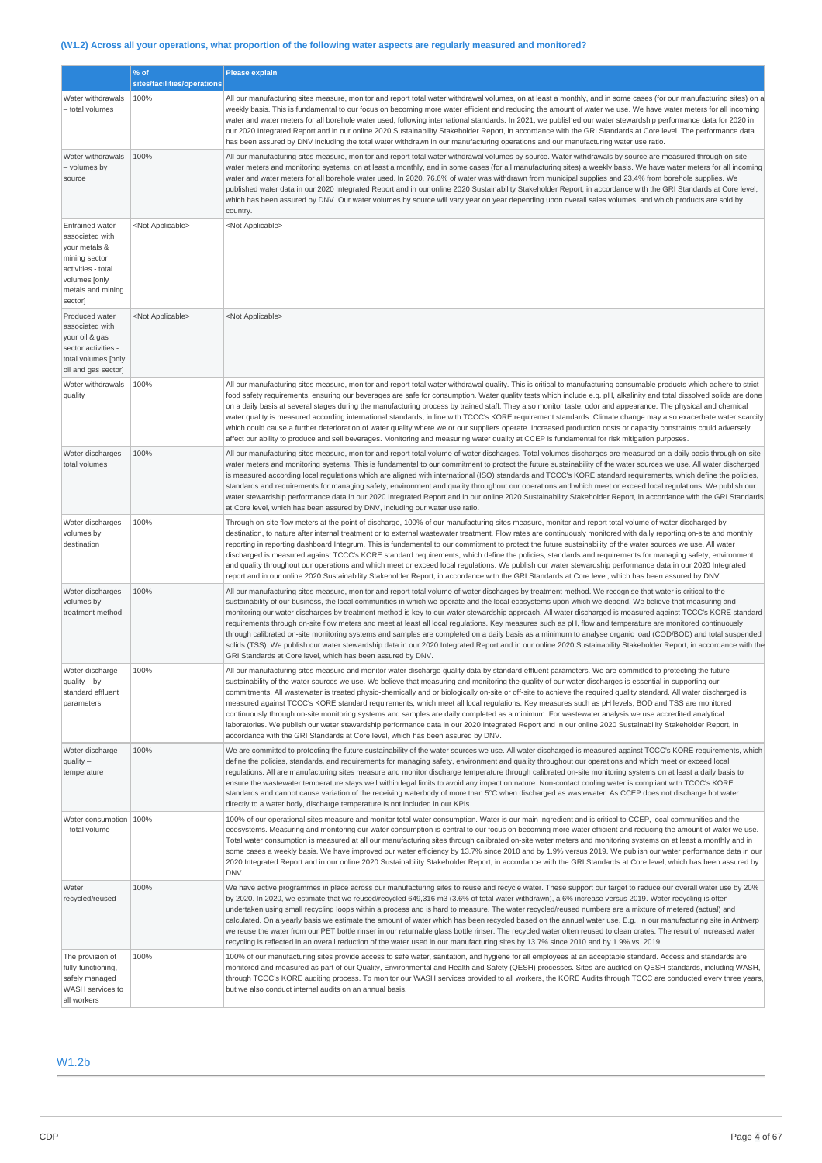# (W1.2) Across all your operations, what proportion of the following water aspects are regularly measured and monitored?

|                                                                                                                                                    | % of<br>sites/facilities/operations | <b>Please explain</b>                                                                                                                                                                                                                                                                                                                                                                                                                                                                                                                                                                                                                                                                                                                                                                                                                                                                                                                                                                                                                               |  |  |  |
|----------------------------------------------------------------------------------------------------------------------------------------------------|-------------------------------------|-----------------------------------------------------------------------------------------------------------------------------------------------------------------------------------------------------------------------------------------------------------------------------------------------------------------------------------------------------------------------------------------------------------------------------------------------------------------------------------------------------------------------------------------------------------------------------------------------------------------------------------------------------------------------------------------------------------------------------------------------------------------------------------------------------------------------------------------------------------------------------------------------------------------------------------------------------------------------------------------------------------------------------------------------------|--|--|--|
| Water withdrawals<br>- total volumes                                                                                                               | 100%                                | All our manufacturing sites measure, monitor and report total water withdrawal volumes, on at least a monthly, and in some cases (for our manufacturing sites) on a<br>weekly basis. This is fundamental to our focus on becoming more water efficient and reducing the amount of water we use. We have water meters for all incoming<br>water and water meters for all borehole water used, following international standards. In 2021, we published our water stewardship performance data for 2020 in<br>our 2020 Integrated Report and in our online 2020 Sustainability Stakeholder Report, in accordance with the GRI Standards at Core level. The performance data<br>has been assured by DNV including the total water withdrawn in our manufacturing operations and our manufacturing water use ratio.                                                                                                                                                                                                                                     |  |  |  |
| Water withdrawals<br>- volumes by<br>source                                                                                                        | 100%                                | All our manufacturing sites measure, monitor and report total water withdrawal volumes by source. Water withdrawals by source are measured through on-site<br>water meters and monitoring systems, on at least a monthly, and in some cases (for all manufacturing sites) a weekly basis. We have water meters for all incoming<br>water and water meters for all borehole water used. In 2020, 76.6% of water was withdrawn from municipal supplies and 23.4% from borehole supplies. We<br>published water data in our 2020 Integrated Report and in our online 2020 Sustainability Stakeholder Report, in accordance with the GRI Standards at Core level,<br>which has been assured by DNV. Our water volumes by source will vary year on year depending upon overall sales volumes, and which products are sold by<br>country.                                                                                                                                                                                                                 |  |  |  |
| <b>Entrained water</b><br>associated with<br>your metals &<br>mining sector<br>activities - total<br>volumes [only<br>metals and mining<br>sector] | <not applicable=""></not>           | <not applicable=""></not>                                                                                                                                                                                                                                                                                                                                                                                                                                                                                                                                                                                                                                                                                                                                                                                                                                                                                                                                                                                                                           |  |  |  |
| Produced water<br>associated with<br>your oil & gas<br>sector activities -<br>total volumes [only<br>oil and gas sector]                           | <not applicable=""></not>           | <not applicable=""></not>                                                                                                                                                                                                                                                                                                                                                                                                                                                                                                                                                                                                                                                                                                                                                                                                                                                                                                                                                                                                                           |  |  |  |
| Water withdrawals<br>quality                                                                                                                       | 100%                                | All our manufacturing sites measure, monitor and report total water withdrawal quality. This is critical to manufacturing consumable products which adhere to strict<br>food safety requirements, ensuring our beverages are safe for consumption. Water quality tests which include e.g. pH, alkalinity and total dissolved solids are done<br>on a daily basis at several stages during the manufacturing process by trained staff. They also monitor taste, odor and appearance. The physical and chemical<br>water quality is measured according international standards, in line with TCCC's KORE requirement standards. Climate change may also exacerbate water scarcity<br>which could cause a further deterioration of water quality where we or our suppliers operate. Increased production costs or capacity constraints could adversely<br>affect our ability to produce and sell beverages. Monitoring and measuring water quality at CCEP is fundamental for risk mitigation purposes.                                                |  |  |  |
| Water discharges -<br>total volumes                                                                                                                | 100%                                | All our manufacturing sites measure, monitor and report total volume of water discharges. Total volumes discharges are measured on a daily basis through on-site<br>water meters and monitoring systems. This is fundamental to our commitment to protect the future sustainability of the water sources we use. All water discharged<br>is measured according local regulations which are aligned with international (ISO) standards and TCCC's KORE standard requirements, which define the policies,<br>standards and requirements for managing safety, environment and quality throughout our operations and which meet or exceed local regulations. We publish our<br>water stewardship performance data in our 2020 Integrated Report and in our online 2020 Sustainability Stakeholder Report, in accordance with the GRI Standards<br>at Core level, which has been assured by DNV, including our water use ratio.                                                                                                                          |  |  |  |
| Water discharges $-$ 100%<br>volumes by<br>destination                                                                                             |                                     | Through on-site flow meters at the point of discharge, 100% of our manufacturing sites measure, monitor and report total volume of water discharged by<br>destination, to nature after internal treatment or to external wastewater treatment. Flow rates are continuously monitored with daily reporting on-site and monthly<br>reporting in reporting dashboard Integrum. This is fundamental to our commitment to protect the future sustainability of the water sources we use. All water<br>discharged is measured against TCCC's KORE standard requirements, which define the policies, standards and requirements for managing safety, environment<br>and quality throughout our operations and which meet or exceed local regulations. We publish our water stewardship performance data in our 2020 Integrated<br>report and in our online 2020 Sustainability Stakeholder Report, in accordance with the GRI Standards at Core level, which has been assured by DNV.                                                                      |  |  |  |
| Water discharges -<br>volumes by<br>treatment method                                                                                               | 100%                                | All our manufacturing sites measure, monitor and report total volume of water discharges by treatment method. We recognise that water is critical to the<br>sustainability of our business, the local communities in which we operate and the local ecosystems upon which we depend. We believe that measuring and<br>monitoring our water discharges by treatment method is key to our water stewardship approach. All water discharged is measured against TCCC's KORE standard<br>requirements through on-site flow meters and meet at least all local regulations. Key measures such as pH, flow and temperature are monitored continuously<br>through calibrated on-site monitoring systems and samples are completed on a daily basis as a minimum to analyse organic load (COD/BOD) and total suspended<br>solids (TSS). We publish our water stewardship data in our 2020 Integrated Report and in our online 2020 Sustainability Stakeholder Report, in accordance with the<br>GRI Standards at Core level, which has been assured by DNV. |  |  |  |
| Water discharge<br>$quality - by$<br>standard effluent<br>parameters                                                                               | 100%                                | All our manufacturing sites measure and monitor water discharge quality data by standard effluent parameters. We are committed to protecting the future<br>sustainability of the water sources we use. We believe that measuring and monitoring the quality of our water discharges is essential in supporting our<br>commitments. All wastewater is treated physio-chemically and or biologically on-site or off-site to achieve the required quality standard. All water discharged is<br>measured against TCCC's KORE standard requirements, which meet all local regulations. Key measures such as pH levels, BOD and TSS are monitored<br>continuously through on-site monitoring systems and samples are daily completed as a minimum. For wastewater analysis we use accredited analytical<br>laboratories. We publish our water stewardship performance data in our 2020 Integrated Report and in our online 2020 Sustainability Stakeholder Report, in<br>accordance with the GRI Standards at Core level, which has been assured by DNV.  |  |  |  |
| Water discharge<br>$quality -$<br>temperature                                                                                                      | 100%                                | We are committed to protecting the future sustainability of the water sources we use. All water discharged is measured against TCCC's KORE requirements, which<br>define the policies, standards, and requirements for managing safety, environment and quality throughout our operations and which meet or exceed local<br>regulations. All are manufacturing sites measure and monitor discharge temperature through calibrated on-site monitoring systems on at least a daily basis to<br>ensure the wastewater temperature stays well within legal limits to avoid any impact on nature. Non-contact cooling water is compliant with TCCC's KORE<br>standards and cannot cause variation of the receiving waterbody of more than 5°C when discharged as wastewater. As CCEP does not discharge hot water<br>directly to a water body, discharge temperature is not included in our KPIs.                                                                                                                                                        |  |  |  |
| Water consumption   100%<br>- total volume                                                                                                         |                                     | 100% of our operational sites measure and monitor total water consumption. Water is our main ingredient and is critical to CCEP, local communities and the<br>ecosystems. Measuring and monitoring our water consumption is central to our focus on becoming more water efficient and reducing the amount of water we use.<br>Total water consumption is measured at all our manufacturing sites through calibrated on-site water meters and monitoring systems on at least a monthly and in<br>some cases a weekly basis. We have improved our water efficiency by 13.7% since 2010 and by 1.9% versus 2019. We publish our water performance data in our<br>2020 Integrated Report and in our online 2020 Sustainability Stakeholder Report, in accordance with the GRI Standards at Core level, which has been assured by<br>DNV.                                                                                                                                                                                                                |  |  |  |
| Water<br>recycled/reused                                                                                                                           | 100%                                | We have active programmes in place across our manufacturing sites to reuse and recycle water. These support our target to reduce our overall water use by 20%<br>by 2020. In 2020, we estimate that we reused/recycled 649,316 m3 (3.6% of total water withdrawn), a 6% increase versus 2019. Water recycling is often<br>undertaken using small recycling loops within a process and is hard to measure. The water recycled/reused numbers are a mixture of metered (actual) and<br>calculated. On a yearly basis we estimate the amount of water which has been recycled based on the annual water use. E.g., in our manufacturing site in Antwerp<br>we reuse the water from our PET bottle rinser in our returnable glass bottle rinser. The recycled water often reused to clean crates. The result of increased water<br>recycling is reflected in an overall reduction of the water used in our manufacturing sites by 13.7% since 2010 and by 1.9% vs. 2019.                                                                                |  |  |  |
| The provision of<br>fully-functioning,<br>safely managed<br>WASH services to<br>all workers                                                        | 100%                                | 100% of our manufacturing sites provide access to safe water, sanitation, and hygiene for all employees at an acceptable standard. Access and standards are<br>monitored and measured as part of our Quality, Environmental and Health and Safety (QESH) processes. Sites are audited on QESH standards, including WASH,<br>through TCCC's KORE auditing process. To monitor our WASH services provided to all workers, the KORE Audits through TCCC are conducted every three years,<br>but we also conduct internal audits on an annual basis.                                                                                                                                                                                                                                                                                                                                                                                                                                                                                                    |  |  |  |

# W1.2b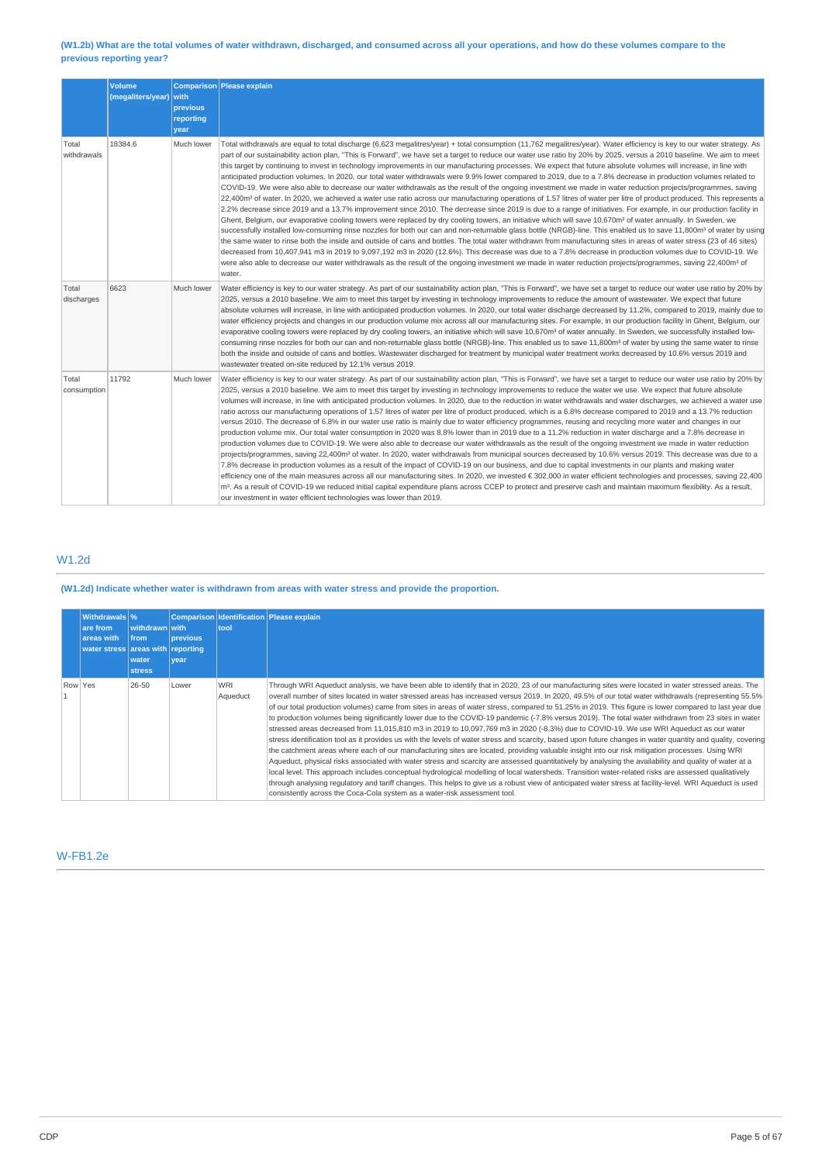### (W1.2b) What are the total volumes of water withdrawn, discharged, and consumed across all your operations, and how do these volumes compare to the **previous reporting year?**

|                      | <b>Volume</b><br>(megaliters/year) | <b>with</b><br>previous<br>reporting<br>year | Comparison Please explain                                                                                                                                                                                                                                                                                                                                                                                                                                                                                                                                                                                                                                                                                                                                                                                                                                                                                                                                                                                                                                                                                                                                                                                                                                                                                                                                                                                                                                                                                                                                                                                                                                                                                                                                                                                                                                                                                                                                                                                                                                                                                |
|----------------------|------------------------------------|----------------------------------------------|----------------------------------------------------------------------------------------------------------------------------------------------------------------------------------------------------------------------------------------------------------------------------------------------------------------------------------------------------------------------------------------------------------------------------------------------------------------------------------------------------------------------------------------------------------------------------------------------------------------------------------------------------------------------------------------------------------------------------------------------------------------------------------------------------------------------------------------------------------------------------------------------------------------------------------------------------------------------------------------------------------------------------------------------------------------------------------------------------------------------------------------------------------------------------------------------------------------------------------------------------------------------------------------------------------------------------------------------------------------------------------------------------------------------------------------------------------------------------------------------------------------------------------------------------------------------------------------------------------------------------------------------------------------------------------------------------------------------------------------------------------------------------------------------------------------------------------------------------------------------------------------------------------------------------------------------------------------------------------------------------------------------------------------------------------------------------------------------------------|
| Total<br>withdrawals | 18384.6                            | Much lower                                   | Total withdrawals are equal to total discharge (6,623 megalitres/year) + total consumption (11,762 megalitres/year). Water efficiency is key to our water strategy. As<br>part of our sustainability action plan, "This is Forward", we have set a target to reduce our water use ratio by 20% by 2025, versus a 2010 baseline. We aim to meet<br>this target by continuing to invest in technology improvements in our manufacturing processes. We expect that future absolute volumes will increase, in line with<br>anticipated production volumes. In 2020, our total water withdrawals were 9.9% lower compared to 2019, due to a 7.8% decrease in production volumes related to<br>COVID-19. We were also able to decrease our water withdrawals as the result of the ongoing investment we made in water reduction projects/programmes, saving<br>22,400m <sup>3</sup> of water. In 2020, we achieved a water use ratio across our manufacturing operations of 1.57 litres of water per litre of product produced. This represents a<br>2.2% decrease since 2019 and a 13.7% improvement since 2010. The decrease since 2019 is due to a range of initiatives. For example, in our production facility in<br>Ghent, Belgium, our evaporative cooling towers were replaced by dry cooling towers, an initiative which will save 10,670m <sup>3</sup> of water annually. In Sweden, we<br>successfully installed low-consuming rinse nozzles for both our can and non-returnable glass bottle (NRGB)-line. This enabled us to save 11,800m <sup>3</sup> of water by using<br>the same water to rinse both the inside and outside of cans and bottles. The total water withdrawn from manufacturing sites in areas of water stress (23 of 46 sites)<br>decreased from 10,407,941 m3 in 2019 to 9,097,192 m3 in 2020 (12.6%). This decrease was due to a 7.8% decrease in production volumes due to COVID-19. We<br>were also able to decrease our water withdrawals as the result of the ongoing investment we made in water reduction projects/programmes, saving 22,400m <sup>3</sup> of<br>water. |
| Total<br>discharges  | 6623                               | Much lower                                   | Water efficiency is key to our water strategy. As part of our sustainability action plan, "This is Forward", we have set a target to reduce our water use ratio by 20% by<br>2025, versus a 2010 baseline. We aim to meet this target by investing in technology improvements to reduce the amount of wastewater. We expect that future<br>absolute volumes will increase, in line with anticipated production volumes. In 2020, our total water discharge decreased by 11.2%, compared to 2019, mainly due to<br>water efficiency projects and changes in our production volume mix across all our manufacturing sites. For example, in our production facility in Ghent, Belgium, our<br>evaporative cooling towers were replaced by dry cooling towers, an initiative which will save 10,670m <sup>3</sup> of water annually. In Sweden, we successfully installed low-<br>consuming rinse nozzles for both our can and non-returnable glass bottle (NRGB)-line. This enabled us to save 11,800m <sup>3</sup> of water by using the same water to rinse<br>both the inside and outside of cans and bottles. Wastewater discharged for treatment by municipal water treatment works decreased by 10.6% versus 2019 and<br>wastewater treated on-site reduced by 12.1% versus 2019.                                                                                                                                                                                                                                                                                                                                                                                                                                                                                                                                                                                                                                                                                                                                                                                                                     |
| Total<br>consumption | 11792                              | Much lower                                   | Water efficiency is key to our water strategy. As part of our sustainability action plan, "This is Forward", we have set a target to reduce our water use ratio by 20% by<br>2025, versus a 2010 baseline. We aim to meet this target by investing in technology improvements to reduce the water we use. We expect that future absolute<br>volumes will increase, in line with anticipated production volumes. In 2020, due to the reduction in water withdrawals and water discharges, we achieved a water use<br>ratio across our manufacturing operations of 1.57 litres of water per litre of product produced, which is a 6.8% decrease compared to 2019 and a 13.7% reduction<br>versus 2010. The decrease of 6.8% in our water use ratio is mainly due to water efficiency programmes, reusing and recycling more water and changes in our<br>production volume mix. Our total water consumption in 2020 was 8.8% lower than in 2019 due to a 11.2% reduction in water discharge and a 7.8% decrease in<br>production volumes due to COVID-19. We were also able to decrease our water withdrawals as the result of the ongoing investment we made in water reduction<br>projects/programmes, saving 22,400m <sup>3</sup> of water. In 2020, water withdrawals from municipal sources decreased by 10.6% versus 2019. This decrease was due to a<br>7.8% decrease in production volumes as a result of the impact of COVID-19 on our business, and due to capital investments in our plants and making water<br>efficiency one of the main measures across all our manufacturing sites. In 2020, we invested € 302,000 in water efficient technologies and processes, saving 22,400<br>m <sup>3</sup> . As a result of COVID-19 we reduced initial capital expenditure plans across CCEP to protect and preserve cash and maintain maximum flexibility. As a result,<br>our investment in water efficient technologies was lower than 2019.                                                                                                                                                      |

# W1.2d

### **(W1.2d) Indicate whether water is withdrawn from areas with water stress and provide the proportion.**

| Withdrawals \%<br>are from<br>areas with<br>water stress areas with reporting | withdrawn with<br><b>from</b><br>water<br><b>stress</b> | <b>previous</b><br><b>vear</b> | tool                   | Comparison Identification Please explain                                                                                                                                                                                                                                                                                                                                                                                                                                                                                                                                                                                                                                                                                                                                                                                                                                                                                                                                                                                                                                                                                                                                                                                                                                                                                                                                                                                                                                                                                                                                                                                                          |
|-------------------------------------------------------------------------------|---------------------------------------------------------|--------------------------------|------------------------|---------------------------------------------------------------------------------------------------------------------------------------------------------------------------------------------------------------------------------------------------------------------------------------------------------------------------------------------------------------------------------------------------------------------------------------------------------------------------------------------------------------------------------------------------------------------------------------------------------------------------------------------------------------------------------------------------------------------------------------------------------------------------------------------------------------------------------------------------------------------------------------------------------------------------------------------------------------------------------------------------------------------------------------------------------------------------------------------------------------------------------------------------------------------------------------------------------------------------------------------------------------------------------------------------------------------------------------------------------------------------------------------------------------------------------------------------------------------------------------------------------------------------------------------------------------------------------------------------------------------------------------------------|
| Row Yes                                                                       | 26-50                                                   | Lower                          | <b>WRI</b><br>Aqueduct | Through WRI Aqueduct analysis, we have been able to identify that in 2020, 23 of our manufacturing sites were located in water stressed areas. The<br>overall number of sites located in water stressed areas has increased versus 2019. In 2020, 49.5% of our total water withdrawals (representing 55.5%<br>of our total production volumes) came from sites in areas of water stress, compared to 51.25% in 2019. This figure is lower compared to last year due<br>to production volumes being significantly lower due to the COVID-19 pandemic (-7.8% versus 2019). The total water withdrawn from 23 sites in water<br>stressed areas decreased from 11,015,810 m3 in 2019 to 10,097,769 m3 in 2020 (-8.3%) due to COVID-19. We use WRI Aqueduct as our water<br>stress identification tool as it provides us with the levels of water stress and scarcity, based upon future changes in water quantity and quality, covering<br>the catchment areas where each of our manufacturing sites are located, providing valuable insight into our risk mitigation processes. Using WRI<br>Aqueduct, physical risks associated with water stress and scarcity are assessed quantitatively by analysing the availability and quality of water at a<br>local level. This approach includes conceptual hydrological modelling of local watersheds. Transition water-related risks are assessed qualitatively<br>through analysing regulatory and tariff changes. This helps to give us a robust view of anticipated water stress at facility-level. WRI Aqueduct is used<br>consistently across the Coca-Cola system as a water-risk assessment tool. |

# W-FB1.2e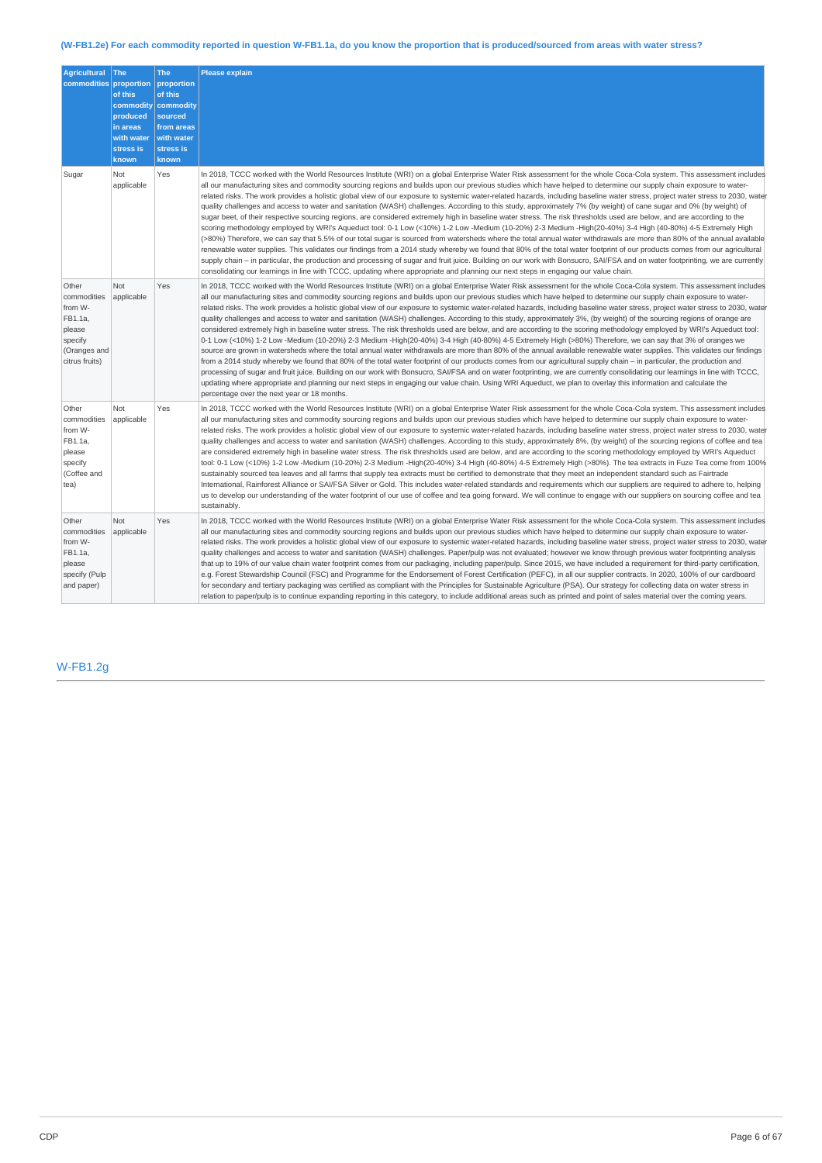# (W-FB1.2e) For each commodity reported in question W-FB1.1a, do you know the proportion that is produced/sourced from areas with water stress?

| <b>Agricultural</b><br>commodities proportion                                                     | <b>The</b><br>of this<br>commodity<br>produced<br>in areas<br>with water<br>stress is<br>known | <b>The</b><br>proportion<br>of this<br>commodity<br>sourced<br>from areas<br>with water<br>stress is<br>known | <b>Please explain</b>                                                                                                                                                                                                                                                                                                                                                                                                                                                                                                                                                                                                                                                                                                                                                                                                                                                                                                                                                                                                                                                                                                                                                                                                                                                                                                                                                                                                                                                                                                                                                                                                                                                                                                                                                                         |
|---------------------------------------------------------------------------------------------------|------------------------------------------------------------------------------------------------|---------------------------------------------------------------------------------------------------------------|-----------------------------------------------------------------------------------------------------------------------------------------------------------------------------------------------------------------------------------------------------------------------------------------------------------------------------------------------------------------------------------------------------------------------------------------------------------------------------------------------------------------------------------------------------------------------------------------------------------------------------------------------------------------------------------------------------------------------------------------------------------------------------------------------------------------------------------------------------------------------------------------------------------------------------------------------------------------------------------------------------------------------------------------------------------------------------------------------------------------------------------------------------------------------------------------------------------------------------------------------------------------------------------------------------------------------------------------------------------------------------------------------------------------------------------------------------------------------------------------------------------------------------------------------------------------------------------------------------------------------------------------------------------------------------------------------------------------------------------------------------------------------------------------------|
| Sugar                                                                                             | Not<br>applicable                                                                              | Yes                                                                                                           | In 2018, TCCC worked with the World Resources Institute (WRI) on a global Enterprise Water Risk assessment for the whole Coca-Cola system. This assessment includes<br>all our manufacturing sites and commodity sourcing regions and builds upon our previous studies which have helped to determine our supply chain exposure to water-<br>related risks. The work provides a holistic global view of our exposure to systemic water-related hazards, including baseline water stress, project water stress to 2030, water<br>quality challenges and access to water and sanitation (WASH) challenges. According to this study, approximately 7% (by weight) of cane sugar and 0% (by weight) of<br>sugar beet, of their respective sourcing regions, are considered extremely high in baseline water stress. The risk thresholds used are below, and are according to the<br>scoring methodology employed by WRI's Aqueduct tool: 0-1 Low (<10%) 1-2 Low -Medium (10-20%) 2-3 Medium -High(20-40%) 3-4 High (40-80%) 4-5 Extremely High<br>(>80%) Therefore, we can say that 5.5% of our total sugar is sourced from watersheds where the total annual water withdrawals are more than 80% of the annual available<br>renewable water supplies. This validates our findings from a 2014 study whereby we found that 80% of the total water footprint of our products comes from our agricultural<br>supply chain – in particular, the production and processing of sugar and fruit juice. Building on our work with Bonsucro, SAI/FSA and on water footprinting, we are currently<br>consolidating our learnings in line with TCCC, updating where appropriate and planning our next steps in engaging our value chain.                                                                    |
| Other<br>commodities<br>from W-<br>FB1.1a,<br>please<br>specify<br>(Oranges and<br>citrus fruits) | Not<br>applicable                                                                              | Yes                                                                                                           | In 2018, TCCC worked with the World Resources Institute (WRI) on a global Enterprise Water Risk assessment for the whole Coca-Cola system. This assessment includes<br>all our manufacturing sites and commodity sourcing regions and builds upon our previous studies which have helped to determine our supply chain exposure to water-<br>related risks. The work provides a holistic global view of our exposure to systemic water-related hazards, including baseline water stress, project water stress to 2030, water<br>quality challenges and access to water and sanitation (WASH) challenges. According to this study, approximately 3%, (by weight) of the sourcing regions of orange are<br>considered extremely high in baseline water stress. The risk thresholds used are below, and are according to the scoring methodology employed by WRI's Aqueduct tool:<br>0-1 Low (<10%) 1-2 Low -Medium (10-20%) 2-3 Medium -High(20-40%) 3-4 High (40-80%) 4-5 Extremely High (>80%) Therefore, we can say that 3% of oranges we<br>source are grown in watersheds where the total annual water withdrawals are more than 80% of the annual available renewable water supplies. This validates our findings<br>from a 2014 study whereby we found that 80% of the total water footprint of our products comes from our agricultural supply chain – in particular, the production and<br>processing of sugar and fruit juice. Building on our work with Bonsucro, SAI/FSA and on water footprinting, we are currently consolidating our learnings in line with TCCC,<br>updating where appropriate and planning our next steps in engaging our value chain. Using WRI Aqueduct, we plan to overlay this information and calculate the<br>percentage over the next year or 18 months. |
| Other<br>commodities<br>from W-<br>FB1.1a,<br>please<br>specify<br>(Coffee and<br>tea)            | Not<br>applicable                                                                              | Yes                                                                                                           | In 2018, TCCC worked with the World Resources Institute (WRI) on a global Enterprise Water Risk assessment for the whole Coca-Cola system. This assessment includes<br>all our manufacturing sites and commodity sourcing regions and builds upon our previous studies which have helped to determine our supply chain exposure to water-<br>related risks. The work provides a holistic global view of our exposure to systemic water-related hazards, including baseline water stress, project water stress to 2030, water<br>quality challenges and access to water and sanitation (WASH) challenges. According to this study, approximately 8%, (by weight) of the sourcing regions of coffee and tea<br>are considered extremely high in baseline water stress. The risk thresholds used are below, and are according to the scoring methodology employed by WRI's Aqueduct<br>tool: 0-1 Low (<10%) 1-2 Low -Medium (10-20%) 2-3 Medium -High(20-40%) 3-4 High (40-80%) 4-5 Extremely High (>80%). The tea extracts in Fuze Tea come from 100%<br>sustainably sourced tea leaves and all farms that supply tea extracts must be certified to demonstrate that they meet an independent standard such as Fairtrade<br>International, Rainforest Alliance or SAI/FSA Silver or Gold. This includes water-related standards and requirements which our suppliers are required to adhere to, helping<br>us to develop our understanding of the water footprint of our use of coffee and tea going forward. We will continue to engage with our suppliers on sourcing coffee and tea<br>sustainably.                                                                                                                                                                                          |
| Other<br>commodities<br>from W-<br>FB1.1a,<br>please<br>specify (Pulp<br>and paper)               | Not<br>applicable                                                                              | Yes                                                                                                           | In 2018, TCCC worked with the World Resources Institute (WRI) on a global Enterprise Water Risk assessment for the whole Coca-Cola system. This assessment includes<br>all our manufacturing sites and commodity sourcing regions and builds upon our previous studies which have helped to determine our supply chain exposure to water-<br>related risks. The work provides a holistic global view of our exposure to systemic water-related hazards, including baseline water stress, project water stress to 2030, water<br>quality challenges and access to water and sanitation (WASH) challenges. Paper/pulp was not evaluated; however we know through previous water footprinting analysis<br>that up to 19% of our value chain water footprint comes from our packaging, including paper/pulp. Since 2015, we have included a requirement for third-party certification,<br>e.g. Forest Stewardship Council (FSC) and Programme for the Endorsement of Forest Certification (PEFC), in all our supplier contracts. In 2020, 100% of our cardboard<br>for secondary and tertiary packaging was certified as compliant with the Principles for Sustainable Agriculture (PSA). Our strategy for collecting data on water stress in<br>relation to paper/pulp is to continue expanding reporting in this category, to include additional areas such as printed and point of sales material over the coming years.                                                                                                                                                                                                                                                                                                                                                                       |

# W-FB1.2g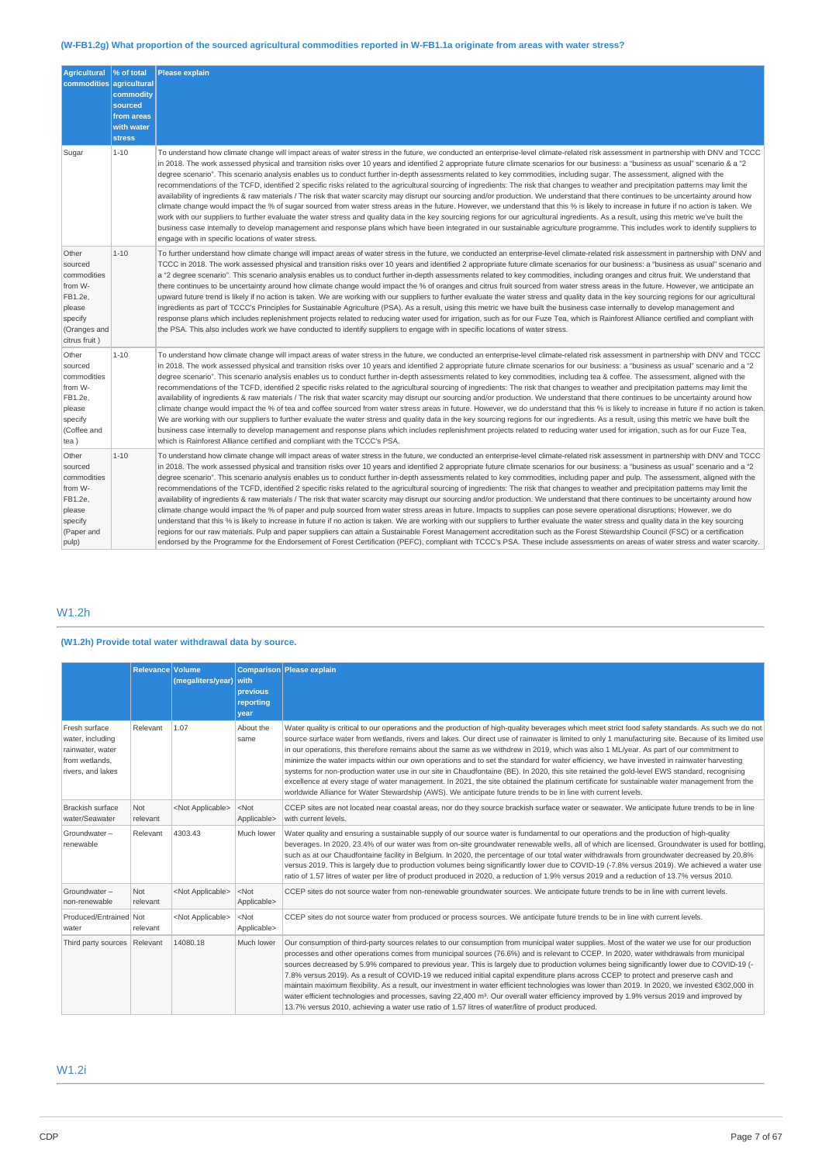# (W-FB1.2g) What proportion of the sourced agricultural commodities reported in W-FB1.1a originate from areas with water stress?

| <b>Agricultural</b><br>commodities                                                                          | % of total<br>agricultural<br>commodity<br>sourced<br>from areas<br>with water<br><b>stress</b> | <b>Please explain</b>                                                                                                                                                                                                                                                                                                                                                                                                                                                                                                                                                                                                                                                                                                                                                                                                                                                                                                                                                                                                                                                                                                                                                                                                                                                                                                                                                                                                                                                                                                                                                                                                                                                                                      |
|-------------------------------------------------------------------------------------------------------------|-------------------------------------------------------------------------------------------------|------------------------------------------------------------------------------------------------------------------------------------------------------------------------------------------------------------------------------------------------------------------------------------------------------------------------------------------------------------------------------------------------------------------------------------------------------------------------------------------------------------------------------------------------------------------------------------------------------------------------------------------------------------------------------------------------------------------------------------------------------------------------------------------------------------------------------------------------------------------------------------------------------------------------------------------------------------------------------------------------------------------------------------------------------------------------------------------------------------------------------------------------------------------------------------------------------------------------------------------------------------------------------------------------------------------------------------------------------------------------------------------------------------------------------------------------------------------------------------------------------------------------------------------------------------------------------------------------------------------------------------------------------------------------------------------------------------|
| Sugar                                                                                                       | $1 - 10$                                                                                        | To understand how climate change will impact areas of water stress in the future, we conducted an enterprise-level climate-related risk assessment in partnership with DNV and TCCC<br>in 2018. The work assessed physical and transition risks over 10 years and identified 2 appropriate future climate scenarios for our business: a "business as usual" scenario & a "2<br>degree scenario". This scenario analysis enables us to conduct further in-depth assessments related to key commodities, including sugar. The assessment, aligned with the<br>recommendations of the TCFD, identified 2 specific risks related to the agricultural sourcing of ingredients: The risk that changes to weather and precipitation patterns may limit the<br>availability of ingredients & raw materials / The risk that water scarcity may disrupt our sourcing and/or production. We understand that there continues to be uncertainty around how<br>climate change would impact the % of sugar sourced from water stress areas in the future. However, we understand that this % is likely to increase in future if no action is taken. We<br>work with our suppliers to further evaluate the water stress and quality data in the key sourcing regions for our agricultural ingredients. As a result, using this metric we've built the<br>business case internally to develop management and response plans which have been integrated in our sustainable agriculture programme. This includes work to identify suppliers to<br>engage with in specific locations of water stress.                                                                                                                          |
| Other<br>sourced<br>commodities<br>from W-<br>FB1.2e,<br>please<br>specify<br>(Oranges and<br>citrus fruit) | $1 - 10$                                                                                        | To further understand how climate change will impact areas of water stress in the future, we conducted an enterprise-level climate-related risk assessment in partnership with DNV and<br>TCCC in 2018. The work assessed physical and transition risks over 10 years and identified 2 appropriate future climate scenarios for our business: a "business as usual" scenario and<br>a "2 degree scenario". This scenario analysis enables us to conduct further in-depth assessments related to key commodities, including oranges and citrus fruit. We understand that<br>there continues to be uncertainty around how climate change would impact the % of oranges and citrus fruit sourced from water stress areas in the future. However, we anticipate an<br>upward future trend is likely if no action is taken. We are working with our suppliers to further evaluate the water stress and quality data in the key sourcing regions for our agricultural<br>ingredients as part of TCCC's Principles for Sustainable Agriculture (PSA). As a result, using this metric we have built the business case internally to develop management and<br>response plans which includes replenishment projects related to reducing water used for irrigation, such as for our Fuze Tea, which is Rainforest Alliance certified and compliant with<br>the PSA. This also includes work we have conducted to identify suppliers to engage with in specific locations of water stress.                                                                                                                                                                                                                            |
| Other<br>sourced<br>commodities<br>from W-<br>FB1.2e,<br>please<br>specify<br>(Coffee and<br>tea)           | $1 - 10$                                                                                        | To understand how climate change will impact areas of water stress in the future, we conducted an enterprise-level climate-related risk assessment in partnership with DNV and TCCC<br>in 2018. The work assessed physical and transition risks over 10 years and identified 2 appropriate future climate scenarios for our business: a "business as usual" scenario and a "2<br>degree scenario". This scenario analysis enables us to conduct further in-depth assessments related to key commodities, including tea & coffee. The assessment, aligned with the<br>recommendations of the TCFD, identified 2 specific risks related to the agricultural sourcing of ingredients: The risk that changes to weather and precipitation patterns may limit the<br>availability of ingredients & raw materials / The risk that water scarcity may disrupt our sourcing and/or production. We understand that there continues to be uncertainty around how<br>climate change would impact the % of tea and coffee sourced from water stress areas in future. However, we do understand that this % is likely to increase in future if no action is taken.<br>We are working with our suppliers to further evaluate the water stress and quality data in the key sourcing regions for our ingredients. As a result, using this metric we have built the<br>business case internally to develop management and response plans which includes replenishment projects related to reducing water used for irrigation, such as for our Fuze Tea,<br>which is Rainforest Alliance certified and compliant with the TCCC's PSA.                                                                                        |
| Other<br>sourced<br>commodities<br>from W-<br>FB1.2e,<br>please<br>specify<br>(Paper and<br>pulp)           | $1 - 10$                                                                                        | To understand how climate change will impact areas of water stress in the future, we conducted an enterprise-level climate-related risk assessment in partnership with DNV and TCCC<br>in 2018. The work assessed physical and transition risks over 10 years and identified 2 appropriate future climate scenarios for our business: a "business as usual" scenario and a "2<br>degree scenario". This scenario analysis enables us to conduct further in-depth assessments related to key commodities, including paper and pulp. The assessment, aligned with the<br>recommendations of the TCFD, identified 2 specific risks related to the agricultural sourcing of ingredients: The risk that changes to weather and precipitation patterns may limit the<br>availability of ingredients & raw materials / The risk that water scarcity may disrupt our sourcing and/or production. We understand that there continues to be uncertainty around how<br>climate change would impact the % of paper and pulp sourced from water stress areas in future. Impacts to supplies can pose severe operational disruptions; However, we do<br>understand that this % is likely to increase in future if no action is taken. We are working with our suppliers to further evaluate the water stress and quality data in the key sourcing<br>regions for our raw materials. Pulp and paper suppliers can attain a Sustainable Forest Management accreditation such as the Forest Stewardship Council (FSC) or a certification<br>endorsed by the Programme for the Endorsement of Forest Certification (PEFC), compliant with TCCC's PSA. These include assessments on areas of water stress and water scarcity. |

# W1.2h

# **(W1.2h) Provide total water withdrawal data by source.**

|                                                                                              | <b>Relevance Volume</b> | $(megative s/year)$ with  | <b>previous</b><br>reporting<br>year | Comparison Please explain                                                                                                                                                                                                                                                                                                                                                                                                                                                                                                                                                                                                                                                                                                                                                                                                                                                                                                                                                                                                |
|----------------------------------------------------------------------------------------------|-------------------------|---------------------------|--------------------------------------|--------------------------------------------------------------------------------------------------------------------------------------------------------------------------------------------------------------------------------------------------------------------------------------------------------------------------------------------------------------------------------------------------------------------------------------------------------------------------------------------------------------------------------------------------------------------------------------------------------------------------------------------------------------------------------------------------------------------------------------------------------------------------------------------------------------------------------------------------------------------------------------------------------------------------------------------------------------------------------------------------------------------------|
| Fresh surface<br>water, including<br>rainwater, water<br>from wetlands.<br>rivers, and lakes | Relevant                | 1.07                      | About the<br>same                    | Water quality is critical to our operations and the production of high-quality beverages which meet strict food safety standards. As such we do not<br>source surface water from wetlands, rivers and lakes. Our direct use of rainwater is limited to only 1 manufacturing site. Because of its limited use<br>in our operations, this therefore remains about the same as we withdrew in 2019, which was also 1 ML/year. As part of our commitment to<br>minimize the water impacts within our own operations and to set the standard for water efficiency, we have invested in rainwater harvesting<br>systems for non-production water use in our site in Chaudfontaine (BE). In 2020, this site retained the gold-level EWS standard, recognising<br>excellence at every stage of water management. In 2021, the site obtained the platinum certificate for sustainable water management from the<br>worldwide Alliance for Water Stewardship (AWS). We anticipate future trends to be in line with current levels. |
| <b>Brackish surface</b><br>water/Seawater                                                    | Not<br>relevant         | <not applicable=""></not> | $<$ Not<br>Applicable>               | CCEP sites are not located near coastal areas, nor do they source brackish surface water or seawater. We anticipate future trends to be in line<br>with current levels.                                                                                                                                                                                                                                                                                                                                                                                                                                                                                                                                                                                                                                                                                                                                                                                                                                                  |
| Groundwater-<br>renewable                                                                    | Relevant                | 4303.43                   | Much lower                           | Water quality and ensuring a sustainable supply of our source water is fundamental to our operations and the production of high-quality<br>beverages. In 2020, 23.4% of our water was from on-site groundwater renewable wells, all of which are licensed. Groundwater is used for bottling<br>such as at our Chaudfontaine facility in Belgium. In 2020, the percentage of our total water withdrawals from groundwater decreased by 20.8%<br>versus 2019. This is largely due to production volumes being significantly lower due to COVID-19 (-7.8% versus 2019). We achieved a water use<br>ratio of 1.57 litres of water per litre of product produced in 2020, a reduction of 1.9% versus 2019 and a reduction of 13.7% versus 2010.                                                                                                                                                                                                                                                                               |
| Groundwater-<br>non-renewable                                                                | Not<br>relevant         | <not applicable=""></not> | $<$ Not<br>Applicable>               | CCEP sites do not source water from non-renewable groundwater sources. We anticipate future trends to be in line with current levels.                                                                                                                                                                                                                                                                                                                                                                                                                                                                                                                                                                                                                                                                                                                                                                                                                                                                                    |
| Produced/Entrained Not<br>water                                                              | relevant                | <not applicable=""></not> | $<$ Not<br>Applicable>               | CCEP sites do not source water from produced or process sources. We anticipate future trends to be in line with current levels.                                                                                                                                                                                                                                                                                                                                                                                                                                                                                                                                                                                                                                                                                                                                                                                                                                                                                          |
| Third party sources Relevant                                                                 |                         | 14080.18                  | Much lower                           | Our consumption of third-party sources relates to our consumption from municipal water supplies. Most of the water we use for our production<br>processes and other operations comes from municipal sources (76.6%) and is relevant to CCEP. In 2020, water withdrawals from municipal<br>sources decreased by 5.9% compared to previous year. This is largely due to production volumes being significantly lower due to COVID-19 (-<br>7.8% versus 2019). As a result of COVID-19 we reduced initial capital expenditure plans across CCEP to protect and preserve cash and<br>maintain maximum flexibility. As a result, our investment in water efficient technologies was lower than 2019. In 2020, we invested €302,000 in<br>water efficient technologies and processes, saving 22,400 m <sup>3</sup> . Our overall water efficiency improved by 1.9% versus 2019 and improved by<br>13.7% versus 2010, achieving a water use ratio of 1.57 litres of water/litre of product produced.                            |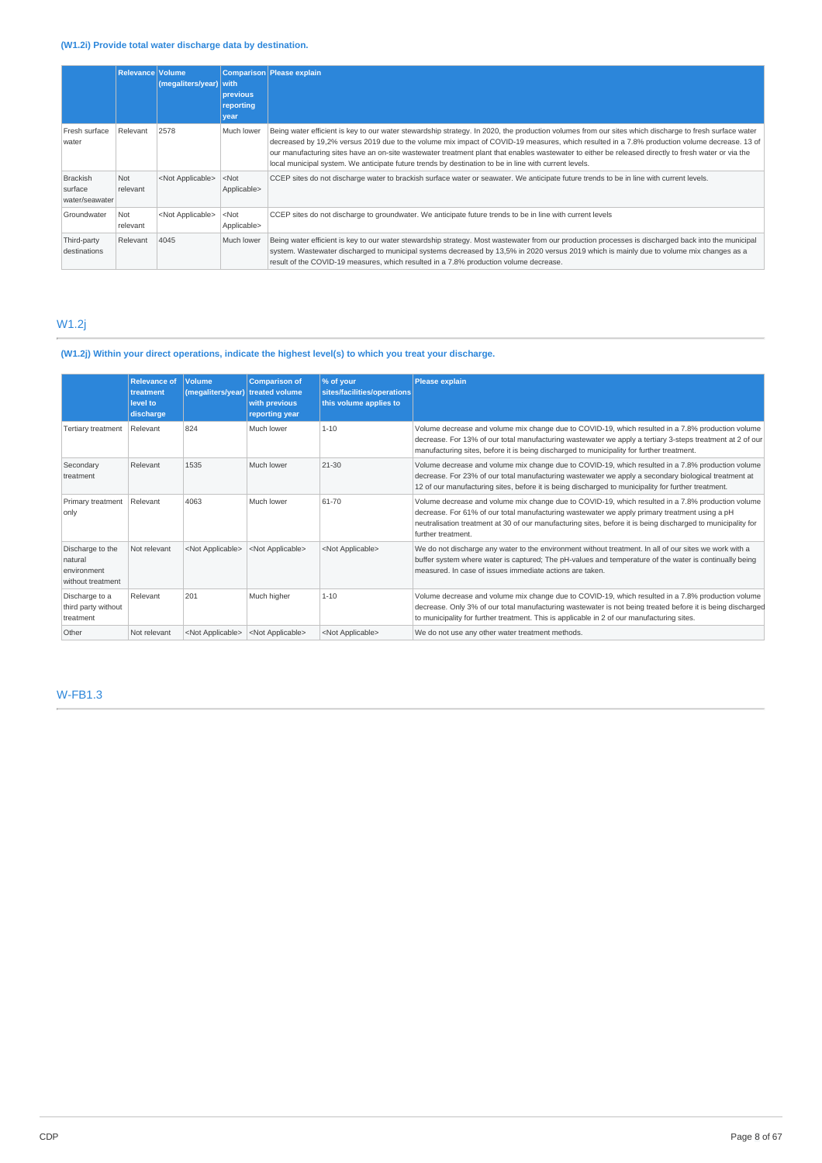### **(W1.2i) Provide total water discharge data by destination.**

|                                       | <b>Relevance Volume</b> | (megaliters/year)         | with<br>previous<br>reporting<br>year | Comparison Please explain                                                                                                                                                                                                                                                                                                                                                                                                                                                                                                                                             |
|---------------------------------------|-------------------------|---------------------------|---------------------------------------|-----------------------------------------------------------------------------------------------------------------------------------------------------------------------------------------------------------------------------------------------------------------------------------------------------------------------------------------------------------------------------------------------------------------------------------------------------------------------------------------------------------------------------------------------------------------------|
| Fresh surface<br>water                | Relevant                | 2578                      | Much lower                            | Being water efficient is key to our water stewardship strategy. In 2020, the production volumes from our sites which discharge to fresh surface water<br>decreased by 19,2% versus 2019 due to the volume mix impact of COVID-19 measures, which resulted in a 7.8% production volume decrease. 13 of<br>our manufacturing sites have an on-site wastewater treatment plant that enables wastewater to either be released directly to fresh water or via the<br>local municipal system. We anticipate future trends by destination to be in line with current levels. |
| Brackish<br>surface<br>water/seawater | Not<br>relevant         | <not applicable=""></not> | $<$ Not<br>Applicable>                | CCEP sites do not discharge water to brackish surface water or seawater. We anticipate future trends to be in line with current levels.                                                                                                                                                                                                                                                                                                                                                                                                                               |
| Groundwater                           | Not<br>relevant         | <not applicable=""></not> | $<$ Not<br>Applicable>                | CCEP sites do not discharge to groundwater. We anticipate future trends to be in line with current levels                                                                                                                                                                                                                                                                                                                                                                                                                                                             |
| Third-party<br>destinations           | Relevant                | 4045                      | Much lower                            | Being water efficient is key to our water stewardship strategy. Most wastewater from our production processes is discharged back into the municipal<br>system. Wastewater discharged to municipal systems decreased by 13,5% in 2020 versus 2019 which is mainly due to volume mix changes as a<br>result of the COVID-19 measures, which resulted in a 7.8% production volume decrease.                                                                                                                                                                              |

# W1.2j

# **(W1.2j) Within your direct operations, indicate the highest level(s) to which you treat your discharge.**

|                                                                 | <b>Relevance of</b><br>treatment<br>level to<br>discharge | Volume<br>(megaliters/year) | <b>Comparison of</b><br>treated volume<br>with previous<br>reporting year | % of your<br>sites/facilities/operations<br>this volume applies to | <b>Please explain</b>                                                                                                                                                                                                                                                                                                                    |
|-----------------------------------------------------------------|-----------------------------------------------------------|-----------------------------|---------------------------------------------------------------------------|--------------------------------------------------------------------|------------------------------------------------------------------------------------------------------------------------------------------------------------------------------------------------------------------------------------------------------------------------------------------------------------------------------------------|
| <b>Tertiary treatment</b>                                       | Relevant                                                  | 824                         | Much lower                                                                | $1 - 10$                                                           | Volume decrease and volume mix change due to COVID-19, which resulted in a 7.8% production volume<br>decrease. For 13% of our total manufacturing wastewater we apply a tertiary 3-steps treatment at 2 of our<br>manufacturing sites, before it is being discharged to municipality for further treatment.                              |
| Secondary<br>treatment                                          | Relevant                                                  | 1535                        | Much lower                                                                | $21 - 30$                                                          | Volume decrease and volume mix change due to COVID-19, which resulted in a 7.8% production volume<br>decrease. For 23% of our total manufacturing wastewater we apply a secondary biological treatment at<br>12 of our manufacturing sites, before it is being discharged to municipality for further treatment.                         |
| Primary treatment<br>only                                       | Relevant                                                  | 4063                        | Much lower                                                                | 61-70                                                              | Volume decrease and volume mix change due to COVID-19, which resulted in a 7.8% production volume<br>decrease. For 61% of our total manufacturing wastewater we apply primary treatment using a pH<br>neutralisation treatment at 30 of our manufacturing sites, before it is being discharged to municipality for<br>further treatment. |
| Discharge to the<br>natural<br>environment<br>without treatment | Not relevant                                              | <not applicable=""></not>   | <not applicable=""></not>                                                 | <not applicable=""></not>                                          | We do not discharge any water to the environment without treatment. In all of our sites we work with a<br>buffer system where water is captured; The pH-values and temperature of the water is continually being<br>measured. In case of issues immediate actions are taken.                                                             |
| Discharge to a<br>third party without<br>treatment              | Relevant                                                  | 201                         | Much higher                                                               | $1 - 10$                                                           | Volume decrease and volume mix change due to COVID-19, which resulted in a 7.8% production volume<br>decrease. Only 3% of our total manufacturing wastewater is not being treated before it is being discharged<br>to municipality for further treatment. This is applicable in 2 of our manufacturing sites.                            |
| Other                                                           | Not relevant                                              | <not applicable=""></not>   | <not applicable=""></not>                                                 | <not applicable=""></not>                                          | We do not use any other water treatment methods.                                                                                                                                                                                                                                                                                         |

W-FB1.3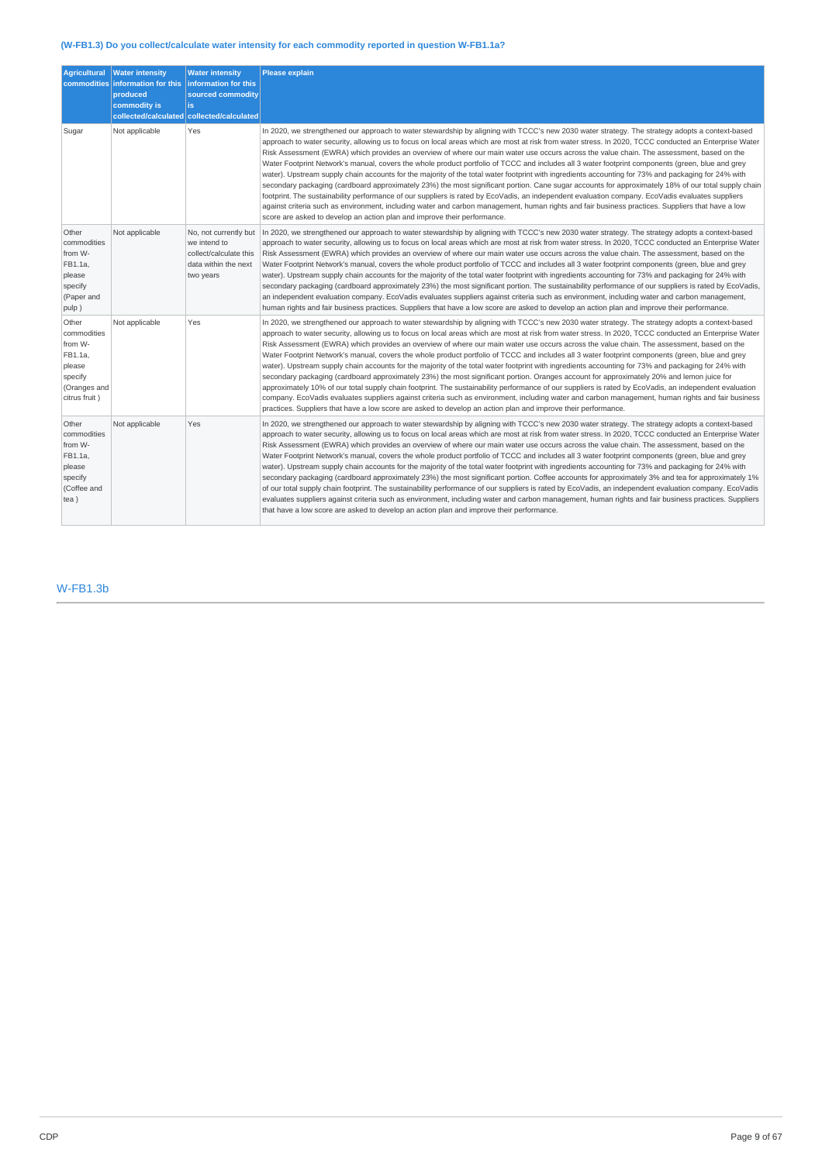# **(W-FB1.3) Do you collect/calculate water intensity for each commodity reported in question W-FB1.1a?**

| <b>Agricultural</b><br>commodities                                                               | <b>Water intensity</b><br>information for this<br>produced<br>commodity is | <b>Water intensity</b><br>information for this<br>sourced commodity<br>is.<br>collected/calculated collected/calculated | <b>Please explain</b>                                                                                                                                                                                                                                                                                                                                                                                                                                                                                                                                                                                                                                                                                                                                                                                                                                                                                                                                                                                                                                                                                                                                                                                                                                                                                                                         |
|--------------------------------------------------------------------------------------------------|----------------------------------------------------------------------------|-------------------------------------------------------------------------------------------------------------------------|-----------------------------------------------------------------------------------------------------------------------------------------------------------------------------------------------------------------------------------------------------------------------------------------------------------------------------------------------------------------------------------------------------------------------------------------------------------------------------------------------------------------------------------------------------------------------------------------------------------------------------------------------------------------------------------------------------------------------------------------------------------------------------------------------------------------------------------------------------------------------------------------------------------------------------------------------------------------------------------------------------------------------------------------------------------------------------------------------------------------------------------------------------------------------------------------------------------------------------------------------------------------------------------------------------------------------------------------------|
| Sugar                                                                                            | Not applicable                                                             | Yes                                                                                                                     | In 2020, we strengthened our approach to water stewardship by aligning with TCCC's new 2030 water strategy. The strategy adopts a context-based<br>approach to water security, allowing us to focus on local areas which are most at risk from water stress. In 2020, TCCC conducted an Enterprise Water<br>Risk Assessment (EWRA) which provides an overview of where our main water use occurs across the value chain. The assessment, based on the<br>Water Footprint Network's manual, covers the whole product portfolio of TCCC and includes all 3 water footprint components (green, blue and grey<br>water). Upstream supply chain accounts for the majority of the total water footprint with ingredients accounting for 73% and packaging for 24% with<br>secondary packaging (cardboard approximately 23%) the most significant portion. Cane sugar accounts for approximately 18% of our total supply chain<br>footprint. The sustainability performance of our suppliers is rated by EcoVadis, an independent evaluation company. EcoVadis evaluates suppliers<br>against criteria such as environment, including water and carbon management, human rights and fair business practices. Suppliers that have a low<br>score are asked to develop an action plan and improve their performance.                                   |
| Other<br>commodities<br>from W-<br>FB1.1a.<br>please<br>specify<br>(Paper and<br>pulp)           | Not applicable                                                             | No, not currently but<br>we intend to<br>collect/calculate this<br>data within the next<br>two years                    | In 2020, we strengthened our approach to water stewardship by aligning with TCCC's new 2030 water strategy. The strategy adopts a context-based<br>approach to water security, allowing us to focus on local areas which are most at risk from water stress. In 2020, TCCC conducted an Enterprise Water<br>Risk Assessment (EWRA) which provides an overview of where our main water use occurs across the value chain. The assessment, based on the<br>Water Footprint Network's manual, covers the whole product portfolio of TCCC and includes all 3 water footprint components (green, blue and grey<br>water). Upstream supply chain accounts for the majority of the total water footprint with ingredients accounting for 73% and packaging for 24% with<br>secondary packaging (cardboard approximately 23%) the most significant portion. The sustainability performance of our suppliers is rated by EcoVadis,<br>an independent evaluation company. EcoVadis evaluates suppliers against criteria such as environment, including water and carbon management,<br>human rights and fair business practices. Suppliers that have a low score are asked to develop an action plan and improve their performance.                                                                                                                     |
| Other<br>commodities<br>from W-<br>FB1.1a.<br>please<br>specify<br>(Oranges and<br>citrus fruit) | Not applicable                                                             | Yes                                                                                                                     | In 2020, we strengthened our approach to water stewardship by aligning with TCCC's new 2030 water strategy. The strategy adopts a context-based<br>approach to water security, allowing us to focus on local areas which are most at risk from water stress. In 2020, TCCC conducted an Enterprise Water<br>Risk Assessment (EWRA) which provides an overview of where our main water use occurs across the value chain. The assessment, based on the<br>Water Footprint Network's manual, covers the whole product portfolio of TCCC and includes all 3 water footprint components (green, blue and grey<br>water). Upstream supply chain accounts for the majority of the total water footprint with ingredients accounting for 73% and packaging for 24% with<br>secondary packaging (cardboard approximately 23%) the most significant portion. Oranges account for approximately 20% and lemon juice for<br>approximately 10% of our total supply chain footprint. The sustainability performance of our suppliers is rated by EcoVadis, an independent evaluation<br>company. EcoVadis evaluates suppliers against criteria such as environment, including water and carbon management, human rights and fair business<br>practices. Suppliers that have a low score are asked to develop an action plan and improve their performance. |
| Other<br>commodities<br>from W-<br>FB1.1a,<br>please<br>specify<br>(Coffee and<br>tea)           | Not applicable                                                             | Yes                                                                                                                     | In 2020, we strengthened our approach to water stewardship by aligning with TCCC's new 2030 water strategy. The strategy adopts a context-based<br>approach to water security, allowing us to focus on local areas which are most at risk from water stress. In 2020, TCCC conducted an Enterprise Water<br>Risk Assessment (EWRA) which provides an overview of where our main water use occurs across the value chain. The assessment, based on the<br>Water Footprint Network's manual, covers the whole product portfolio of TCCC and includes all 3 water footprint components (green, blue and grey<br>water). Upstream supply chain accounts for the majority of the total water footprint with ingredients accounting for 73% and packaging for 24% with<br>secondary packaging (cardboard approximately 23%) the most significant portion. Coffee accounts for approximately 3% and tea for approximately 1%<br>of our total supply chain footprint. The sustainability performance of our suppliers is rated by EcoVadis, an independent evaluation company. EcoVadis<br>evaluates suppliers against criteria such as environment, including water and carbon management, human rights and fair business practices. Suppliers<br>that have a low score are asked to develop an action plan and improve their performance.           |

### W-FB1.3b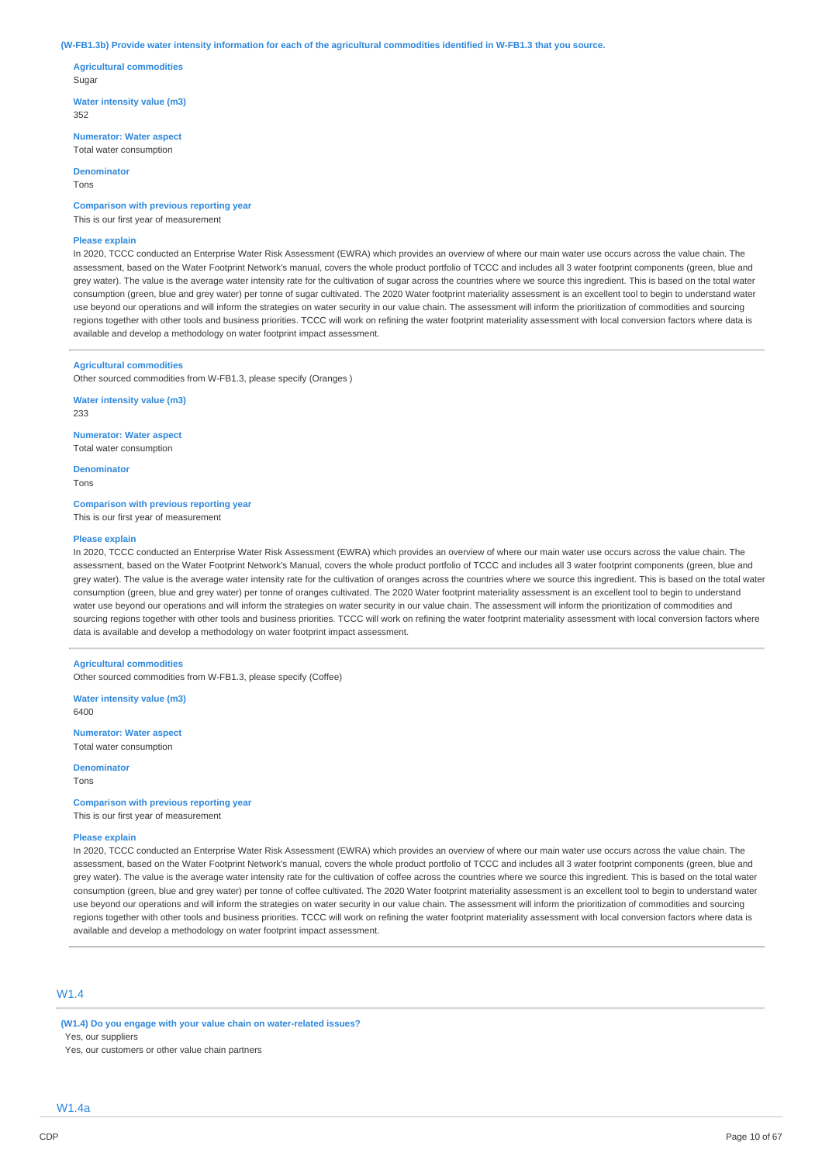#### (W-FB1.3b) Provide water intensity information for each of the agricultural commodities identified in W-FB1.3 that you source.

**Agricultural commodities** Sugar

**Water intensity value (m3)** 352

**Numerator: Water aspect** Total water consumption

**Denominator**

Tons

**Comparison with previous reporting year**

This is our first year of measurement

### **Please explain**

In 2020, TCCC conducted an Enterprise Water Risk Assessment (EWRA) which provides an overview of where our main water use occurs across the value chain. The assessment, based on the Water Footprint Network's manual, covers the whole product portfolio of TCCC and includes all 3 water footprint components (green, blue and grey water). The value is the average water intensity rate for the cultivation of sugar across the countries where we source this ingredient. This is based on the total water consumption (green, blue and grey water) per tonne of sugar cultivated. The 2020 Water footprint materiality assessment is an excellent tool to begin to understand water use beyond our operations and will inform the strategies on water security in our value chain. The assessment will inform the prioritization of commodities and sourcing regions together with other tools and business priorities. TCCC will work on refining the water footprint materiality assessment with local conversion factors where data is available and develop a methodology on water footprint impact assessment.

#### **Agricultural commodities**

Other sourced commodities from W-FB1.3, please specify (Oranges )

**Water intensity value (m3)** 233

**Numerator: Water aspect** Total water consumption

**Denominator** Tons

**Comparison with previous reporting year**

This is our first year of measurement

### **Please explain**

In 2020, TCCC conducted an Enterprise Water Risk Assessment (EWRA) which provides an overview of where our main water use occurs across the value chain. The assessment, based on the Water Footprint Network's Manual, covers the whole product portfolio of TCCC and includes all 3 water footprint components (green, blue and grey water). The value is the average water intensity rate for the cultivation of oranges across the countries where we source this ingredient. This is based on the total water consumption (green, blue and grey water) per tonne of oranges cultivated. The 2020 Water footprint materiality assessment is an excellent tool to begin to understand water use beyond our operations and will inform the strategies on water security in our value chain. The assessment will inform the prioritization of commodities and sourcing regions together with other tools and business priorities. TCCC will work on refining the water footprint materiality assessment with local conversion factors where data is available and develop a methodology on water footprint impact assessment.

### **Agricultural commodities**

Other sourced commodities from W-FB1.3, please specify (Coffee)

**Water intensity value (m3)** 6400

**Numerator: Water aspect** Total water consumption

**Denominator**

Tons

**Comparison with previous reporting year** This is our first year of measurement

#### **Please explain**

In 2020, TCCC conducted an Enterprise Water Risk Assessment (EWRA) which provides an overview of where our main water use occurs across the value chain. The assessment, based on the Water Footprint Network's manual, covers the whole product portfolio of TCCC and includes all 3 water footprint components (green, blue and grey water). The value is the average water intensity rate for the cultivation of coffee across the countries where we source this ingredient. This is based on the total water consumption (green, blue and grey water) per tonne of coffee cultivated. The 2020 Water footprint materiality assessment is an excellent tool to begin to understand water use beyond our operations and will inform the strategies on water security in our value chain. The assessment will inform the prioritization of commodities and sourcing regions together with other tools and business priorities. TCCC will work on refining the water footprint materiality assessment with local conversion factors where data is available and develop a methodology on water footprint impact assessment.

## W1.4

**(W1.4) Do you engage with your value chain on water-related issues?** Yes, our suppliers

Yes, our customers or other value chain partners

W1.4a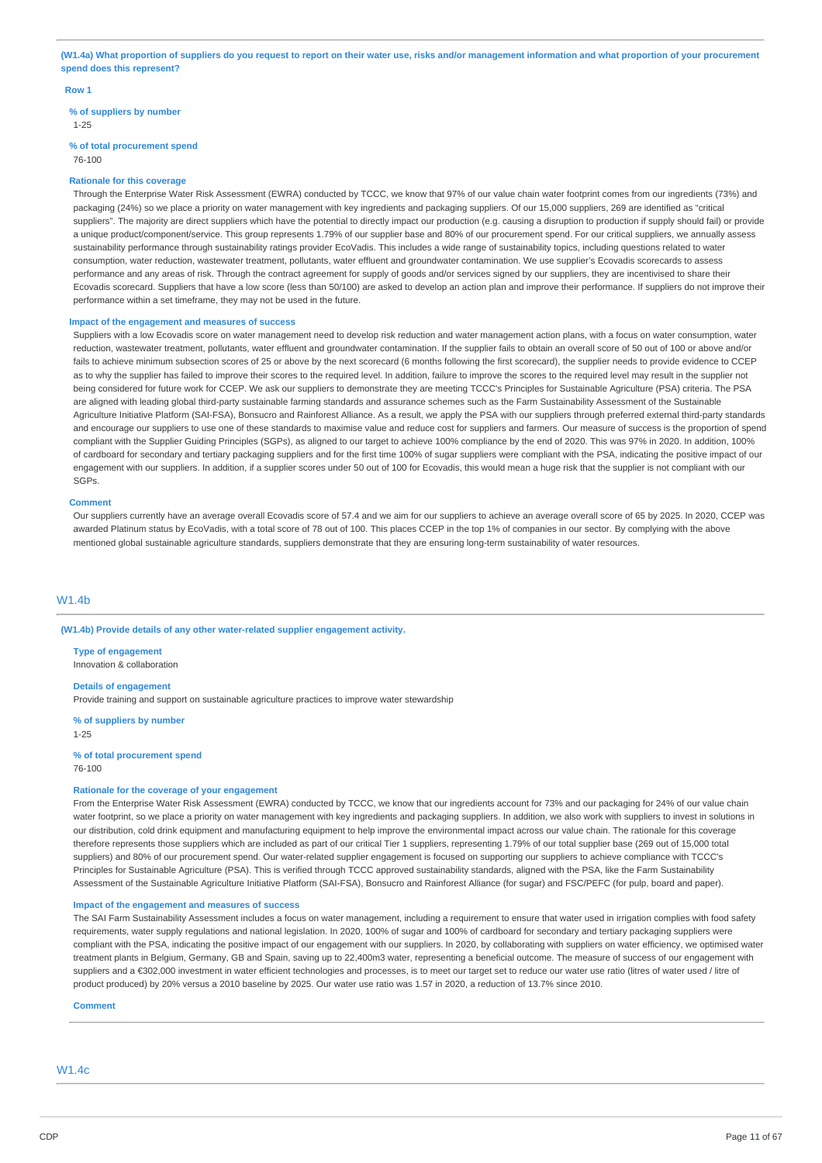(W1.4a) What proportion of suppliers do you request to report on their water use, risks and/or management information and what proportion of your procurement **spend does this represent?**

#### **Row 1**

### **% of suppliers by number**

1-25

# **% of total procurement spend**

# 76-100

### **Rationale for this coverage**

Through the Enterprise Water Risk Assessment (EWRA) conducted by TCCC, we know that 97% of our value chain water footprint comes from our ingredients (73%) and packaging (24%) so we place a priority on water management with key ingredients and packaging suppliers. Of our 15,000 suppliers, 269 are identified as "critical suppliers". The majority are direct suppliers which have the potential to directly impact our production (e.g. causing a disruption to production if supply should fail) or provide a unique product/component/service. This group represents 1.79% of our supplier base and 80% of our procurement spend. For our critical suppliers, we annually assess sustainability performance through sustainability ratings provider EcoVadis. This includes a wide range of sustainability topics, including questions related to water consumption, water reduction, wastewater treatment, pollutants, water effluent and groundwater contamination. We use supplier's Ecovadis scorecards to assess performance and any areas of risk. Through the contract agreement for supply of goods and/or services signed by our suppliers, they are incentivised to share their Ecovadis scorecard. Suppliers that have a low score (less than 50/100) are asked to develop an action plan and improve their performance. If suppliers do not improve their performance within a set timeframe, they may not be used in the future.

#### **Impact of the engagement and measures of success**

Suppliers with a low Ecovadis score on water management need to develop risk reduction and water management action plans, with a focus on water consumption, water reduction, wastewater treatment, pollutants, water effluent and groundwater contamination. If the supplier fails to obtain an overall score of 50 out of 100 or above and/or fails to achieve minimum subsection scores of 25 or above by the next scorecard (6 months following the first scorecard), the supplier needs to provide evidence to CCEP as to why the supplier has failed to improve their scores to the required level. In addition, failure to improve the scores to the required level may result in the supplier not being considered for future work for CCEP. We ask our suppliers to demonstrate they are meeting TCCC's Principles for Sustainable Agriculture (PSA) criteria. The PSA are aligned with leading global third-party sustainable farming standards and assurance schemes such as the Farm Sustainability Assessment of the Sustainable Agriculture Initiative Platform (SAI-FSA), Bonsucro and Rainforest Alliance. As a result, we apply the PSA with our suppliers through preferred external third-party standards and encourage our suppliers to use one of these standards to maximise value and reduce cost for suppliers and farmers. Our measure of success is the proportion of spend compliant with the Supplier Guiding Principles (SGPs), as aligned to our target to achieve 100% compliance by the end of 2020. This was 97% in 2020. In addition, 100% of cardboard for secondary and tertiary packaging suppliers and for the first time 100% of sugar suppliers were compliant with the PSA, indicating the positive impact of our engagement with our suppliers. In addition, if a supplier scores under 50 out of 100 for Ecovadis, this would mean a huge risk that the supplier is not compliant with our SGPs.

#### **Comment**

Our suppliers currently have an average overall Ecovadis score of 57.4 and we aim for our suppliers to achieve an average overall score of 65 by 2025. In 2020, CCEP was awarded Platinum status by EcoVadis, with a total score of 78 out of 100. This places CCEP in the top 1% of companies in our sector. By complying with the above mentioned global sustainable agriculture standards, suppliers demonstrate that they are ensuring long-term sustainability of water resources.

### W1.4b

### **(W1.4b) Provide details of any other water-related supplier engagement activity.**

**Type of engagement** Innovation & collaboration

**Details of engagement**

Provide training and support on sustainable agriculture practices to improve water stewardship

**% of suppliers by number** 1-25

76-100

**% of total procurement spend**

# **Rationale for the coverage of your engagement**

From the Enterprise Water Risk Assessment (EWRA) conducted by TCCC, we know that our ingredients account for 73% and our packaging for 24% of our value chain water footprint, so we place a priority on water management with key ingredients and packaging suppliers. In addition, we also work with suppliers to invest in solutions in our distribution, cold drink equipment and manufacturing equipment to help improve the environmental impact across our value chain. The rationale for this coverage therefore represents those suppliers which are included as part of our critical Tier 1 suppliers, representing 1.79% of our total supplier base (269 out of 15,000 total suppliers) and 80% of our procurement spend. Our water-related supplier engagement is focused on supporting our suppliers to achieve compliance with TCCC's Principles for Sustainable Agriculture (PSA). This is verified through TCCC approved sustainability standards, aligned with the PSA, like the Farm Sustainability Assessment of the Sustainable Agriculture Initiative Platform (SAI-FSA), Bonsucro and Rainforest Alliance (for sugar) and FSC/PEFC (for pulp, board and paper).

### **Impact of the engagement and measures of success**

The SAI Farm Sustainability Assessment includes a focus on water management, including a requirement to ensure that water used in irrigation complies with food safety requirements, water supply regulations and national legislation. In 2020, 100% of sugar and 100% of cardboard for secondary and tertiary packaging suppliers were compliant with the PSA, indicating the positive impact of our engagement with our suppliers. In 2020, by collaborating with suppliers on water efficiency, we optimised water treatment plants in Belgium, Germany, GB and Spain, saving up to 22,400m3 water, representing a beneficial outcome. The measure of success of our engagement with suppliers and a €302,000 investment in water efficient technologies and processes, is to meet our target set to reduce our water use ratio (litres of water used / litre of product produced) by 20% versus a 2010 baseline by 2025. Our water use ratio was 1.57 in 2020, a reduction of 13.7% since 2010.

**Comment**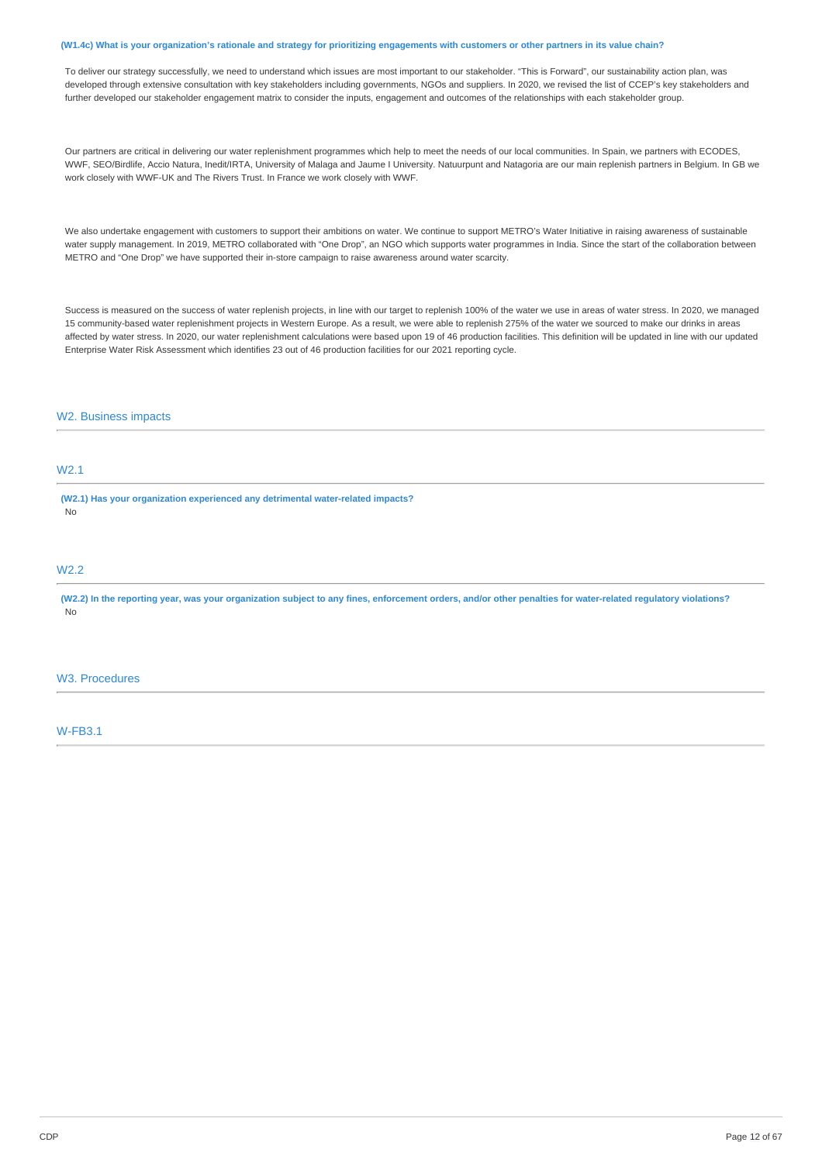#### (W1.4c) What is your organization's rationale and strategy for prioritizing engagements with customers or other partners in its value chain?

To deliver our strategy successfully, we need to understand which issues are most important to our stakeholder. "This is Forward", our sustainability action plan, was developed through extensive consultation with key stakeholders including governments, NGOs and suppliers. In 2020, we revised the list of CCEP's key stakeholders and further developed our stakeholder engagement matrix to consider the inputs, engagement and outcomes of the relationships with each stakeholder group.

Our partners are critical in delivering our water replenishment programmes which help to meet the needs of our local communities. In Spain, we partners with ECODES, WWF, SEO/Birdlife, Accio Natura, Inedit/IRTA, University of Malaga and Jaume I University. Natuurpunt and Natagoria are our main replenish partners in Belgium. In GB we work closely with WWF-UK and The Rivers Trust. In France we work closely with WWF.

We also undertake engagement with customers to support their ambitions on water. We continue to support METRO's Water Initiative in raising awareness of sustainable water supply management. In 2019, METRO collaborated with "One Drop", an NGO which supports water programmes in India. Since the start of the collaboration between METRO and "One Drop" we have supported their in-store campaign to raise awareness around water scarcity.

Success is measured on the success of water replenish projects, in line with our target to replenish 100% of the water we use in areas of water stress. In 2020, we managed 15 community-based water replenishment projects in Western Europe. As a result, we were able to replenish 275% of the water we sourced to make our drinks in areas affected by water stress. In 2020, our water replenishment calculations were based upon 19 of 46 production facilities. This definition will be updated in line with our updated Enterprise Water Risk Assessment which identifies 23 out of 46 production facilities for our 2021 reporting cycle.

### W2. Business impacts

# W2.1

**(W2.1) Has your organization experienced any detrimental water-related impacts?** No

### W2.2

(W2.2) In the reporting year, was your organization subject to any fines, enforcement orders, and/or other penalties for water-related regulatory violations? No

### W3. Procedures

W-FB3.1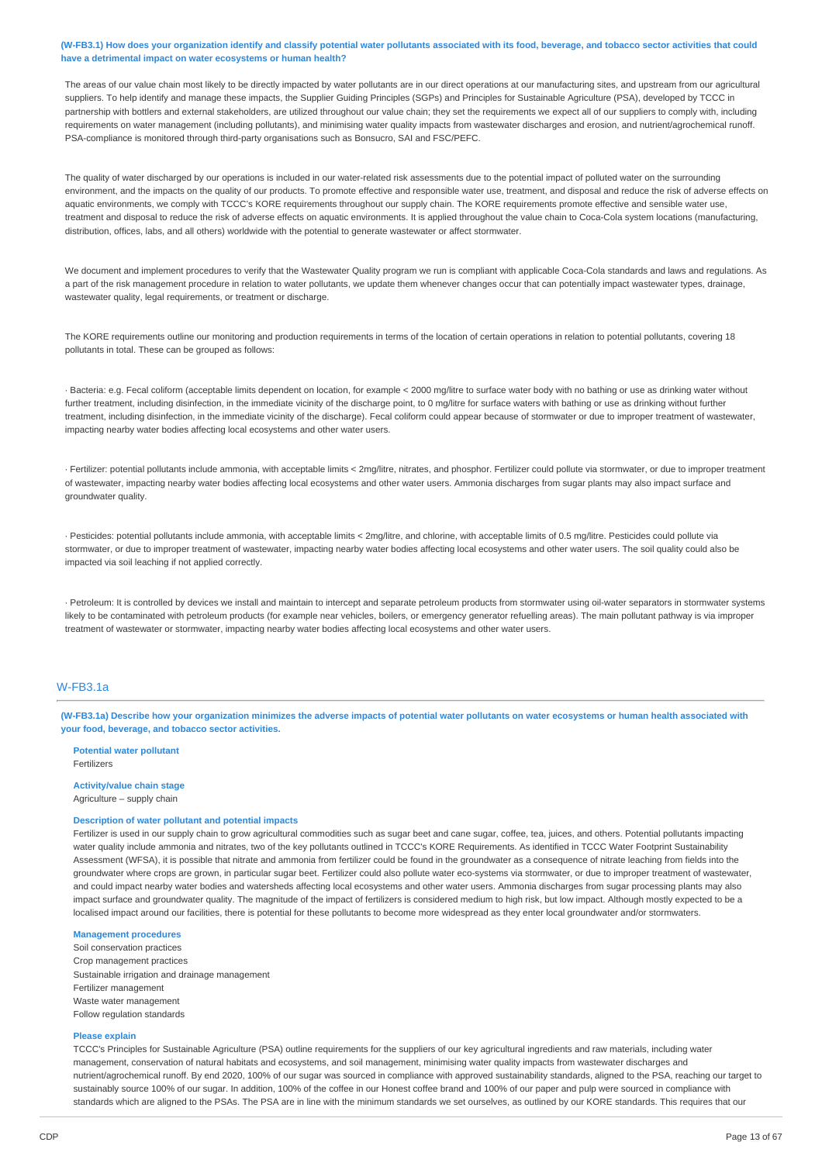(W-FB3.1) How does your organization identify and classify potential water pollutants associated with its food, beverage, and tobacco sector activities that could **have a detrimental impact on water ecosystems or human health?**

The areas of our value chain most likely to be directly impacted by water pollutants are in our direct operations at our manufacturing sites, and upstream from our agricultural suppliers. To help identify and manage these impacts, the Supplier Guiding Principles (SGPs) and Principles for Sustainable Agriculture (PSA), developed by TCCC in partnership with bottlers and external stakeholders, are utilized throughout our value chain; they set the requirements we expect all of our suppliers to comply with, including requirements on water management (including pollutants), and minimising water quality impacts from wastewater discharges and erosion, and nutrient/agrochemical runoff. PSA-compliance is monitored through third-party organisations such as Bonsucro, SAI and FSC/PEFC.

The quality of water discharged by our operations is included in our water-related risk assessments due to the potential impact of polluted water on the surrounding environment, and the impacts on the quality of our products. To promote effective and responsible water use, treatment, and disposal and reduce the risk of adverse effects on aquatic environments, we comply with TCCC's KORE requirements throughout our supply chain. The KORE requirements promote effective and sensible water use, treatment and disposal to reduce the risk of adverse effects on aquatic environments. It is applied throughout the value chain to Coca-Cola system locations (manufacturing, distribution, offices, labs, and all others) worldwide with the potential to generate wastewater or affect stormwater.

We document and implement procedures to verify that the Wastewater Quality program we run is compliant with applicable Coca-Cola standards and laws and regulations. As a part of the risk management procedure in relation to water pollutants, we update them whenever changes occur that can potentially impact wastewater types, drainage, wastewater quality, legal requirements, or treatment or discharge.

The KORE requirements outline our monitoring and production requirements in terms of the location of certain operations in relation to potential pollutants, covering 18 pollutants in total. These can be grouped as follows:

· Bacteria: e.g. Fecal coliform (acceptable limits dependent on location, for example < 2000 mg/litre to surface water body with no bathing or use as drinking water without further treatment, including disinfection, in the immediate vicinity of the discharge point, to 0 mg/litre for surface waters with bathing or use as drinking without further treatment, including disinfection, in the immediate vicinity of the discharge). Fecal coliform could appear because of stormwater or due to improper treatment of wastewater, impacting nearby water bodies affecting local ecosystems and other water users.

· Fertilizer: potential pollutants include ammonia, with acceptable limits < 2mg/litre, nitrates, and phosphor. Fertilizer could pollute via stormwater, or due to improper treatment of wastewater, impacting nearby water bodies affecting local ecosystems and other water users. Ammonia discharges from sugar plants may also impact surface and groundwater quality

· Pesticides: potential pollutants include ammonia, with acceptable limits < 2mg/litre, and chlorine, with acceptable limits of 0.5 mg/litre. Pesticides could pollute via stormwater, or due to improper treatment of wastewater, impacting nearby water bodies affecting local ecosystems and other water users. The soil quality could also be impacted via soil leaching if not applied correctly.

· Petroleum: It is controlled by devices we install and maintain to intercept and separate petroleum products from stormwater using oil-water separators in stormwater systems likely to be contaminated with petroleum products (for example near vehicles, boilers, or emergency generator refuelling areas). The main pollutant pathway is via improper treatment of wastewater or stormwater, impacting nearby water bodies affecting local ecosystems and other water users.

### W-FB3.1a

(W-FB3.1a) Describe how your organization minimizes the adverse impacts of potential water pollutants on water ecosystems or human health associated with **your food, beverage, and tobacco sector activities.**

**Potential water pollutant** Fertilizers

**Activity/value chain stage** Agriculture – supply chain

#### **Description of water pollutant and potential impacts**

Fertilizer is used in our supply chain to grow agricultural commodities such as sugar beet and cane sugar, coffee, tea, juices, and others. Potential pollutants impacting water quality include ammonia and nitrates, two of the key pollutants outlined in TCCC's KORE Requirements. As identified in TCCC Water Footprint Sustainability Assessment (WFSA), it is possible that nitrate and ammonia from fertilizer could be found in the groundwater as a consequence of nitrate leaching from fields into the groundwater where crops are grown, in particular sugar beet. Fertilizer could also pollute water eco-systems via stormwater, or due to improper treatment of wastewater, and could impact nearby water bodies and watersheds affecting local ecosystems and other water users. Ammonia discharges from sugar processing plants may also impact surface and groundwater quality. The magnitude of the impact of fertilizers is considered medium to high risk, but low impact. Although mostly expected to be a localised impact around our facilities, there is potential for these pollutants to become more widespread as they enter local groundwater and/or stormwaters.

### **Management procedures**

Soil conservation practices Crop management practices Sustainable irrigation and drainage management Fertilizer management Waste water management Follow regulation standards

### **Please explain**

TCCC's Principles for Sustainable Agriculture (PSA) outline requirements for the suppliers of our key agricultural ingredients and raw materials, including water management, conservation of natural habitats and ecosystems, and soil management, minimising water quality impacts from wastewater discharges and nutrient/agrochemical runoff. By end 2020, 100% of our sugar was sourced in compliance with approved sustainability standards, aligned to the PSA, reaching our target to sustainably source 100% of our sugar. In addition, 100% of the coffee in our Honest coffee brand and 100% of our paper and pulp were sourced in compliance with standards which are aligned to the PSAs. The PSA are in line with the minimum standards we set ourselves, as outlined by our KORE standards. This requires that our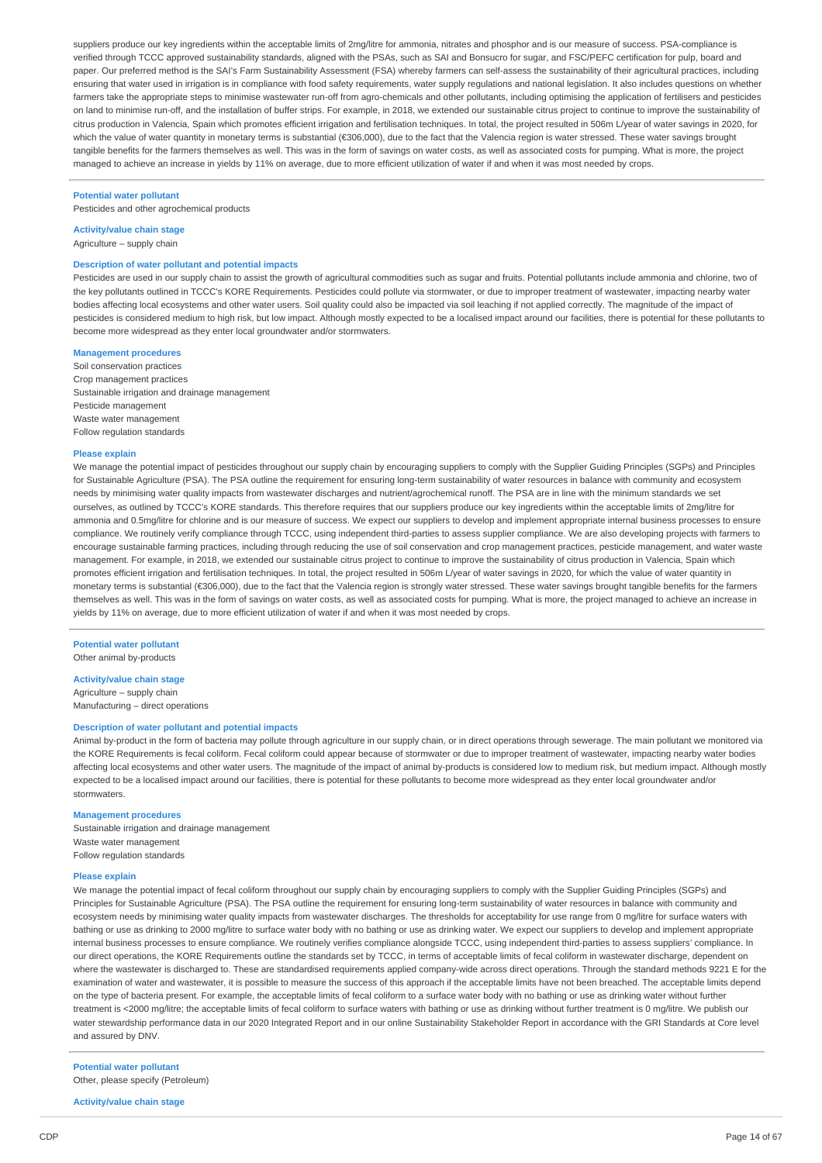suppliers produce our key ingredients within the acceptable limits of 2mg/litre for ammonia, nitrates and phosphor and is our measure of success. PSA-compliance is verified through TCCC approved sustainability standards, aligned with the PSAs, such as SAI and Bonsucro for sugar, and FSC/PEFC certification for pulp, board and paper. Our preferred method is the SAI's Farm Sustainability Assessment (FSA) whereby farmers can self-assess the sustainability of their agricultural practices, including ensuring that water used in irrigation is in compliance with food safety requirements, water supply regulations and national legislation. It also includes questions on whether farmers take the appropriate steps to minimise wastewater run-off from agro-chemicals and other pollutants, including optimising the application of fertilisers and pesticides on land to minimise run-off, and the installation of buffer strips. For example, in 2018, we extended our sustainable citrus project to continue to improve the sustainability of citrus production in Valencia, Spain which promotes efficient irrigation and fertilisation techniques. In total, the project resulted in 506m L/year of water savings in 2020, for which the value of water quantity in monetary terms is substantial (€306,000), due to the fact that the Valencia region is water stressed. These water savings brought tangible benefits for the farmers themselves as well. This was in the form of savings on water costs, as well as associated costs for pumping. What is more, the project managed to achieve an increase in yields by 11% on average, due to more efficient utilization of water if and when it was most needed by crops.

#### **Potential water pollutant**

Pesticides and other agrochemical products

### **Activity/value chain stage**

Agriculture – supply chain

#### **Description of water pollutant and potential impacts**

Pesticides are used in our supply chain to assist the growth of agricultural commodities such as sugar and fruits. Potential pollutants include ammonia and chlorine, two of the key pollutants outlined in TCCC's KORE Requirements. Pesticides could pollute via stormwater, or due to improper treatment of wastewater, impacting nearby water bodies affecting local ecosystems and other water users. Soil quality could also be impacted via soil leaching if not applied correctly. The magnitude of the impact of pesticides is considered medium to high risk, but low impact. Although mostly expected to be a localised impact around our facilities, there is potential for these pollutants to become more widespread as they enter local groundwater and/or stormwaters.

### **Management procedures**

Soil conservation practices Crop management practices Sustainable irrigation and drainage management Pesticide management Waste water management Follow regulation standards

#### **Please explain**

We manage the potential impact of pesticides throughout our supply chain by encouraging suppliers to comply with the Supplier Guiding Principles (SGPs) and Principles for Sustainable Agriculture (PSA). The PSA outline the requirement for ensuring long-term sustainability of water resources in balance with community and ecosystem needs by minimising water quality impacts from wastewater discharges and nutrient/agrochemical runoff. The PSA are in line with the minimum standards we set ourselves, as outlined by TCCC's KORE standards. This therefore requires that our suppliers produce our key ingredients within the acceptable limits of 2mg/litre for ammonia and 0.5mg/litre for chlorine and is our measure of success. We expect our suppliers to develop and implement appropriate internal business processes to ensure compliance. We routinely verify compliance through TCCC, using independent third-parties to assess supplier compliance. We are also developing projects with farmers to encourage sustainable farming practices, including through reducing the use of soil conservation and crop management practices, pesticide management, and water waste management. For example, in 2018, we extended our sustainable citrus project to continue to improve the sustainability of citrus production in Valencia, Spain which promotes efficient irrigation and fertilisation techniques. In total, the project resulted in 506m L/year of water savings in 2020, for which the value of water quantity in monetary terms is substantial (€306,000), due to the fact that the Valencia region is strongly water stressed. These water savings brought tangible benefits for the farmers themselves as well. This was in the form of savings on water costs, as well as associated costs for pumping. What is more, the project managed to achieve an increase in yields by 11% on average, due to more efficient utilization of water if and when it was most needed by crops.

**Potential water pollutant** Other animal by-products

#### **Activity/value chain stage**

Agriculture – supply chain Manufacturing – direct operations

#### **Description of water pollutant and potential impacts**

Animal by-product in the form of bacteria may pollute through agriculture in our supply chain, or in direct operations through sewerage. The main pollutant we monitored via the KORE Requirements is fecal coliform. Fecal coliform could appear because of stormwater or due to improper treatment of wastewater, impacting nearby water bodies affecting local ecosystems and other water users. The magnitude of the impact of animal by-products is considered low to medium risk, but medium impact. Although mostly expected to be a localised impact around our facilities, there is potential for these pollutants to become more widespread as they enter local groundwater and/or stormwaters.

#### **Management procedures**

Sustainable irrigation and drainage management Waste water management Follow regulation standards

#### **Please explain**

We manage the potential impact of fecal coliform throughout our supply chain by encouraging suppliers to comply with the Supplier Guiding Principles (SGPs) and Principles for Sustainable Agriculture (PSA). The PSA outline the requirement for ensuring long-term sustainability of water resources in balance with community and ecosystem needs by minimising water quality impacts from wastewater discharges. The thresholds for acceptability for use range from 0 mg/litre for surface waters with bathing or use as drinking to 2000 mg/litre to surface water body with no bathing or use as drinking water. We expect our suppliers to develop and implement appropriate internal business processes to ensure compliance. We routinely verifies compliance alongside TCCC, using independent third-parties to assess suppliers' compliance. In our direct operations, the KORE Requirements outline the standards set by TCCC, in terms of acceptable limits of fecal coliform in wastewater discharge, dependent on where the wastewater is discharged to. These are standardised requirements applied company-wide across direct operations. Through the standard methods 9221 E for the examination of water and wastewater, it is possible to measure the success of this approach if the acceptable limits have not been breached. The acceptable limits depend on the type of bacteria present. For example, the acceptable limits of fecal coliform to a surface water body with no bathing or use as drinking water without further treatment is <2000 mg/litre; the acceptable limits of fecal coliform to surface waters with bathing or use as drinking without further treatment is 0 mg/litre. We publish our water stewardship performance data in our 2020 Integrated Report and in our online Sustainability Stakeholder Report in accordance with the GRI Standards at Core level and assured by DNV.

### **Potential water pollutant** Other, please specify (Petroleum)

**Activity/value chain stage**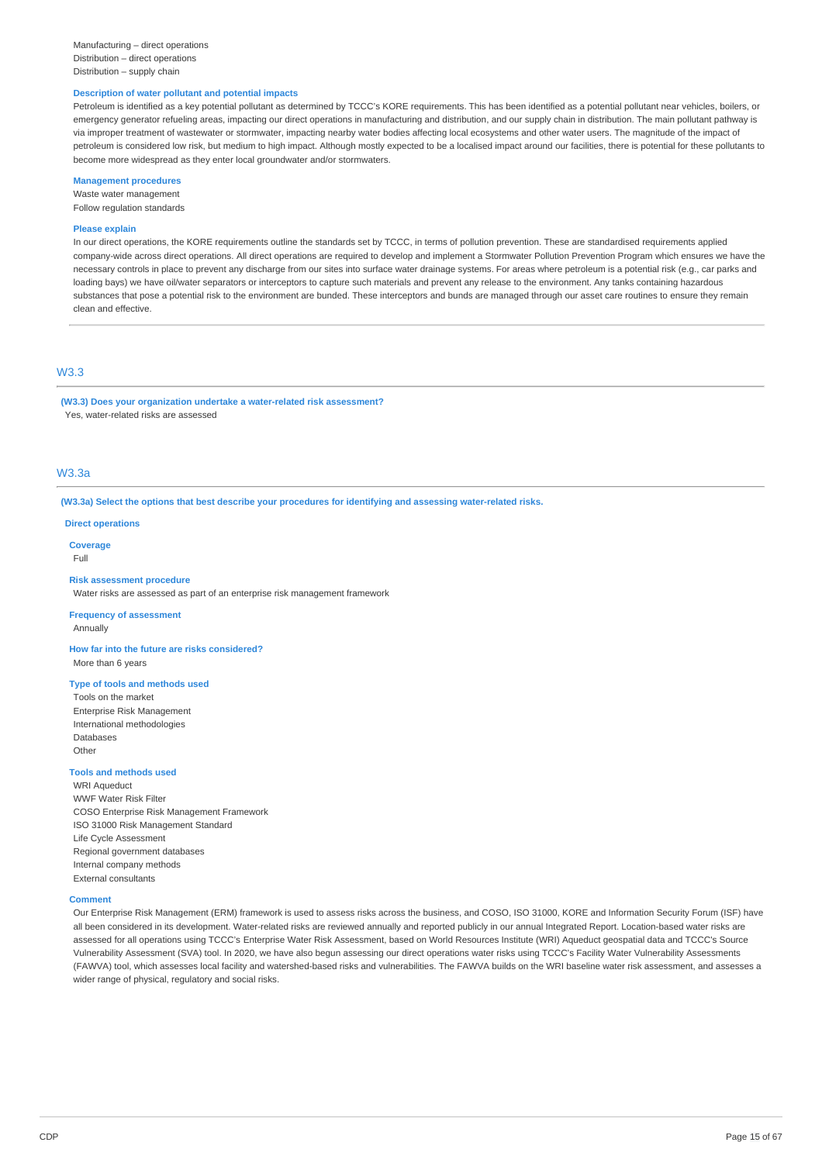#### **Description of water pollutant and potential impacts**

Petroleum is identified as a key potential pollutant as determined by TCCC's KORE requirements. This has been identified as a potential pollutant near vehicles, boilers, or emergency generator refueling areas, impacting our direct operations in manufacturing and distribution, and our supply chain in distribution. The main pollutant pathway is via improper treatment of wastewater or stormwater, impacting nearby water bodies affecting local ecosystems and other water users. The magnitude of the impact of petroleum is considered low risk, but medium to high impact. Although mostly expected to be a localised impact around our facilities, there is potential for these pollutants to become more widespread as they enter local groundwater and/or stormwaters.

### **Management procedures**

Waste water management Follow regulation standards

#### **Please explain**

In our direct operations, the KORE requirements outline the standards set by TCCC, in terms of pollution prevention. These are standardised requirements applied company-wide across direct operations. All direct operations are required to develop and implement a Stormwater Pollution Prevention Program which ensures we have the necessary controls in place to prevent any discharge from our sites into surface water drainage systems. For areas where petroleum is a potential risk (e.g., car parks and loading bays) we have oil/water separators or interceptors to capture such materials and prevent any release to the environment. Any tanks containing hazardous substances that pose a potential risk to the environment are bunded. These interceptors and bunds are managed through our asset care routines to ensure they remain clean and effective.

# W3.3

**(W3.3) Does your organization undertake a water-related risk assessment?** Yes, water-related risks are assessed

### W3.3a

#### **(W3.3a) Select the options that best describe your procedures for identifying and assessing water-related risks.**

**Direct operations**

#### **Coverage**

Full

#### **Risk assessment procedure**

Water risks are assessed as part of an enterprise risk management framework

### **Frequency of assessment**

Annually

Other

**How far into the future are risks considered?** More than 6 years

### **Type of tools and methods used**

Tools on the market Enterprise Risk Management International methodologies Databases

**Tools and methods used**

WRI Aqueduct WWF Water Risk Filter COSO Enterprise Risk Management Framework ISO 31000 Risk Management Standard Life Cycle Assessment Regional government databases Internal company methods External consultants

#### **Comment**

Our Enterprise Risk Management (ERM) framework is used to assess risks across the business, and COSO, ISO 31000, KORE and Information Security Forum (ISF) have all been considered in its development. Water-related risks are reviewed annually and reported publicly in our annual Integrated Report. Location-based water risks are assessed for all operations using TCCC's Enterprise Water Risk Assessment, based on World Resources Institute (WRI) Aqueduct geospatial data and TCCC's Source Vulnerability Assessment (SVA) tool. In 2020, we have also begun assessing our direct operations water risks using TCCC's Facility Water Vulnerability Assessments (FAWVA) tool, which assesses local facility and watershed-based risks and vulnerabilities. The FAWVA builds on the WRI baseline water risk assessment, and assesses a wider range of physical, regulatory and social risks.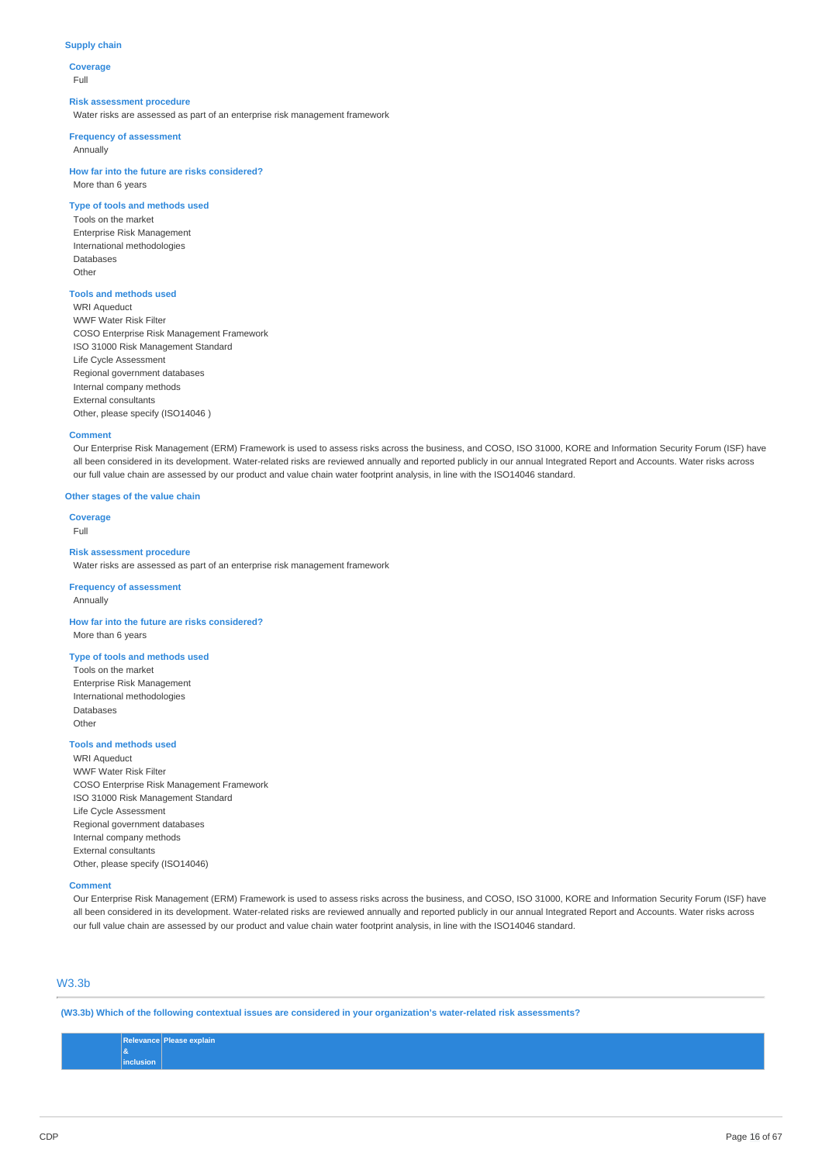### **Supply chain**

**Coverage** Full

#### **Risk assessment procedure**

Water risks are assessed as part of an enterprise risk management framework

#### **Frequency of assessment**

Annually

### **How far into the future are risks considered?** More than 6 years

### **Type of tools and methods used**

Tools on the market Enterprise Risk Management International methodologies Databases **Other** 

### **Tools and methods used**

WRI Aqueduct WWF Water Risk Filter COSO Enterprise Risk Management Framework ISO 31000 Risk Management Standard Life Cycle Assessment Regional government databases Internal company methods External consultants Other, please specify (ISO14046 )

#### **Comment**

Our Enterprise Risk Management (ERM) Framework is used to assess risks across the business, and COSO, ISO 31000, KORE and Information Security Forum (ISF) have all been considered in its development. Water-related risks are reviewed annually and reported publicly in our annual Integrated Report and Accounts. Water risks across our full value chain are assessed by our product and value chain water footprint analysis, in line with the ISO14046 standard.

### **Other stages of the value chain**

**Coverage** Full

#### **Risk assessment procedure**

Water risks are assessed as part of an enterprise risk management framework

#### **Frequency of assessment** Annually

# **How far into the future are risks considered?**

More than 6 years

### **Type of tools and methods used**

Tools on the market Enterprise Risk Management International methodologies Databases Other

### **Tools and methods used**

WRI Aqueduct WWF Water Risk Filter COSO Enterprise Risk Management Framework ISO 31000 Risk Management Standard Life Cycle Assessment Regional government databases Internal company methods External consultants Other, please specify (ISO14046)

#### **Comment**

Our Enterprise Risk Management (ERM) Framework is used to assess risks across the business, and COSO, ISO 31000, KORE and Information Security Forum (ISF) have all been considered in its development. Water-related risks are reviewed annually and reported publicly in our annual Integrated Report and Accounts. Water risks across our full value chain are assessed by our product and value chain water footprint analysis, in line with the ISO14046 standard.

### W3.3b

**(W3.3b) Which of the following contextual issues are considered in your organization's water-related risk assessments?**

#### **Relevance & inclusion Please explain**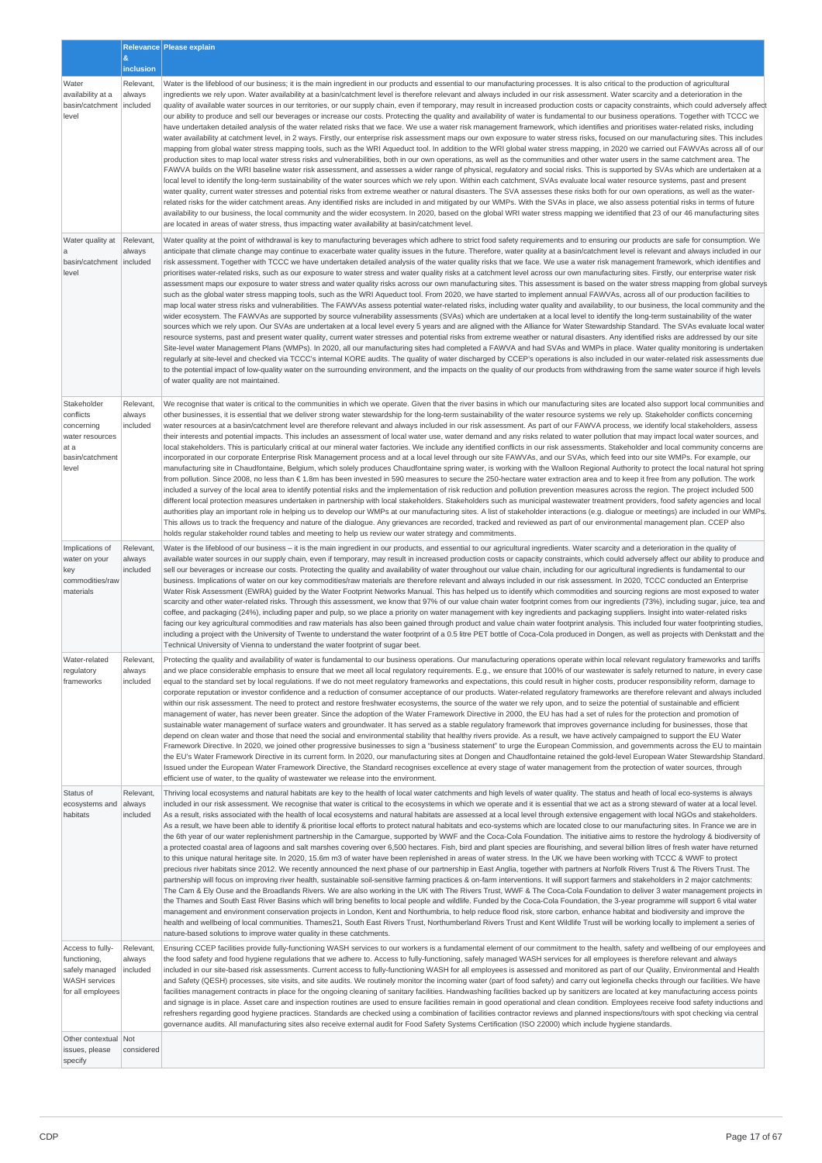|                                                                                                 |                                 | Relevance Please explain                                                                                                                                                                                                                                                                                                                                                                                                                                                                                                                                                                                                                                                                                                                                                                                                                                                                                                                                                                                                                                                                                                                                                                                                                                                                                                                                                                                                                                                                                                                                                                                                                                                                                                                                                                                                                                                                                                                                                                                                                                                                                                                                                                                                                                                                                                                                                                                                                                                                                                                                                                        |
|-------------------------------------------------------------------------------------------------|---------------------------------|-------------------------------------------------------------------------------------------------------------------------------------------------------------------------------------------------------------------------------------------------------------------------------------------------------------------------------------------------------------------------------------------------------------------------------------------------------------------------------------------------------------------------------------------------------------------------------------------------------------------------------------------------------------------------------------------------------------------------------------------------------------------------------------------------------------------------------------------------------------------------------------------------------------------------------------------------------------------------------------------------------------------------------------------------------------------------------------------------------------------------------------------------------------------------------------------------------------------------------------------------------------------------------------------------------------------------------------------------------------------------------------------------------------------------------------------------------------------------------------------------------------------------------------------------------------------------------------------------------------------------------------------------------------------------------------------------------------------------------------------------------------------------------------------------------------------------------------------------------------------------------------------------------------------------------------------------------------------------------------------------------------------------------------------------------------------------------------------------------------------------------------------------------------------------------------------------------------------------------------------------------------------------------------------------------------------------------------------------------------------------------------------------------------------------------------------------------------------------------------------------------------------------------------------------------------------------------------------------|
|                                                                                                 | $\mathbf{g}$<br>inclusion       |                                                                                                                                                                                                                                                                                                                                                                                                                                                                                                                                                                                                                                                                                                                                                                                                                                                                                                                                                                                                                                                                                                                                                                                                                                                                                                                                                                                                                                                                                                                                                                                                                                                                                                                                                                                                                                                                                                                                                                                                                                                                                                                                                                                                                                                                                                                                                                                                                                                                                                                                                                                                 |
| Water<br>availability at a<br>basin/catchment<br>level                                          | Relevant,<br>always<br>included | Water is the lifeblood of our business; it is the main ingredient in our products and essential to our manufacturing processes. It is also critical to the production of agricultural<br>ingredients we rely upon. Water availability at a basin/catchment level is therefore relevant and always included in our risk assessment. Water scarcity and a deterioration in the<br>quality of available water sources in our territories, or our supply chain, even if temporary, may result in increased production costs or capacity constraints, which could adversely affect<br>our ability to produce and sell our beverages or increase our costs. Protecting the quality and availability of water is fundamental to our business operations. Together with TCCC we<br>have undertaken detailed analysis of the water related risks that we face. We use a water risk management framework, which identifies and prioritises water-related risks, including<br>water availability at catchment level, in 2 ways. Firstly, our enterprise risk assessment maps our own exposure to water stress risks, focused on our manufacturing sites. This includes<br>mapping from global water stress mapping tools, such as the WRI Aqueduct tool. In addition to the WRI global water stress mapping, in 2020 we carried out FAWVAs across all of our<br>production sites to map local water stress risks and vulnerabilities, both in our own operations, as well as the communities and other water users in the same catchment area. The<br>FAWVA builds on the WRI baseline water risk assessment, and assesses a wider range of physical, regulatory and social risks. This is supported by SVAs which are undertaken at a<br>local level to identify the long-term sustainability of the water sources which we rely upon. Within each catchment, SVAs evaluate local water resource systems, past and present<br>water quality, current water stresses and potential risks from extreme weather or natural disasters. The SVA assesses these risks both for our own operations, as well as the water-<br>related risks for the wider catchment areas. Any identified risks are included in and mitigated by our WMPs. With the SVAs in place, we also assess potential risks in terms of future<br>availability to our business, the local community and the wider ecosystem. In 2020, based on the global WRI water stress mapping we identified that 23 of our 46 manufacturing sites<br>are located in areas of water stress, thus impacting water availability at basin/catchment level. |
| Water quality at                                                                                | Relevant,<br>always             | Water quality at the point of withdrawal is key to manufacturing beverages which adhere to strict food safety requirements and to ensuring our products are safe for consumption. We<br>anticipate that climate change may continue to exacerbate water quality issues in the future. Therefore, water quality at a basin/catchment level is relevant and always included in our                                                                                                                                                                                                                                                                                                                                                                                                                                                                                                                                                                                                                                                                                                                                                                                                                                                                                                                                                                                                                                                                                                                                                                                                                                                                                                                                                                                                                                                                                                                                                                                                                                                                                                                                                                                                                                                                                                                                                                                                                                                                                                                                                                                                                |
| basin/catchment   included<br>level                                                             |                                 | risk assessment. Together with TCCC we have undertaken detailed analysis of the water quality risks that we face. We use a water risk management framework, which identifies and<br>prioritises water-related risks, such as our exposure to water stress and water quality risks at a catchment level across our own manufacturing sites. Firstly, our enterprise water risk<br>assessment maps our exposure to water stress and water quality risks across our own manufacturing sites. This assessment is based on the water stress mapping from global surveys<br>such as the global water stress mapping tools, such as the WRI Aqueduct tool. From 2020, we have started to implement annual FAWVAs, across all of our production facilities to<br>map local water stress risks and vulnerabilities. The FAWVAs assess potential water-related risks, including water quality and availability, to our business, the local community and the<br>wider ecosystem. The FAWVAs are supported by source vulnerability assessments (SVAs) which are undertaken at a local level to identify the long-term sustainability of the water<br>sources which we rely upon. Our SVAs are undertaken at a local level every 5 years and are aligned with the Alliance for Water Stewardship Standard. The SVAs evaluate local water<br>resource systems, past and present water quality, current water stresses and potential risks from extreme weather or natural disasters. Any identified risks are addressed by our site<br>Site-level water Management Plans (WMPs). In 2020, all our manufacturing sites had completed a FAWVA and had SVAs and WMPs in place. Water quality monitoring is undertaken<br>reqularly at site-level and checked via TCCC's internal KORE audits. The quality of water discharged by CCEP's operations is also included in our water-related risk assessments due<br>to the potential impact of low-quality water on the surrounding environment, and the impacts on the quality of our products from withdrawing from the same water source if high levels<br>of water quality are not maintained.                                                                                                                                                                                                                                                                                                                                                                                                                                                                 |
| Stakeholder<br>conflicts<br>concerning<br>water resources<br>at a<br>basin/catchment<br>level   | Relevant,<br>always<br>included | We recognise that water is critical to the communities in which we operate. Given that the river basins in which our manufacturing sites are located also support local communities and<br>other businesses, it is essential that we deliver strong water stewardship for the long-term sustainability of the water resource systems we rely up. Stakeholder conflicts concerning<br>water resources at a basin/catchment level are therefore relevant and always included in our risk assessment. As part of our FAWVA process, we identify local stakeholders, assess<br>their interests and potential impacts. This includes an assessment of local water use, water demand and any risks related to water pollution that may impact local water sources, and<br>local stakeholders. This is particularly critical at our mineral water factories. We include any identified conflicts in our risk assessments. Stakeholder and local community concerns are<br>incorporated in our corporate Enterprise Risk Management process and at a local level through our site FAWVAs, and our SVAs, which feed into our site WMPs. For example, our<br>manufacturing site in Chaudfontaine, Belgium, which solely produces Chaudfontaine spring water, is working with the Walloon Regional Authority to protect the local natural hot spring <br>from pollution. Since 2008, no less than € 1.8m has been invested in 590 measures to secure the 250-hectare water extraction area and to keep it free from any pollution. The work<br>included a survey of the local area to identify potential risks and the implementation of risk reduction and pollution prevention measures across the region. The project included 500<br>different local protection measures undertaken in partnership with local stakeholders. Stakeholders such as municipal wastewater treatment providers, food safety agencies and local<br>authorities play an important role in helping us to develop our WMPs at our manufacturing sites. A list of stakeholder interactions (e.g. dialogue or meetings) are included in our WMPs.<br>This allows us to track the frequency and nature of the dialogue. Any grievances are recorded, tracked and reviewed as part of our environmental management plan. CCEP also<br>holds regular stakeholder round tables and meeting to help us review our water strategy and commitments.                                                                                                                                                                                      |
| Implications of<br>water on your<br>key<br>commodities/raw<br>materials                         | Relevant,<br>always<br>included | Water is the lifeblood of our business - it is the main ingredient in our products, and essential to our agricultural ingredients. Water scarcity and a deterioration in the quality of<br>available water sources in our supply chain, even if temporary, may result in increased production costs or capacity constraints, which could adversely affect our ability to produce and<br>sell our beverages or increase our costs. Protecting the quality and availability of water throughout our value chain, including for our agricultural ingredients is fundamental to our<br>business. Implications of water on our key commodities/raw materials are therefore relevant and always included in our risk assessment. In 2020, TCCC conducted an Enterprise<br>Water Risk Assessment (EWRA) guided by the Water Footprint Networks Manual. This has helped us to identify which commodities and sourcing regions are most exposed to water<br>scarcity and other water-related risks. Through this assessment, we know that 97% of our value chain water footprint comes from our ingredients (73%), including sugar, juice, tea and<br>coffee, and packaging (24%), including paper and pulp, so we place a priority on water management with key ingredients and packaging suppliers. Insight into water-related risks<br>facing our key agricultural commodities and raw materials has also been gained through product and value chain water footprint analysis. This included four water footprinting studies,<br>including a project with the University of Twente to understand the water footprint of a 0.5 litre PET bottle of Coca-Cola produced in Dongen, as well as projects with Denkstatt and the<br>Technical University of Vienna to understand the water footprint of sugar beet.                                                                                                                                                                                                                                                                                                                                                                                                                                                                                                                                                                                                                                                                                                                                                                                        |
| Water-related<br>regulatory<br>frameworks                                                       | Relevant,<br>always<br>included | Protecting the quality and availability of water is fundamental to our business operations. Our manufacturing operations operate within local relevant regulatory frameworks and tariffs<br>and we place considerable emphasis to ensure that we meet all local regulatory requirements. E.g., we ensure that 100% of our wastewater is safely returned to nature, in every case<br>equal to the standard set by local regulations. If we do not meet regulatory frameworks and expectations, this could result in higher costs, producer responsibility reform, damage to<br>corporate reputation or investor confidence and a reduction of consumer acceptance of our products. Water-related regulatory frameworks are therefore relevant and always included<br>within our risk assessment. The need to protect and restore freshwater ecosystems, the source of the water we rely upon, and to seize the potential of sustainable and efficient<br>management of water, has never been greater. Since the adoption of the Water Framework Directive in 2000, the EU has had a set of rules for the protection and promotion of<br>sustainable water management of surface waters and groundwater. It has served as a stable regulatory framework that improves governance including for businesses, those that<br>depend on clean water and those that need the social and environmental stability that healthy rivers provide. As a result, we have actively campaigned to support the EU Water<br>Framework Directive. In 2020, we joined other progressive businesses to sign a "business statement" to urge the European Commission, and governments across the EU to maintain<br>the EU's Water Framework Directive in its current form. In 2020, our manufacturing sites at Dongen and Chaudfontaine retained the gold-level European Water Stewardship Standard.<br>Issued under the European Water Framework Directive, the Standard recognises excellence at every stage of water management from the protection of water sources, through<br>efficient use of water, to the quality of wastewater we release into the environment.                                                                                                                                                                                                                                                                                                                                                                                                                                               |
| Status of<br>ecosystems and<br>habitats                                                         | Relevant,<br>always<br>included | Thriving local ecosystems and natural habitats are key to the health of local water catchments and high levels of water quality. The status and heath of local eco-systems is always<br>included in our risk assessment. We recognise that water is critical to the ecosystems in which we operate and it is essential that we act as a strong steward of water at a local level.<br>As a result, risks associated with the health of local ecosystems and natural habitats are assessed at a local level through extensive engagement with local NGOs and stakeholders.<br>As a result, we have been able to identify & prioritise local efforts to protect natural habitats and eco-systems which are located close to our manufacturing sites. In France we are in<br>the 6th year of our water replenishment partnership in the Camargue, supported by WWF and the Coca-Cola Foundation. The initiative aims to restore the hydrology & biodiversity of<br>a protected coastal area of lagoons and salt marshes covering over 6,500 hectares. Fish, bird and plant species are flourishing, and several billion litres of fresh water have returned<br>to this unique natural heritage site. In 2020, 15.6m m3 of water have been replenished in areas of water stress. In the UK we have been working with TCCC & WWF to protect<br>precious river habitats since 2012. We recently announced the next phase of our partnership in East Anglia, together with partners at Norfolk Rivers Trust & The Rivers Trust. The<br>partnership will focus on improving river health, sustainable soil-sensitive farming practices & on-farm interventions. It will support farmers and stakeholders in 2 major catchments:<br>The Cam & Ely Ouse and the Broadlands Rivers. We are also working in the UK with The Rivers Trust, WWF & The Coca-Cola Foundation to deliver 3 water management projects in<br>the Thames and South East River Basins which will bring benefits to local people and wildlife. Funded by the Coca-Cola Foundation, the 3-year programme will support 6 vital water<br>management and environment conservation projects in London, Kent and Northumbria, to help reduce flood risk, store carbon, enhance habitat and biodiversity and improve the<br>health and wellbeing of local communities. Thames21, South East Rivers Trust, Northumberland Rivers Trust and Kent Wildlife Trust will be working locally to implement a series of<br>nature-based solutions to improve water quality in these catchments.                                                        |
| Access to fully-<br>functioning,<br>safely managed<br><b>WASH</b> services<br>for all employees | Relevant,<br>always<br>included | Ensuring CCEP facilities provide fully-functioning WASH services to our workers is a fundamental element of our commitment to the health, safety and wellbeing of our employees and<br>the food safety and food hygiene regulations that we adhere to. Access to fully-functioning, safely managed WASH services for all employees is therefore relevant and always<br>included in our site-based risk assessments. Current access to fully-functioning WASH for all employees is assessed and monitored as part of our Quality, Environmental and Health<br>and Safety (QESH) processes, site visits, and site audits. We routinely monitor the incoming water (part of food safety) and carry out legionella checks through our facilities. We have<br>facilities management contracts in place for the ongoing cleaning of sanitary facilities. Handwashing facilities backed up by sanitizers are located at key manufacturing access points<br>and signage is in place. Asset care and inspection routines are used to ensure facilities remain in good operational and clean condition. Employees receive food safety inductions and<br>refreshers regarding good hygiene practices. Standards are checked using a combination of facilities contractor reviews and planned inspections/tours with spot checking via central<br>governance audits. All manufacturing sites also receive external audit for Food Safety Systems Certification (ISO 22000) which include hygiene standards.                                                                                                                                                                                                                                                                                                                                                                                                                                                                                                                                                                                                                                                                                                                                                                                                                                                                                                                                                                                                                                                                                                 |
| Other contextual Not<br>issues, please<br>specify                                               | considered                      |                                                                                                                                                                                                                                                                                                                                                                                                                                                                                                                                                                                                                                                                                                                                                                                                                                                                                                                                                                                                                                                                                                                                                                                                                                                                                                                                                                                                                                                                                                                                                                                                                                                                                                                                                                                                                                                                                                                                                                                                                                                                                                                                                                                                                                                                                                                                                                                                                                                                                                                                                                                                 |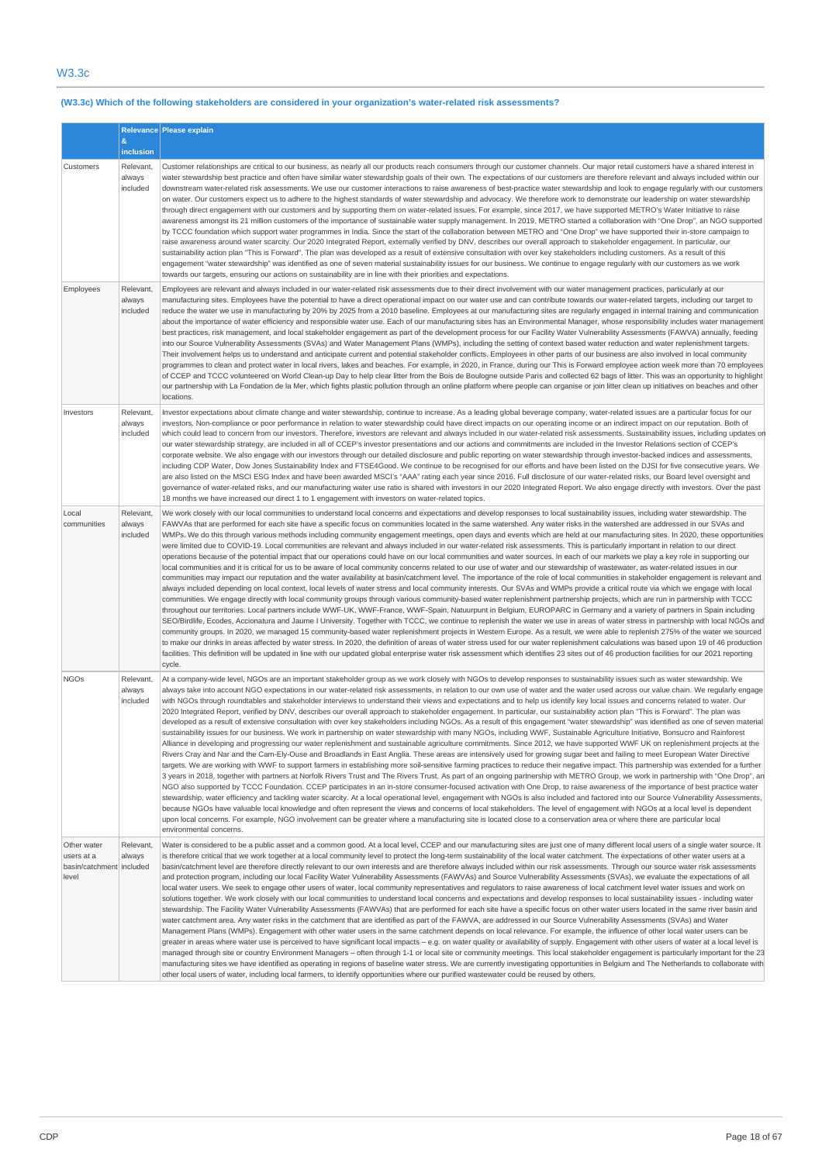# **(W3.3c) Which of the following stakeholders are considered in your organization's water-related risk assessments?**

|                                                                |                                 | Relevance Please explain                                                                                                                                                                                                                                                                                                                                                                                                                                                                                                                                                                                                                                                                                                                                                                                                                                                                                                                                                                                                                                                                                                                                                                                                                                                                                                                                                                                                                                                                                                                                                                                                                                                                                                                                                                                                                                                                                                                                                                                                                                                                                                                                                                                                                                                                                                                                                                                                                                                                                                                                                                                                                |
|----------------------------------------------------------------|---------------------------------|-----------------------------------------------------------------------------------------------------------------------------------------------------------------------------------------------------------------------------------------------------------------------------------------------------------------------------------------------------------------------------------------------------------------------------------------------------------------------------------------------------------------------------------------------------------------------------------------------------------------------------------------------------------------------------------------------------------------------------------------------------------------------------------------------------------------------------------------------------------------------------------------------------------------------------------------------------------------------------------------------------------------------------------------------------------------------------------------------------------------------------------------------------------------------------------------------------------------------------------------------------------------------------------------------------------------------------------------------------------------------------------------------------------------------------------------------------------------------------------------------------------------------------------------------------------------------------------------------------------------------------------------------------------------------------------------------------------------------------------------------------------------------------------------------------------------------------------------------------------------------------------------------------------------------------------------------------------------------------------------------------------------------------------------------------------------------------------------------------------------------------------------------------------------------------------------------------------------------------------------------------------------------------------------------------------------------------------------------------------------------------------------------------------------------------------------------------------------------------------------------------------------------------------------------------------------------------------------------------------------------------------------|
|                                                                | &<br>inclusion                  |                                                                                                                                                                                                                                                                                                                                                                                                                                                                                                                                                                                                                                                                                                                                                                                                                                                                                                                                                                                                                                                                                                                                                                                                                                                                                                                                                                                                                                                                                                                                                                                                                                                                                                                                                                                                                                                                                                                                                                                                                                                                                                                                                                                                                                                                                                                                                                                                                                                                                                                                                                                                                                         |
| Customers                                                      | Relevant,<br>always<br>included | Customer relationships are critical to our business, as nearly all our products reach consumers through our customer channels. Our major retail customers have a shared interest in<br>water stewardship best practice and often have similar water stewardship goals of their own. The expectations of our customers are therefore relevant and always included within our<br>downstream water-related risk assessments. We use our customer interactions to raise awareness of best-practice water stewardship and look to engage regularly with our customers<br>on water. Our customers expect us to adhere to the highest standards of water stewardship and advocacy. We therefore work to demonstrate our leadership on water stewardship<br>through direct engagement with our customers and by supporting them on water-related issues. For example, since 2017, we have supported METRO's Water Initiative to raise<br>awareness amongst its 21 million customers of the importance of sustainable water supply management. In 2019, METRO started a collaboration with "One Drop", an NGO supported<br>by TCCC foundation which support water programmes in India. Since the start of the collaboration between METRO and "One Drop" we have supported their in-store campaign to<br>raise awareness around water scarcity. Our 2020 Integrated Report, externally verified by DNV, describes our overall approach to stakeholder engagement. In particular, our<br>sustainability action plan "This is Forward". The plan was developed as a result of extensive consultation with over key stakeholders including customers. As a result of this<br>engagement "water stewardship" was identified as one of seven material sustainability issues for our business. We continue to engage regularly with our customers as we work<br>towards our targets, ensuring our actions on sustainability are in line with their priorities and expectations.                                                                                                                                                                                                                                                                                                                                                                                                                                                                                                                                                                                                                                                                        |
| Employees                                                      | Relevant.<br>always<br>included | Employees are relevant and always included in our water-related risk assessments due to their direct involvement with our water management practices, particularly at our<br>manufacturing sites. Employees have the potential to have a direct operational impact on our water use and can contribute towards our water-related targets, including our target to<br>reduce the water we use in manufacturing by 20% by 2025 from a 2010 baseline. Employees at our manufacturing sites are regularly engaged in internal training and communication<br>about the importance of water efficiency and responsible water use. Each of our manufacturing sites has an Environmental Manager, whose responsibility includes water management<br>best practices, risk management, and local stakeholder engagement as part of the development process for our Facility Water Vulnerability Assessments (FAWVA) annually, feeding<br>into our Source Vulnerability Assessments (SVAs) and Water Management Plans (WMPs), including the setting of context based water reduction and water replenishment targets.<br>Their involvement helps us to understand and anticipate current and potential stakeholder conflicts. Employees in other parts of our business are also involved in local community<br>programmes to clean and protect water in local rivers, lakes and beaches. For example, in 2020, in France, during our This is Forward employee action week more than 70 employees<br>of CCEP and TCCC volunteered on World Clean-up Day to help clear litter from the Bois de Boulogne outside Paris and collected 62 bags of litter. This was an opportunity to highlight<br>our partnership with La Fondation de la Mer, which fights plastic pollution through an online platform where people can organise or join litter clean up initiatives on beaches and other<br>locations.                                                                                                                                                                                                                                                                                                                                                                                                                                                                                                                                                                                                                                                                                                                                               |
| Investors                                                      | Relevant.<br>always<br>included | Investor expectations about climate change and water stewardship, continue to increase. As a leading global beverage company, water-related issues are a particular focus for our<br>investors. Non-compliance or poor performance in relation to water stewardship could have direct impacts on our operating income or an indirect impact on our reputation. Both of<br>which could lead to concern from our investors. Therefore, investors are relevant and always included in our water-related risk assessments. Sustainability issues, including updates on<br>our water stewardship strategy, are included in all of CCEP's investor presentations and our actions and commitments are included in the Investor Relations section of CCEP's<br>corporate website. We also engage with our investors through our detailed disclosure and public reporting on water stewardship through investor-backed indices and assessments,<br>including CDP Water, Dow Jones Sustainability Index and FTSE4Good. We continue to be recognised for our efforts and have been listed on the DJSI for five consecutive years. We<br>are also listed on the MSCI ESG Index and have been awarded MSCI's "AAA" rating each year since 2016. Full disclosure of our water-related risks, our Board level oversight and<br>governance of water-related risks, and our manufacturing water use ratio is shared with investors in our 2020 Integrated Report. We also engage directly with investors. Over the past<br>18 months we have increased our direct 1 to 1 engagement with investors on water-related topics.                                                                                                                                                                                                                                                                                                                                                                                                                                                                                                                                                                                                                                                                                                                                                                                                                                                                                                                                                                                                                              |
| Local<br>communities                                           | Relevant,<br>always<br>included | We work closely with our local communities to understand local concerns and expectations and develop responses to local sustainability issues, including water stewardship. The<br>FAWVAs that are performed for each site have a specific focus on communities located in the same watershed. Any water risks in the watershed are addressed in our SVAs and<br>WMPs. We do this through various methods including community engagement meetings, open days and events which are held at our manufacturing sites. In 2020, these opportunities<br>were limited due to COVID-19. Local communities are relevant and always included in our water-related risk assessments. This is particularly important in relation to our direct<br>operations because of the potential impact that our operations could have on our local communities and water sources. In each of our markets we play a key role in supporting our<br>local communities and it is critical for us to be aware of local community concerns related to our use of water and our stewardship of wastewater, as water-related issues in our<br>communities may impact our reputation and the water availability at basin/catchment level. The importance of the role of local communities in stakeholder engagement is relevant and<br>always included depending on local context, local levels of water stress and local community interests. Our SVAs and WMPs provide a critical route via which we engage with local<br>communities. We engage directly with local community groups through various community-based water replenishment partnership projects, which are run in partnership with TCCC<br>throughout our territories. Local partners include WWF-UK, WWF-France, WWF-Spain, Natuurpunt in Belgium, EUROPARC in Germany and a variety of partners in Spain including<br>SEO/Birdlife, Ecodes, Accionatura and Jaume I University. Together with TCCC, we continue to replenish the water we use in areas of water stress in partnership with local NGOs and<br>community groups. In 2020, we managed 15 community-based water replenishment projects in Western Europe. As a result, we were able to replenish 275% of the water we sourced<br>to make our drinks in areas affected by water stress. In 2020, the definition of areas of water stress used for our water replenishment calculations was based upon 19 of 46 production<br>facilities. This definition will be updated in line with our updated global enterprise water risk assessment which identifies 23 sites out of 46 production facilities for our 2021 reporting<br>cycle.    |
| <b>NGOs</b>                                                    | Relevant.<br>always<br>included | At a company-wide level, NGOs are an important stakeholder group as we work closely with NGOs to develop responses to sustainability issues such as water stewardship. We<br>always take into account NGO expectations in our water-related risk assessments, in relation to our own use of water and the water used across our value chain. We reqularly engage<br>with NGOs through roundtables and stakeholder interviews to understand their views and expectations and to help us identify key local issues and concerns related to water. Our<br>2020 Integrated Report, verified by DNV, describes our overall approach to stakeholder engagement. In particular, our sustainability action plan "This is Forward". The plan was<br>developed as a result of extensive consultation with over key stakeholders including NGOs. As a result of this engagement "water stewardship" was identified as one of seven material<br>sustainability issues for our business. We work in partnership on water stewardship with many NGOs, including WWF, Sustainable Agriculture Initiative, Bonsucro and Rainforest<br>Alliance in developing and progressing our water replenishment and sustainable agriculture commitments. Since 2012, we have supported WWF UK on replenishment projects at the<br>Rivers Cray and Nar and the Cam-Ely-Ouse and Broadlands in East Anglia. These areas are intensively used for growing sugar beet and failing to meet European Water Directive<br>targets. We are working with WWF to support farmers in establishing more soil-sensitive farming practices to reduce their negative impact. This partnership was extended for a further<br>3 years in 2018, together with partners at Norfolk Rivers Trust and The Rivers Trust. As part of an ongoing partnership with METRO Group, we work in partnership with "One Drop", an<br>NGO also supported by TCCC Foundation. CCEP participates in an in-store consumer-focused activation with One Drop, to raise awareness of the importance of best practice water<br>stewardship, water efficiency and tackling water scarcity. At a local operational level, engagement with NGOs is also included and factored into our Source Vulnerability Assessments,<br>because NGOs have valuable local knowledge and often represent the views and concerns of local stakeholders. The level of engagement with NGOs at a local level is dependent<br>upon local concerns. For example, NGO involvement can be greater where a manufacturing site is located close to a conservation area or where there are particular local<br>environmental concerns. |
| Other water<br>users at a<br>basin/catchment included<br>level | Relevant,<br>always             | Water is considered to be a public asset and a common good. At a local level, CCEP and our manufacturing sites are just one of many different local users of a single water source. It<br>is therefore critical that we work together at a local community level to protect the long-term sustainability of the local water catchment. The expectations of other water users at a<br>basin/catchment level are therefore directly relevant to our own interests and are therefore always included within our risk assessments. Through our source water risk assessments<br>and protection program, including our local Facility Water Vulnerability Assessments (FAWVAs) and Source Vulnerability Assessments (SVAs), we evaluate the expectations of all<br>local water users. We seek to engage other users of water, local community representatives and regulators to raise awareness of local catchment level water issues and work on<br>solutions together. We work closely with our local communities to understand local concerns and expectations and develop responses to local sustainability issues - including water<br>stewardship. The Facility Water Vulnerability Assessments (FAWVAs) that are performed for each site have a specific focus on other water users located in the same river basin and<br>water catchment area. Any water risks in the catchment that are identified as part of the FAWVA, are addressed in our Source Vulnerability Assessments (SVAs) and Water<br>Management Plans (WMPs). Engagement with other water users in the same catchment depends on local relevance. For example, the influence of other local water users can be<br>greater in areas where water use is perceived to have significant local impacts – e.g. on water quality or availability of supply. Engagement with other users of water at a local level is<br>managed through site or country Environment Managers - often through 1-1 or local site or community meetings. This local stakeholder engagement is particularly important for the 23<br>manufacturing sites we have identified as operating in regions of baseline water stress. We are currently investigating opportunities in Belgium and The Netherlands to collaborate with<br>other local users of water, including local farmers, to identify opportunities where our purified wastewater could be reused by others.                                                                                                                                                                                                                         |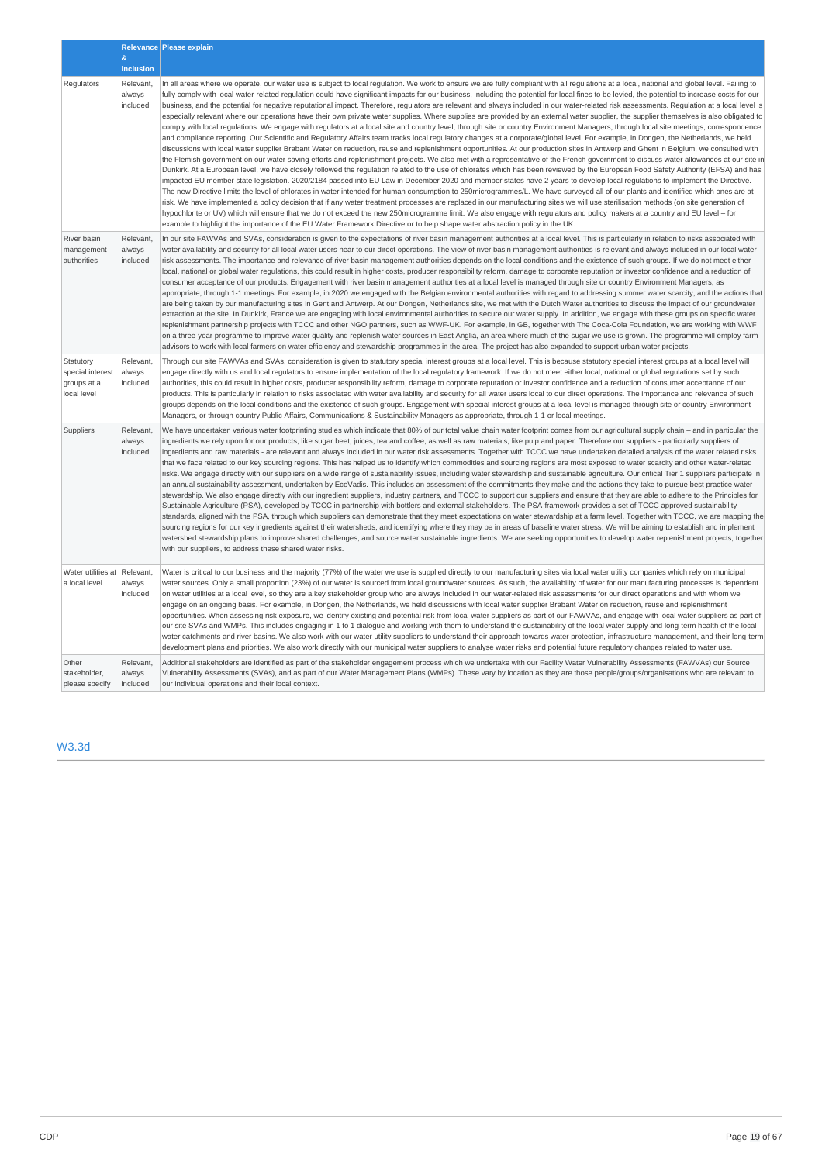|                                                             | $\&$<br>inclusion               | Relevance Please explain                                                                                                                                                                                                                                                                                                                                                                                                                                                                                                                                                                                                                                                                                                                                                                                                                                                                                                                                                                                                                                                                                                                                                                                                                                                                                                                                                                                                                                                                                                                                                                                                                                                                                                                                                                                                                                                                                                                                                                                                                                                                                                                                                                                                                                                                                                                                                                                                                                                                                                                                                                                             |
|-------------------------------------------------------------|---------------------------------|----------------------------------------------------------------------------------------------------------------------------------------------------------------------------------------------------------------------------------------------------------------------------------------------------------------------------------------------------------------------------------------------------------------------------------------------------------------------------------------------------------------------------------------------------------------------------------------------------------------------------------------------------------------------------------------------------------------------------------------------------------------------------------------------------------------------------------------------------------------------------------------------------------------------------------------------------------------------------------------------------------------------------------------------------------------------------------------------------------------------------------------------------------------------------------------------------------------------------------------------------------------------------------------------------------------------------------------------------------------------------------------------------------------------------------------------------------------------------------------------------------------------------------------------------------------------------------------------------------------------------------------------------------------------------------------------------------------------------------------------------------------------------------------------------------------------------------------------------------------------------------------------------------------------------------------------------------------------------------------------------------------------------------------------------------------------------------------------------------------------------------------------------------------------------------------------------------------------------------------------------------------------------------------------------------------------------------------------------------------------------------------------------------------------------------------------------------------------------------------------------------------------------------------------------------------------------------------------------------------------|
| Regulators                                                  | Relevant,<br>always<br>included | In all areas where we operate, our water use is subject to local requlation. We work to ensure we are fully compliant with all requlations at a local, national and global level. Failing to<br>fully comply with local water-related regulation could have significant impacts for our business, including the potential for local fines to be levied, the potential to increase costs for our<br>business, and the potential for negative reputational impact. Therefore, regulators are relevant and always included in our water-related risk assessments. Regulation at a local level is<br>especially relevant where our operations have their own private water supplies. Where supplies are provided by an external water supplier, the supplier themselves is also obligated to<br>comply with local regulations. We engage with regulators at a local site and country level, through site or country Environment Managers, through local site meetings, correspondence<br>and compliance reporting. Our Scientific and Regulatory Affairs team tracks local regulatory changes at a corporate/global level. For example, in Dongen, the Netherlands, we held<br>discussions with local water supplier Brabant Water on reduction, reuse and replenishment opportunities. At our production sites in Antwerp and Ghent in Belgium, we consulted with<br>the Flemish government on our water saving efforts and replenishment projects. We also met with a representative of the French government to discuss water allowances at our site in<br>Dunkirk. At a European level, we have closely followed the requlation related to the use of chlorates which has been reviewed by the European Food Safety Authority (EFSA) and has<br>impacted EU member state legislation. 2020/2184 passed into EU Law in December 2020 and member states have 2 years to develop local requlations to implement the Directive.<br>The new Directive limits the level of chlorates in water intended for human consumption to 250microgrammes/L. We have surveyed all of our plants and identified which ones are at<br>risk. We have implemented a policy decision that if any water treatment processes are replaced in our manufacturing sites we will use sterilisation methods (on site generation of<br>hypochlorite or UV) which will ensure that we do not exceed the new 250microgramme limit. We also engage with regulators and policy makers at a country and EU level - for<br>example to highlight the importance of the EU Water Framework Directive or to help shape water abstraction policy in the UK. |
| River basin<br>management<br>authorities                    | Relevant,<br>always<br>included | In our site FAWVAs and SVAs, consideration is given to the expectations of river basin management authorities at a local level. This is particularly in relation to risks associated with<br>water availability and security for all local water users near to our direct operations. The view of river basin management authorities is relevant and always included in our local water<br>risk assessments. The importance and relevance of river basin management authorities depends on the local conditions and the existence of such groups. If we do not meet either<br>local, national or global water regulations, this could result in higher costs, producer responsibility reform, damage to corporate reputation or investor confidence and a reduction of<br>consumer acceptance of our products. Engagement with river basin management authorities at a local level is managed through site or country Environment Managers, as<br>appropriate, through 1-1 meetings. For example, in 2020 we engaged with the Belgian environmental authorities with regard to addressing summer water scarcity, and the actions that<br>are being taken by our manufacturing sites in Gent and Antwerp. At our Dongen, Netherlands site, we met with the Dutch Water authorities to discuss the impact of our groundwater<br>extraction at the site. In Dunkirk, France we are engaging with local environmental authorities to secure our water supply. In addition, we engage with these groups on specific water<br>replenishment partnership projects with TCCC and other NGO partners, such as WWF-UK. For example, in GB, together with The Coca-Cola Foundation, we are working with WWF<br>on a three-year programme to improve water quality and replenish water sources in East Anglia, an area where much of the sugar we use is grown. The programme will employ farm<br>advisors to work with local farmers on water efficiency and stewardship programmes in the area. The project has also expanded to support urban water projects.                                                                                                                                                                                                                                                                                                                                                                                                                                                                                                                                                                 |
| Statutory<br>special interest<br>groups at a<br>local level | Relevant,<br>always<br>included | Through our site FAWVAs and SVAs, consideration is given to statutory special interest groups at a local level. This is because statutory special interest groups at a local level will<br>engage directly with us and local regulators to ensure implementation of the local regulatory framework. If we do not meet either local, national or global regulations set by such<br>authorities, this could result in higher costs, producer responsibility reform, damage to corporate reputation or investor confidence and a reduction of consumer acceptance of our<br>products. This is particularly in relation to risks associated with water availability and security for all water users local to our direct operations. The importance and relevance of such<br>groups depends on the local conditions and the existence of such groups. Engagement with special interest groups at a local level is managed through site or country Environment<br>Managers, or through country Public Affairs, Communications & Sustainability Managers as appropriate, through 1-1 or local meetings.                                                                                                                                                                                                                                                                                                                                                                                                                                                                                                                                                                                                                                                                                                                                                                                                                                                                                                                                                                                                                                                                                                                                                                                                                                                                                                                                                                                                                                                                                                                    |
| Suppliers                                                   | Relevant,<br>always<br>included | We have undertaken various water footprinting studies which indicate that 80% of our total value chain water footprint comes from our agricultural supply chain – and in particular the<br>ingredients we rely upon for our products, like sugar beet, juices, tea and coffee, as well as raw materials, like pulp and paper. Therefore our suppliers - particularly suppliers of<br>ingredients and raw materials - are relevant and always included in our water risk assessments. Together with TCCC we have undertaken detailed analysis of the water related risks<br>that we face related to our key sourcing regions. This has helped us to identify which commodities and sourcing regions are most exposed to water scarcity and other water-related<br>risks. We engage directly with our suppliers on a wide range of sustainability issues, including water stewardship and sustainable agriculture. Our critical Tier 1 suppliers participate in<br>an annual sustainability assessment, undertaken by EcoVadis. This includes an assessment of the commitments they make and the actions they take to pursue best practice water<br>stewardship. We also engage directly with our ingredient suppliers, industry partners, and TCCC to support our suppliers and ensure that they are able to adhere to the Principles for<br>Sustainable Agriculture (PSA), developed by TCCC in partnership with bottlers and external stakeholders. The PSA-framework provides a set of TCCC approved sustainability<br>standards, aligned with the PSA, through which suppliers can demonstrate that they meet expectations on water stewardship at a farm level. Together with TCCC, we are mapping the<br>sourcing regions for our key ingredients against their watersheds, and identifying where they may be in areas of baseline water stress. We will be aiming to establish and implement<br>watershed stewardship plans to improve shared challenges, and source water sustainable ingredients. We are seeking opportunities to develop water replenishment projects, together<br>with our suppliers, to address these shared water risks.                                                                                                                                                                                                                                                                                                                                                                                                                                                                 |
| Water utilities at<br>a local level                         | Relevant,<br>always<br>included | Water is critical to our business and the majority (77%) of the water we use is supplied directly to our manufacturing sites via local water utility companies which rely on municipal<br>water sources. Only a small proportion (23%) of our water is sourced from local groundwater sources. As such, the availability of water for our manufacturing processes is dependent<br>on water utilities at a local level, so they are a key stakeholder group who are always included in our water-related risk assessments for our direct operations and with whom we<br>engage on an ongoing basis. For example, in Dongen, the Netherlands, we held discussions with local water supplier Brabant Water on reduction, reuse and replenishment<br>opportunities. When assessing risk exposure, we identify existing and potential risk from local water suppliers as part of our FAWVAs, and engage with local water suppliers as part of<br>our site SVAs and WMPs. This includes engaging in 1 to 1 dialogue and working with them to understand the sustainability of the local water supply and long-term health of the local<br>water catchments and river basins. We also work with our water utility suppliers to understand their approach towards water protection, infrastructure management, and their long-term<br>development plans and priorities. We also work directly with our municipal water suppliers to analyse water risks and potential future regulatory changes related to water use.                                                                                                                                                                                                                                                                                                                                                                                                                                                                                                                                                                                                                                                                                                                                                                                                                                                                                                                                                                                                                                                                                                        |
| Other<br>stakeholder,<br>please specify                     | Relevant,<br>always<br>included | Additional stakeholders are identified as part of the stakeholder engagement process which we undertake with our Facility Water Vulnerability Assessments (FAWVAs) our Source<br>Vulnerability Assessments (SVAs), and as part of our Water Management Plans (WMPs). These vary by location as they are those people/groups/organisations who are relevant to<br>our individual operations and their local context.                                                                                                                                                                                                                                                                                                                                                                                                                                                                                                                                                                                                                                                                                                                                                                                                                                                                                                                                                                                                                                                                                                                                                                                                                                                                                                                                                                                                                                                                                                                                                                                                                                                                                                                                                                                                                                                                                                                                                                                                                                                                                                                                                                                                  |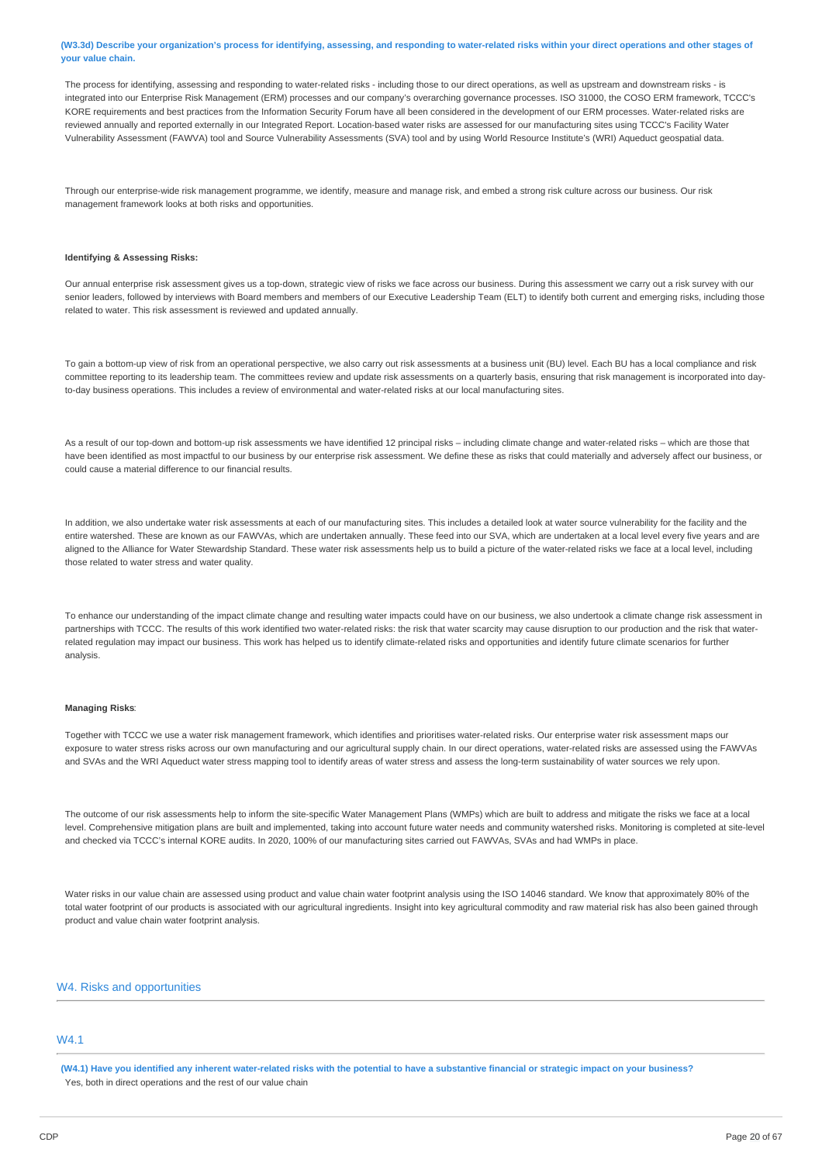(W3.3d) Describe your organization's process for identifying, assessing, and responding to water-related risks within your direct operations and other stages of **your value chain.**

The process for identifying, assessing and responding to water-related risks - including those to our direct operations, as well as upstream and downstream risks - is integrated into our Enterprise Risk Management (ERM) processes and our company's overarching governance processes. ISO 31000, the COSO ERM framework, TCCC's KORE requirements and best practices from the Information Security Forum have all been considered in the development of our ERM processes. Water-related risks are reviewed annually and reported externally in our Integrated Report. Location-based water risks are assessed for our manufacturing sites using TCCC's Facility Water Vulnerability Assessment (FAWVA) tool and Source Vulnerability Assessments (SVA) tool and by using World Resource Institute's (WRI) Aqueduct geospatial data.

Through our enterprise-wide risk management programme, we identify, measure and manage risk, and embed a strong risk culture across our business. Our risk management framework looks at both risks and opportunities.

#### **Identifying & Assessing Risks:**

Our annual enterprise risk assessment gives us a top-down, strategic view of risks we face across our business. During this assessment we carry out a risk survey with our senior leaders, followed by interviews with Board members and members of our Executive Leadership Team (ELT) to identify both current and emerging risks, including those related to water. This risk assessment is reviewed and updated annually.

To gain a bottom-up view of risk from an operational perspective, we also carry out risk assessments at a business unit (BU) level. Each BU has a local compliance and risk committee reporting to its leadership team. The committees review and update risk assessments on a quarterly basis, ensuring that risk management is incorporated into dayto-day business operations. This includes a review of environmental and water-related risks at our local manufacturing sites.

As a result of our top-down and bottom-up risk assessments we have identified 12 principal risks – including climate change and water-related risks – which are those that have been identified as most impactful to our business by our enterprise risk assessment. We define these as risks that could materially and adversely affect our business, or could cause a material difference to our financial results.

In addition, we also undertake water risk assessments at each of our manufacturing sites. This includes a detailed look at water source vulnerability for the facility and the entire watershed. These are known as our FAWVAs, which are undertaken annually. These feed into our SVA, which are undertaken at a local level every five years and are aligned to the Alliance for Water Stewardship Standard. These water risk assessments help us to build a picture of the water-related risks we face at a local level, including those related to water stress and water quality.

To enhance our understanding of the impact climate change and resulting water impacts could have on our business, we also undertook a climate change risk assessment in partnerships with TCCC. The results of this work identified two water-related risks: the risk that water scarcity may cause disruption to our production and the risk that waterrelated regulation may impact our business. This work has helped us to identify climate-related risks and opportunities and identify future climate scenarios for further analysis.

#### **Managing Risks**:

Together with TCCC we use a water risk management framework, which identifies and prioritises water-related risks. Our enterprise water risk assessment maps our exposure to water stress risks across our own manufacturing and our agricultural supply chain. In our direct operations, water-related risks are assessed using the FAWVAs and SVAs and the WRI Aqueduct water stress mapping tool to identify areas of water stress and assess the long-term sustainability of water sources we rely upon.

The outcome of our risk assessments help to inform the site-specific Water Management Plans (WMPs) which are built to address and mitigate the risks we face at a local level. Comprehensive mitigation plans are built and implemented, taking into account future water needs and community watershed risks. Monitoring is completed at site-level and checked via TCCC's internal KORE audits. In 2020, 100% of our manufacturing sites carried out FAWVAs, SVAs and had WMPs in place.

Water risks in our value chain are assessed using product and value chain water footprint analysis using the ISO 14046 standard. We know that approximately 80% of the total water footprint of our products is associated with our agricultural ingredients. Insight into key agricultural commodity and raw material risk has also been gained through product and value chain water footprint analysis.

### W4. Risks and opportunities

# W4.1

(W4.1) Have you identified any inherent water-related risks with the potential to have a substantive financial or strategic impact on your business? Yes, both in direct operations and the rest of our value chain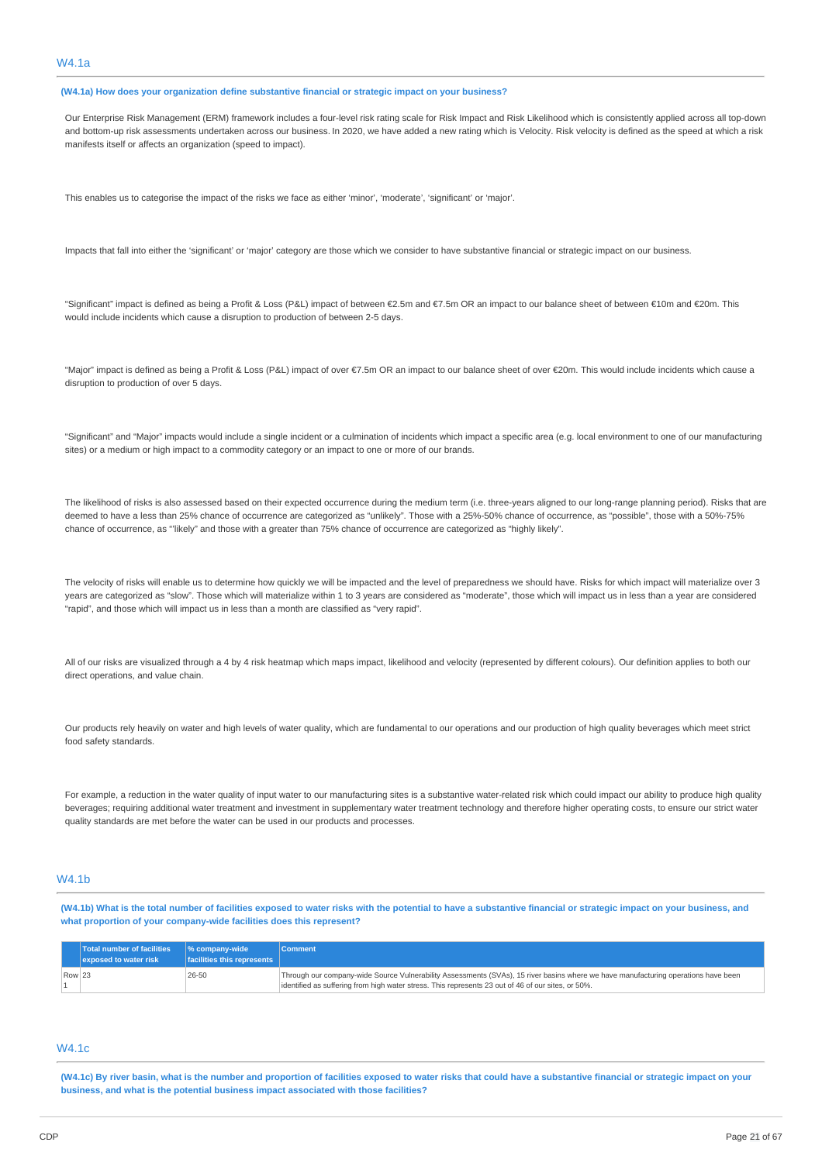**(W4.1a) How does your organization define substantive financial or strategic impact on your business?**

Our Enterprise Risk Management (ERM) framework includes a four-level risk rating scale for Risk Impact and Risk Likelihood which is consistently applied across all top-down and bottom-up risk assessments undertaken across our business. In 2020, we have added a new rating which is Velocity. Risk velocity is defined as the speed at which a risk manifests itself or affects an organization (speed to impact).

This enables us to categorise the impact of the risks we face as either 'minor', 'moderate', 'significant' or 'major'.

Impacts that fall into either the 'significant' or 'major' category are those which we consider to have substantive financial or strategic impact on our business.

"Significant" impact is defined as being a Profit & Loss (P&L) impact of between €2.5m and €7.5m OR an impact to our balance sheet of between €10m and €20m. This would include incidents which cause a disruption to production of between 2-5 days.

"Major" impact is defined as being a Profit & Loss (P&L) impact of over €7.5m OR an impact to our balance sheet of over €20m. This would include incidents which cause a disruption to production of over 5 days.

"Significant" and "Major" impacts would include a single incident or a culmination of incidents which impact a specific area (e.g. local environment to one of our manufacturing sites) or a medium or high impact to a commodity category or an impact to one or more of our brands.

The likelihood of risks is also assessed based on their expected occurrence during the medium term (i.e. three-years aligned to our long-range planning period). Risks that are deemed to have a less than 25% chance of occurrence are categorized as "unlikely". Those with a 25%-50% chance of occurrence, as "possible", those with a 50%-75% chance of occurrence, as "'likely" and those with a greater than 75% chance of occurrence are categorized as "highly likely".

The velocity of risks will enable us to determine how quickly we will be impacted and the level of preparedness we should have. Risks for which impact will materialize over 3 years are categorized as "slow". Those which will materialize within 1 to 3 years are considered as "moderate", those which will impact us in less than a year are considered "rapid", and those which will impact us in less than a month are classified as "very rapid".

All of our risks are visualized through a 4 by 4 risk heatmap which maps impact, likelihood and velocity (represented by different colours). Our definition applies to both our direct operations, and value chain.

Our products rely heavily on water and high levels of water quality, which are fundamental to our operations and our production of high quality beverages which meet strict food safety standards.

For example, a reduction in the water quality of input water to our manufacturing sites is a substantive water-related risk which could impact our ability to produce high quality beverages; requiring additional water treatment and investment in supplementary water treatment technology and therefore higher operating costs, to ensure our strict water quality standards are met before the water can be used in our products and processes.

### W4.1b

(W4.1b) What is the total number of facilities exposed to water risks with the potential to have a substantive financial or strategic impact on your business, and **what proportion of your company-wide facilities does this represent?**

|        | Total number of facilities  % company-wide<br>exposed to water risk | facilities this represents | <b>Comment</b>                                                                                                                                                                                                                            |
|--------|---------------------------------------------------------------------|----------------------------|-------------------------------------------------------------------------------------------------------------------------------------------------------------------------------------------------------------------------------------------|
| Row 23 |                                                                     | 26-50                      | Through our company-wide Source Vulnerability Assessments (SVAs), 15 river basins where we have manufacturing operations have been<br>lidentified as suffering from high water stress. This represents 23 out of 46 of our sites, or 50%. |

# W4.1c

(W4.1c) By river basin, what is the number and proportion of facilities exposed to water risks that could have a substantive financial or strategic impact on your **business, and what is the potential business impact associated with those facilities?**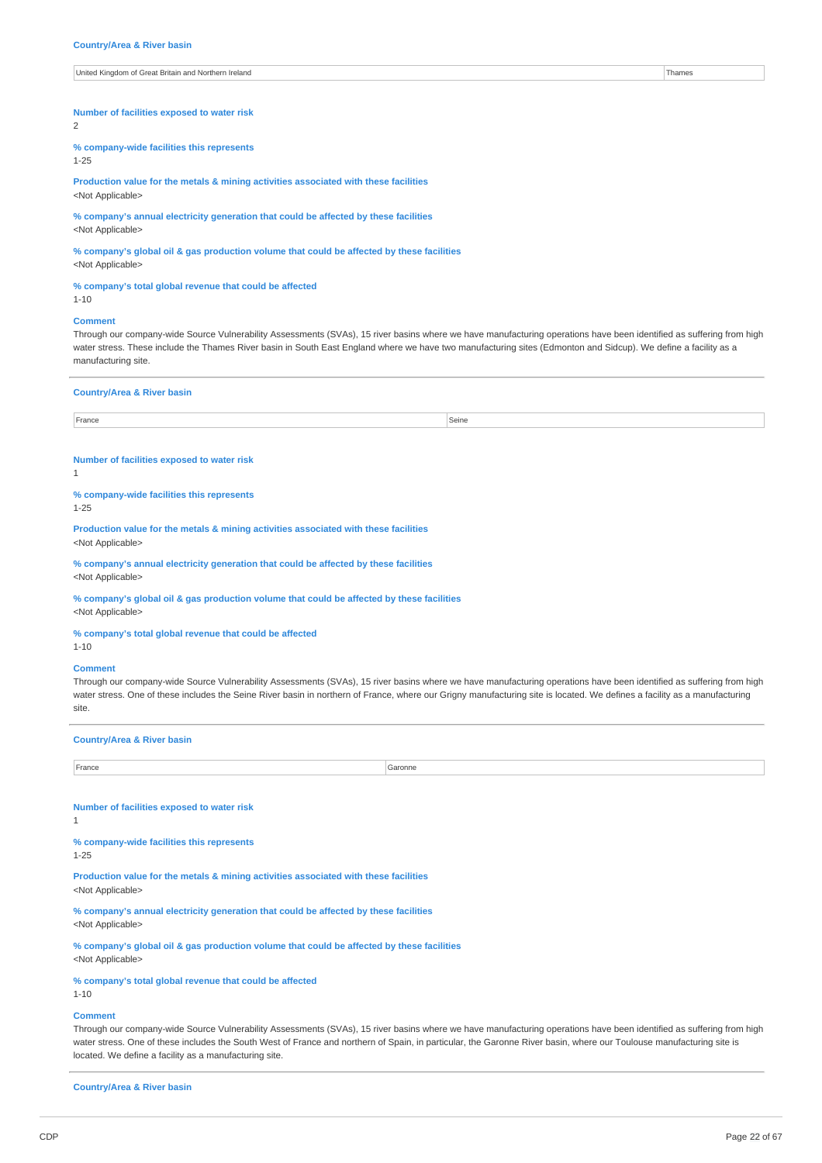### **Number of facilities exposed to water risk**

 $\overline{2}$ 

**% company-wide facilities this represents** 1-25

**Production value for the metals & mining activities associated with these facilities** <Not Applicable>

**% company's annual electricity generation that could be affected by these facilities** <Not Applicable>

**% company's global oil & gas production volume that could be affected by these facilities** <Not Applicable>

### **% company's total global revenue that could be affected**

1-10

#### **Comment**

Through our company-wide Source Vulnerability Assessments (SVAs), 15 river basins where we have manufacturing operations have been identified as suffering from high water stress. These include the Thames River basin in South East England where we have two manufacturing sites (Edmonton and Sidcup). We define a facility as a manufacturing site.

#### **Country/Area & River basin**

France Seine Seine Seine Seine Seine Seine Seine Seine Seine Seine Seine Seine Seine Seine Seine Seine Seine S

### **Number of facilities exposed to water risk**

1

**% company-wide facilities this represents** 1-25

**Production value for the metals & mining activities associated with these facilities** <Not Applicable>

**% company's annual electricity generation that could be affected by these facilities** <Not Applicable>

**% company's global oil & gas production volume that could be affected by these facilities** <Not Applicable>

**% company's total global revenue that could be affected**

# 1-10 **Comment**

Through our company-wide Source Vulnerability Assessments (SVAs), 15 river basins where we have manufacturing operations have been identified as suffering from high water stress. One of these includes the Seine River basin in northern of France, where our Grigny manufacturing site is located. We defines a facility as a manufacturing site.

### **Country/Area & River basin**

| France<br>. | Garonne |
|-------------|---------|
|             |         |

### **Number of facilities exposed to water risk**

1

#### **% company-wide facilities this represents**

1-25

**Production value for the metals & mining activities associated with these facilities**

<Not Applicable>

**% company's annual electricity generation that could be affected by these facilities** <Not Applicable>

**% company's global oil & gas production volume that could be affected by these facilities** <Not Applicable>

### **% company's total global revenue that could be affected**

1-10

#### **Comment**

Through our company-wide Source Vulnerability Assessments (SVAs), 15 river basins where we have manufacturing operations have been identified as suffering from high water stress. One of these includes the South West of France and northern of Spain, in particular, the Garonne River basin, where our Toulouse manufacturing site is located. We define a facility as a manufacturing site.

**Country/Area & River basin**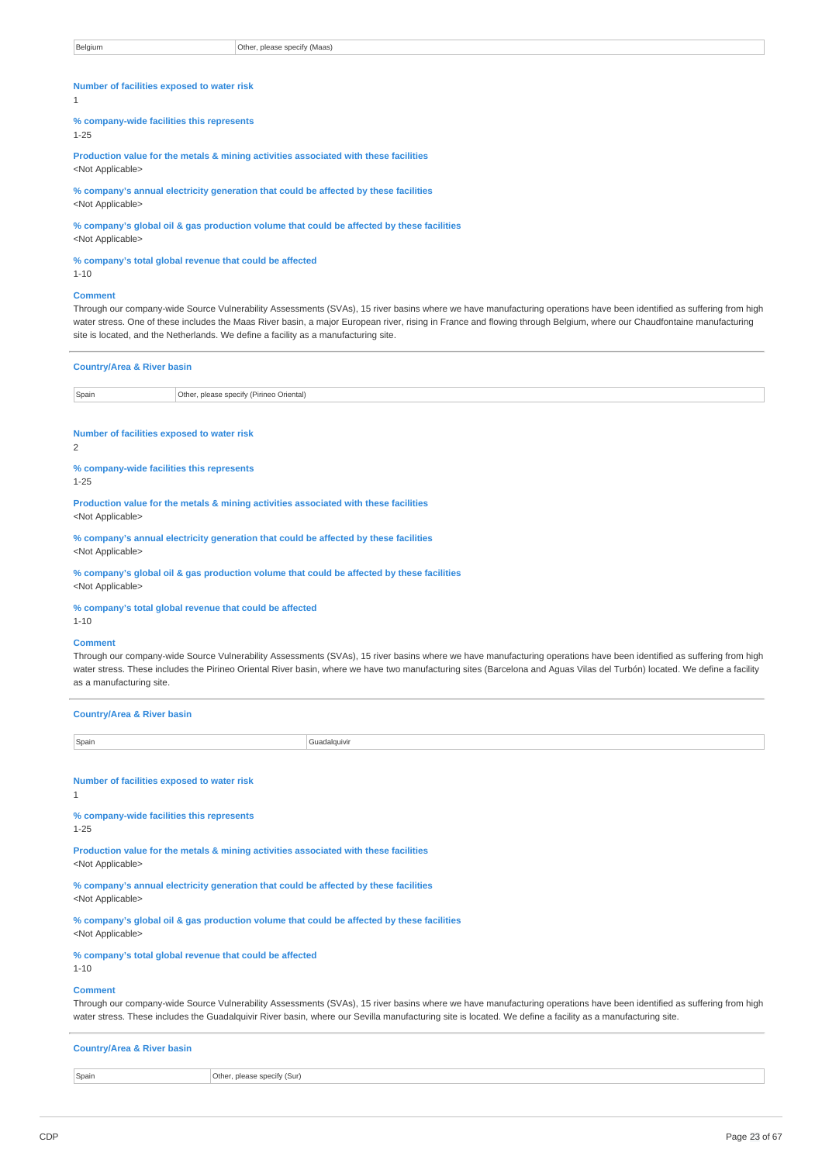| Number of facilities exposed to water risk            |                                                                                                                                                                                                                                                                                                                                                                                                                                      |
|-------------------------------------------------------|--------------------------------------------------------------------------------------------------------------------------------------------------------------------------------------------------------------------------------------------------------------------------------------------------------------------------------------------------------------------------------------------------------------------------------------|
|                                                       |                                                                                                                                                                                                                                                                                                                                                                                                                                      |
| $\mathbf{1}$                                          |                                                                                                                                                                                                                                                                                                                                                                                                                                      |
| % company-wide facilities this represents<br>$1 - 25$ |                                                                                                                                                                                                                                                                                                                                                                                                                                      |
| <not applicable=""></not>                             | Production value for the metals & mining activities associated with these facilities                                                                                                                                                                                                                                                                                                                                                 |
| <not applicable=""></not>                             | % company's annual electricity generation that could be affected by these facilities                                                                                                                                                                                                                                                                                                                                                 |
| <not applicable=""></not>                             | % company's global oil & gas production volume that could be affected by these facilities                                                                                                                                                                                                                                                                                                                                            |
| $1 - 10$                                              | % company's total global revenue that could be affected                                                                                                                                                                                                                                                                                                                                                                              |
| <b>Comment</b>                                        | Through our company-wide Source Vulnerability Assessments (SVAs), 15 river basins where we have manufacturing operations have been identified as suffering from high<br>water stress. One of these includes the Maas River basin, a major European river, rising in France and flowing through Belgium, where our Chaudfontaine manufacturing<br>site is located, and the Netherlands. We define a facility as a manufacturing site. |
| <b>Country/Area &amp; River basin</b>                 |                                                                                                                                                                                                                                                                                                                                                                                                                                      |
| Spain                                                 | Other, please specify (Pirineo Oriental)                                                                                                                                                                                                                                                                                                                                                                                             |
| Number of facilities exposed to water risk<br>2       |                                                                                                                                                                                                                                                                                                                                                                                                                                      |
| % company-wide facilities this represents<br>$1 - 25$ |                                                                                                                                                                                                                                                                                                                                                                                                                                      |
| <not applicable=""></not>                             | Production value for the metals & mining activities associated with these facilities                                                                                                                                                                                                                                                                                                                                                 |
| <not applicable=""></not>                             | % company's annual electricity generation that could be affected by these facilities                                                                                                                                                                                                                                                                                                                                                 |
|                                                       |                                                                                                                                                                                                                                                                                                                                                                                                                                      |
| <not applicable=""></not>                             | % company's global oil & gas production volume that could be affected by these facilities                                                                                                                                                                                                                                                                                                                                            |
| $1 - 10$                                              | % company's total global revenue that could be affected                                                                                                                                                                                                                                                                                                                                                                              |
| <b>Comment</b><br>as a manufacturing site.            | Through our company-wide Source Vulnerability Assessments (SVAs), 15 river basins where we have manufacturing operations have been identified as suffering from high<br>water stress. These includes the Pirineo Oriental River basin, where we have two manufacturing sites (Barcelona and Aguas Vilas del Turbón) located. We define a facility                                                                                    |
| <b>Country/Area &amp; River basin</b>                 |                                                                                                                                                                                                                                                                                                                                                                                                                                      |
| Spain                                                 | Guadalquivir                                                                                                                                                                                                                                                                                                                                                                                                                         |
| Number of facilities exposed to water risk            |                                                                                                                                                                                                                                                                                                                                                                                                                                      |
| 1<br>% company-wide facilities this represents        |                                                                                                                                                                                                                                                                                                                                                                                                                                      |
| $1 - 25$<br><not applicable=""></not>                 | Production value for the metals & mining activities associated with these facilities                                                                                                                                                                                                                                                                                                                                                 |
| <not applicable=""></not>                             | % company's annual electricity generation that could be affected by these facilities                                                                                                                                                                                                                                                                                                                                                 |
| <not applicable=""></not>                             | % company's global oil & gas production volume that could be affected by these facilities                                                                                                                                                                                                                                                                                                                                            |
| $1 - 10$                                              | % company's total global revenue that could be affected                                                                                                                                                                                                                                                                                                                                                                              |
| <b>Comment</b>                                        | water stress. These includes the Guadalquivir River basin, where our Sevilla manufacturing site is located. We define a facility as a manufacturing site.                                                                                                                                                                                                                                                                            |
| <b>Country/Area &amp; River basin</b>                 | Through our company-wide Source Vulnerability Assessments (SVAs), 15 river basins where we have manufacturing operations have been identified as suffering from high                                                                                                                                                                                                                                                                 |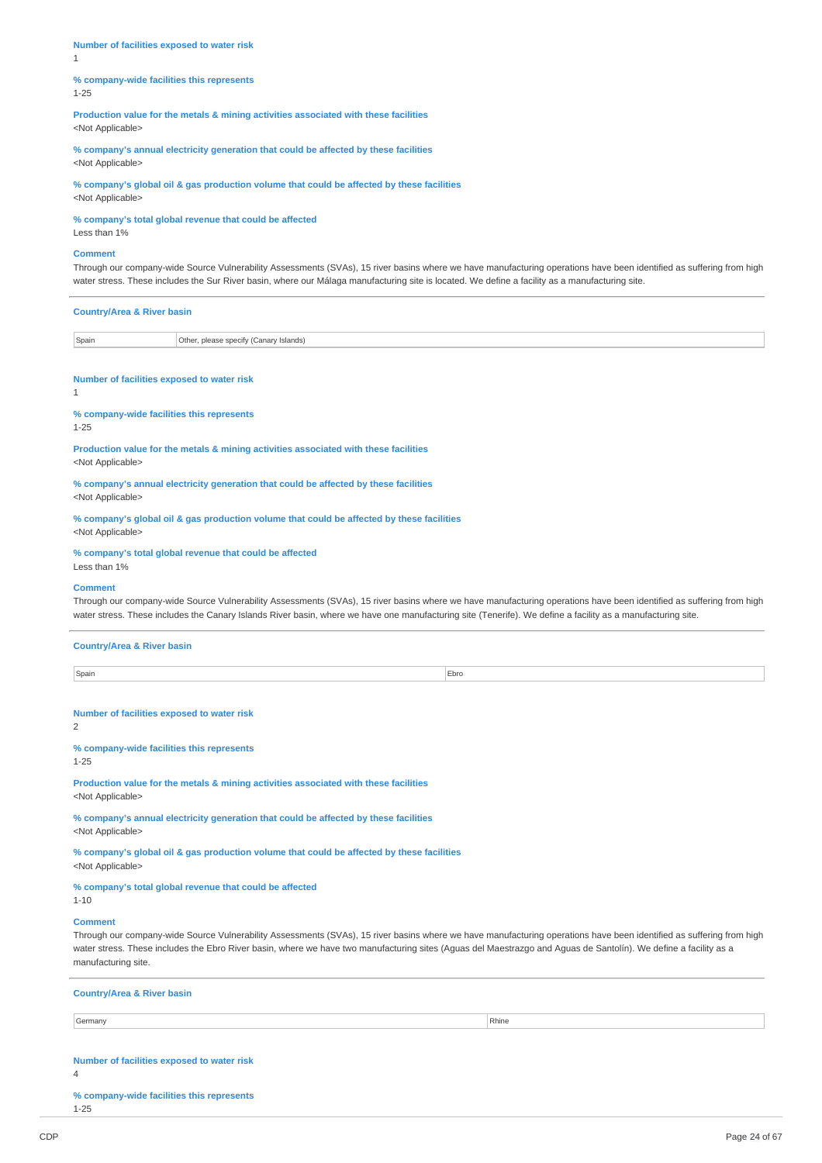**Number of facilities exposed to water risk** 1

**% company-wide facilities this represents** 1-25

**Production value for the metals & mining activities associated with these facilities** <Not Applicable>

**% company's annual electricity generation that could be affected by these facilities** <Not Applicable>

**% company's global oil & gas production volume that could be affected by these facilities** <Not Applicable>

**% company's total global revenue that could be affected**

Less than 1%

### **Comment**

Through our company-wide Source Vulnerability Assessments (SVAs), 15 river basins where we have manufacturing operations have been identified as suffering from high water stress. These includes the Sur River basin, where our Málaga manufacturing site is located. We define a facility as a manufacturing site.

| <b>Country/Area &amp; River basin</b> |                                        |
|---------------------------------------|----------------------------------------|
| Spain                                 | Other, please specify (Canary Islands) |
|                                       |                                        |

#### **Number of facilities exposed to water risk**

1

**% company-wide facilities this represents**

### 1-25

**Production value for the metals & mining activities associated with these facilities** <Not Applicable>

**% company's annual electricity generation that could be affected by these facilities** <Not Applicable>

**% company's global oil & gas production volume that could be affected by these facilities** <Not Applicable>

# **% company's total global revenue that could be affected**

Less than 1%

### **Comment**

Through our company-wide Source Vulnerability Assessments (SVAs), 15 river basins where we have manufacturing operations have been identified as suffering from high water stress. These includes the Canary Islands River basin, where we have one manufacturing site (Tenerife). We define a facility as a manufacturing site.

#### **Country/Area & River basin**

Spain **Ebro** Ebro **Ebro Access (Ebro Access 1996)** 

**Number of facilities exposed to water risk**

 $\overline{2}$ 

# **% company-wide facilities this represents**

1-25

**Production value for the metals & mining activities associated with these facilities** <Not Applicable>

**% company's annual electricity generation that could be affected by these facilities** <Not Applicable>

**% company's global oil & gas production volume that could be affected by these facilities** <Not Applicable>

#### **% company's total global revenue that could be affected** 1-10

### **Comment**

Through our company-wide Source Vulnerability Assessments (SVAs), 15 river basins where we have manufacturing operations have been identified as suffering from high water stress. These includes the Ebro River basin, where we have two manufacturing sites (Aguas del Maestrazgo and Aguas de Santolín). We define a facility as a manufacturing site.

### **Country/Area & River basin**

Germany Rhine **Reserves and Security Contract Contract Contract Contract Contract Contract Contract Contract Contract Contract Contract Contract Contract Contract Contract Contract Contract Contract Contract Contract Contr** 

#### **Number of facilities exposed to water risk**

4

**% company-wide facilities this represents** 1-25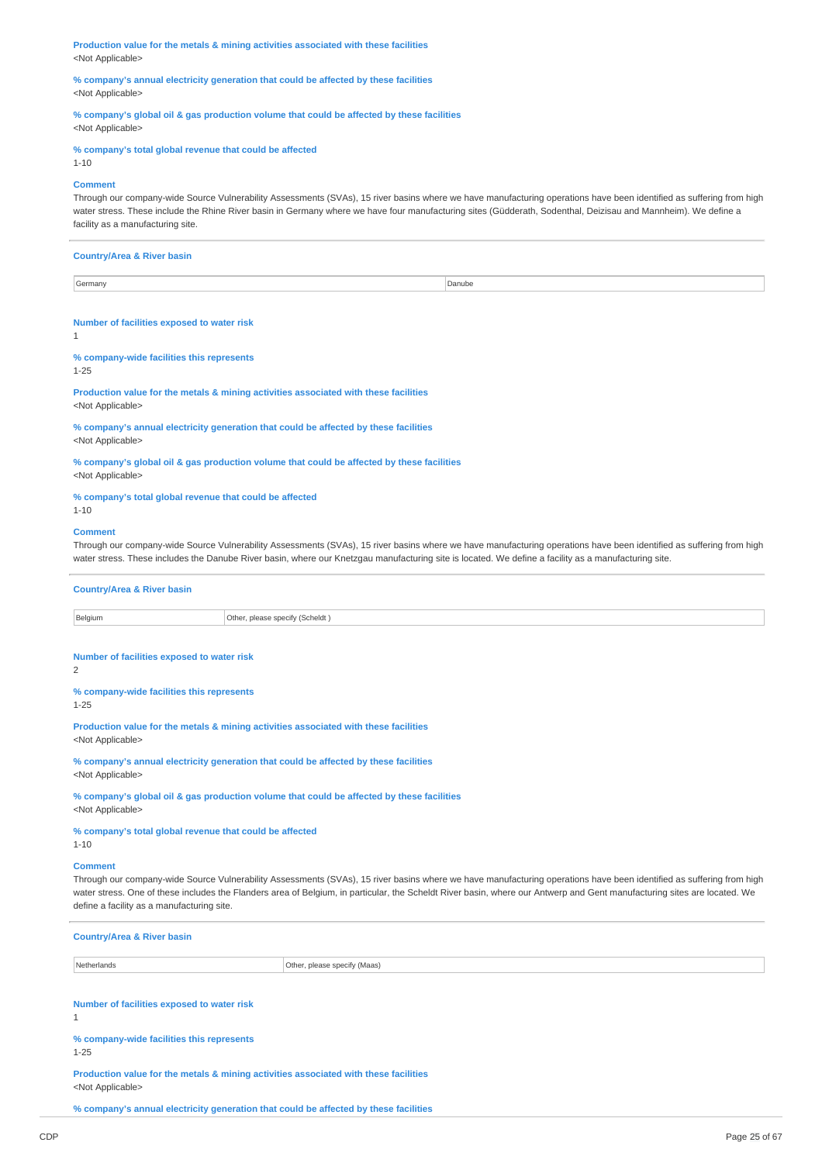**Production value for the metals & mining activities associated with these facilities** <Not Applicable>

**% company's annual electricity generation that could be affected by these facilities** <Not Applicable>

**% company's global oil & gas production volume that could be affected by these facilities** <Not Applicable>

#### **% company's total global revenue that could be affected**

**Comment**

1-10

Through our company-wide Source Vulnerability Assessments (SVAs), 15 river basins where we have manufacturing operations have been identified as suffering from high water stress. These include the Rhine River basin in Germany where we have four manufacturing sites (Güdderath, Sodenthal, Deizisau and Mannheim). We define a facility as a manufacturing site.

### **Country/Area & River basin**

Germany Danube **Danube Community** Danube **Community** Danube **Danube Danube Danube Danube Danube Danube Danube Danube Danube Danube Danube Danube Danube Danube Danube Danube Danube Danube**

#### **Number of facilities exposed to water risk**

1

# **% company-wide facilities this represents**

1-25

**Production value for the metals & mining activities associated with these facilities** <Not Applicable>

**% company's annual electricity generation that could be affected by these facilities** <Not Applicable>

**% company's global oil & gas production volume that could be affected by these facilities** <Not Applicable>

#### **% company's total global revenue that could be affected**

1-10

### **Comment**

Through our company-wide Source Vulnerability Assessments (SVAs), 15 river basins where we have manufacturing operations have been identified as suffering from high water stress. These includes the Danube River basin, where our Knetzgau manufacturing site is located. We define a facility as a manufacturing site.

#### **Country/Area & River basin**

Belgium Other, please specify (Scheldt )

### **Number of facilities exposed to water risk**

 $\overline{2}$ 

### **% company-wide facilities this represents**

1-25

**Production value for the metals & mining activities associated with these facilities** <Not Applicable>

**% company's annual electricity generation that could be affected by these facilities** <Not Applicable>

**% company's global oil & gas production volume that could be affected by these facilities** <Not Applicable>

**% company's total global revenue that could be affected** 1-10

### **Comment**

Through our company-wide Source Vulnerability Assessments (SVAs), 15 river basins where we have manufacturing operations have been identified as suffering from high water stress. One of these includes the Flanders area of Belgium, in particular, the Scheldt River basin, where our Antwerp and Gent manufacturing sites are located. We define a facility as a manufacturing site.

| <b>Country/Area &amp; River basin</b>                                                                             |                              |  |
|-------------------------------------------------------------------------------------------------------------------|------------------------------|--|
| Netherlands                                                                                                       | Other, please specify (Maas) |  |
| Number of facilities exposed to water risk<br>$\mathbf{1}$                                                        |                              |  |
| % company-wide facilities this represents<br>$1 - 25$                                                             |                              |  |
| Production value for the metals & mining activities associated with these facilities<br><not applicable=""></not> |                              |  |

**% company's annual electricity generation that could be affected by these facilities**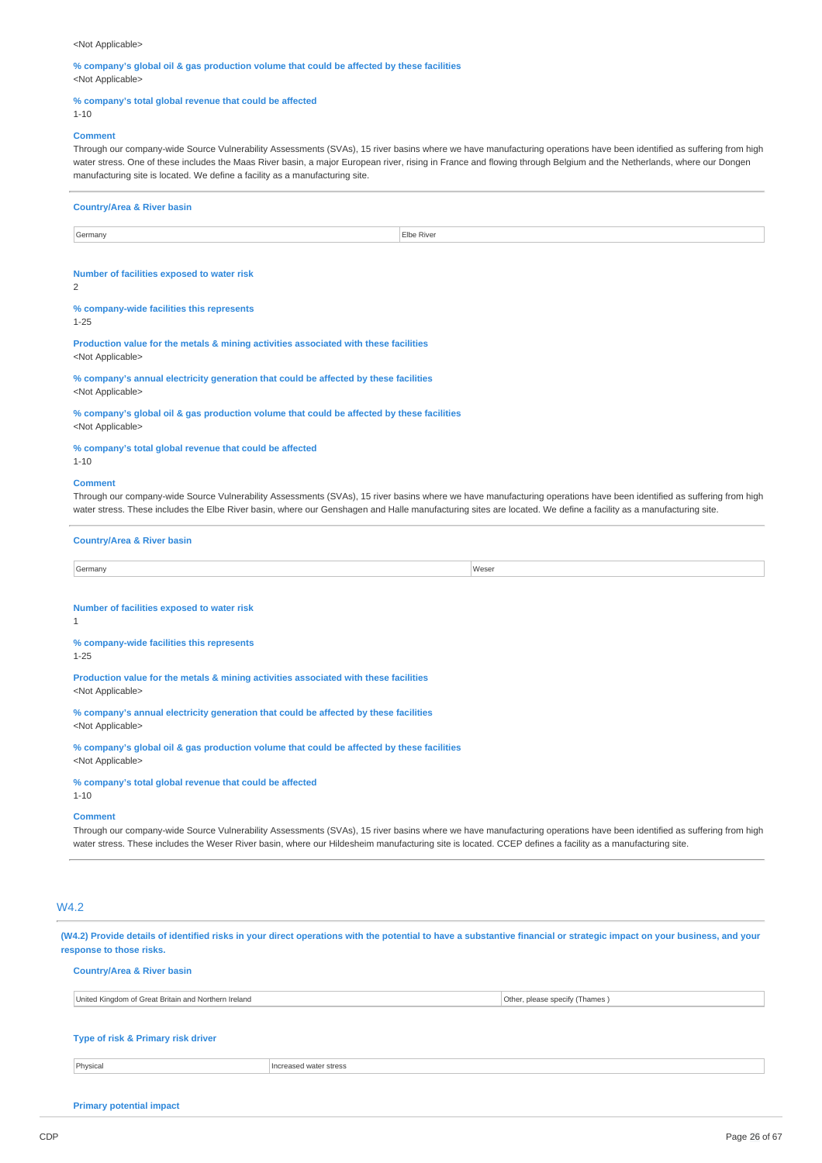### <Not Applicable>

**% company's global oil & gas production volume that could be affected by these facilities** <Not Applicable>

### **% company's total global revenue that could be affected**

### 1-10

### **Comment**

Through our company-wide Source Vulnerability Assessments (SVAs), 15 river basins where we have manufacturing operations have been identified as suffering from high water stress. One of these includes the Maas River basin, a major European river, rising in France and flowing through Belgium and the Netherlands, where our Dongen manufacturing site is located. We define a facility as a manufacturing site.

|                                                                                                                                                                                                                                                                                                                                                                                                                                                                                                                                                      | Elbe River                                                                                                                                                                                                                                                                                                                              |
|------------------------------------------------------------------------------------------------------------------------------------------------------------------------------------------------------------------------------------------------------------------------------------------------------------------------------------------------------------------------------------------------------------------------------------------------------------------------------------------------------------------------------------------------------|-----------------------------------------------------------------------------------------------------------------------------------------------------------------------------------------------------------------------------------------------------------------------------------------------------------------------------------------|
|                                                                                                                                                                                                                                                                                                                                                                                                                                                                                                                                                      |                                                                                                                                                                                                                                                                                                                                         |
| Number of facilities exposed to water risk                                                                                                                                                                                                                                                                                                                                                                                                                                                                                                           |                                                                                                                                                                                                                                                                                                                                         |
| 2                                                                                                                                                                                                                                                                                                                                                                                                                                                                                                                                                    |                                                                                                                                                                                                                                                                                                                                         |
| % company-wide facilities this represents<br>$1 - 25$                                                                                                                                                                                                                                                                                                                                                                                                                                                                                                |                                                                                                                                                                                                                                                                                                                                         |
| Production value for the metals & mining activities associated with these facilities                                                                                                                                                                                                                                                                                                                                                                                                                                                                 |                                                                                                                                                                                                                                                                                                                                         |
| <not applicable=""></not>                                                                                                                                                                                                                                                                                                                                                                                                                                                                                                                            |                                                                                                                                                                                                                                                                                                                                         |
| % company's annual electricity generation that could be affected by these facilities                                                                                                                                                                                                                                                                                                                                                                                                                                                                 |                                                                                                                                                                                                                                                                                                                                         |
| <not applicable=""></not>                                                                                                                                                                                                                                                                                                                                                                                                                                                                                                                            |                                                                                                                                                                                                                                                                                                                                         |
| % company's global oil & gas production volume that could be affected by these facilities<br><not applicable=""></not>                                                                                                                                                                                                                                                                                                                                                                                                                               |                                                                                                                                                                                                                                                                                                                                         |
| % company's total global revenue that could be affected<br>$1 - 10$                                                                                                                                                                                                                                                                                                                                                                                                                                                                                  |                                                                                                                                                                                                                                                                                                                                         |
| <b>Comment</b>                                                                                                                                                                                                                                                                                                                                                                                                                                                                                                                                       |                                                                                                                                                                                                                                                                                                                                         |
|                                                                                                                                                                                                                                                                                                                                                                                                                                                                                                                                                      | Through our company-wide Source Vulnerability Assessments (SVAs), 15 river basins where we have manufacturing operations have been identified as suffering from high<br>water stress. These includes the Elbe River basin, where our Genshagen and Halle manufacturing sites are located. We define a facility as a manufacturing site. |
| <b>Country/Area &amp; River basin</b>                                                                                                                                                                                                                                                                                                                                                                                                                                                                                                                |                                                                                                                                                                                                                                                                                                                                         |
| Germany                                                                                                                                                                                                                                                                                                                                                                                                                                                                                                                                              | Weser                                                                                                                                                                                                                                                                                                                                   |
| Number of facilities exposed to water risk<br>$\mathbf{1}$<br>% company-wide facilities this represents<br>$1 - 25$<br>Production value for the metals & mining activities associated with these facilities                                                                                                                                                                                                                                                                                                                                          |                                                                                                                                                                                                                                                                                                                                         |
| <not applicable=""><br/>% company's annual electricity generation that could be affected by these facilities<br/><not applicable=""><br/>% company's global oil &amp; gas production volume that could be affected by these facilities<br/><not applicable=""><br/>% company's total global revenue that could be affected<br/><math>1 - 10</math><br/><b>Comment</b><br/>water stress. These includes the Weser River basin, where our Hildesheim manufacturing site is located. CCEP defines a facility as a manufacturing site.</not></not></not> | Through our company-wide Source Vulnerability Assessments (SVAs), 15 river basins where we have manufacturing operations have been identified as suffering from high                                                                                                                                                                    |

### **Type of risk & Primary risk driver**

Physical **Increased water stress** 

**Primary potential impact**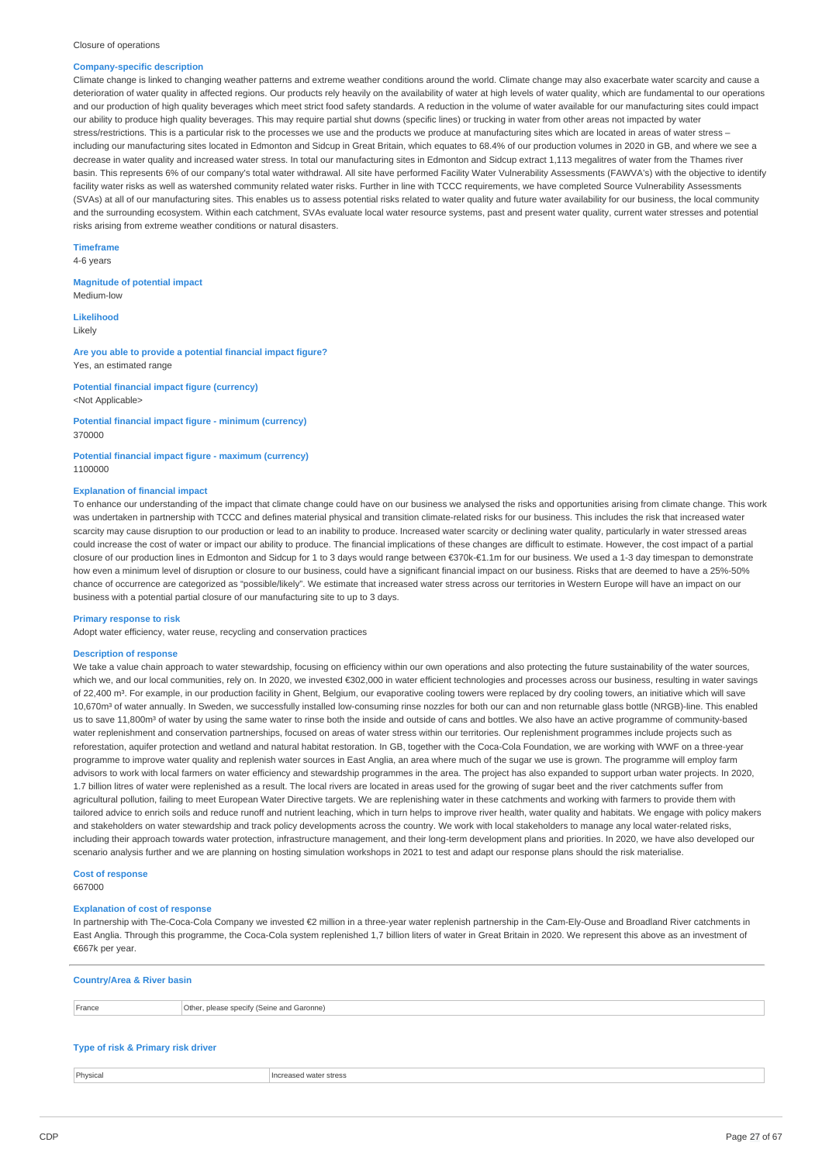#### Closure of operations

#### **Company-specific description**

Climate change is linked to changing weather patterns and extreme weather conditions around the world. Climate change may also exacerbate water scarcity and cause a deterioration of water quality in affected regions. Our products rely heavily on the availability of water at high levels of water quality, which are fundamental to our operations and our production of high quality beverages which meet strict food safety standards. A reduction in the volume of water available for our manufacturing sites could impact our ability to produce high quality beverages. This may require partial shut downs (specific lines) or trucking in water from other areas not impacted by water stress/restrictions. This is a particular risk to the processes we use and the products we produce at manufacturing sites which are located in areas of water stress – including our manufacturing sites located in Edmonton and Sidcup in Great Britain, which equates to 68.4% of our production volumes in 2020 in GB, and where we see a decrease in water quality and increased water stress. In total our manufacturing sites in Edmonton and Sidcup extract 1,113 megalitres of water from the Thames river basin. This represents 6% of our company's total water withdrawal. All site have performed Facility Water Vulnerability Assessments (FAWVA's) with the objective to identify facility water risks as well as watershed community related water risks. Further in line with TCCC requirements, we have completed Source Vulnerability Assessments (SVAs) at all of our manufacturing sites. This enables us to assess potential risks related to water quality and future water availability for our business, the local community and the surrounding ecosystem. Within each catchment, SVAs evaluate local water resource systems, past and present water quality, current water stresses and potential risks arising from extreme weather conditions or natural disasters.

**Timeframe** 4-6 years

# **Magnitude of potential impact**

Medium-low

**Likelihood** Likely

#### **Are you able to provide a potential financial impact figure?** Yes, an estimated range

### **Potential financial impact figure (currency)** <Not Applicable>

#### **Potential financial impact figure - minimum (currency)** 370000

#### **Potential financial impact figure - maximum (currency)** 1100000

### **Explanation of financial impact**

To enhance our understanding of the impact that climate change could have on our business we analysed the risks and opportunities arising from climate change. This work was undertaken in partnership with TCCC and defines material physical and transition climate-related risks for our business. This includes the risk that increased water scarcity may cause disruption to our production or lead to an inability to produce. Increased water scarcity or declining water quality, particularly in water stressed areas could increase the cost of water or impact our ability to produce. The financial implications of these changes are difficult to estimate. However, the cost impact of a partial closure of our production lines in Edmonton and Sidcup for 1 to 3 days would range between €370k-€1.1m for our business. We used a 1-3 day timespan to demonstrate how even a minimum level of disruption or closure to our business, could have a significant financial impact on our business. Risks that are deemed to have a 25%-50% chance of occurrence are categorized as "possible/likely". We estimate that increased water stress across our territories in Western Europe will have an impact on our business with a potential partial closure of our manufacturing site to up to 3 days.

#### **Primary response to risk**

Adopt water efficiency, water reuse, recycling and conservation practices

#### **Description of response**

We take a value chain approach to water stewardship, focusing on efficiency within our own operations and also protecting the future sustainability of the water sources, which we, and our local communities, rely on. In 2020, we invested €302,000 in water efficient technologies and processes across our business, resulting in water sayings of 22,400 m<sup>3</sup>. For example, in our production facility in Ghent, Belgium, our evaporative cooling towers were replaced by dry cooling towers, an initiative which will save 10,670m³ of water annually. In Sweden, we successfully installed low-consuming rinse nozzles for both our can and non returnable glass bottle (NRGB)-line. This enabled us to save 11,800m<sup>3</sup> of water by using the same water to rinse both the inside and outside of cans and bottles. We also have an active programme of community-based water replenishment and conservation partnerships, focused on areas of water stress within our territories. Our replenishment programmes include projects such as reforestation, aquifer protection and wetland and natural habitat restoration. In GB, together with the Coca-Cola Foundation, we are working with WWF on a three-year programme to improve water quality and replenish water sources in East Anglia, an area where much of the sugar we use is grown. The programme will employ farm advisors to work with local farmers on water efficiency and stewardship programmes in the area. The project has also expanded to support urban water projects. In 2020, 1.7 billion litres of water were replenished as a result. The local rivers are located in areas used for the growing of sugar beet and the river catchments suffer from agricultural pollution, failing to meet European Water Directive targets. We are replenishing water in these catchments and working with farmers to provide them with tailored advice to enrich soils and reduce runoff and nutrient leaching, which in turn helps to improve river health, water quality and habitats. We engage with policy makers and stakeholders on water stewardship and track policy developments across the country. We work with local stakeholders to manage any local water-related risks, including their approach towards water protection, infrastructure management, and their long-term development plans and priorities. In 2020, we have also developed our scenario analysis further and we are planning on hosting simulation workshops in 2021 to test and adapt our response plans should the risk materialise.

# **Cost of response**

667000

#### **Explanation of cost of response**

In partnership with The-Coca-Cola Company we invested €2 million in a three-year water replenish partnership in the Cam-Ely-Ouse and Broadland River catchments in East Anglia. Through this programme, the Coca-Cola system replenished 1,7 billion liters of water in Great Britain in 2020. We represent this above as an investment of €667k per year.

### **Country/Area & River basin**

| Erance<br>.44.00 | Othe<br>ı Garonne)<br>please<br><b>Sherify</b><br>(Seine<br>and<br>$-1.11M$ |
|------------------|-----------------------------------------------------------------------------|
|                  |                                                                             |

### **Type of risk & Primary risk driver**

**Physical Increased water stress**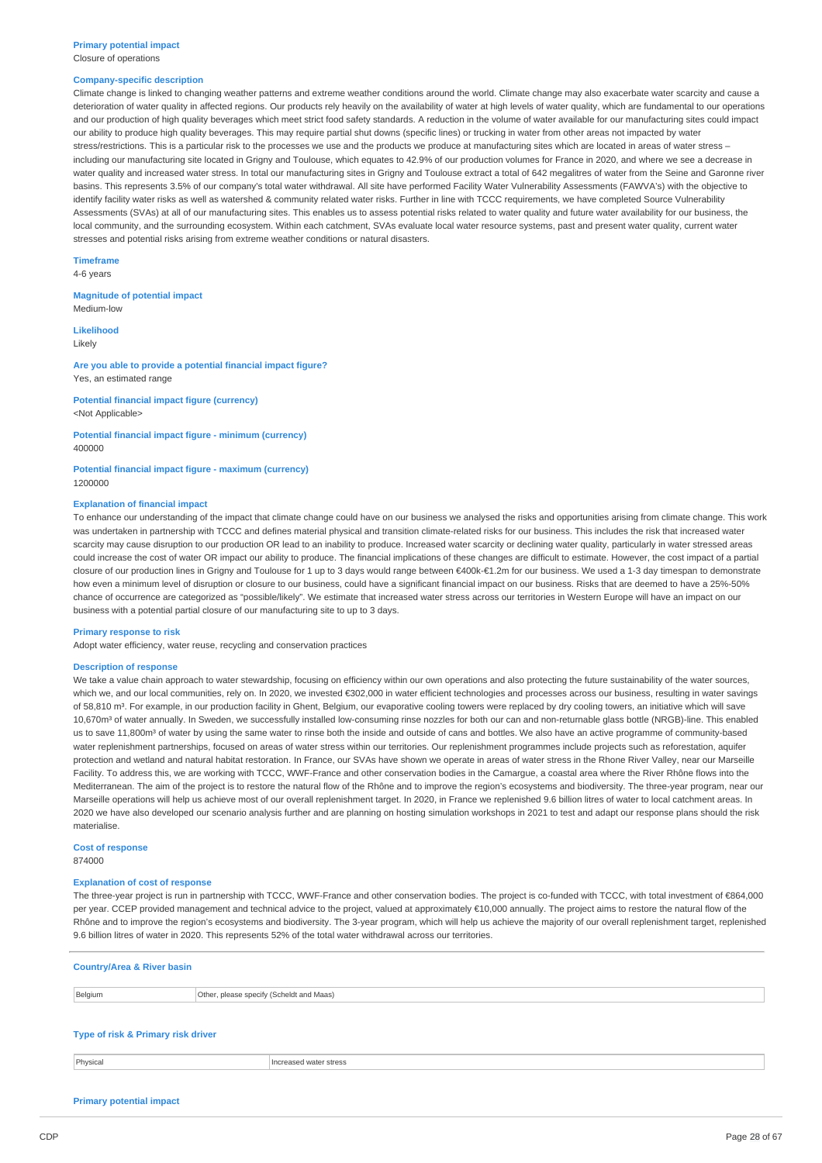# **Primary potential impact**

### Closure of operations

### **Company-specific description**

Climate change is linked to changing weather patterns and extreme weather conditions around the world. Climate change may also exacerbate water scarcity and cause a deterioration of water quality in affected regions. Our products rely heavily on the availability of water at high levels of water quality, which are fundamental to our operations and our production of high quality beverages which meet strict food safety standards. A reduction in the volume of water available for our manufacturing sites could impact our ability to produce high quality beverages. This may require partial shut downs (specific lines) or trucking in water from other areas not impacted by water stress/restrictions. This is a particular risk to the processes we use and the products we produce at manufacturing sites which are located in areas of water stress – including our manufacturing site located in Grigny and Toulouse, which equates to 42.9% of our production volumes for France in 2020, and where we see a decrease in water quality and increased water stress. In total our manufacturing sites in Grigny and Toulouse extract a total of 642 megalitres of water from the Seine and Garonne river basins. This represents 3.5% of our company's total water withdrawal. All site have performed Facility Water Vulnerability Assessments (FAWVA's) with the objective to identify facility water risks as well as watershed & community related water risks. Further in line with TCCC requirements, we have completed Source Vulnerability Assessments (SVAs) at all of our manufacturing sites. This enables us to assess potential risks related to water quality and future water availability for our business, the local community, and the surrounding ecosystem. Within each catchment, SVAs evaluate local water resource systems, past and present water quality, current water stresses and potential risks arising from extreme weather conditions or natural disasters.

### **Timeframe**

4-6 years

**Magnitude of potential impact** Medium-low

#### **Likelihood**

Likely

### **Are you able to provide a potential financial impact figure?** Yes, an estimated range

**Potential financial impact figure (currency)** <Not Applicable>

**Potential financial impact figure - minimum (currency)** 400000

**Potential financial impact figure - maximum (currency)** 1200000

#### **Explanation of financial impact**

To enhance our understanding of the impact that climate change could have on our business we analysed the risks and opportunities arising from climate change. This work was undertaken in partnership with TCCC and defines material physical and transition climate-related risks for our business. This includes the risk that increased water scarcity may cause disruption to our production OR lead to an inability to produce. Increased water scarcity or declining water quality, particularly in water stressed areas could increase the cost of water OR impact our ability to produce. The financial implications of these changes are difficult to estimate. However, the cost impact of a partial closure of our production lines in Grigny and Toulouse for 1 up to 3 days would range between €400k-€1.2m for our business. We used a 1-3 day timespan to demonstrate how even a minimum level of disruption or closure to our business, could have a significant financial impact on our business. Risks that are deemed to have a 25%-50% chance of occurrence are categorized as "possible/likely". We estimate that increased water stress across our territories in Western Europe will have an impact on our business with a potential partial closure of our manufacturing site to up to 3 days.

#### **Primary response to risk**

Adopt water efficiency, water reuse, recycling and conservation practices

#### **Description of response**

We take a value chain approach to water stewardship, focusing on efficiency within our own operations and also protecting the future sustainability of the water sources. which we, and our local communities, rely on. In 2020, we invested €302,000 in water efficient technologies and processes across our business, resulting in water savings of 58,810 m<sup>3</sup>. For example, in our production facility in Ghent, Belgium, our evaporative cooling towers were replaced by dry cooling towers, an initiative which will save 10,670m<sup>3</sup> of water annually. In Sweden, we successfully installed low-consuming rinse nozzles for both our can and non-returnable glass bottle (NRGB)-line. This enabled us to save 11,800m<sup>3</sup> of water by using the same water to rinse both the inside and outside of cans and bottles. We also have an active programme of community-based water replenishment partnerships, focused on areas of water stress within our territories. Our replenishment programmes include projects such as reforestation, aquifer protection and wetland and natural habitat restoration. In France, our SVAs have shown we operate in areas of water stress in the Rhone River Valley, near our Marseille Facility. To address this, we are working with TCCC, WWF-France and other conservation bodies in the Camargue, a coastal area where the River Rhône flows into the Mediterranean. The aim of the project is to restore the natural flow of the Rhône and to improve the region's ecosystems and biodiversity. The three-year program, near our Marseille operations will help us achieve most of our overall replenishment target. In 2020, in France we replenished 9.6 billion litres of water to local catchment areas. In 2020 we have also developed our scenario analysis further and are planning on hosting simulation workshops in 2021 to test and adapt our response plans should the risk materialise.

**Cost of response** 874000

### **Explanation of cost of response**

The three-year project is run in partnership with TCCC, WWF-France and other conservation bodies. The project is co-funded with TCCC, with total investment of €864,000 per year. CCEP provided management and technical advice to the project, valued at approximately €10,000 annually. The project aims to restore the natural flow of the Rhône and to improve the region's ecosystems and biodiversity. The 3-year program, which will help us achieve the majority of our overall replenishment target, replenished 9.6 billion litres of water in 2020. This represents 52% of the total water withdrawal across our territories.

#### **Country/Area & River basin**

Belgium **Delgium** Other, please specify (Scheldt and Maas)

### **Type of risk & Primary risk driver**

**Physical Increased water stress** 

### **Primary potential impact**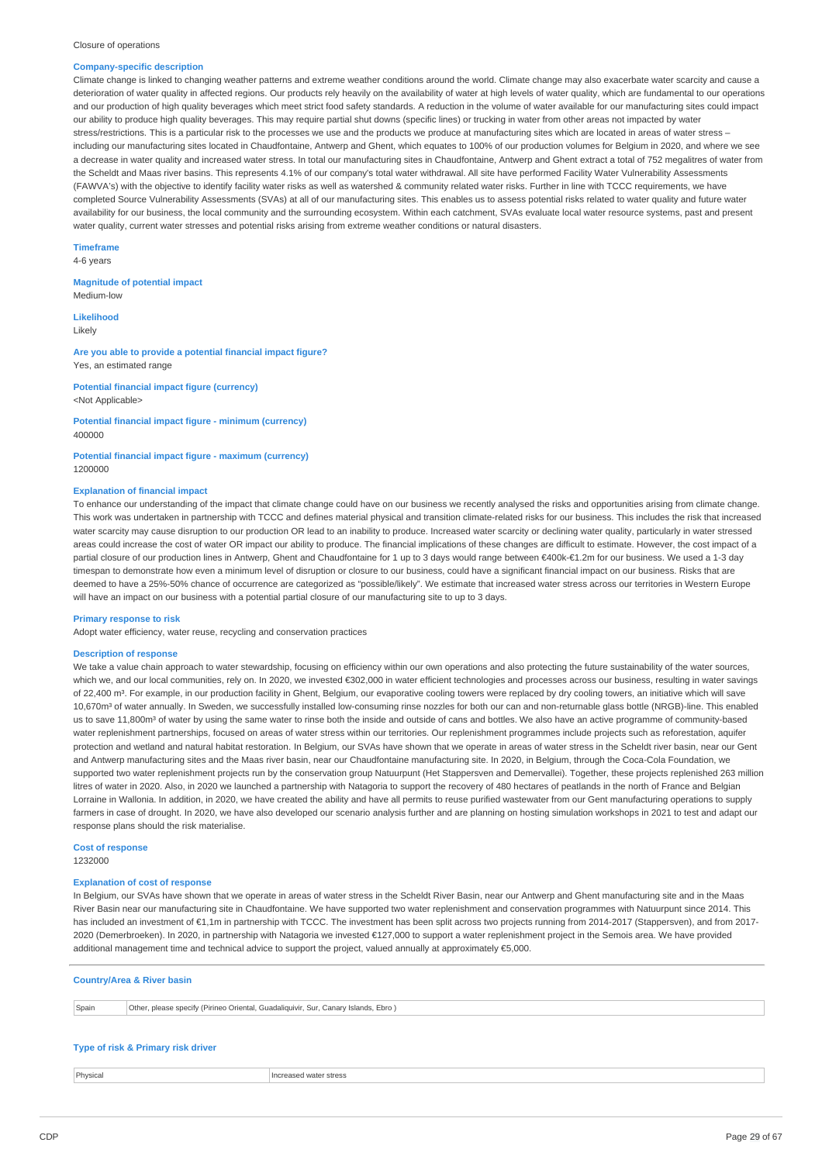#### Closure of operations

#### **Company-specific description**

Climate change is linked to changing weather patterns and extreme weather conditions around the world. Climate change may also exacerbate water scarcity and cause a deterioration of water quality in affected regions. Our products rely heavily on the availability of water at high levels of water quality, which are fundamental to our operations and our production of high quality beverages which meet strict food safety standards. A reduction in the volume of water available for our manufacturing sites could impact our ability to produce high quality beverages. This may require partial shut downs (specific lines) or trucking in water from other areas not impacted by water stress/restrictions. This is a particular risk to the processes we use and the products we produce at manufacturing sites which are located in areas of water stress – including our manufacturing sites located in Chaudfontaine, Antwerp and Ghent, which equates to 100% of our production volumes for Belgium in 2020, and where we see a decrease in water quality and increased water stress. In total our manufacturing sites in Chaudfontaine, Antwerp and Ghent extract a total of 752 megalitres of water from the Scheldt and Maas river basins. This represents 4.1% of our company's total water withdrawal. All site have performed Facility Water Vulnerability Assessments (FAWVA's) with the objective to identify facility water risks as well as watershed & community related water risks. Further in line with TCCC requirements, we have completed Source Vulnerability Assessments (SVAs) at all of our manufacturing sites. This enables us to assess potential risks related to water quality and future water availability for our business, the local community and the surrounding ecosystem. Within each catchment, SVAs evaluate local water resource systems, past and present water quality, current water stresses and potential risks arising from extreme weather conditions or natural disasters.

**Timeframe** 4-6 years

### **Magnitude of potential impact**

Medium-low

**Likelihood** Likely

#### **Are you able to provide a potential financial impact figure?** Yes, an estimated range

### **Potential financial impact figure (currency)** <Not Applicable>

#### **Potential financial impact figure - minimum (currency)** 400000

#### **Potential financial impact figure - maximum (currency)** 1200000

### **Explanation of financial impact**

To enhance our understanding of the impact that climate change could have on our business we recently analysed the risks and opportunities arising from climate change. This work was undertaken in partnership with TCCC and defines material physical and transition climate-related risks for our business. This includes the risk that increased water scarcity may cause disruption to our production OR lead to an inability to produce. Increased water scarcity or declining water quality, particularly in water stressed areas could increase the cost of water OR impact our ability to produce. The financial implications of these changes are difficult to estimate. However, the cost impact of a partial closure of our production lines in Antwerp, Ghent and Chaudfontaine for 1 up to 3 days would range between €400k-€1.2m for our business. We used a 1-3 day timespan to demonstrate how even a minimum level of disruption or closure to our business, could have a significant financial impact on our business. Risks that are deemed to have a 25%-50% chance of occurrence are categorized as "possible/likely". We estimate that increased water stress across our territories in Western Europe will have an impact on our business with a potential partial closure of our manufacturing site to up to 3 days.

#### **Primary response to risk**

Adopt water efficiency, water reuse, recycling and conservation practices

#### **Description of response**

We take a value chain approach to water stewardship, focusing on efficiency within our own operations and also protecting the future sustainability of the water sources, which we, and our local communities, rely on. In 2020, we invested €302,000 in water efficient technologies and processes across our business, resulting in water sayings of 22,400 m<sup>3</sup>. For example, in our production facility in Ghent, Belgium, our evaporative cooling towers were replaced by dry cooling towers, an initiative which will save 10,670m³ of water annually. In Sweden, we successfully installed low-consuming rinse nozzles for both our can and non-returnable glass bottle (NRGB)-line. This enabled us to save 11,800m<sup>3</sup> of water by using the same water to rinse both the inside and outside of cans and bottles. We also have an active programme of community-based water replenishment partnerships, focused on areas of water stress within our territories. Our replenishment programmes include projects such as reforestation, aquifer protection and wetland and natural habitat restoration. In Belgium, our SVAs have shown that we operate in areas of water stress in the Scheldt river basin, near our Gent and Antwerp manufacturing sites and the Maas river basin, near our Chaudfontaine manufacturing site. In 2020, in Belgium, through the Coca-Cola Foundation, we supported two water replenishment projects run by the conservation group Natuurpunt (Het Stappersven and Demervallei). Together, these projects replenished 263 million litres of water in 2020. Also, in 2020 we launched a partnership with Natagoria to support the recovery of 480 hectares of peatlands in the north of France and Belgian Lorraine in Wallonia. In addition, in 2020, we have created the ability and have all permits to reuse purified wastewater from our Gent manufacturing operations to supply farmers in case of drought. In 2020, we have also developed our scenario analysis further and are planning on hosting simulation workshops in 2021 to test and adapt our response plans should the risk materialise.

### **Cost of response**

1232000

### **Explanation of cost of response**

In Belgium, our SVAs have shown that we operate in areas of water stress in the Scheldt River Basin, near our Antwerp and Ghent manufacturing site and in the Maas River Basin near our manufacturing site in Chaudfontaine. We have supported two water replenishment and conservation programmes with Natuurpunt since 2014. This has included an investment of €1,1m in partnership with TCCC. The investment has been split across two projects running from 2014-2017 (Stappersven), and from 2017- 2020 (Demerbroeken). In 2020, in partnership with Natagoria we invested €127,000 to support a water replenishment project in the Semois area. We have provided additional management time and technical advice to support the project, valued annually at approximately €5,000.

### **Country/Area & River basin**

| Spain | Othe<br>Ebro<br>Sur. C<br>Islands<br>. Guadaliquivir.<br>, Canarv<br>please specify (Pirineo Oriental, |
|-------|--------------------------------------------------------------------------------------------------------|
|       |                                                                                                        |

### **Type of risk & Primary risk driver**

**Physical Increased water stress**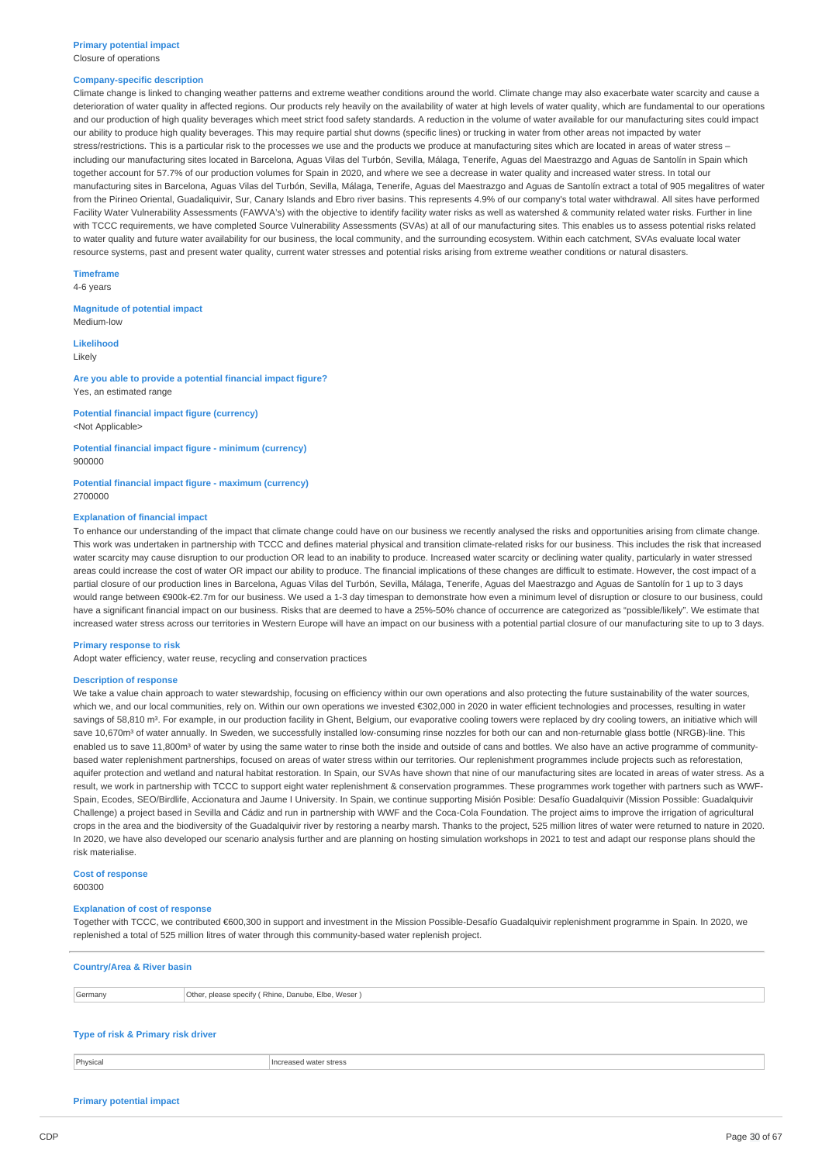#### **Company-specific description**

Climate change is linked to changing weather patterns and extreme weather conditions around the world. Climate change may also exacerbate water scarcity and cause a deterioration of water quality in affected regions. Our products rely heavily on the availability of water at high levels of water quality, which are fundamental to our operations and our production of high quality beverages which meet strict food safety standards. A reduction in the volume of water available for our manufacturing sites could impact our ability to produce high quality beverages. This may require partial shut downs (specific lines) or trucking in water from other areas not impacted by water stress/restrictions. This is a particular risk to the processes we use and the products we produce at manufacturing sites which are located in areas of water stress including our manufacturing sites located in Barcelona, Aguas Vilas del Turbón, Sevilla, Málaga, Tenerife, Aguas del Maestrazgo and Aguas de Santolín in Spain which together account for 57.7% of our production volumes for Spain in 2020, and where we see a decrease in water quality and increased water stress. In total our manufacturing sites in Barcelona, Aguas Vilas del Turbón, Sevilla, Málaga, Tenerife, Aguas del Maestrazgo and Aguas de Santolín extract a total of 905 megalitres of water from the Pirineo Oriental, Guadaliquivir, Sur, Canary Islands and Ebro river basins. This represents 4.9% of our company's total water withdrawal. All sites have performed Facility Water Vulnerability Assessments (FAWVA's) with the objective to identify facility water risks as well as watershed & community related water risks. Further in line with TCCC requirements, we have completed Source Vulnerability Assessments (SVAs) at all of our manufacturing sites. This enables us to assess potential risks related to water quality and future water availability for our business, the local community, and the surrounding ecosystem. Within each catchment, SVAs evaluate local water resource systems, past and present water quality, current water stresses and potential risks arising from extreme weather conditions or natural disasters.

**Timeframe**

4-6 years

**Magnitude of potential impact** Medium-low

**Likelihood** Likely

**Are you able to provide a potential financial impact figure?** Yes, an estimated range

**Potential financial impact figure (currency)** <Not Applicable>

**Potential financial impact figure - minimum (currency)** 900000

**Potential financial impact figure - maximum (currency)** 2700000

#### **Explanation of financial impact**

To enhance our understanding of the impact that climate change could have on our business we recently analysed the risks and opportunities arising from climate change. This work was undertaken in partnership with TCCC and defines material physical and transition climate-related risks for our business. This includes the risk that increased water scarcity may cause disruption to our production OR lead to an inability to produce. Increased water scarcity or declining water quality, particularly in water stressed areas could increase the cost of water OR impact our ability to produce. The financial implications of these changes are difficult to estimate. However, the cost impact of a partial closure of our production lines in Barcelona, Aguas Vilas del Turbón, Sevilla, Málaga, Tenerife, Aguas del Maestrazgo and Aguas de Santolín for 1 up to 3 days would range between €900k-€2.7m for our business. We used a 1-3 day timespan to demonstrate how even a minimum level of disruption or closure to our business, could have a significant financial impact on our business. Risks that are deemed to have a 25%-50% chance of occurrence are categorized as "possible/likely". We estimate that increased water stress across our territories in Western Europe will have an impact on our business with a potential partial closure of our manufacturing site to up to 3 days.

#### **Primary response to risk**

Adopt water efficiency, water reuse, recycling and conservation practices

#### **Description of response**

We take a value chain approach to water stewardship, focusing on efficiency within our own operations and also protecting the future sustainability of the water sources, which we, and our local communities, rely on. Within our own operations we invested €302,000 in 2020 in water efficient technologies and processes, resulting in water savings of 58,810 m<sup>3</sup>. For example, in our production facility in Ghent, Belgium, our evaporative cooling towers were replaced by dry cooling towers, an initiative which will save 10,670m<sup>3</sup> of water annually. In Sweden, we successfully installed low-consuming rinse nozzles for both our can and non-returnable glass bottle (NRGB)-line. This enabled us to save 11,800m<sup>3</sup> of water by using the same water to rinse both the inside and outside of cans and bottles. We also have an active programme of communitybased water replenishment partnerships, focused on areas of water stress within our territories. Our replenishment programmes include projects such as reforestation, aquifer protection and wetland and natural habitat restoration. In Spain, our SVAs have shown that nine of our manufacturing sites are located in areas of water stress. As a result, we work in partnership with TCCC to support eight water replenishment & conservation programmes. These programmes work together with partners such as WWF-Spain, Ecodes, SEO/Birdlife, Accionatura and Jaume I University. In Spain, we continue supporting Misión Posible: Desafío Guadalquivir (Mission Possible: Guadalquivir Challenge) a project based in Sevilla and Cádiz and run in partnership with WWF and the Coca-Cola Foundation. The project aims to improve the irrigation of agricultural crops in the area and the biodiversity of the Guadalquivir river by restoring a nearby marsh. Thanks to the project, 525 million litres of water were returned to nature in 2020. In 2020, we have also developed our scenario analysis further and are planning on hosting simulation workshops in 2021 to test and adapt our response plans should the risk materialise.

**Cost of response**

600300

#### **Explanation of cost of response**

Together with TCCC, we contributed €600,300 in support and investment in the Mission Possible-Desafío Guadalquivir replenishment programme in Spain. In 2020, we replenished a total of 525 million litres of water through this community-based water replenish project.

#### **Country/Area & River basin**

Germany Other, please specify ( Rhine, Danube, Elbe, Weser )

### **Type of risk & Primary risk driver**

**Physical Increased water stress** 

### **Primary potential impact**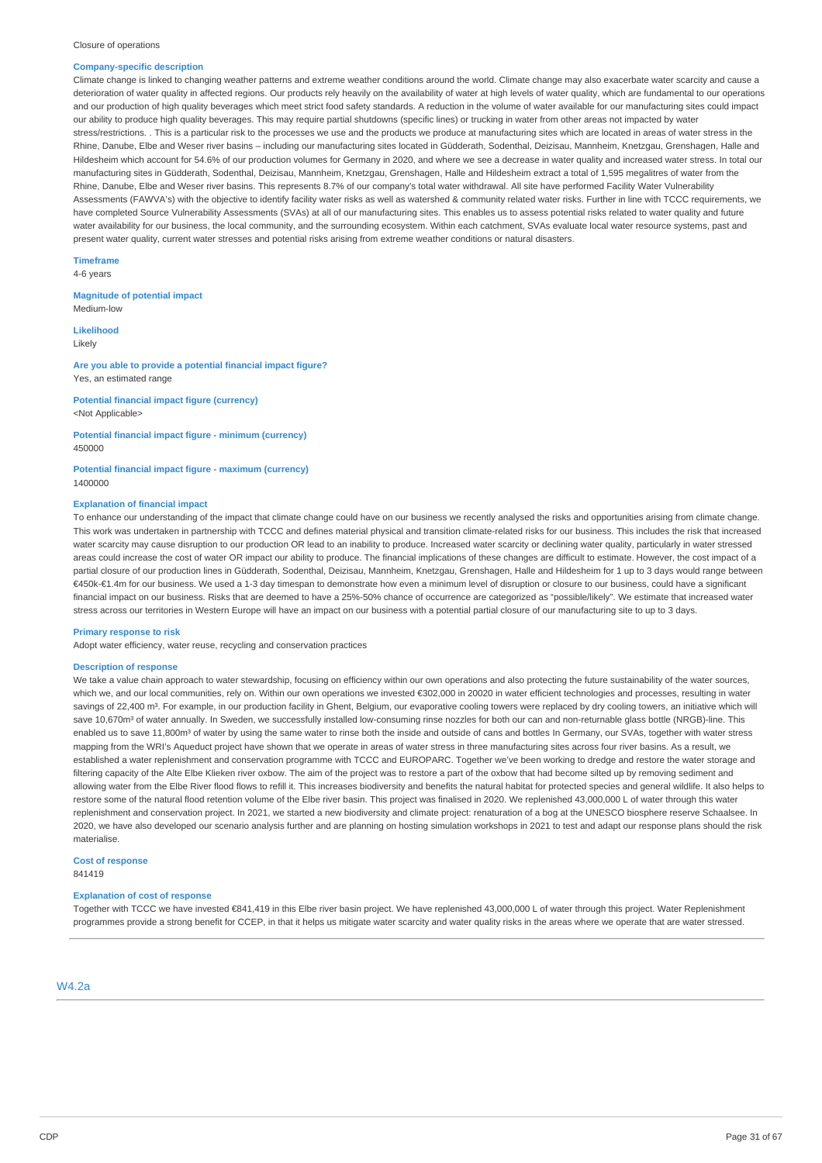#### Closure of operations

#### **Company-specific description**

Climate change is linked to changing weather patterns and extreme weather conditions around the world. Climate change may also exacerbate water scarcity and cause a deterioration of water quality in affected regions. Our products rely heavily on the availability of water at high levels of water quality, which are fundamental to our operations and our production of high quality beverages which meet strict food safety standards. A reduction in the volume of water available for our manufacturing sites could impact our ability to produce high quality beverages. This may require partial shutdowns (specific lines) or trucking in water from other areas not impacted by water stress/restrictions. This is a particular risk to the processes we use and the products we produce at manufacturing sites which are located in areas of water stress in the Rhine, Danube, Elbe and Weser river basins – including our manufacturing sites located in Güdderath, Sodenthal, Deizisau, Mannheim, Knetzgau, Grenshagen, Halle and Hildesheim which account for 54.6% of our production volumes for Germany in 2020, and where we see a decrease in water quality and increased water stress. In total our manufacturing sites in Güdderath, Sodenthal, Deizisau, Mannheim, Knetzgau, Grenshagen, Halle and Hildesheim extract a total of 1,595 megalitres of water from the Rhine, Danube, Elbe and Weser river basins. This represents 8.7% of our company's total water withdrawal. All site have performed Facility Water Vulnerability Assessments (FAWVA's) with the objective to identify facility water risks as well as watershed & community related water risks. Further in line with TCCC requirements, we have completed Source Vulnerability Assessments (SVAs) at all of our manufacturing sites. This enables us to assess potential risks related to water quality and future water availability for our business, the local community, and the surrounding ecosystem. Within each catchment, SVAs evaluate local water resource systems, past and present water quality, current water stresses and potential risks arising from extreme weather conditions or natural disasters.

#### **Timeframe**

4-6 years

**Magnitude of potential impact** Medium-low

### **Likelihood**

Likely

**Are you able to provide a potential financial impact figure?** Yes, an estimated range

**Potential financial impact figure (currency)** <Not Applicable>

**Potential financial impact figure - minimum (currency)** 450000

**Potential financial impact figure - maximum (currency)** 1400000

#### **Explanation of financial impact**

To enhance our understanding of the impact that climate change could have on our business we recently analysed the risks and opportunities arising from climate change. This work was undertaken in partnership with TCCC and defines material physical and transition climate-related risks for our business. This includes the risk that increased water scarcity may cause disruption to our production OR lead to an inability to produce. Increased water scarcity or declining water quality, particularly in water stressed areas could increase the cost of water OR impact our ability to produce. The financial implications of these changes are difficult to estimate. However, the cost impact of a partial closure of our production lines in Güdderath, Sodenthal, Deizisau, Mannheim, Knetzgau, Grenshagen, Halle and Hildesheim for 1 up to 3 days would range between €450k-€1.4m for our business. We used a 1-3 day timespan to demonstrate how even a minimum level of disruption or closure to our business, could have a significant financial impact on our business. Risks that are deemed to have a 25%-50% chance of occurrence are categorized as "possible/likely". We estimate that increased water stress across our territories in Western Europe will have an impact on our business with a potential partial closure of our manufacturing site to up to 3 days.

### **Primary response to risk**

Adopt water efficiency, water reuse, recycling and conservation practices

#### **Description of response**

We take a value chain approach to water stewardship, focusing on efficiency within our own operations and also protecting the future sustainability of the water sources, which we, and our local communities, rely on. Within our own operations we invested €302,000 in 20020 in water efficient technologies and processes, resulting in water savings of 22.400 m<sup>3</sup>. For example, in our production facility in Ghent, Belgium, our evaporative cooling towers were replaced by dry cooling towers, an initiative which will save 10,670m<sup>3</sup> of water annually. In Sweden, we successfully installed low-consuming rinse nozzles for both our can and non-returnable glass bottle (NRGB)-line. This enabled us to save 11,800m<sup>3</sup> of water by using the same water to rinse both the inside and outside of cans and bottles In Germany, our SVAs, together with water stress mapping from the WRI's Aqueduct project have shown that we operate in areas of water stress in three manufacturing sites across four river basins. As a result, we established a water replenishment and conservation programme with TCCC and EUROPARC. Together we've been working to dredge and restore the water storage and filtering capacity of the Alte Elbe Klieken river oxbow. The aim of the project was to restore a part of the oxbow that had become silted up by removing sediment and allowing water from the Elbe River flood flows to refill it. This increases biodiversity and benefits the natural habitat for protected species and general wildlife. It also helps to restore some of the natural flood retention volume of the Elbe river basin. This project was finalised in 2020. We replenished 43,000,000 L of water through this water replenishment and conservation project. In 2021, we started a new biodiversity and climate project: renaturation of a bog at the UNESCO biosphere reserve Schaalsee. In 2020, we have also developed our scenario analysis further and are planning on hosting simulation workshops in 2021 to test and adapt our response plans should the risk materialise.

**Cost of response** 841419

#### **Explanation of cost of response**

Together with TCCC we have invested €841,419 in this Elbe river basin project. We have replenished 43,000,000 L of water through this project. Water Replenishment programmes provide a strong benefit for CCEP, in that it helps us mitigate water scarcity and water quality risks in the areas where we operate that are water stressed.

### W4.2a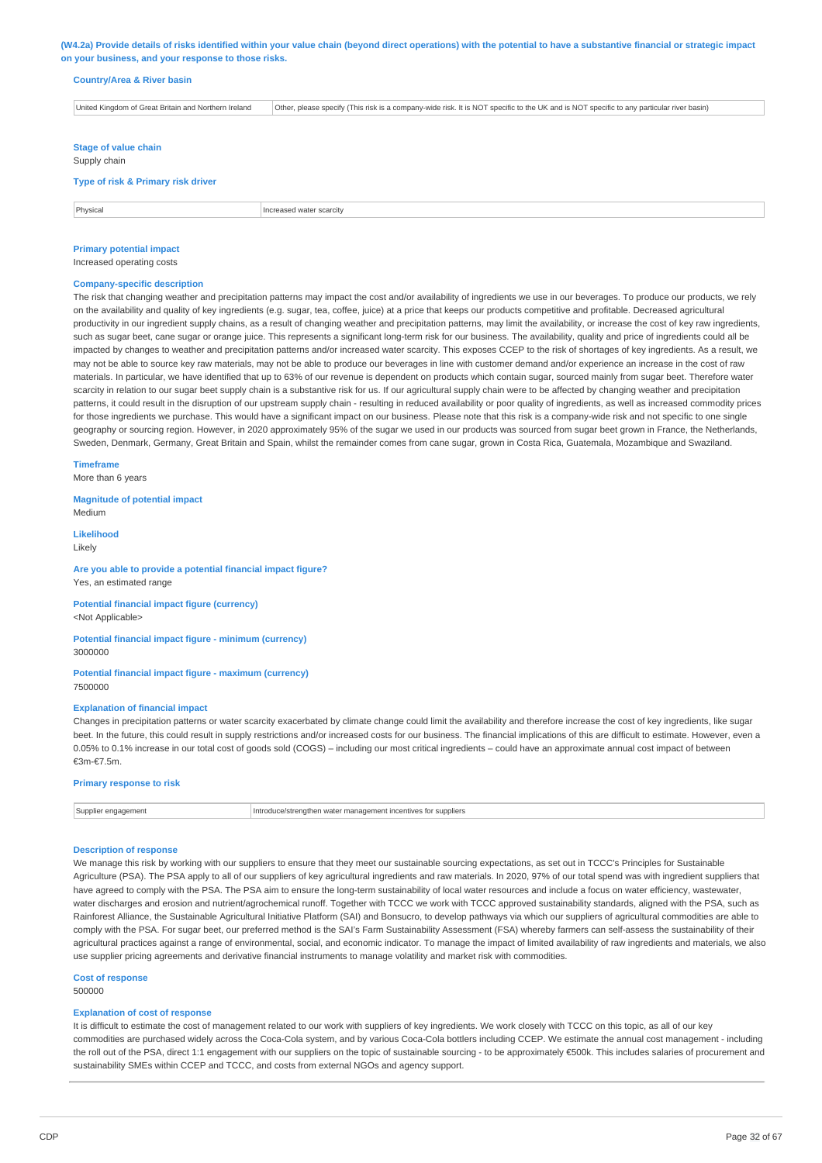(W4.2a) Provide details of risks identified within your value chain (beyond direct operations) with the potential to have a substantive financial or strategic impact **on your business, and your response to those risks.**

### **Country/Area & River basin**

United Kingdom of Great Britain and Northern Ireland Other, please specify (This risk is a company-wide risk. It is NOT specific to the UK and is NOT specific to any particular river basin) **Stage of value chain** Supply chain **Type of risk & Primary risk driver Physical** Increased water scarcity

### **Primary potential impact**

Increased operating costs

### **Company-specific description**

The risk that changing weather and precipitation patterns may impact the cost and/or availability of ingredients we use in our beverages. To produce our products, we rely on the availability and quality of key ingredients (e.g. sugar, tea, coffee, juice) at a price that keeps our products competitive and profitable. Decreased agricultural productivity in our ingredient supply chains, as a result of changing weather and precipitation patterns, may limit the availability, or increase the cost of key raw ingredients, such as sugar beet, cane sugar or orange juice. This represents a significant long-term risk for our business. The availability, quality and price of ingredients could all be impacted by changes to weather and precipitation patterns and/or increased water scarcity. This exposes CCEP to the risk of shortages of key ingredients. As a result, we may not be able to source key raw materials, may not be able to produce our beverages in line with customer demand and/or experience an increase in the cost of raw materials. In particular, we have identified that up to 63% of our revenue is dependent on products which contain sugar, sourced mainly from sugar beet. Therefore water scarcity in relation to our sugar beet supply chain is a substantive risk for us. If our agricultural supply chain were to be affected by changing weather and precipitation patterns, it could result in the disruption of our upstream supply chain - resulting in reduced availability or poor quality of ingredients, as well as increased commodity prices for those ingredients we purchase. This would have a significant impact on our business. Please note that this risk is a company-wide risk and not specific to one single geography or sourcing region. However, in 2020 approximately 95% of the sugar we used in our products was sourced from sugar beet grown in France, the Netherlands, Sweden, Denmark, Germany, Great Britain and Spain, whilst the remainder comes from cane sugar, grown in Costa Rica, Guatemala, Mozambique and Swaziland.

**Timeframe**

More than 6 years

**Magnitude of potential impact** Medium

**Likelihood** Likely

#### **Are you able to provide a potential financial impact figure?** Yes, an estimated range

**Potential financial impact figure (currency)** <Not Applicable>

### **Potential financial impact figure - minimum (currency)** 3000000

#### **Potential financial impact figure - maximum (currency)** 7500000

#### **Explanation of financial impact**

Changes in precipitation patterns or water scarcity exacerbated by climate change could limit the availability and therefore increase the cost of key ingredients, like sugar beet. In the future, this could result in supply restrictions and/or increased costs for our business. The financial implications of this are difficult to estimate. However, even a 0.05% to 0.1% increase in our total cost of goods sold (COGS) – including our most critical ingredients – could have an approximate annual cost impact of between €3m-€7.5m.

### **Primary response to risk**

| Sunne | uppliers<br>* mana∩⊾<br>ien watei<br>.emples.com<br>. |
|-------|-------------------------------------------------------|
|       |                                                       |

#### **Description of response**

We manage this risk by working with our suppliers to ensure that they meet our sustainable sourcing expectations, as set out in TCCC's Principles for Sustainable Agriculture (PSA). The PSA apply to all of our suppliers of key agricultural ingredients and raw materials. In 2020, 97% of our total spend was with ingredient suppliers that have agreed to comply with the PSA. The PSA aim to ensure the long-term sustainability of local water resources and include a focus on water efficiency, wastewater, water discharges and erosion and nutrient/agrochemical runoff. Together with TCCC we work with TCCC approved sustainability standards, aligned with the PSA, such as Rainforest Alliance, the Sustainable Agricultural Initiative Platform (SAI) and Bonsucro, to develop pathways via which our suppliers of agricultural commodities are able to comply with the PSA. For sugar beet, our preferred method is the SAI's Farm Sustainability Assessment (FSA) whereby farmers can self-assess the sustainability of their agricultural practices against a range of environmental, social, and economic indicator. To manage the impact of limited availability of raw ingredients and materials, we also use supplier pricing agreements and derivative financial instruments to manage volatility and market risk with commodities.

### **Cost of response**

500000

#### **Explanation of cost of response**

It is difficult to estimate the cost of management related to our work with suppliers of key ingredients. We work closely with TCCC on this topic, as all of our key commodities are purchased widely across the Coca-Cola system, and by various Coca-Cola bottlers including CCEP. We estimate the annual cost management - including the roll out of the PSA, direct 1:1 engagement with our suppliers on the topic of sustainable sourcing - to be approximately €500k. This includes salaries of procurement and sustainability SMEs within CCEP and TCCC, and costs from external NGOs and agency support.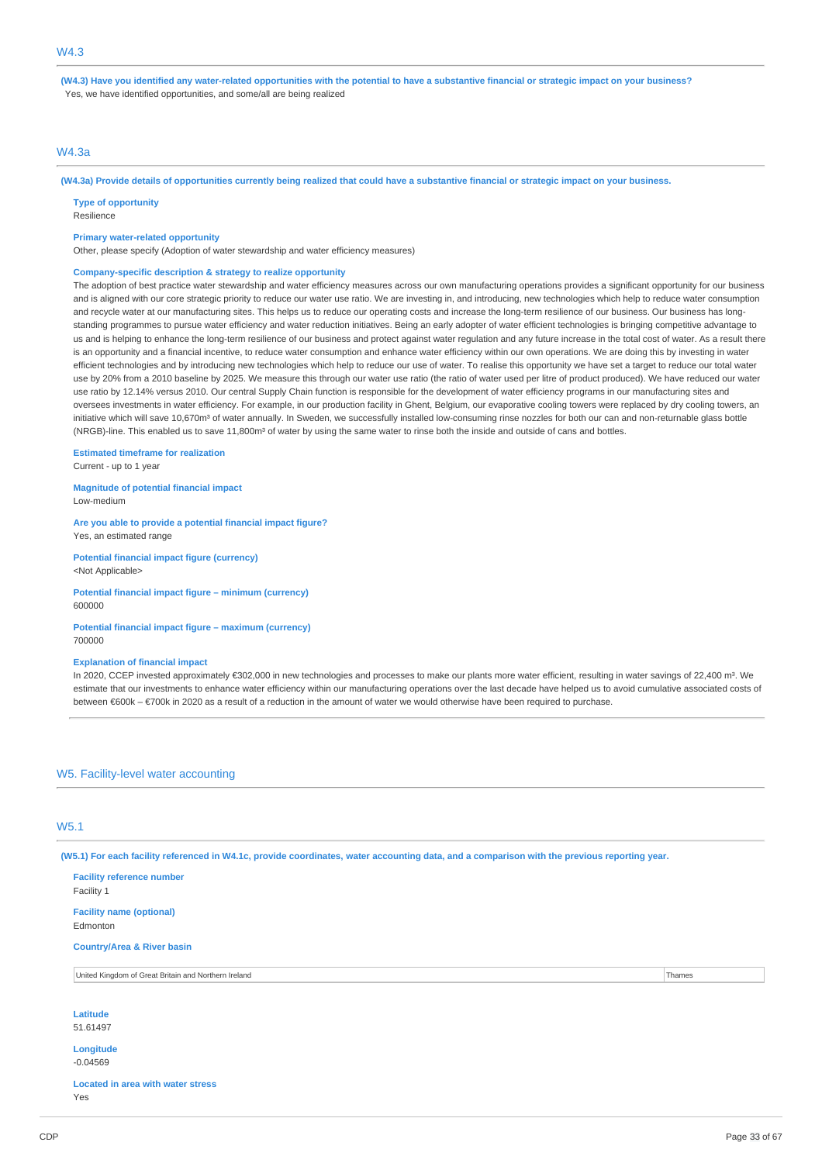(W4.3) Have you identified any water-related opportunities with the potential to have a substantive financial or strategic impact on your business? Yes, we have identified opportunities, and some/all are being realized

### W4.3a

(W4.3a) Provide details of opportunities currently being realized that could have a substantive financial or strategic impact on your business.

**Type of opportunity**

Resilience

#### **Primary water-related opportunity**

Other, please specify (Adoption of water stewardship and water efficiency measures)

#### **Company-specific description & strategy to realize opportunity**

The adoption of best practice water stewardship and water efficiency measures across our own manufacturing operations provides a significant opportunity for our business and is aligned with our core strategic priority to reduce our water use ratio. We are investing in, and introducing, new technologies which help to reduce water consumption and recycle water at our manufacturing sites. This helps us to reduce our operating costs and increase the long-term resilience of our business. Our business has longstanding programmes to pursue water efficiency and water reduction initiatives. Being an early adopter of water efficient technologies is bringing competitive advantage to us and is helping to enhance the long-term resilience of our business and protect against water regulation and any future increase in the total cost of water. As a result there is an opportunity and a financial incentive, to reduce water consumption and enhance water efficiency within our own operations. We are doing this by investing in water efficient technologies and by introducing new technologies which help to reduce our use of water. To realise this opportunity we have set a target to reduce our total water use by 20% from a 2010 baseline by 2025. We measure this through our water use ratio (the ratio of water used per litre of product produced). We have reduced our water use ratio by 12.14% versus 2010. Our central Supply Chain function is responsible for the development of water efficiency programs in our manufacturing sites and oversees investments in water efficiency. For example, in our production facility in Ghent, Belgium, our evaporative cooling towers were replaced by dry cooling towers, an initiative which will save 10,670m<sup>3</sup> of water annually. In Sweden, we successfully installed low-consuming rinse nozzles for both our can and non-returnable glass bottle (NRGB)-line. This enabled us to save 11,800m<sup>3</sup> of water by using the same water to rinse both the inside and outside of cans and bottles.

#### **Estimated timeframe for realization**

Current - up to 1 year

**Magnitude of potential financial impact** Low-medium

**Are you able to provide a potential financial impact figure?** Yes, an estimated range

**Potential financial impact figure (currency)** <Not Applicable>

**Potential financial impact figure – minimum (currency)** 600000

**Potential financial impact figure – maximum (currency)** 700000

#### **Explanation of financial impact**

In 2020, CCEP invested approximately €302,000 in new technologies and processes to make our plants more water efficient, resulting in water savings of 22,400 m<sup>3</sup>. We estimate that our investments to enhance water efficiency within our manufacturing operations over the last decade have helped us to avoid cumulative associated costs of between €600k – €700k in 2020 as a result of a reduction in the amount of water we would otherwise have been required to purchase.

### W5. Facility-level water accounting

### W5.1

(W5.1) For each facility referenced in W4.1c, provide coordinates, water accounting data, and a comparison with the previous reporting year.

| <b>Facility reference number</b><br>Facility 1       |        |
|------------------------------------------------------|--------|
| <b>Facility name (optional)</b><br>Edmonton          |        |
| <b>Country/Area &amp; River basin</b>                |        |
| United Kingdom of Great Britain and Northern Ireland | Thames |
|                                                      |        |
| Latitude                                             |        |
| 51.61497                                             |        |
| Longitude<br>$-0.04569$                              |        |
| <b>Located in area with water stress</b>             |        |

Yes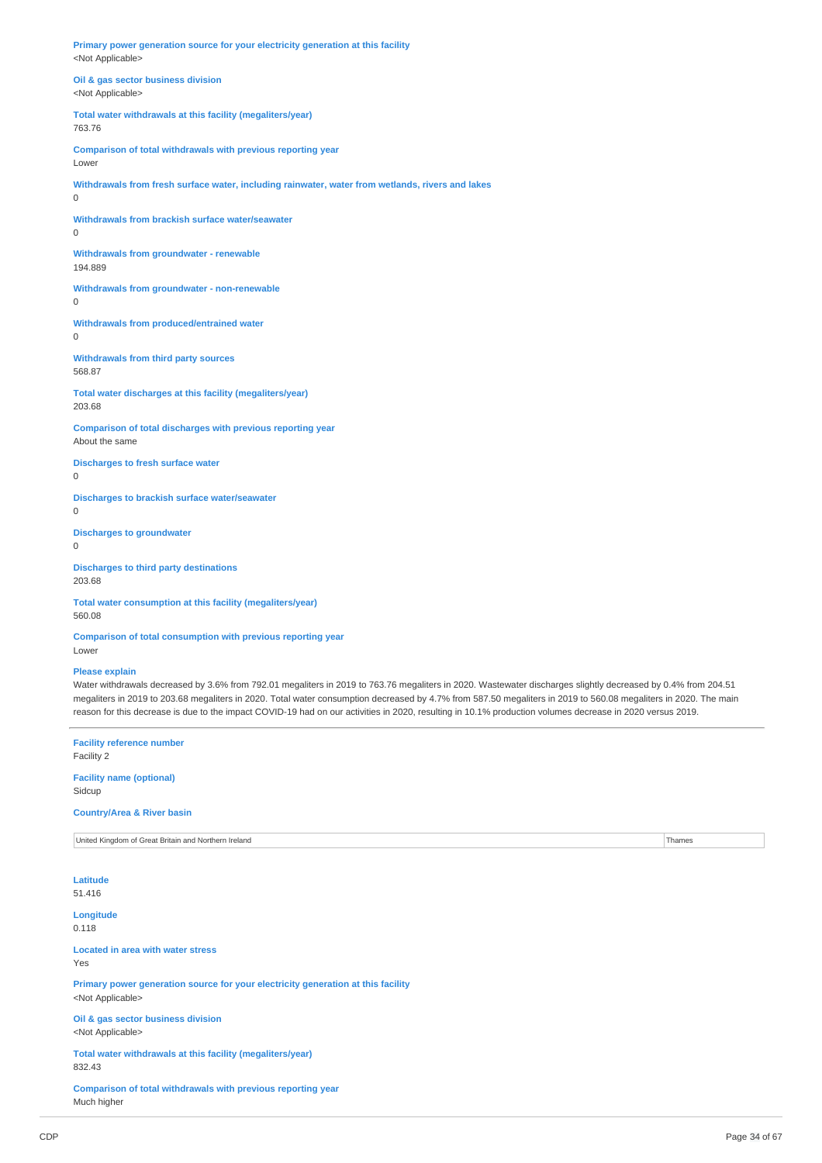**Primary power generation source for your electricity generation at this facility** <Not Applicable>

**Oil & gas sector business division** <Not Applicable>

**Total water withdrawals at this facility (megaliters/year)** 763.76

**Comparison of total withdrawals with previous reporting year** Lower

**Withdrawals from fresh surface water, including rainwater, water from wetlands, rivers and lakes**

**Withdrawals from brackish surface water/seawater**

0

 $\Omega$ 

0

**Withdrawals from groundwater - renewable** 194.889

**Withdrawals from groundwater - non-renewable**

**Withdrawals from produced/entrained water** 0

**Withdrawals from third party sources** 568.87

**Total water discharges at this facility (megaliters/year)** 203.68

**Comparison of total discharges with previous reporting year** About the same

**Discharges to fresh surface water**

0

**Discharges to brackish surface water/seawater** 0

**Discharges to groundwater**  $\theta$ 

**Discharges to third party destinations** 203.68

**Total water consumption at this facility (megaliters/year)** 560.08

**Comparison of total consumption with previous reporting year** Lower

### **Please explain**

Water withdrawals decreased by 3.6% from 792.01 megaliters in 2019 to 763.76 megaliters in 2020. Wastewater discharges slightly decreased by 0.4% from 204.51 megaliters in 2019 to 203.68 megaliters in 2020. Total water consumption decreased by 4.7% from 587.50 megaliters in 2019 to 560.08 megaliters in 2020. The main reason for this decrease is due to the impact COVID-19 had on our activities in 2020, resulting in 10.1% production volumes decrease in 2020 versus 2019.

**Facility reference number** Facility 2 **Facility name (optional)** Sidcup **Country/Area & River basin** United Kingdom of Great Britain and Northern Ireland Thames **Latitude** 51.416 **Longitude** 0.118 **Located in area with water stress** Yes **Primary power generation source for your electricity generation at this facility** <Not Applicable> **Oil & gas sector business division** <Not Applicable> **Total water withdrawals at this facility (megaliters/year)** 832.43 **Comparison of total withdrawals with previous reporting year** Much higher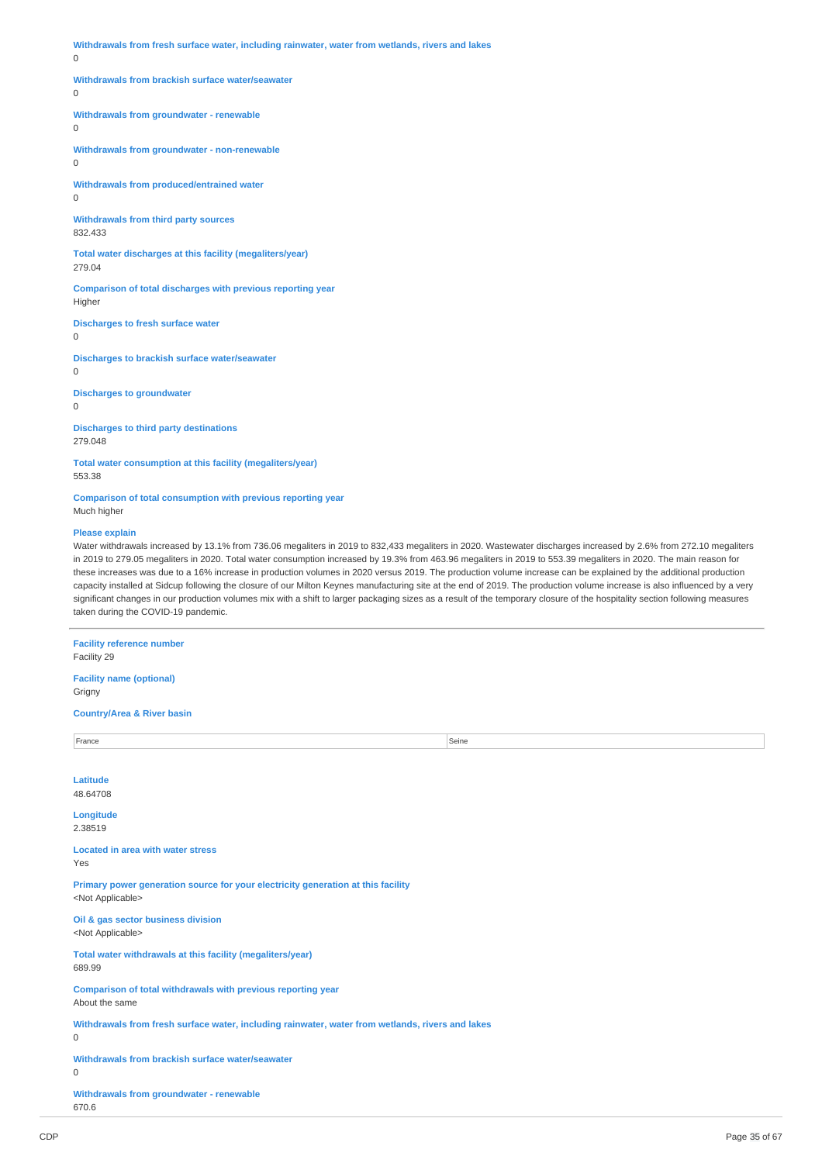**Withdrawals from fresh surface water, including rainwater, water from wetlands, rivers and lakes**

### $\Omega$

#### **Withdrawals from brackish surface water/seawater**

 $\theta$ 

### **Withdrawals from groundwater - renewable**

 $\overline{0}$ 

**Withdrawals from groundwater - non-renewable**  $\Omega$ 

**Withdrawals from produced/entrained water**

0

**Withdrawals from third party sources** 832.433

**Total water discharges at this facility (megaliters/year)** 279.04

**Comparison of total discharges with previous reporting year** Higher

**Discharges to fresh surface water**

0

**Discharges to brackish surface water/seawater**

 $\theta$ 

**Discharges to groundwater**

 $\theta$ 

**Discharges to third party destinations** 279.048

**Total water consumption at this facility (megaliters/year)** 553.38

**Comparison of total consumption with previous reporting year** Much higher

### **Please explain**

Water withdrawals increased by 13.1% from 736.06 megaliters in 2019 to 832,433 megaliters in 2020. Wastewater discharges increased by 2.6% from 272.10 megaliters in 2019 to 279.05 megaliters in 2020. Total water consumption increased by 19.3% from 463.96 megaliters in 2019 to 553.39 megaliters in 2020. The main reason for these increases was due to a 16% increase in production volumes in 2020 versus 2019. The production volume increase can be explained by the additional production capacity installed at Sidcup following the closure of our Milton Keynes manufacturing site at the end of 2019. The production volume increase is also influenced by a very significant changes in our production volumes mix with a shift to larger packaging sizes as a result of the temporary closure of the hospitality section following measures taken during the COVID-19 pandemic.

**Facility reference number** Facility 29 **Facility name (optional)** Grigny **Country/Area & River basin** France Seine Seine Seine Seine Seine Seine Seine Seine Seine Seine Seine Seine Seine Seine Seine Seine Seine S **Latitude** 48.64708 **Longitude** 2.38519 **Located in area with water stress** Yes **Primary power generation source for your electricity generation at this facility** <Not Applicable> **Oil & gas sector business division** <Not Applicable> **Total water withdrawals at this facility (megaliters/year)** 689.99 **Comparison of total withdrawals with previous reporting year** About the same **Withdrawals from fresh surface water, including rainwater, water from wetlands, rivers and lakes**  $\theta$ **Withdrawals from brackish surface water/seawater**  $\Omega$ **Withdrawals from groundwater - renewable**

670.6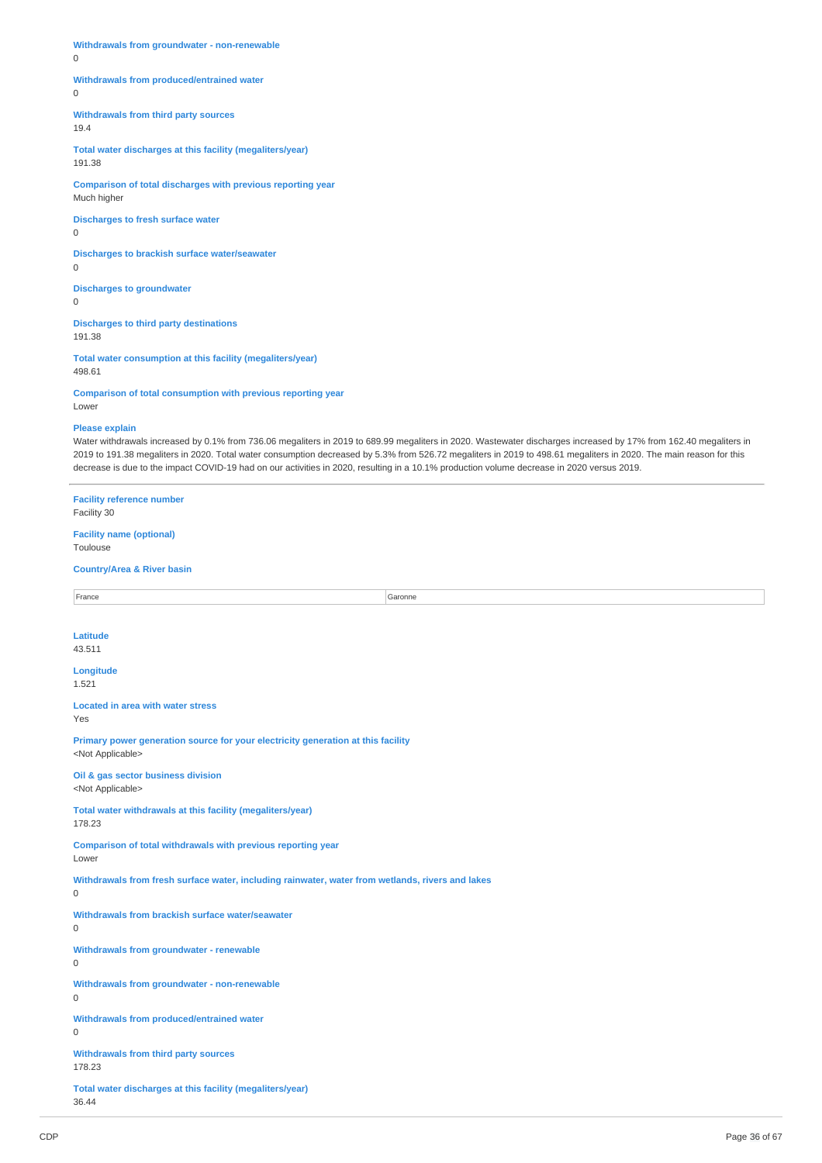**Withdrawals from groundwater - non-renewable**

0

### **Withdrawals from produced/entrained water**

 $\theta$ 

**Withdrawals from third party sources**

19.4

**Total water discharges at this facility (megaliters/year)** 191.38

**Comparison of total discharges with previous reporting year** Much higher

**Discharges to fresh surface water** 0

**Discharges to brackish surface water/seawater** 0

**Discharges to groundwater**  $\Omega$ 

**Discharges to third party destinations** 191.38

**Total water consumption at this facility (megaliters/year)** 498.61

**Comparison of total consumption with previous reporting year** Lower

#### **Please explain**

Water withdrawals increased by 0.1% from 736.06 megaliters in 2019 to 689.99 megaliters in 2020. Wastewater discharges increased by 17% from 162.40 megaliters in 2019 to 191.38 megaliters in 2020. Total water consumption decreased by 5.3% from 526.72 megaliters in 2019 to 498.61 megaliters in 2020. The main reason for this decrease is due to the impact COVID-19 had on our activities in 2020, resulting in a 10.1% production volume decrease in 2020 versus 2019.

**Facility reference number** Facility 30 **Facility name (optional)** Toulouse **Country/Area & River basin** France Garonne Garonne Garonne Garonne Garonne Garonne Garonne Garonne Garonne Garonne Garonne Garonne Garonne **Latitude** 43.511 **Longitude** 1.521 **Located in area with water stress** Yes **Primary power generation source for your electricity generation at this facility** <Not Applicable> **Oil & gas sector business division** <Not Applicable> **Total water withdrawals at this facility (megaliters/year)** 178.23 **Comparison of total withdrawals with previous reporting year** Lower **Withdrawals from fresh surface water, including rainwater, water from wetlands, rivers and lakes**  $\Omega$ **Withdrawals from brackish surface water/seawater**  $\Omega$ **Withdrawals from groundwater - renewable**  $\overline{0}$ **Withdrawals from groundwater - non-renewable**  $\Omega$ **Withdrawals from produced/entrained water**  $\overline{0}$ **Withdrawals from third party sources** 178.23 **Total water discharges at this facility (megaliters/year)** 36.44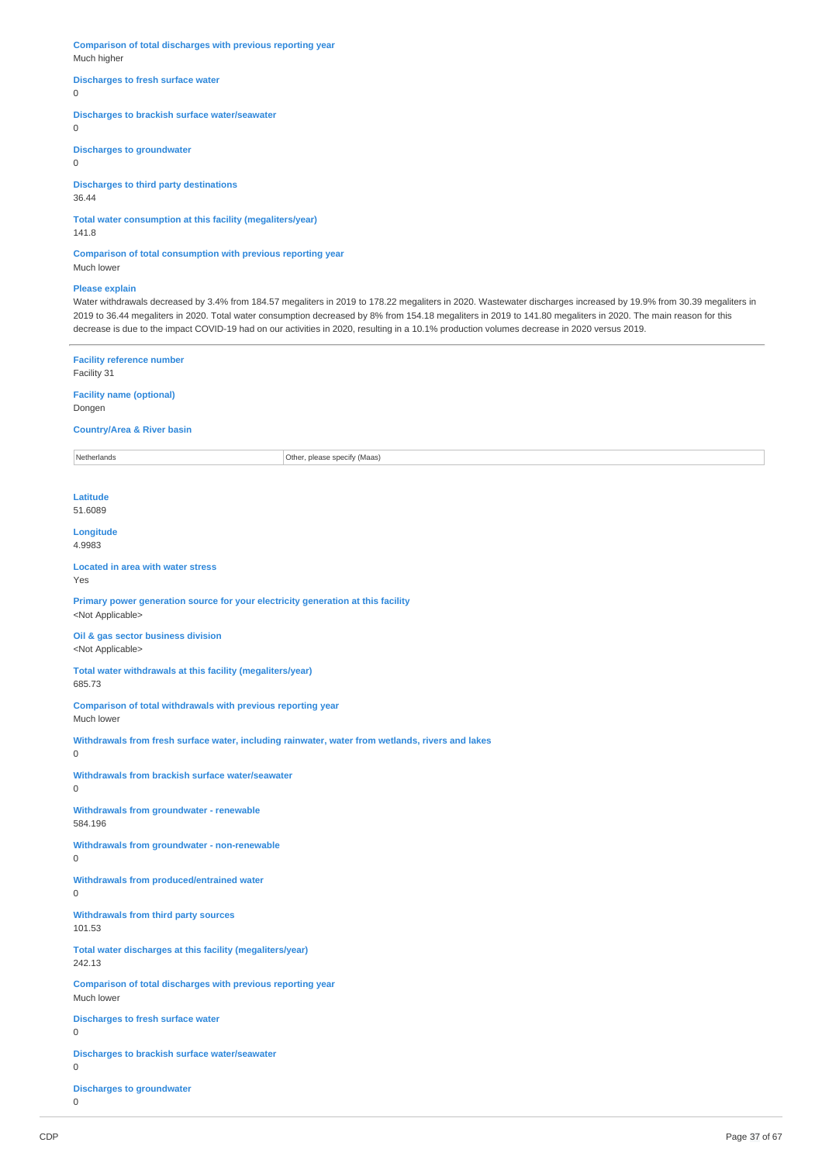**Comparison of total discharges with previous reporting year** Much higher

### **Discharges to fresh surface water**

 $\Omega$ 

### **Discharges to brackish surface water/seawater**

 $\overline{0}$ 

### **Discharges to groundwater**

0

### **Discharges to third party destinations**

36.44

# **Total water consumption at this facility (megaliters/year)**

141.8

### **Comparison of total consumption with previous reporting year** Much lower

### **Please explain**

Water withdrawals decreased by 3.4% from 184.57 megaliters in 2019 to 178.22 megaliters in 2020. Wastewater discharges increased by 19.9% from 30.39 megaliters in 2019 to 36.44 megaliters in 2020. Total water consumption decreased by 8% from 154.18 megaliters in 2019 to 141.80 megaliters in 2020. The main reason for this decrease is due to the impact COVID-19 had on our activities in 2020, resulting in a 10.1% production volumes decrease in 2020 versus 2019.

### **Facility reference number** Facility 31

**Facility name (optional)** Dongen

## **Country/Area & River basin**

Netherlands **Other, please specify (Maas)** 

**Latitude** 51.6089

**Longitude** 4.9983

#### **Located in area with water stress** Yes

**Primary power generation source for your electricity generation at this facility** <Not Applicable>

#### **Oil & gas sector business division** <Not Applicable>

**Total water withdrawals at this facility (megaliters/year)** 685.73

**Comparison of total withdrawals with previous reporting year** Much lower

**Withdrawals from fresh surface water, including rainwater, water from wetlands, rivers and lakes**  $\Omega$ 

**Withdrawals from brackish surface water/seawater**

# **Withdrawals from groundwater - renewable** 584.196

**Withdrawals from groundwater - non-renewable**

 $\Omega$ 

 $\Omega$ 

#### **Withdrawals from produced/entrained water**  $\Omega$

**Withdrawals from third party sources**

101.53

**Total water discharges at this facility (megaliters/year)** 242.13

**Comparison of total discharges with previous reporting year** Much lower

**Discharges to fresh surface water**

 $\overline{0}$ 

**Discharges to brackish surface water/seawater**  $\theta$ 

**Discharges to groundwater**

 $\overline{0}$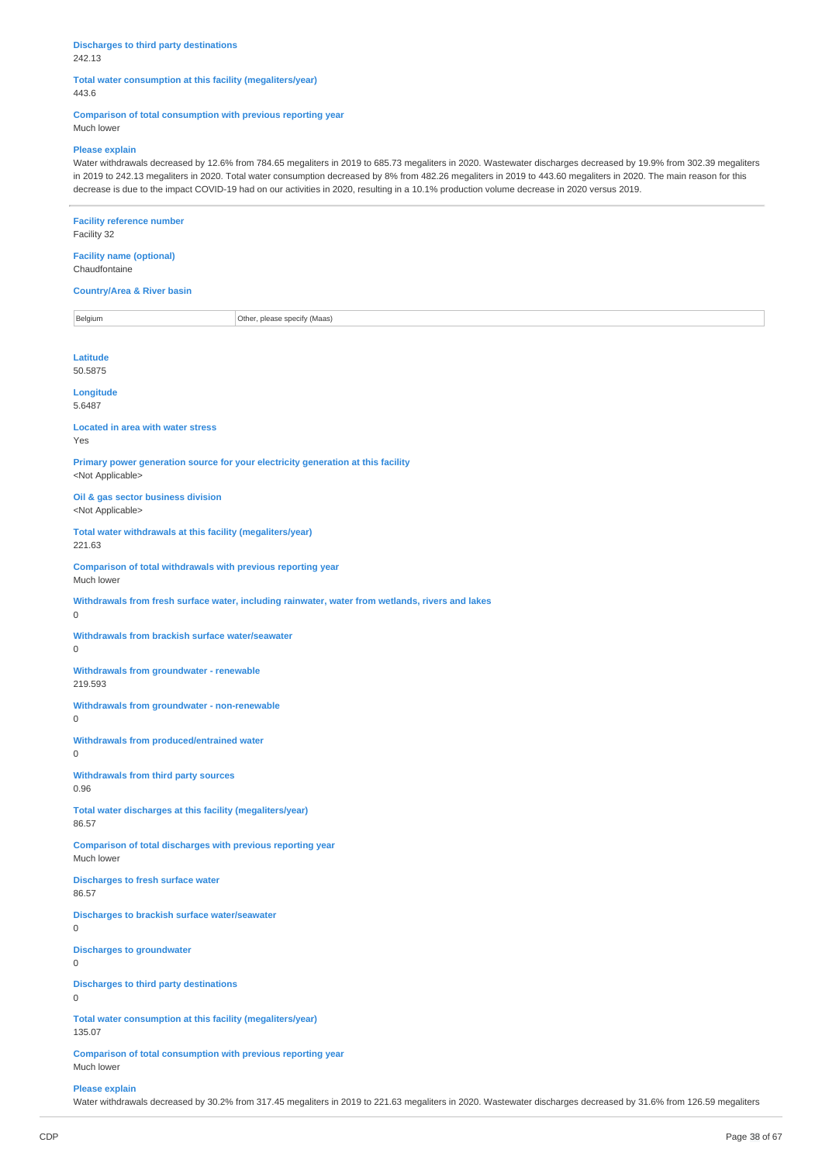### **Discharges to third party destinations** 242.13

### **Total water consumption at this facility (megaliters/year)** 443.6

**Comparison of total consumption with previous reporting year** Much lower

### **Please explain**

Water withdrawals decreased by 12.6% from 784.65 megaliters in 2019 to 685.73 megaliters in 2020. Wastewater discharges decreased by 19.9% from 302.39 megaliters in 2019 to 242.13 megaliters in 2020. Total water consumption decreased by 8% from 482.26 megaliters in 2019 to 443.60 megaliters in 2020. The main reason for this decrease is due to the impact COVID-19 had on our activities in 2020, resulting in a 10.1% production volume decrease in 2020 versus 2019.

| <b>Facility reference number</b><br>Facility 32                                                                 |  |  |  |
|-----------------------------------------------------------------------------------------------------------------|--|--|--|
| <b>Facility name (optional)</b><br>Chaudfontaine                                                                |  |  |  |
| <b>Country/Area &amp; River basin</b>                                                                           |  |  |  |
| Belgium<br>Other, please specify (Maas)                                                                         |  |  |  |
| Latitude<br>50.5875                                                                                             |  |  |  |
| Longitude<br>5.6487                                                                                             |  |  |  |
| <b>Located in area with water stress</b><br>Yes                                                                 |  |  |  |
| Primary power generation source for your electricity generation at this facility<br><not applicable=""></not>   |  |  |  |
| Oil & gas sector business division<br><not applicable=""></not>                                                 |  |  |  |
| Total water withdrawals at this facility (megaliters/year)<br>221.63                                            |  |  |  |
| Comparison of total withdrawals with previous reporting year<br>Much lower                                      |  |  |  |
| Withdrawals from fresh surface water, including rainwater, water from wetlands, rivers and lakes<br>$\mathsf 0$ |  |  |  |
| Withdrawals from brackish surface water/seawater<br>$\mathsf 0$                                                 |  |  |  |
| <b>Withdrawals from groundwater - renewable</b><br>219.593                                                      |  |  |  |
| Withdrawals from groundwater - non-renewable<br>$\mathsf 0$                                                     |  |  |  |
| Withdrawals from produced/entrained water<br>$\mathsf 0$                                                        |  |  |  |
| Withdrawals from third party sources<br>0.96                                                                    |  |  |  |
| Total water discharges at this facility (megaliters/year)<br>86.57                                              |  |  |  |
| Comparison of total discharges with previous reporting year<br>Much lower                                       |  |  |  |
| <b>Discharges to fresh surface water</b><br>86.57                                                               |  |  |  |
| Discharges to brackish surface water/seawater<br>0                                                              |  |  |  |
| <b>Discharges to groundwater</b><br>$\mathsf 0$                                                                 |  |  |  |
| <b>Discharges to third party destinations</b><br>$\mathsf 0$                                                    |  |  |  |
| Total water consumption at this facility (megaliters/year)<br>135.07                                            |  |  |  |
| Comparison of total consumption with previous reporting year<br>Much lower                                      |  |  |  |

### **Please explain**

Water withdrawals decreased by 30.2% from 317.45 megaliters in 2019 to 221.63 megaliters in 2020. Wastewater discharges decreased by 31.6% from 126.59 megaliters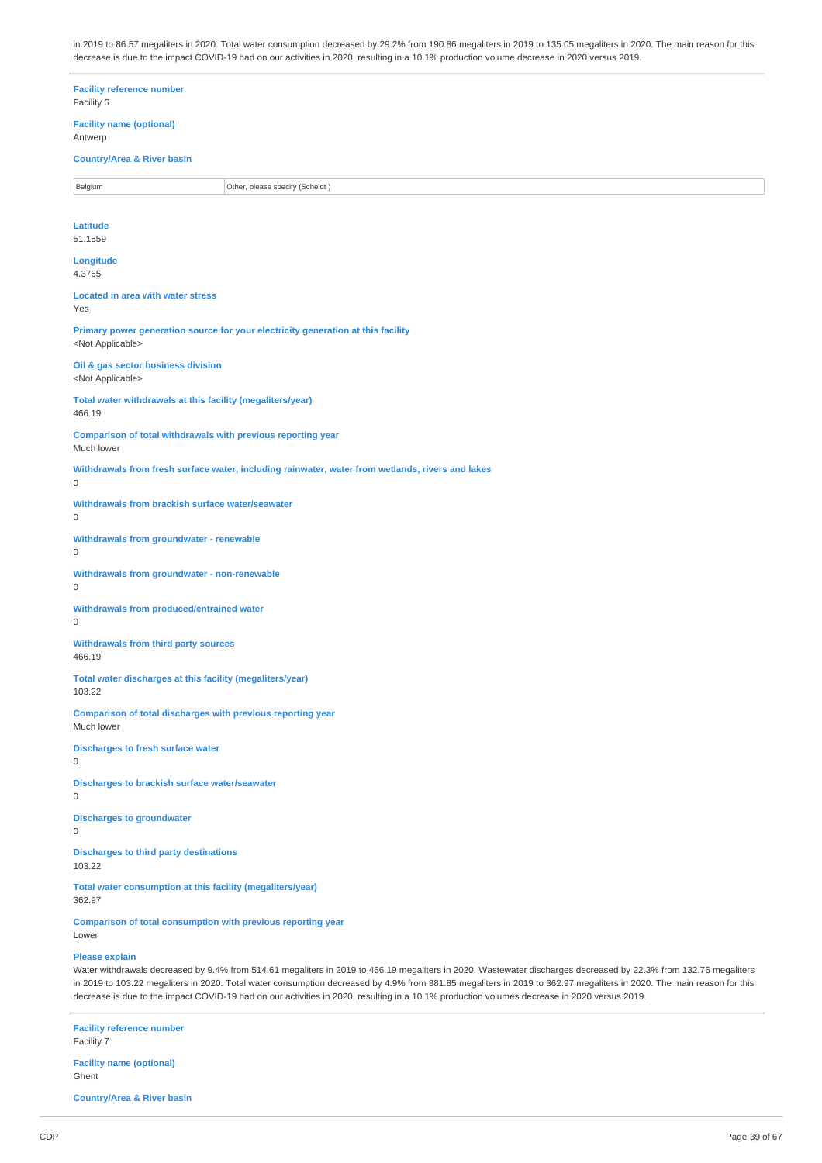in 2019 to 86.57 megaliters in 2020. Total water consumption decreased by 29.2% from 190.86 megaliters in 2019 to 135.05 megaliters in 2020. The main reason for this decrease is due to the impact COVID-19 had on our activities in 2020, resulting in a 10.1% production volume decrease in 2020 versus 2019.

**Facility reference number** Facility 6 **Facility name (optional)** Antwerp **Country/Area & River basin** Belgium **Disk Communist Communist Communist Communist Communist Communist Communist Communist Communist Communist Communist Communist Communist Communist Communist Communist Communist Communist Communist Communist Communis Latitude** 51.1559 **Longitude** 4.3755 **Located in area with water stress** Yes **Primary power generation source for your electricity generation at this facility** <Not Applicable> **Oil & gas sector business division** <Not Applicable> **Total water withdrawals at this facility (megaliters/year)** 466.19 **Comparison of total withdrawals with previous reporting year** Much lower **Withdrawals from fresh surface water, including rainwater, water from wetlands, rivers and lakes Withdrawals from brackish surface water/seawater Withdrawals from groundwater - renewable Withdrawals from groundwater - non-renewable Withdrawals from produced/entrained water Withdrawals from third party sources** 466.19 **Total water discharges at this facility (megaliters/year)** 103.22 **Comparison of total discharges with previous reporting year** Much lower **Discharges to fresh surface water Discharges to brackish surface water/seawater Discharges to groundwater Discharges to third party destinations** 103.22 **Total water consumption at this facility (megaliters/year)** 362.97 **Comparison of total consumption with previous reporting year** Lower **Please explain**

Water withdrawals decreased by 9.4% from 514.61 megaliters in 2019 to 466.19 megaliters in 2020. Wastewater discharges decreased by 22.3% from 132.76 megaliters in 2019 to 103.22 megaliters in 2020. Total water consumption decreased by 4.9% from 381.85 megaliters in 2019 to 362.97 megaliters in 2020. The main reason for this decrease is due to the impact COVID-19 had on our activities in 2020, resulting in a 10.1% production volumes decrease in 2020 versus 2019.

**Facility reference number** Facility 7 **Facility name (optional)**

Ghent **Country/Area & River basin**

 $\Omega$ 

 $\Omega$ 

0

 $\Omega$ 

 $\Omega$ 

 $\theta$ 

0

 $\Omega$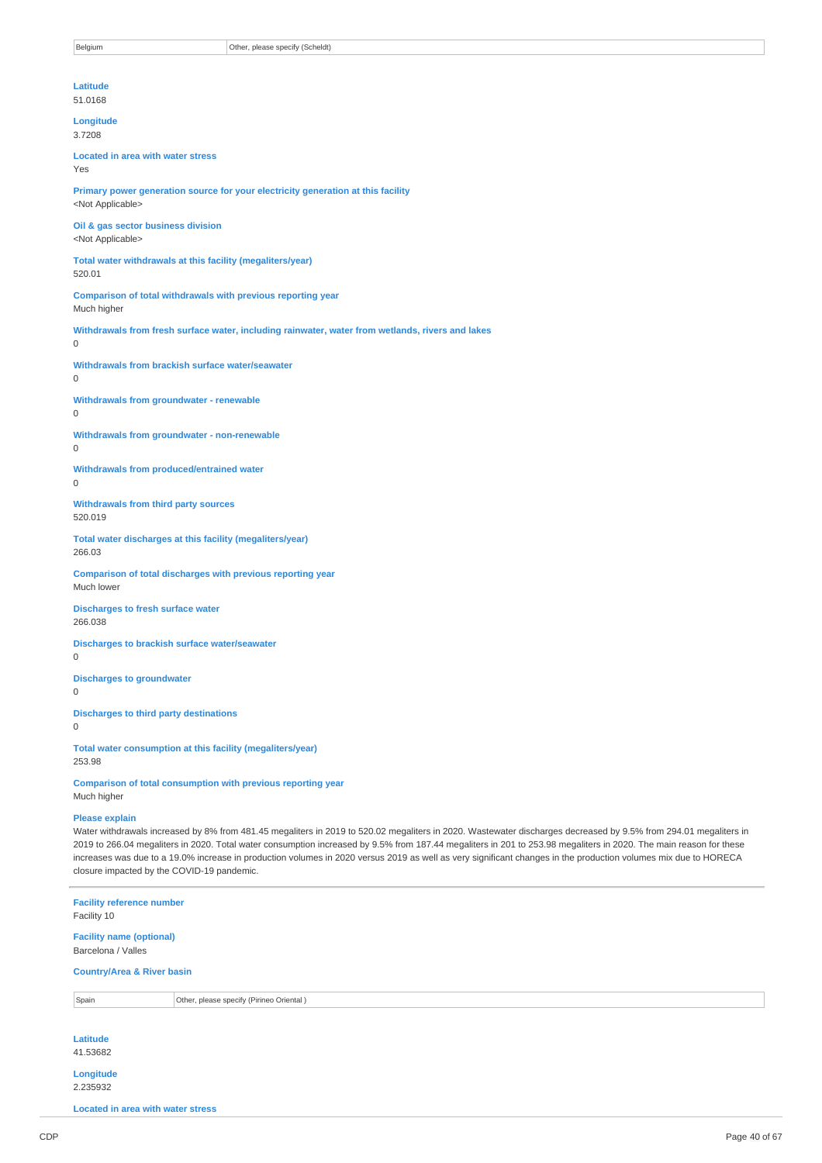**Latitude** 51.0168 **Longitude** 3.7208 **Located in area with water stress** Yes **Primary power generation source for your electricity generation at this facility** <Not Applicable> **Oil & gas sector business division** <Not Applicable> **Total water withdrawals at this facility (megaliters/year)** 520.01 **Comparison of total withdrawals with previous reporting year** Much higher **Withdrawals from fresh surface water, including rainwater, water from wetlands, rivers and lakes** 0 **Withdrawals from brackish surface water/seawater**  $\Omega$ **Withdrawals from groundwater - renewable**  $\Omega$ **Withdrawals from groundwater - non-renewable** 0 **Withdrawals from produced/entrained water**  $\Omega$ **Withdrawals from third party sources** 520.019 **Total water discharges at this facility (megaliters/year)** 266.03 **Comparison of total discharges with previous reporting year** Much lower **Discharges to fresh surface water** 266.038 **Discharges to brackish surface water/seawater**  $\Omega$ **Discharges to groundwater**  $\Omega$ **Discharges to third party destinations**  $\Omega$ **Total water consumption at this facility (megaliters/year)** 253.98

**Comparison of total consumption with previous reporting year** Much higher

### **Please explain**

Water withdrawals increased by 8% from 481.45 megaliters in 2019 to 520.02 megaliters in 2020. Wastewater discharges decreased by 9.5% from 294.01 megaliters in 2019 to 266.04 megaliters in 2020. Total water consumption increased by 9.5% from 187.44 megaliters in 201 to 253.98 megaliters in 2020. The main reason for these increases was due to a 19.0% increase in production volumes in 2020 versus 2019 as well as very significant changes in the production volumes mix due to HORECA closure impacted by the COVID-19 pandemic.

| Facility 10                              | <b>Facility reference number</b>         |  |  |  |  |
|------------------------------------------|------------------------------------------|--|--|--|--|
| Barcelona / Valles                       | <b>Facility name (optional)</b>          |  |  |  |  |
|                                          | <b>Country/Area &amp; River basin</b>    |  |  |  |  |
| Spain                                    | Other, please specify (Pirineo Oriental) |  |  |  |  |
| Latitude<br>41.53682                     |                                          |  |  |  |  |
| Longitude<br>2.235932                    |                                          |  |  |  |  |
| <b>Located in area with water stress</b> |                                          |  |  |  |  |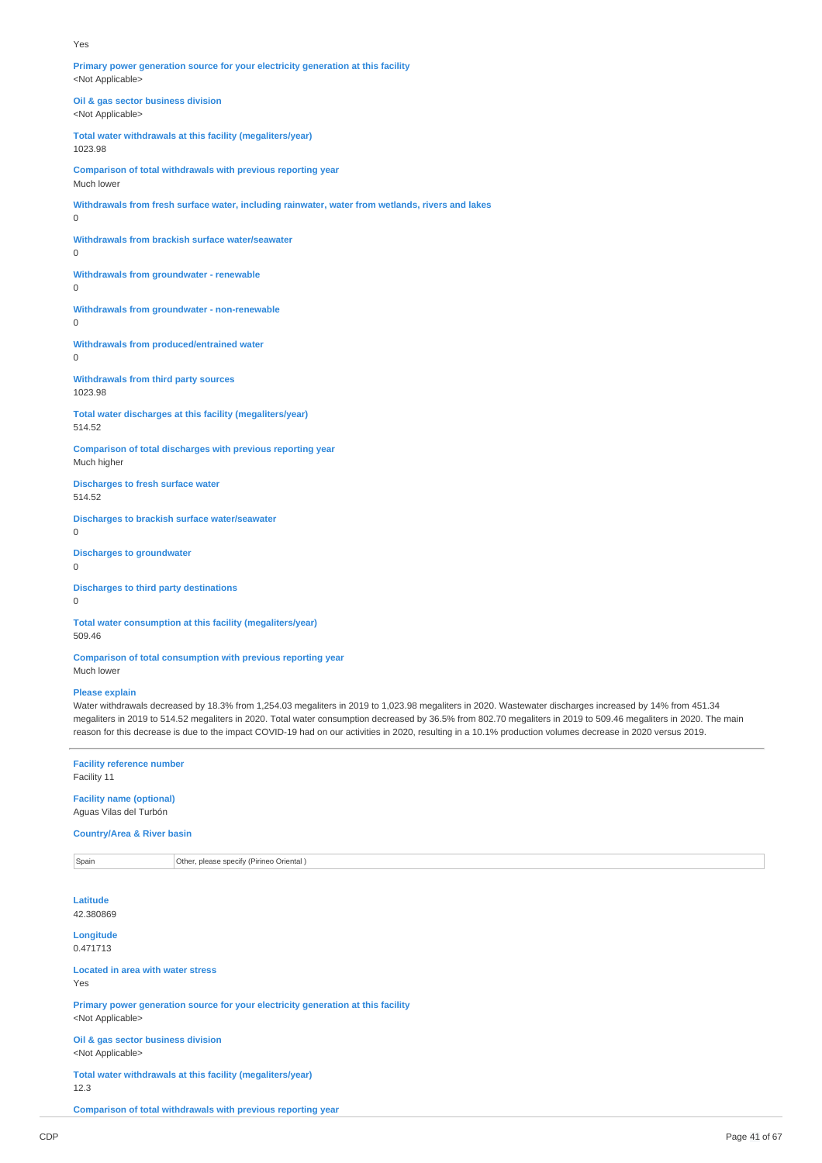#### Yes

**Primary power generation source for your electricity generation at this facility** <Not Applicable>

**Oil & gas sector business division** <Not Applicable>

**Total water withdrawals at this facility (megaliters/year)** 1023.98

**Comparison of total withdrawals with previous reporting year** Much lower

**Withdrawals from fresh surface water, including rainwater, water from wetlands, rivers and lakes**  $\overline{0}$ 

**Withdrawals from brackish surface water/seawater**

 $\Omega$ 

**Withdrawals from groundwater - renewable** 0

**Withdrawals from groundwater - non-renewable**

 $\overline{0}$ 

**Withdrawals from produced/entrained water** 0

**Withdrawals from third party sources** 1023.98

**Total water discharges at this facility (megaliters/year)** 514.52

**Comparison of total discharges with previous reporting year** Much higher

**Discharges to fresh surface water** 514.52

**Discharges to brackish surface water/seawater** 0

**Discharges to groundwater**

 $\Omega$ 

**Discharges to third party destinations** 0

**Total water consumption at this facility (megaliters/year)** 509.46

**Comparison of total consumption with previous reporting year** Much lower

#### **Please explain**

Water withdrawals decreased by 18.3% from 1,254.03 megaliters in 2019 to 1,023.98 megaliters in 2020. Wastewater discharges increased by 14% from 451.34 megaliters in 2019 to 514.52 megaliters in 2020. Total water consumption decreased by 36.5% from 802.70 megaliters in 2019 to 509.46 megaliters in 2020. The main reason for this decrease is due to the impact COVID-19 had on our activities in 2020, resulting in a 10.1% production volumes decrease in 2020 versus 2019.

**Facility reference number** Facility 11

**Facility name (optional)** Aguas Vilas del Turbón

**Country/Area & River basin**

Spain **Other, please specify (Pirineo Oriental )** 

**Latitude** 42.380869

**Longitude** 0.471713

**Located in area with water stress**

Yes

**Primary power generation source for your electricity generation at this facility** <Not Applicable>

**Oil & gas sector business division** <Not Applicable>

**Total water withdrawals at this facility (megaliters/year)** 12.3

**Comparison of total withdrawals with previous reporting year**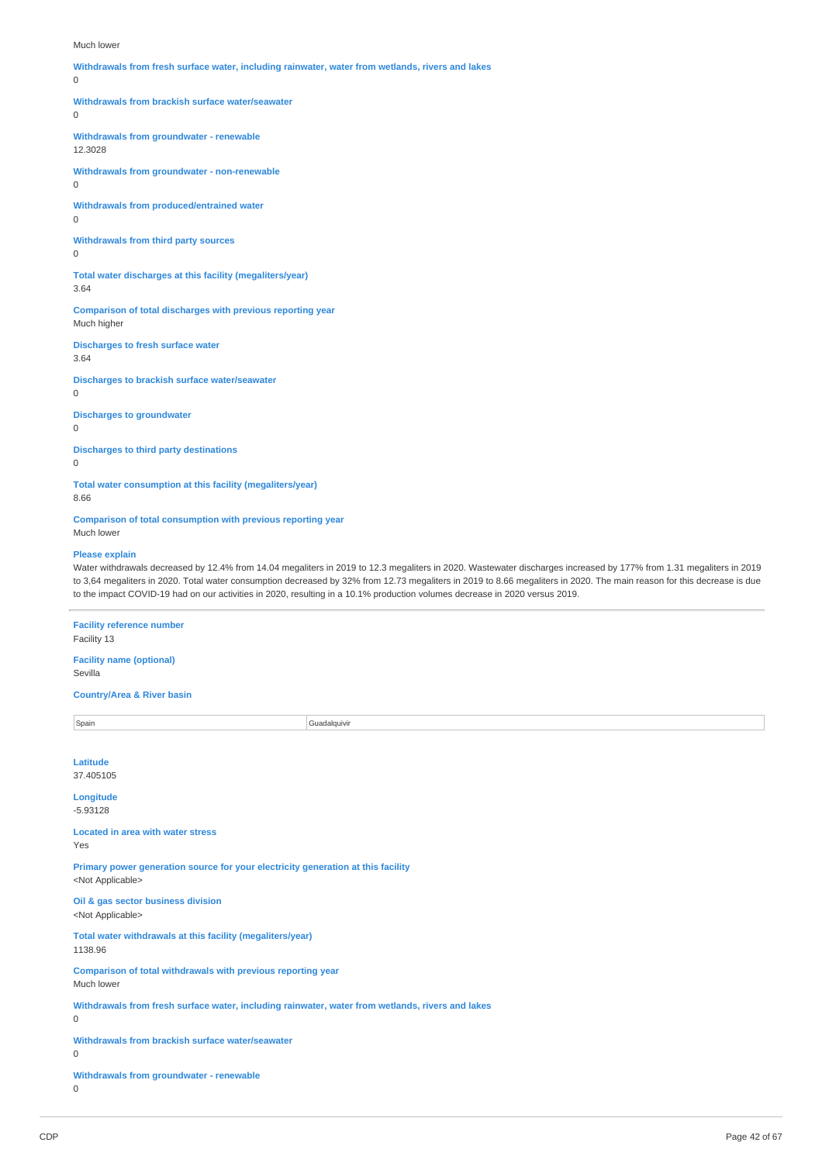#### Much lower

**Withdrawals from fresh surface water, including rainwater, water from wetlands, rivers and lakes**  $\Omega$ **Withdrawals from brackish surface water/seawater**  $\Omega$ **Withdrawals from groundwater - renewable** 12.3028 **Withdrawals from groundwater - non-renewable**  $\Omega$ **Withdrawals from produced/entrained water**  $\Omega$ **Withdrawals from third party sources**  $\Omega$ **Total water discharges at this facility (megaliters/year)** 3.64 **Comparison of total discharges with previous reporting year** Much higher **Discharges to fresh surface water** 3.64 **Discharges to brackish surface water/seawater**  $\Omega$ **Discharges to groundwater** 0 **Discharges to third party destinations**  $\Omega$ **Total water consumption at this facility (megaliters/year)** 8.66 **Comparison of total consumption with previous reporting year** Much lower **Please explain** Water withdrawals decreased by 12.4% from 14.04 megaliters in 2019 to 12.3 megaliters in 2020. Wastewater discharges increased by 177% from 1.31 megaliters in 2019 to 3,64 megaliters in 2020. Total water consumption decreased by 32% from 12.73 megaliters in 2019 to 8.66 megaliters in 2020. The main reason for this decrease is due to the impact COVID-19 had on our activities in 2020, resulting in a 10.1% production volumes decrease in 2020 versus 2019. **Facility reference number** Facility 13 **Facility name (optional)** Sevilla **Country/Area & River basin** Spain Guadalquivir Control of the Spain Guadalquivir Control of Guadalquivir Control of Guadalquivir Control of Guadalquivir Control of Guadalquivir Control of Guadalquivir Control of Guadalquivir Control of Guadalquivir C **Latitude** 37.405105 **Longitude** -5.93128 **Located in area with water stress** Yes **Primary power generation source for your electricity generation at this facility** <Not Applicable> **Oil & gas sector business division** <Not Applicable> **Total water withdrawals at this facility (megaliters/year)** 1138.96 **Comparison of total withdrawals with previous reporting year** Much lower **Withdrawals from fresh surface water, including rainwater, water from wetlands, rivers and lakes** 0 **Withdrawals from brackish surface water/seawater**

0

**Withdrawals from groundwater - renewable** 0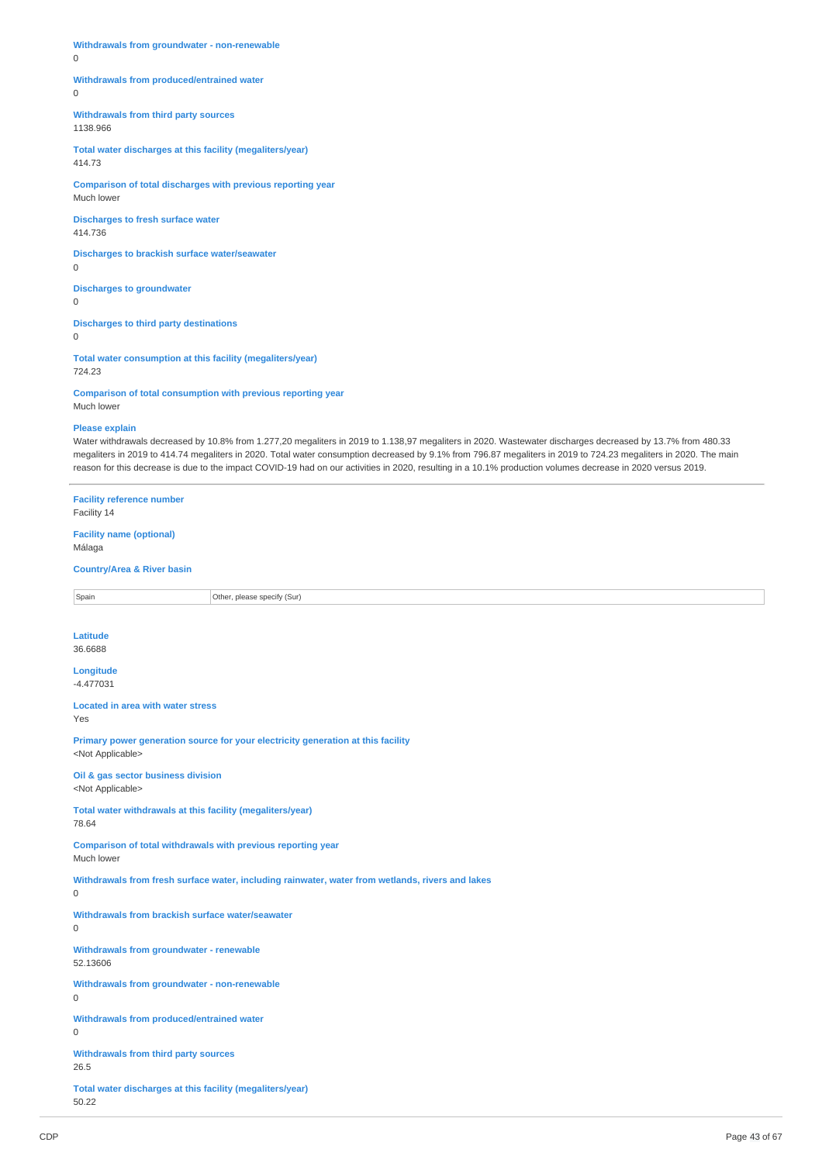**Withdrawals from groundwater - non-renewable**

0

**Withdrawals from produced/entrained water**

 $\theta$ 

**Withdrawals from third party sources** 1138.966

**Total water discharges at this facility (megaliters/year)** 414.73

**Comparison of total discharges with previous reporting year** Much lower

**Discharges to fresh surface water** 414.736

**Discharges to brackish surface water/seawater** 0

**Discharges to groundwater**  $\Omega$ 

**Discharges to third party destinations**

0

**Total water consumption at this facility (megaliters/year)** 724.23

**Comparison of total consumption with previous reporting year** Much lower

#### **Please explain**

Water withdrawals decreased by 10.8% from 1.277,20 megaliters in 2019 to 1.138,97 megaliters in 2020. Wastewater discharges decreased by 13.7% from 480.33 megaliters in 2019 to 414.74 megaliters in 2020. Total water consumption decreased by 9.1% from 796.87 megaliters in 2019 to 724.23 megaliters in 2020. The main reason for this decrease is due to the impact COVID-19 had on our activities in 2020, resulting in a 10.1% production volumes decrease in 2020 versus 2019.

**Facility reference number** Facility 14 **Facility name (optional)** Málaga **Country/Area & River basin Spain Other, please specify (Sur) Latitude** 36.6688 **Longitude** -4.477031 **Located in area with water stress** Yes **Primary power generation source for your electricity generation at this facility** <Not Applicable> **Oil & gas sector business division** <Not Applicable> **Total water withdrawals at this facility (megaliters/year)** 78.64 **Comparison of total withdrawals with previous reporting year** Much lower **Withdrawals from fresh surface water, including rainwater, water from wetlands, rivers and lakes**  $\Omega$ **Withdrawals from brackish surface water/seawater**  $\Omega$ **Withdrawals from groundwater - renewable** 52.13606 **Withdrawals from groundwater - non-renewable**  $\Omega$ **Withdrawals from produced/entrained water**  $\overline{0}$ **Withdrawals from third party sources** 26.5 **Total water discharges at this facility (megaliters/year)** 50.22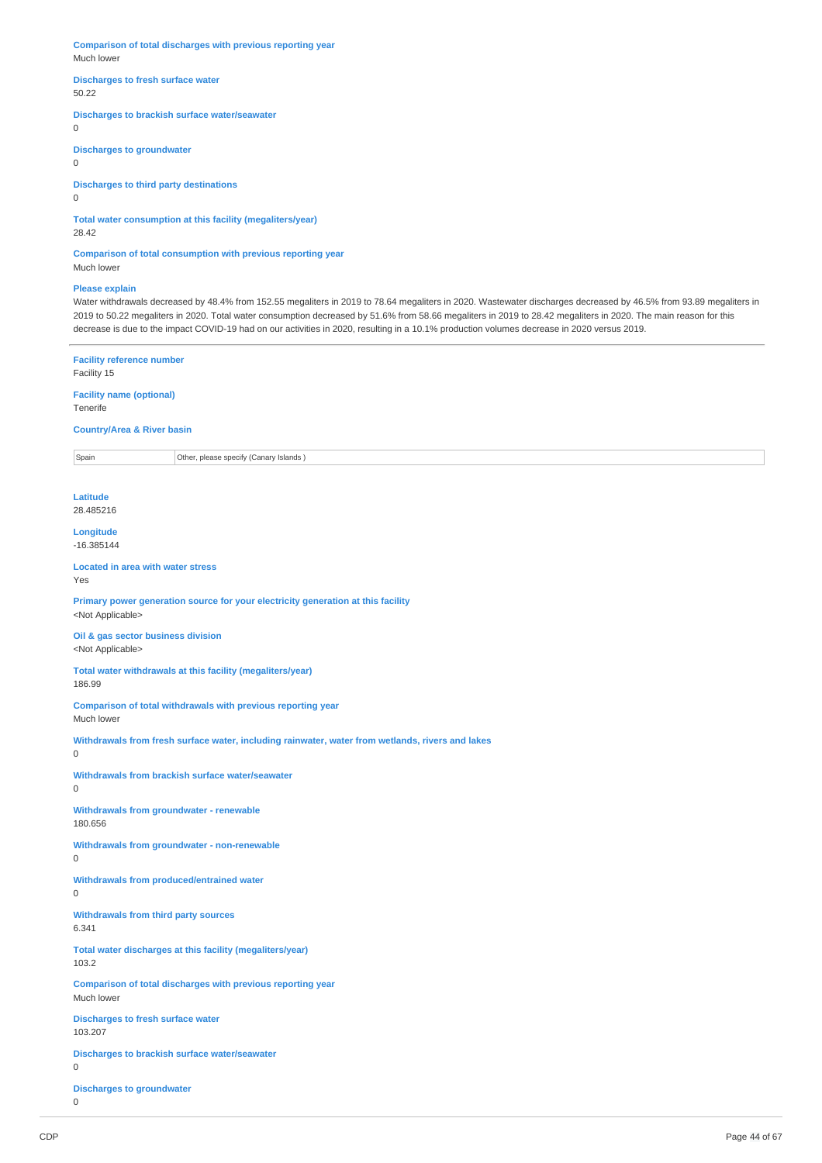**Comparison of total discharges with previous reporting year** Much lower

### **Discharges to fresh surface water** 50.22

**Discharges to brackish surface water/seawater**

 $\overline{0}$ 

**Discharges to groundwater**

 $\Omega$ 

**Discharges to third party destinations**

0

**Total water consumption at this facility (megaliters/year)**

28.42

**Comparison of total consumption with previous reporting year** Much lower

### **Please explain**

Water withdrawals decreased by 48.4% from 152.55 megaliters in 2019 to 78.64 megaliters in 2020. Wastewater discharges decreased by 46.5% from 93.89 megaliters in 2019 to 50.22 megaliters in 2020. Total water consumption decreased by 51.6% from 58.66 megaliters in 2019 to 28.42 megaliters in 2020. The main reason for this decrease is due to the impact COVID-19 had on our activities in 2020, resulting in a 10.1% production volumes decrease in 2020 versus 2019.

**Facility reference number**

Facility 15

**Facility name (optional)** Tenerife

**Country/Area & River basin**

Spain **Other, please specify (Canary Islands )** 

**Latitude** 28.485216

**Longitude** -16.385144

**Located in area with water stress** Yes

**Primary power generation source for your electricity generation at this facility** <Not Applicable>

**Oil & gas sector business division** <Not Applicable>

**Total water withdrawals at this facility (megaliters/year)** 186.99

**Comparison of total withdrawals with previous reporting year** Much lower

**Withdrawals from fresh surface water, including rainwater, water from wetlands, rivers and lakes**  $\Omega$ 

**Withdrawals from brackish surface water/seawater**

**Withdrawals from groundwater - renewable** 180.656

**Withdrawals from groundwater - non-renewable**

 $\Omega$ 

 $\Omega$ 

**Withdrawals from produced/entrained water**  $\Omega$ 

**Withdrawals from third party sources**

6.341

**Total water discharges at this facility (megaliters/year)** 103.2

**Comparison of total discharges with previous reporting year** Much lower

**Discharges to fresh surface water** 103.207

**Discharges to brackish surface water/seawater**  $\Omega$ 

**Discharges to groundwater**

```
\overline{0}
```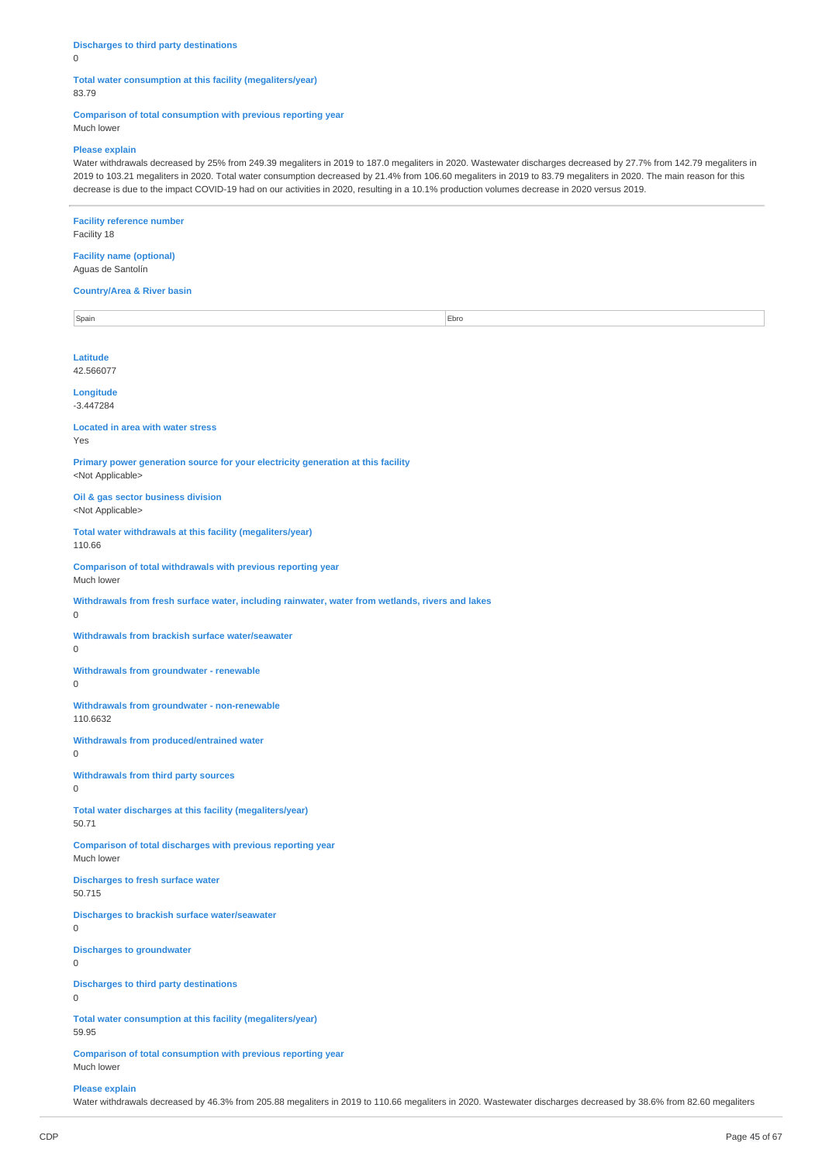## **Discharges to third party destinations**

0

### **Total water consumption at this facility (megaliters/year)** 83.79

**Comparison of total consumption with previous reporting year**

Much lower

### **Please explain**

Water withdrawals decreased by 25% from 249.39 megaliters in 2019 to 187.0 megaliters in 2020. Wastewater discharges decreased by 27.7% from 142.79 megaliters in 2019 to 103.21 megaliters in 2020. Total water consumption decreased by 21.4% from 106.60 megaliters in 2019 to 83.79 megaliters in 2020. The main reason for this decrease is due to the impact COVID-19 had on our activities in 2020, resulting in a 10.1% production volumes decrease in 2020 versus 2019.

### **Facility reference number** Facility 18

#### **Facility name (optional)** Aguas de Santolín

### **Country/Area & River basin**

Spain **Ebro** Ebro **Ebro Antichet Ebro Ebro Antichet Ebro Antichet Ebro Ebro Ebro Ebro Antichet Ebro Ebro Antichet Ebro Antichet Ebro Antichet Ebro Antichet Ebro Antichet Ebro Antichet Ebro Antichet Ebro Antichet Ebro Antic Latitude** 42.566077

**Longitude** -3.447284

# **Located in area with water stress**

Yes

**Primary power generation source for your electricity generation at this facility** <Not Applicable>

### **Oil & gas sector business division** <Not Applicable>

**Total water withdrawals at this facility (megaliters/year)** 110.66

**Comparison of total withdrawals with previous reporting year** Much lower

**Withdrawals from fresh surface water, including rainwater, water from wetlands, rivers and lakes**

0

**Withdrawals from brackish surface water/seawater**

 $\Omega$ 

**Withdrawals from groundwater - renewable**

 $\Omega$ 

**Withdrawals from groundwater - non-renewable** 110.6632

**Withdrawals from produced/entrained water**  $\Omega$ 

**Withdrawals from third party sources**  $\Omega$ 

**Total water discharges at this facility (megaliters/year)** 50.71

**Comparison of total discharges with previous reporting year** Much lower

**Discharges to fresh surface water** 50.715

**Discharges to brackish surface water/seawater**

**Discharges to groundwater**

 $\overline{0}$ 

**Discharges to third party destinations**  $\Omega$ 

 $\Omega$ 

**Total water consumption at this facility (megaliters/year)**

59.95

**Comparison of total consumption with previous reporting year** Much lower

**Please explain**

Water withdrawals decreased by 46.3% from 205.88 megaliters in 2019 to 110.66 megaliters in 2020. Wastewater discharges decreased by 38.6% from 82.60 megaliters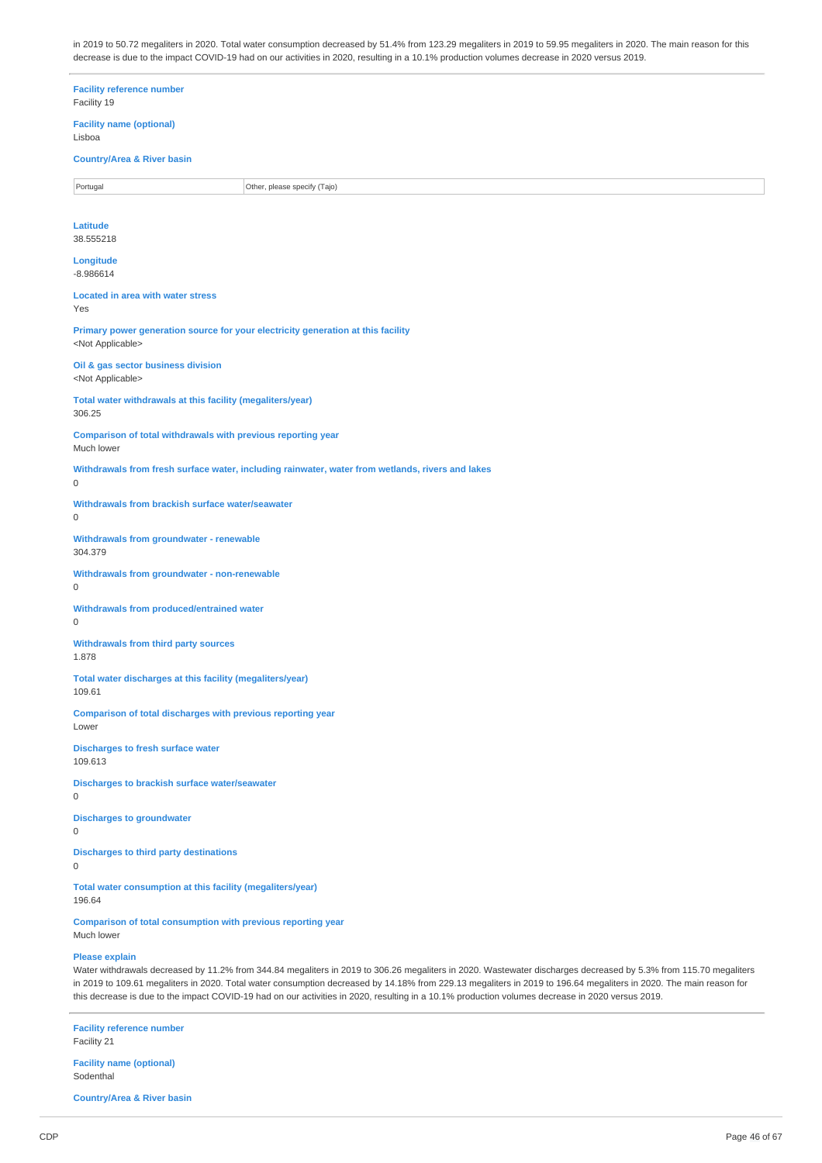in 2019 to 50.72 megaliters in 2020. Total water consumption decreased by 51.4% from 123.29 megaliters in 2019 to 59.95 megaliters in 2020. The main reason for this decrease is due to the impact COVID-19 had on our activities in 2020, resulting in a 10.1% production volumes decrease in 2020 versus 2019.

**Facility reference number** Facility 19 **Facility name (optional)** Lisboa **Country/Area & River basin** Portugal **Portugal** Portugal **Portugal** Other, please specify (Tajo) **Latitude** 38.555218 **Longitude** -8.986614 **Located in area with water stress** Yes **Primary power generation source for your electricity generation at this facility** <Not Applicable> **Oil & gas sector business division** <Not Applicable> **Total water withdrawals at this facility (megaliters/year)** 306.25 **Comparison of total withdrawals with previous reporting year** Much lower **Withdrawals from fresh surface water, including rainwater, water from wetlands, rivers and lakes**  $\Omega$ **Withdrawals from brackish surface water/seawater**  $\Omega$ **Withdrawals from groundwater - renewable** 304.379 **Withdrawals from groundwater - non-renewable**  $\Omega$ **Withdrawals from produced/entrained water**  $\Omega$ **Withdrawals from third party sources** 1.878 **Total water discharges at this facility (megaliters/year)** 109.61 **Comparison of total discharges with previous reporting year** Lower **Discharges to fresh surface water** 109.613 **Discharges to brackish surface water/seawater** 0 **Discharges to groundwater** 0 **Discharges to third party destinations**  $\Omega$ **Total water consumption at this facility (megaliters/year)** 196.64 **Comparison of total consumption with previous reporting year** Much lower

### **Please explain**

Water withdrawals decreased by 11.2% from 344.84 megaliters in 2019 to 306.26 megaliters in 2020. Wastewater discharges decreased by 5.3% from 115.70 megaliters in 2019 to 109.61 megaliters in 2020. Total water consumption decreased by 14.18% from 229.13 megaliters in 2019 to 196.64 megaliters in 2020. The main reason for this decrease is due to the impact COVID-19 had on our activities in 2020, resulting in a 10.1% production volumes decrease in 2020 versus 2019.

**Facility reference number** Facility 21 **Facility name (optional)**

Sodenthal

**Country/Area & River basin**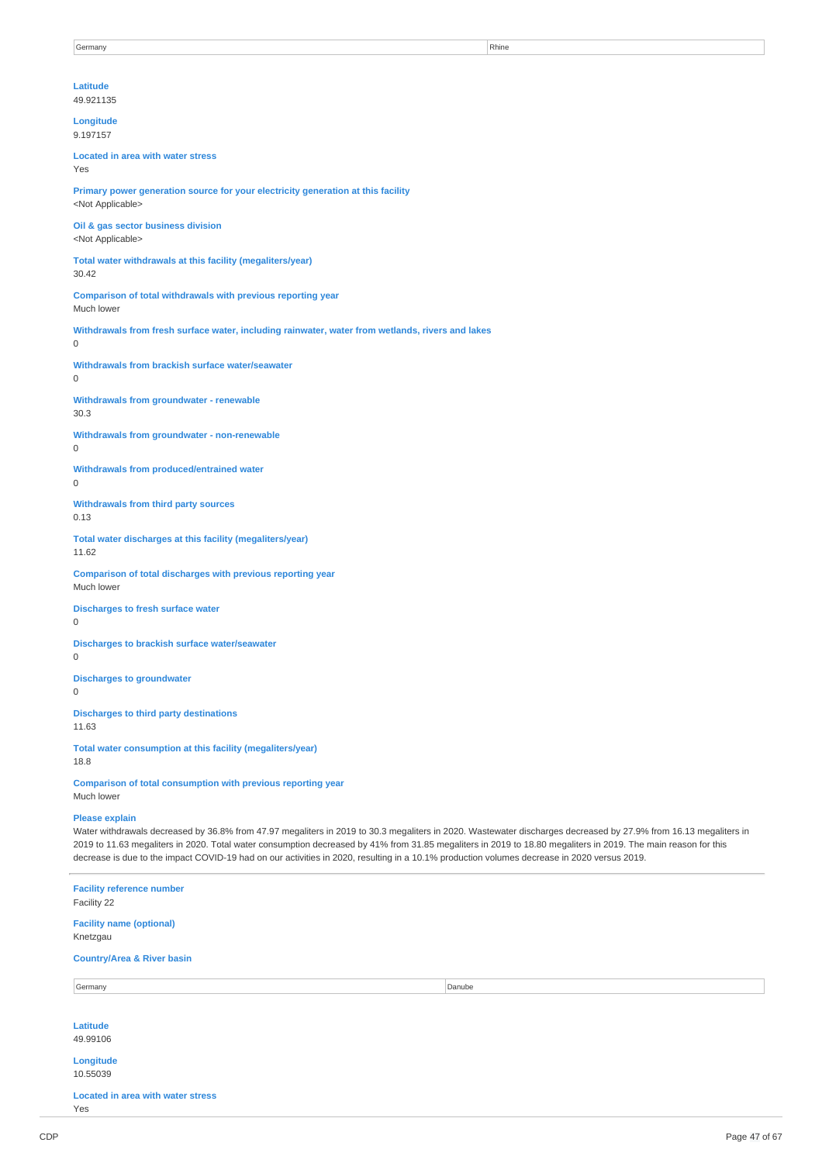# **Latitude**

49.921135

### **Longitude** 9.197157

**Located in area with water stress** Yes

**Primary power generation source for your electricity generation at this facility** <Not Applicable>

**Oil & gas sector business division** <Not Applicable>

**Total water withdrawals at this facility (megaliters/year)** 30.42

**Comparison of total withdrawals with previous reporting year** Much lower

**Withdrawals from fresh surface water, including rainwater, water from wetlands, rivers and lakes** 0

**Withdrawals from brackish surface water/seawater**

# $\Omega$

**Withdrawals from groundwater - renewable** 30.3

**Withdrawals from groundwater - non-renewable**

## 0

**Withdrawals from produced/entrained water**  $\Omega$ 

**Withdrawals from third party sources** 0.13

**Total water discharges at this facility (megaliters/year)** 11.62

**Comparison of total discharges with previous reporting year** Much lower

**Discharges to fresh surface water**  $\Omega$ 

**Discharges to brackish surface water/seawater**  $\Omega$ 

**Discharges to groundwater**  $\Omega$ 

**Discharges to third party destinations** 11.63

**Total water consumption at this facility (megaliters/year)** 18.8

**Comparison of total consumption with previous reporting year** Much lower

### **Please explain**

Water withdrawals decreased by 36.8% from 47.97 megaliters in 2019 to 30.3 megaliters in 2020. Wastewater discharges decreased by 27.9% from 16.13 megaliters in 2019 to 11.63 megaliters in 2020. Total water consumption decreased by 41% from 31.85 megaliters in 2019 to 18.80 megaliters in 2019. The main reason for this decrease is due to the impact COVID-19 had on our activities in 2020, resulting in a 10.1% production volumes decrease in 2020 versus 2019.

**Facility reference number** Facility 22 **Facility name (optional)** Knetzgau **Country/Area & River basin** Germany Danube **Danube Latitude** 49.99106 **Longitude** 10.55039 **Located in area with water stress** Yes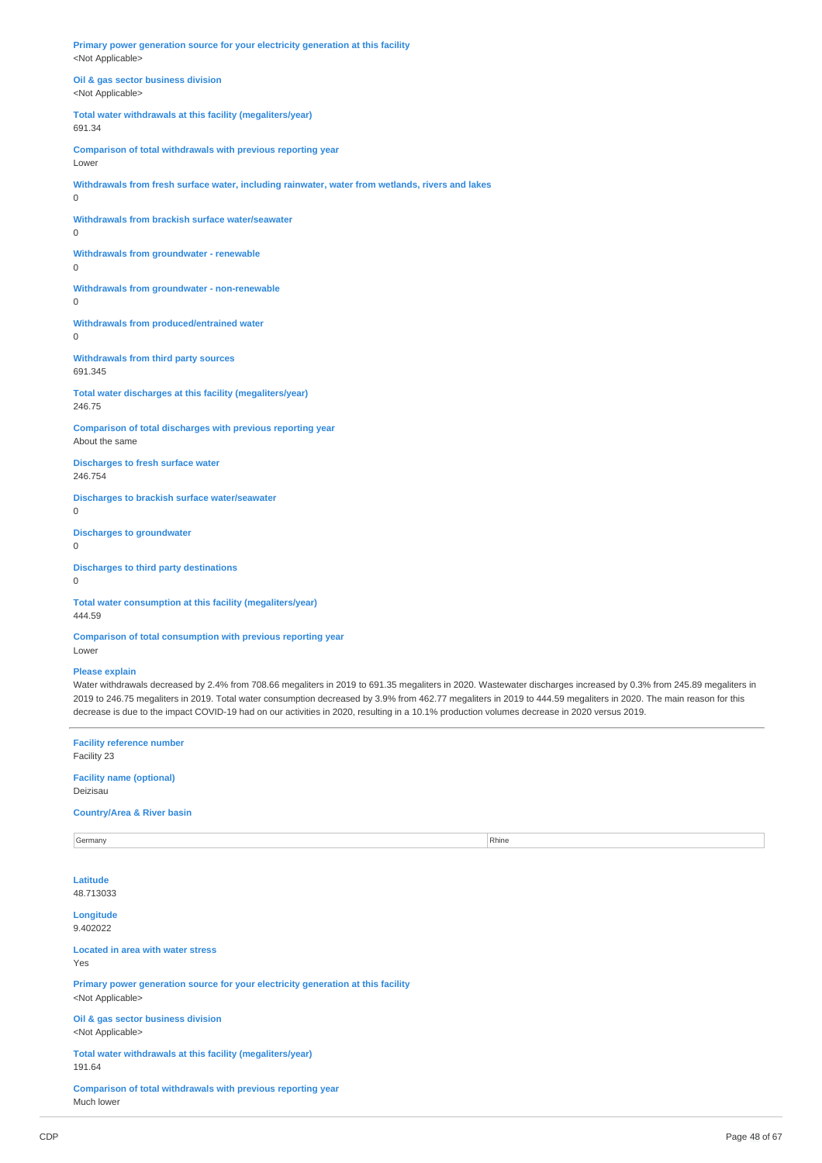**Primary power generation source for your electricity generation at this facility** <Not Applicable>

**Oil & gas sector business division** <Not Applicable>

**Total water withdrawals at this facility (megaliters/year)** 691.34

**Comparison of total withdrawals with previous reporting year** Lower

**Withdrawals from fresh surface water, including rainwater, water from wetlands, rivers and lakes** 0

**Withdrawals from brackish surface water/seawater**

0

**Withdrawals from groundwater - renewable** 0

**Withdrawals from groundwater - non-renewable** 0

**Withdrawals from produced/entrained water** 0

**Withdrawals from third party sources** 691.345

**Total water discharges at this facility (megaliters/year)** 246.75

**Comparison of total discharges with previous reporting year** About the same

**Discharges to fresh surface water** 246.754

**Discharges to brackish surface water/seawater** 0

**Discharges to groundwater**  $\theta$ 

**Discharges to third party destinations** 0

**Total water consumption at this facility (megaliters/year)** 444.59

**Comparison of total consumption with previous reporting year** Lower

### **Please explain**

Water withdrawals decreased by 2.4% from 708.66 megaliters in 2019 to 691.35 megaliters in 2020. Wastewater discharges increased by 0.3% from 245.89 megaliters in 2019 to 246.75 megaliters in 2019. Total water consumption decreased by 3.9% from 462.77 megaliters in 2019 to 444.59 megaliters in 2020. The main reason for this decrease is due to the impact COVID-19 had on our activities in 2020, resulting in a 10.1% production volumes decrease in 2020 versus 2019.

| <b>Facility reference number</b><br>Facility 23                                                               |       |  |  |  |  |
|---------------------------------------------------------------------------------------------------------------|-------|--|--|--|--|
| <b>Facility name (optional)</b><br>Deizisau                                                                   |       |  |  |  |  |
| <b>Country/Area &amp; River basin</b>                                                                         |       |  |  |  |  |
| Germany                                                                                                       | Rhine |  |  |  |  |
| Latitude<br>48.713033                                                                                         |       |  |  |  |  |
| Longitude<br>9.402022                                                                                         |       |  |  |  |  |
| <b>Located in area with water stress</b><br>Yes                                                               |       |  |  |  |  |
| Primary power generation source for your electricity generation at this facility<br><not applicable=""></not> |       |  |  |  |  |
| Oil & gas sector business division<br><not applicable=""></not>                                               |       |  |  |  |  |
| Total water withdrawals at this facility (megaliters/year)<br>191.64                                          |       |  |  |  |  |
| Comparison of total withdrawals with previous reporting year<br>Much lower                                    |       |  |  |  |  |
|                                                                                                               |       |  |  |  |  |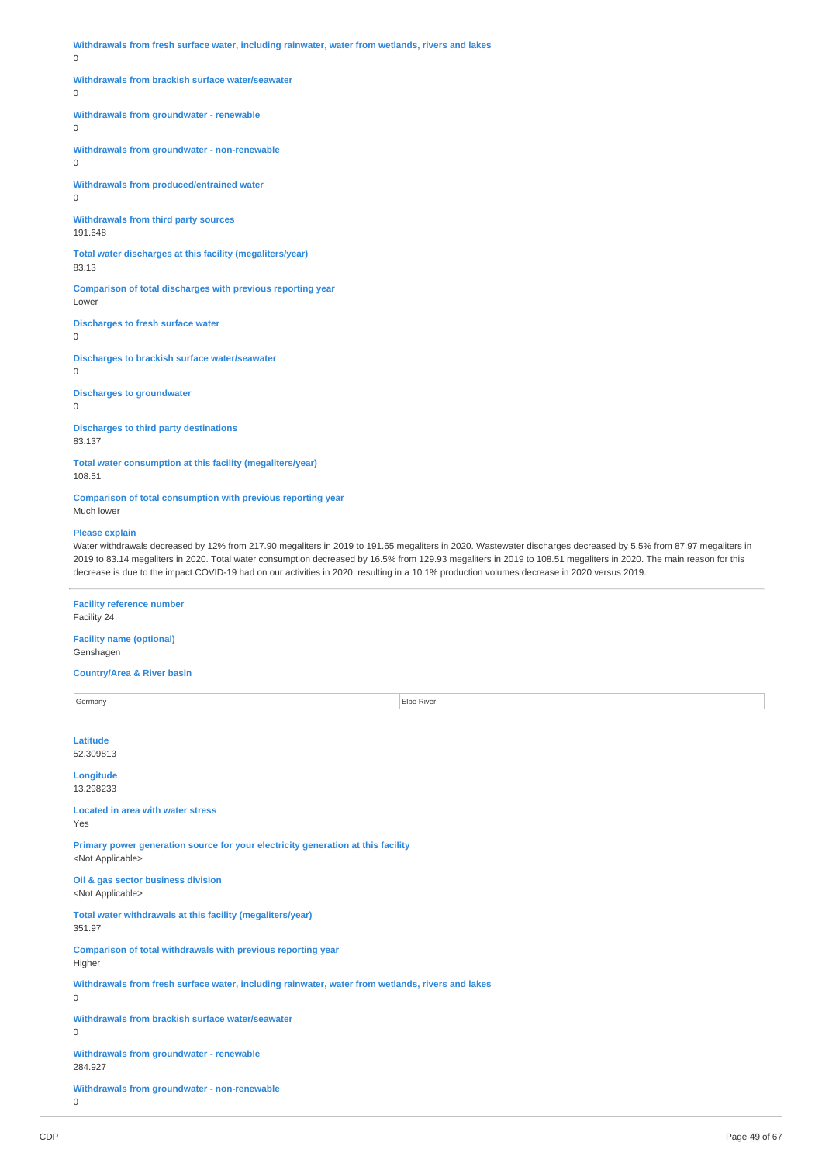**Withdrawals from fresh surface water, including rainwater, water from wetlands, rivers and lakes**

### 0

#### **Withdrawals from brackish surface water/seawater**

 $\theta$ 

# **Withdrawals from groundwater - renewable**

 $\overline{0}$ 

**Withdrawals from groundwater - non-renewable**  $\Omega$ 

**Withdrawals from produced/entrained water** 0

**Withdrawals from third party sources** 191.648

**Total water discharges at this facility (megaliters/year)** 83.13

**Comparison of total discharges with previous reporting year** Lowe

**Discharges to fresh surface water**

0

**Discharges to brackish surface water/seawater**

0

**Discharges to groundwater**

0

**Discharges to third party destinations** 83.137

**Total water consumption at this facility (megaliters/year)** 108.51

**Comparison of total consumption with previous reporting year** Much lower

### **Please explain**

Water withdrawals decreased by 12% from 217.90 megaliters in 2019 to 191.65 megaliters in 2020. Wastewater discharges decreased by 5.5% from 87.97 megaliters in 2019 to 83.14 megaliters in 2020. Total water consumption decreased by 16.5% from 129.93 megaliters in 2019 to 108.51 megaliters in 2020. The main reason for this decrease is due to the impact COVID-19 had on our activities in 2020, resulting in a 10.1% production volumes decrease in 2020 versus 2019.

# **Facility reference number**

Facility 24

#### **Facility name (optional)** Genshagen

**Country/Area & River basin**

Germany **Elbe River Latitude** 52.309813 **Longitude** 13.298233 **Located in area with water stress** Yes **Primary power generation source for your electricity generation at this facility** <Not Applicable> **Oil & gas sector business division** <Not Applicable> **Total water withdrawals at this facility (megaliters/year)** 351.97 **Comparison of total withdrawals with previous reporting year** Higher **Withdrawals from fresh surface water, including rainwater, water from wetlands, rivers and lakes**  $\Omega$ **Withdrawals from brackish surface water/seawater**  $\overline{0}$ **Withdrawals from groundwater - renewable** 284.927 **Withdrawals from groundwater - non-renewable**  $\overline{0}$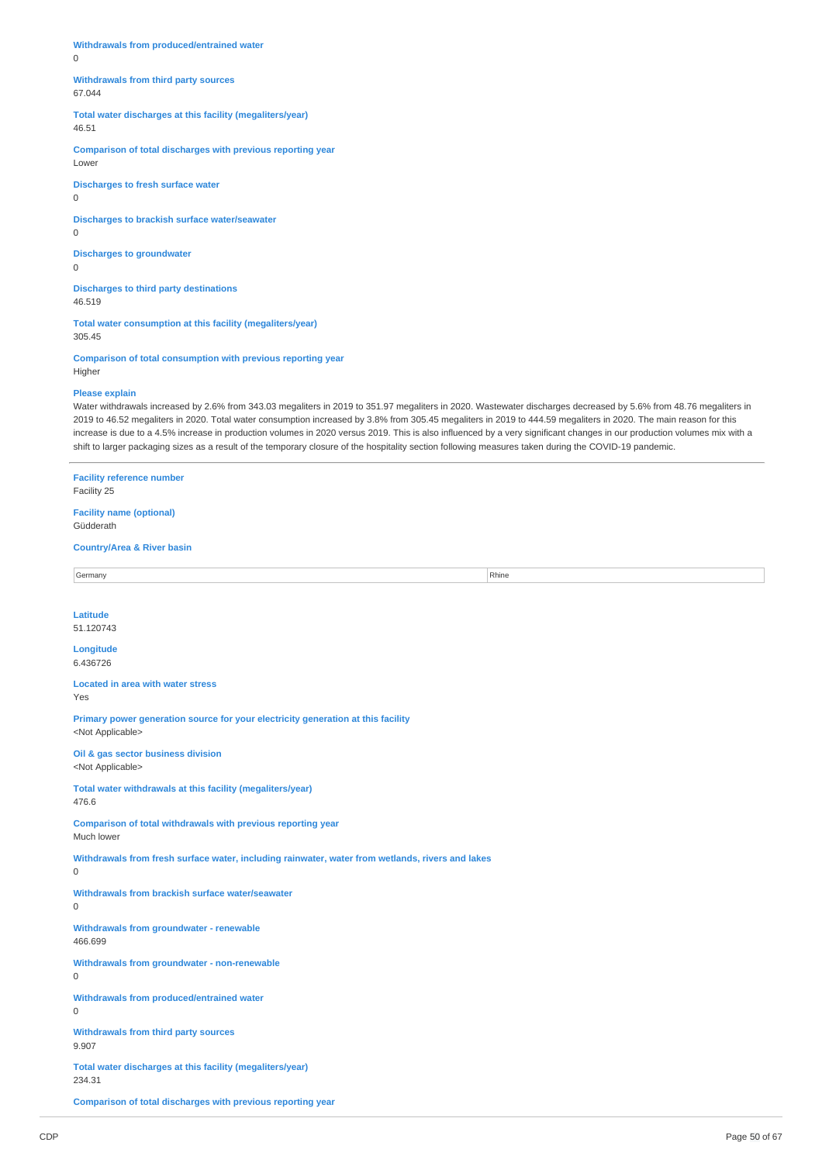**Withdrawals from produced/entrained water** 0

**Withdrawals from third party sources** 67.044

**Total water discharges at this facility (megaliters/year)** 46.51

**Comparison of total discharges with previous reporting year** Lower

**Discharges to fresh surface water** 0

**Discharges to brackish surface water/seawater**

0

**Discharges to groundwater** 0

**Discharges to third party destinations** 46.519

**Total water consumption at this facility (megaliters/year)** 305.45

**Comparison of total consumption with previous reporting year** Higher

### **Please explain**

Water withdrawals increased by 2.6% from 343.03 megaliters in 2019 to 351.97 megaliters in 2020. Wastewater discharges decreased by 5.6% from 48.76 megaliters in 2019 to 46.52 megaliters in 2020. Total water consumption increased by 3.8% from 305.45 megaliters in 2019 to 444.59 megaliters in 2020. The main reason for this increase is due to a 4.5% increase in production volumes in 2020 versus 2019. This is also influenced by a very significant changes in our production volumes mix with a shift to larger packaging sizes as a result of the temporary closure of the hospitality section following measures taken during the COVID-19 pandemic.

**Facility reference number** Facility 25

**Facility name (optional)** Güdderath

### **Country/Area & River basin**

Germany Rhine **Rhine** Rhine **Rhine** Rhine **Rhine** Rhine **Rhine** Rhine **Rhine** Rhine **Rhine** Rhine **Rhine** Rhine **Rhine** Rhine **Rhine** Rhine **Rhine** Rhine **Rhine** Rhine **Rhine** Rhine **Rhine** Rhine **Rhine** Rhine **Rhine** Rhin

**Latitude** 51.120743

# **Longitude**

6.436726 **Located in area with water stress**

Yes

**Primary power generation source for your electricity generation at this facility** <Not Applicable>

**Oil & gas sector business division** <Not Applicable>

**Total water withdrawals at this facility (megaliters/year)** 476.6

**Comparison of total withdrawals with previous reporting year**

Much lower

**Withdrawals from fresh surface water, including rainwater, water from wetlands, rivers and lakes**

**Withdrawals from brackish surface water/seawater**

 $\Omega$ 

0

**Withdrawals from groundwater - renewable** 466.699

**Withdrawals from groundwater - non-renewable** 0

**Withdrawals from produced/entrained water**  $\Omega$ 

**Withdrawals from third party sources** 9.907

**Total water discharges at this facility (megaliters/year)** 234.31

**Comparison of total discharges with previous reporting year**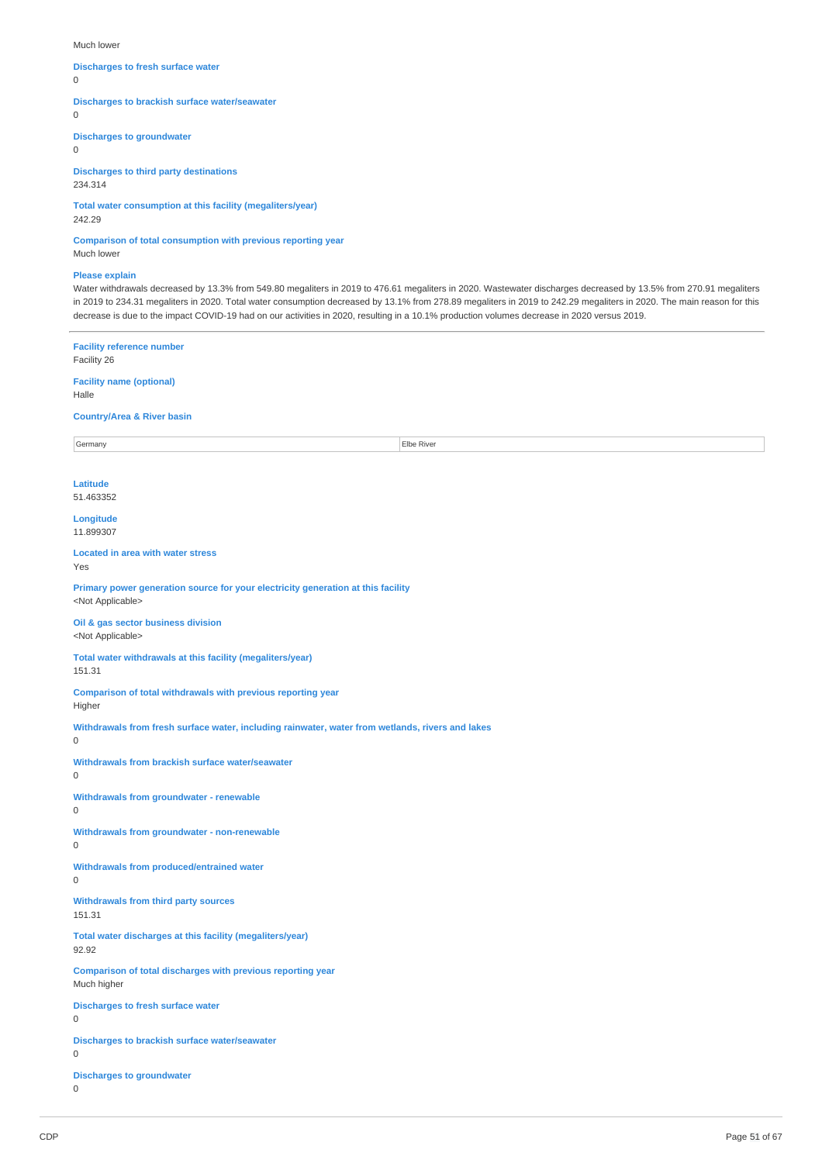Much lower

### **Discharges to fresh surface water**

 $\Omega$ 

**Discharges to brackish surface water/seawater**

 $\Omega$ 

**Discharges to groundwater**

0

**Discharges to third party destinations** 234.314

**Total water consumption at this facility (megaliters/year)** 242.29

**Comparison of total consumption with previous reporting year**

Much lower

### **Please explain**

Water withdrawals decreased by 13.3% from 549.80 megaliters in 2019 to 476.61 megaliters in 2020. Wastewater discharges decreased by 13.5% from 270.91 megaliters in 2019 to 234.31 megaliters in 2020. Total water consumption decreased by 13.1% from 278.89 megaliters in 2019 to 242.29 megaliters in 2020. The main reason for this decrease is due to the impact COVID-19 had on our activities in 2020, resulting in a 10.1% production volumes decrease in 2020 versus 2019.

**Facility reference number** Facility 26 **Facility name (optional)** Halle **Country/Area & River basin** Germany Elbe River **Latitude** 51.463352 **Longitude** 11.899307 **Located in area with water stress** Yes **Primary power generation source for your electricity generation at this facility** <Not Applicable> **Oil & gas sector business division** <Not Applicable> **Total water withdrawals at this facility (megaliters/year)** 151.31 **Comparison of total withdrawals with previous reporting year** Higher **Withdrawals from fresh surface water, including rainwater, water from wetlands, rivers and lakes**  $\Omega$ **Withdrawals from brackish surface water/seawater**  $\theta$ **Withdrawals from groundwater - renewable** 0 **Withdrawals from groundwater - non-renewable** 0 **Withdrawals from produced/entrained water**  $\Omega$ **Withdrawals from third party sources** 151.31 **Total water discharges at this facility (megaliters/year)** 92.92 **Comparison of total discharges with previous reporting year** Much higher **Discharges to fresh surface water** 0 **Discharges to brackish surface water/seawater** 0 **Discharges to groundwater** 0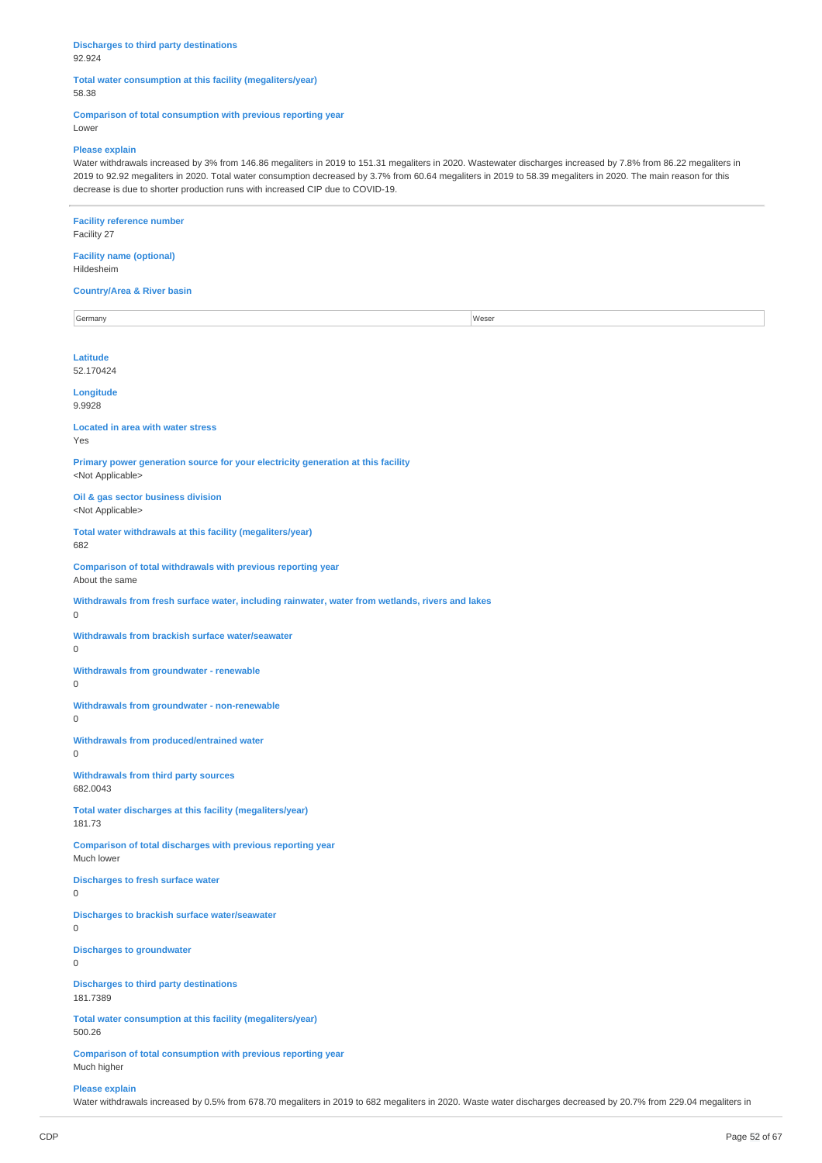#### **Discharges to third party destinations** 92.924

### **Total water consumption at this facility (megaliters/year)** 58.38

# **Comparison of total consumption with previous reporting year**

Lower

#### **Please explain**

Water withdrawals increased by 3% from 146.86 megaliters in 2019 to 151.31 megaliters in 2020. Wastewater discharges increased by 7.8% from 86.22 megaliters in 2019 to 92.92 megaliters in 2020. Total water consumption decreased by 3.7% from 60.64 megaliters in 2019 to 58.39 megaliters in 2020. The main reason for this decrease is due to shorter production runs with increased CIP due to COVID-19.

# **Facility reference number**

Facility 27

#### **Facility name (optional)** Hildesheim

### **Country/Area & River basin**

Germany Weser **Latitude** 52.170424 **Longitude**

# **Located in area with water stress**

Yes

9.9928

**Primary power generation source for your electricity generation at this facility** <Not Applicable>

### **Oil & gas sector business division** <Not Applicable>

**Total water withdrawals at this facility (megaliters/year)** 682

**Comparison of total withdrawals with previous reporting year**

About the same

**Withdrawals from fresh surface water, including rainwater, water from wetlands, rivers and lakes**

0

**Withdrawals from brackish surface water/seawater**

 $\Omega$ 

**Withdrawals from groundwater - renewable**

 $\Omega$ 

**Withdrawals from groundwater - non-renewable**

 $\Omega$ 

**Withdrawals from produced/entrained water**  $\Omega$ 

**Withdrawals from third party sources** 682.0043

**Total water discharges at this facility (megaliters/year)**

181.73

**Comparison of total discharges with previous reporting year** Much lower

**Discharges to fresh surface water**

0

**Discharges to brackish surface water/seawater**

 $\Omega$ 

**Discharges to groundwater**

 $\overline{0}$ 

**Discharges to third party destinations** 181.7389

**Total water consumption at this facility (megaliters/year)**

500.26

**Comparison of total consumption with previous reporting year** Much higher

### **Please explain**

Water withdrawals increased by 0.5% from 678.70 megaliters in 2019 to 682 megaliters in 2020. Waste water discharges decreased by 20.7% from 229.04 megaliters in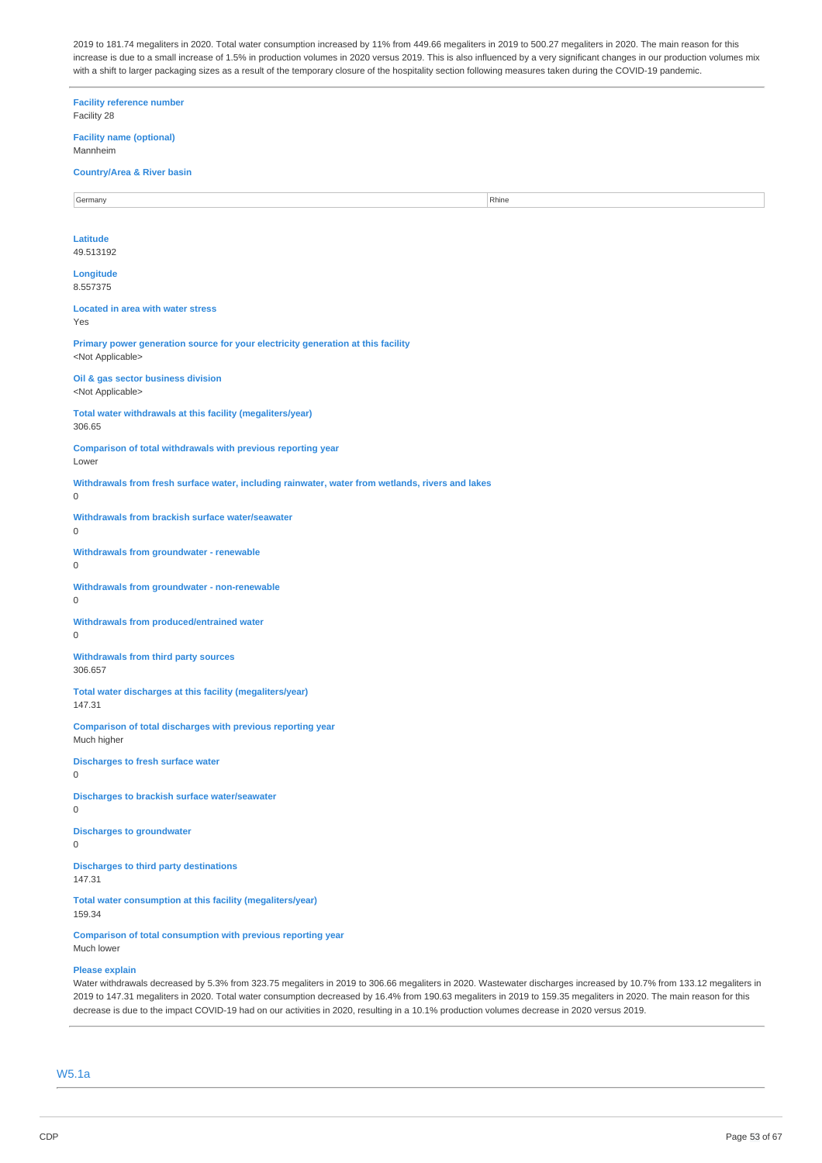2019 to 181.74 megaliters in 2020. Total water consumption increased by 11% from 449.66 megaliters in 2019 to 500.27 megaliters in 2020. The main reason for this increase is due to a small increase of 1.5% in production volumes in 2020 versus 2019. This is also influenced by a very significant changes in our production volumes mix with a shift to larger packaging sizes as a result of the temporary closure of the hospitality section following measures taken during the COVID-19 pandemic.

**Facility reference number** Facility 28 **Facility name (optional)** Mannheim **Country/Area & River basin** Germany **Rhine Latitude** 49.513192 **Longitude** 8.557375 **Located in area with water stress** Yes **Primary power generation source for your electricity generation at this facility** <Not Applicable> **Oil & gas sector business division** <Not Applicable> **Total water withdrawals at this facility (megaliters/year)** 306.65 **Comparison of total withdrawals with previous reporting year** Lower **Withdrawals from fresh surface water, including rainwater, water from wetlands, rivers and lakes**  $\Omega$ **Withdrawals from brackish surface water/seawater**  $\theta$ **Withdrawals from groundwater - renewable** 0 **Withdrawals from groundwater - non-renewable** 0 **Withdrawals from produced/entrained water** 0 **Withdrawals from third party sources** 306.657 **Total water discharges at this facility (megaliters/year)** 147.31 **Comparison of total discharges with previous reporting year** Much higher **Discharges to fresh surface water** 0 **Discharges to brackish surface water/seawater** 0 **Discharges to groundwater**  $\Omega$ **Discharges to third party destinations** 147.31 **Total water consumption at this facility (megaliters/year)** 159.34 **Comparison of total consumption with previous reporting year** Much lower **Please explain**

Water withdrawals decreased by 5.3% from 323.75 megaliters in 2019 to 306.66 megaliters in 2020. Wastewater discharges increased by 10.7% from 133.12 megaliters in 2019 to 147.31 megaliters in 2020. Total water consumption decreased by 16.4% from 190.63 megaliters in 2019 to 159.35 megaliters in 2020. The main reason for this decrease is due to the impact COVID-19 had on our activities in 2020, resulting in a 10.1% production volumes decrease in 2020 versus 2019.

W5.1a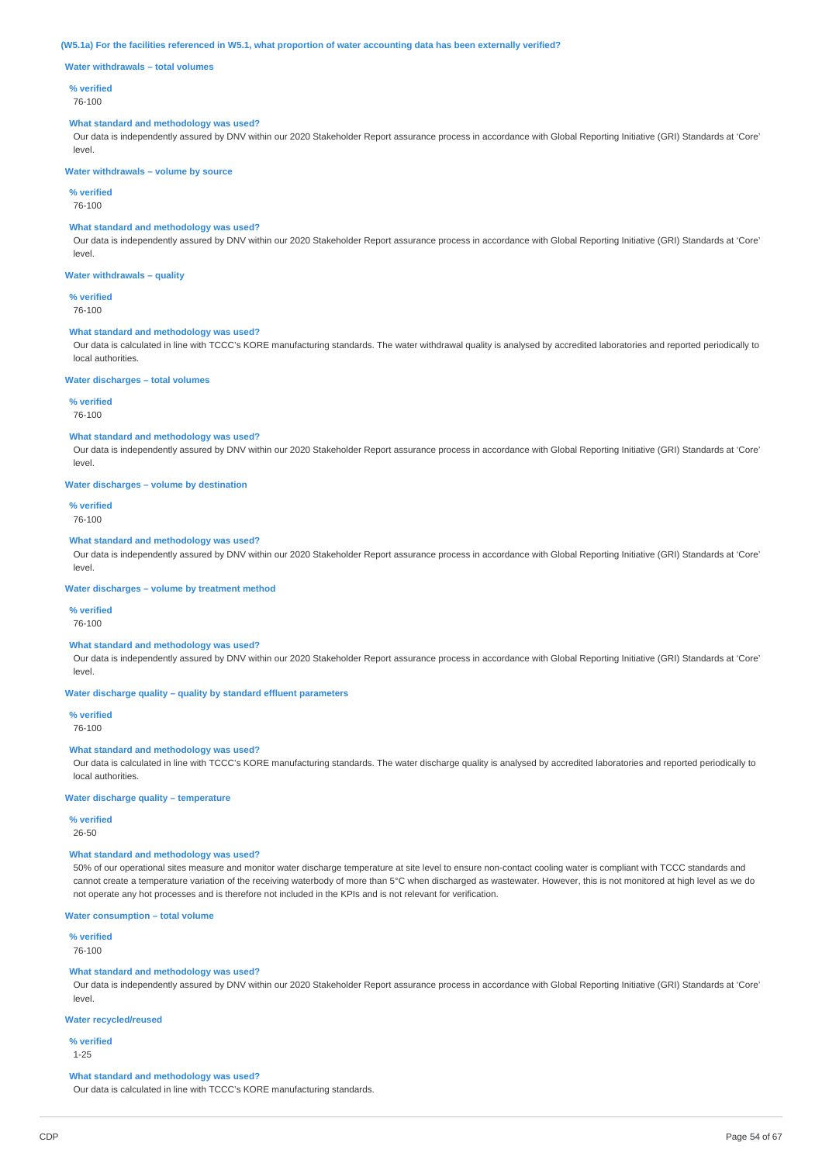#### (W5.1a) For the facilities referenced in W5.1, what proportion of water accounting data has been externally verified?

**Water withdrawals – total volumes**

#### **% verified**

76-100

#### **What standard and methodology was used?**

Our data is independently assured by DNV within our 2020 Stakeholder Report assurance process in accordance with Global Reporting Initiative (GRI) Standards at 'Core' level.

### **Water withdrawals – volume by source**

**% verified**

76-100

### **What standard and methodology was used?**

Our data is independently assured by DNV within our 2020 Stakeholder Report assurance process in accordance with Global Reporting Initiative (GRI) Standards at 'Core' level.

### **Water withdrawals – quality**

**% verified**

76-100

### **What standard and methodology was used?**

Our data is calculated in line with TCCC's KORE manufacturing standards. The water withdrawal quality is analysed by accredited laboratories and reported periodically to local authorities.

#### **Water discharges – total volumes**

**% verified**

#### 76-100

#### **What standard and methodology was used?**

Our data is independently assured by DNV within our 2020 Stakeholder Report assurance process in accordance with Global Reporting Initiative (GRI) Standards at 'Core' level.

**Water discharges – volume by destination**

**% verified** 76-100

### **What standard and methodology was used?**

Our data is independently assured by DNV within our 2020 Stakeholder Report assurance process in accordance with Global Reporting Initiative (GRI) Standards at 'Core' level.

**Water discharges – volume by treatment method**

# **% verified**

76-100

### **What standard and methodology was used?**

Our data is independently assured by DNV within our 2020 Stakeholder Report assurance process in accordance with Global Reporting Initiative (GRI) Standards at 'Core' level.

### **Water discharge quality – quality by standard effluent parameters**

**% verified**

76-100

# **What standard and methodology was used?**

Our data is calculated in line with TCCC's KORE manufacturing standards. The water discharge quality is analysed by accredited laboratories and reported periodically to local authorities.

### **Water discharge quality – temperature**

**% verified**

26-50

### **What standard and methodology was used?**

50% of our operational sites measure and monitor water discharge temperature at site level to ensure non-contact cooling water is compliant with TCCC standards and cannot create a temperature variation of the receiving waterbody of more than 5°C when discharged as wastewater. However, this is not monitored at high level as we do not operate any hot processes and is therefore not included in the KPIs and is not relevant for verification.

**Water consumption – total volume**

### **% verified**

76-100

# **What standard and methodology was used?**

Our data is independently assured by DNV within our 2020 Stakeholder Report assurance process in accordance with Global Reporting Initiative (GRI) Standards at 'Core' level.

### **Water recycled/reused**

**% verified**

#### 1-25

**What standard and methodology was used?**

Our data is calculated in line with TCCC's KORE manufacturing standards.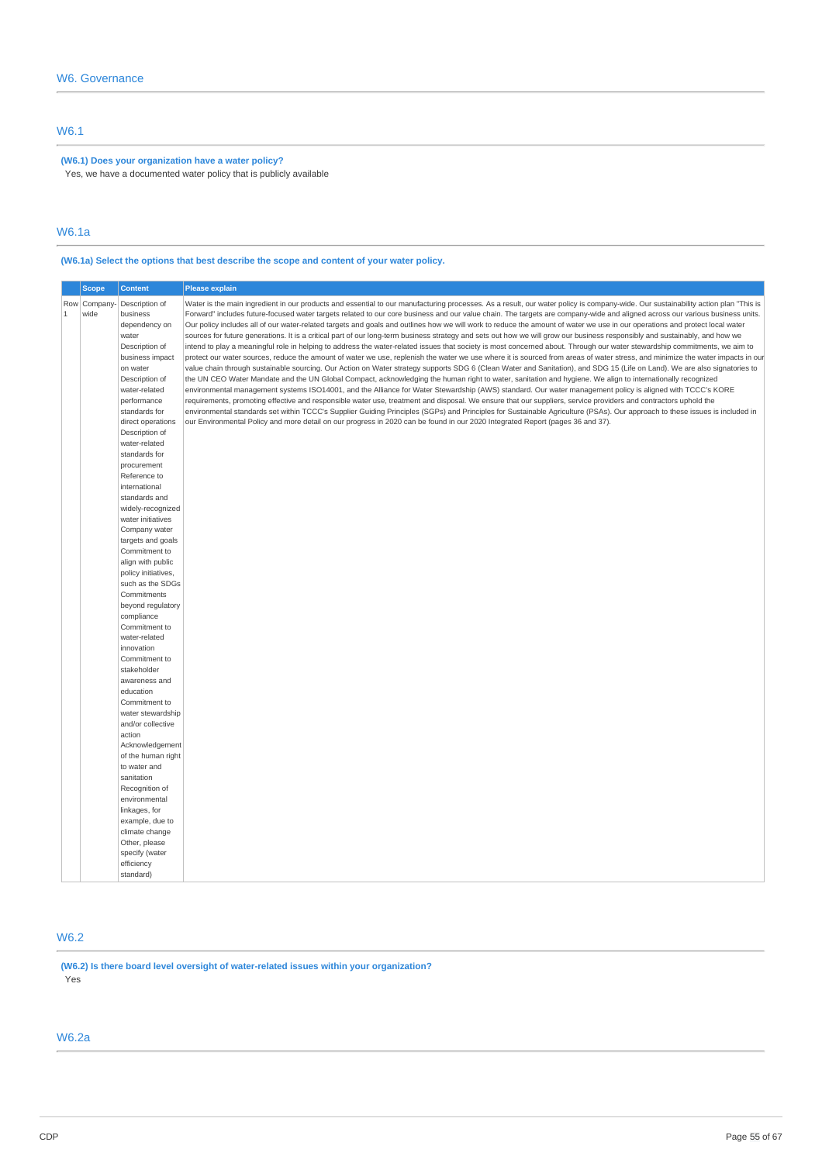# W6.1

# **(W6.1) Does your organization have a water policy?**

Yes, we have a documented water policy that is publicly available

### W6.1a

# **(W6.1a) Select the options that best describe the scope and content of your water policy.**

|       | <b>Scope</b>        | <b>Content</b>                                                                                                                                                                                                                                                                                                                                                                                                                                                                                                                                                                                                                                                                                                                                                                                                                     | <b>Please explain</b>                                                                                                                                                                                                                                                                                                                                                                                                                                                                                                                                                                                                                                                                                                                                                                                                                                                                                                                                                                                                                                                                                                                                                                                                                                                                                                                                                                                                                                                                                                                                                                                                                                                                                                                                                                                                                                                                                                                                                                                                                                                                       |
|-------|---------------------|------------------------------------------------------------------------------------------------------------------------------------------------------------------------------------------------------------------------------------------------------------------------------------------------------------------------------------------------------------------------------------------------------------------------------------------------------------------------------------------------------------------------------------------------------------------------------------------------------------------------------------------------------------------------------------------------------------------------------------------------------------------------------------------------------------------------------------|---------------------------------------------------------------------------------------------------------------------------------------------------------------------------------------------------------------------------------------------------------------------------------------------------------------------------------------------------------------------------------------------------------------------------------------------------------------------------------------------------------------------------------------------------------------------------------------------------------------------------------------------------------------------------------------------------------------------------------------------------------------------------------------------------------------------------------------------------------------------------------------------------------------------------------------------------------------------------------------------------------------------------------------------------------------------------------------------------------------------------------------------------------------------------------------------------------------------------------------------------------------------------------------------------------------------------------------------------------------------------------------------------------------------------------------------------------------------------------------------------------------------------------------------------------------------------------------------------------------------------------------------------------------------------------------------------------------------------------------------------------------------------------------------------------------------------------------------------------------------------------------------------------------------------------------------------------------------------------------------------------------------------------------------------------------------------------------------|
| $1\,$ | Row Company<br>wide | Description of<br>business<br>dependency on<br>water<br>Description of<br>business impact<br>on water<br>Description of<br>water-related<br>performance<br>standards for<br>direct operations<br>Description of<br>water-related<br>standards for<br>procurement<br>Reference to<br>international<br>standards and<br>widely-recognized<br>water initiatives<br>Company water<br>targets and goals<br>Commitment to<br>align with public<br>policy initiatives,<br>such as the SDGs<br>Commitments<br>beyond regulatory<br>compliance<br>Commitment to<br>water-related<br>innovation<br>Commitment to<br>stakeholder<br>awareness and<br>education<br>Commitment to<br>water stewardship<br>and/or collective<br>action<br>Acknowledgement<br>of the human right<br>to water and<br>sanitation<br>Recognition of<br>environmental | Water is the main ingredient in our products and essential to our manufacturing processes. As a result, our water policy is company-wide. Our sustainability action plan "This is<br>Forward" includes future-focused water targets related to our core business and our value chain. The targets are company-wide and aligned across our various business units.<br>Our policy includes all of our water-related targets and goals and outlines how we will work to reduce the amount of water we use in our operations and protect local water<br>sources for future generations. It is a critical part of our long-term business strategy and sets out how we will grow our business responsibly and sustainably, and how we<br>intend to play a meaningful role in helping to address the water-related issues that society is most concerned about. Through our water stewardship commitments, we aim to<br>protect our water sources, reduce the amount of water we use, replenish the water we use where it is sourced from areas of water stress, and minimize the water impacts in our<br>value chain through sustainable sourcing. Our Action on Water strategy supports SDG 6 (Clean Water and Sanitation), and SDG 15 (Life on Land). We are also signatories to<br>the UN CEO Water Mandate and the UN Global Compact, acknowledging the human right to water, sanitation and hygiene. We align to internationally recognized<br>environmental management systems ISO14001, and the Alliance for Water Stewardship (AWS) standard. Our water management policy is aligned with TCCC's KORE<br>requirements, promoting effective and responsible water use, treatment and disposal. We ensure that our suppliers, service providers and contractors uphold the<br>environmental standards set within TCCC's Supplier Guiding Principles (SGPs) and Principles for Sustainable Agriculture (PSAs). Our approach to these issues is included in<br>our Environmental Policy and more detail on our progress in 2020 can be found in our 2020 Integrated Report (pages 36 and 37). |
|       |                     | linkages, for<br>example, due to<br>climate change<br>Other, please<br>specify (water<br>efficiency<br>standard)                                                                                                                                                                                                                                                                                                                                                                                                                                                                                                                                                                                                                                                                                                                   |                                                                                                                                                                                                                                                                                                                                                                                                                                                                                                                                                                                                                                                                                                                                                                                                                                                                                                                                                                                                                                                                                                                                                                                                                                                                                                                                                                                                                                                                                                                                                                                                                                                                                                                                                                                                                                                                                                                                                                                                                                                                                             |

# W6.2

**(W6.2) Is there board level oversight of water-related issues within your organization?** Yes

# W6.2a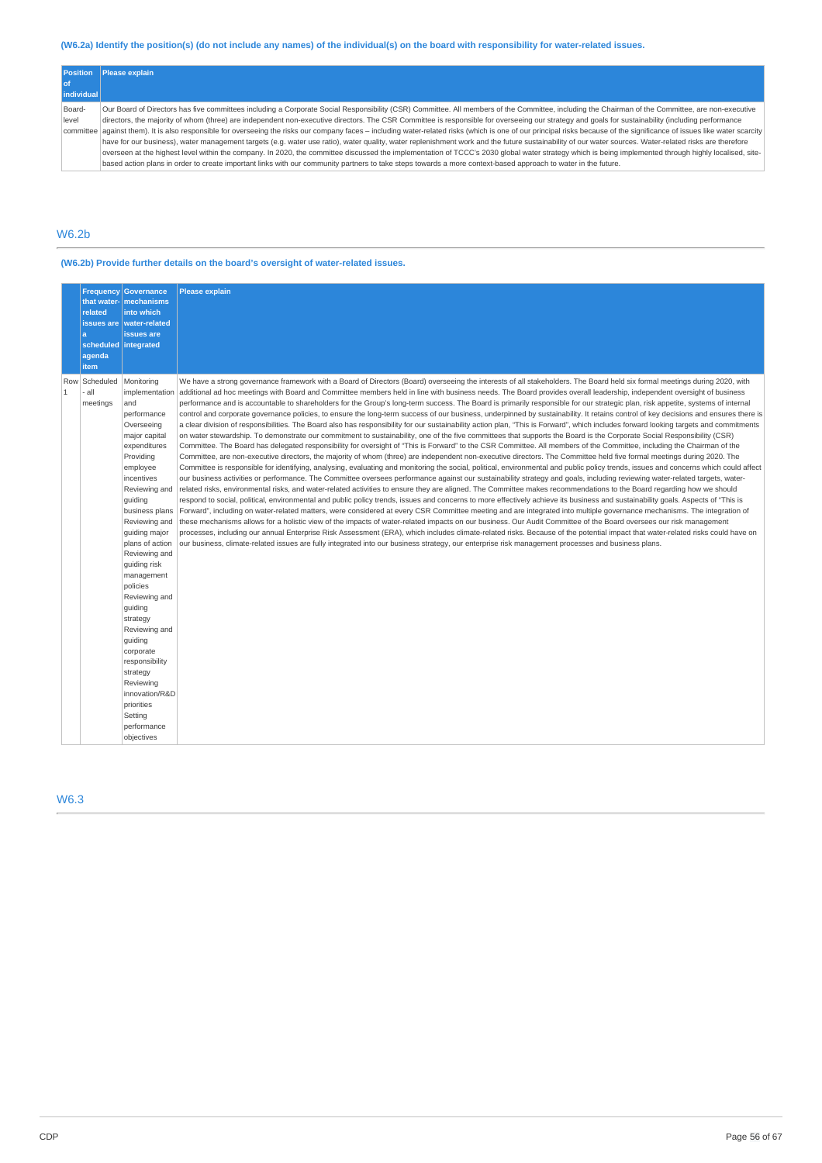# (W6.2a) Identify the position(s) (do not include any names) of the individual(s) on the board with responsibility for water-related issues.

|                   | <b>Position</b> Please explain                                                                                                                                                                                            |
|-------------------|---------------------------------------------------------------------------------------------------------------------------------------------------------------------------------------------------------------------------|
|                   |                                                                                                                                                                                                                           |
| <i>individual</i> |                                                                                                                                                                                                                           |
| Board-            | Our Board of Directors has five committees including a Corporate Social Responsibility (CSR) Committee. All members of the Committee, including the Chairman of the Committee, are non-executive                          |
| level             | directors, the majority of whom (three) are independent non-executive directors. The CSR Committee is responsible for overseeing our strategy and goals for sustainability (including performance                         |
|                   | committee against them). It is also responsible for overseeing the risks our company faces - including water-related risks (which is one of our principal risks because of the significance of issues like water scarcity |
|                   | have for our business), water management targets (e.g. water use ratio), water quality, water replenishment work and the future sustainability of our water sources. Water-related risks are therefore                    |
|                   | overseen at the highest level within the company. In 2020, the committee discussed the implementation of TCCC's 2030 global water strategy which is being implemented through highly localised, site-                     |
|                   | based action plans in order to create important links with our community partners to take steps towards a more context-based approach to water in the future.                                                             |

# W6.2b

# **(W6.2b) Provide further details on the board's oversight of water-related issues.**

|                     | <b>Frequency</b><br>that water-<br>related<br>a<br>scheduled integrated<br>agenda<br>item | <b>Governance</b><br>mechanisms<br>into which<br>issues are water-related<br>issues are                                                                                                                                                                                                                                                                                                                                                                                                                    | <b>Please explain</b>                                                                                                                                                                                                                                                                                                                                                                                                                                                                                                                                                                                                                                                                                                                                                                                                                                                                                                                                                                                                                                                                                                                                                                                                                                                                                                                                                                                                                                                                                                                                                                                                                                                                                                                                                                                                                                                                                                                                                                                                                                                                                                                                                                                                                                                                                                                                                                                                                                                                                                                                                                                                                                                                                                                                                                                                                                                              |
|---------------------|-------------------------------------------------------------------------------------------|------------------------------------------------------------------------------------------------------------------------------------------------------------------------------------------------------------------------------------------------------------------------------------------------------------------------------------------------------------------------------------------------------------------------------------------------------------------------------------------------------------|------------------------------------------------------------------------------------------------------------------------------------------------------------------------------------------------------------------------------------------------------------------------------------------------------------------------------------------------------------------------------------------------------------------------------------------------------------------------------------------------------------------------------------------------------------------------------------------------------------------------------------------------------------------------------------------------------------------------------------------------------------------------------------------------------------------------------------------------------------------------------------------------------------------------------------------------------------------------------------------------------------------------------------------------------------------------------------------------------------------------------------------------------------------------------------------------------------------------------------------------------------------------------------------------------------------------------------------------------------------------------------------------------------------------------------------------------------------------------------------------------------------------------------------------------------------------------------------------------------------------------------------------------------------------------------------------------------------------------------------------------------------------------------------------------------------------------------------------------------------------------------------------------------------------------------------------------------------------------------------------------------------------------------------------------------------------------------------------------------------------------------------------------------------------------------------------------------------------------------------------------------------------------------------------------------------------------------------------------------------------------------------------------------------------------------------------------------------------------------------------------------------------------------------------------------------------------------------------------------------------------------------------------------------------------------------------------------------------------------------------------------------------------------------------------------------------------------------------------------------------------------|
| Row<br>$\mathbf{1}$ | Scheduled<br>- all<br>meetings                                                            | Monitoring<br>implementation<br>and<br>performance<br>Overseeing<br>major capital<br>expenditures<br>Providing<br>employee<br>incentives<br>Reviewing and<br>guiding<br>business plans<br>Reviewing and<br>guiding major<br>plans of action<br>Reviewing and<br>guiding risk<br>management<br>policies<br>Reviewing and<br>guiding<br>strategy<br>Reviewing and<br>guiding<br>corporate<br>responsibility<br>strategy<br>Reviewing<br>innovation/R&D<br>priorities<br>Setting<br>performance<br>objectives | We have a strong governance framework with a Board of Directors (Board) overseeing the interests of all stakeholders. The Board held six formal meetings during 2020, with<br>additional ad hoc meetings with Board and Committee members held in line with business needs. The Board provides overall leadership, independent oversight of business<br>performance and is accountable to shareholders for the Group's long-term success. The Board is primarily responsible for our strategic plan, risk appetite, systems of internal<br>control and corporate governance policies, to ensure the long-term success of our business, underpinned by sustainability. It retains control of key decisions and ensures there is<br>a clear division of responsibilities. The Board also has responsibility for our sustainability action plan, "This is Forward", which includes forward looking targets and commitments<br>on water stewardship. To demonstrate our commitment to sustainability, one of the five committees that supports the Board is the Corporate Social Responsibility (CSR)<br>Committee. The Board has delegated responsibility for oversight of "This is Forward" to the CSR Committee. All members of the Committee, including the Chairman of the<br>Committee, are non-executive directors, the majority of whom (three) are independent non-executive directors. The Committee held five formal meetings during 2020. The<br>Committee is responsible for identifying, analysing, evaluating and monitoring the social, political, environmental and public policy trends, issues and concerns which could affect<br>our business activities or performance. The Committee oversees performance against our sustainability strategy and goals, including reviewing water-related targets, water-<br>related risks, environmental risks, and water-related activities to ensure they are aligned. The Committee makes recommendations to the Board regarding how we should<br>respond to social, political, environmental and public policy trends, issues and concerns to more effectively achieve its business and sustainability goals. Aspects of "This is<br>Forward", including on water-related matters, were considered at every CSR Committee meeting and are integrated into multiple governance mechanisms. The integration of<br>these mechanisms allows for a holistic view of the impacts of water-related impacts on our business. Our Audit Committee of the Board oversees our risk management<br>processes, including our annual Enterprise Risk Assessment (ERA), which includes climate-related risks. Because of the potential impact that water-related risks could have on<br>our business, climate-related issues are fully integrated into our business strategy, our enterprise risk management processes and business plans. |

# W6.3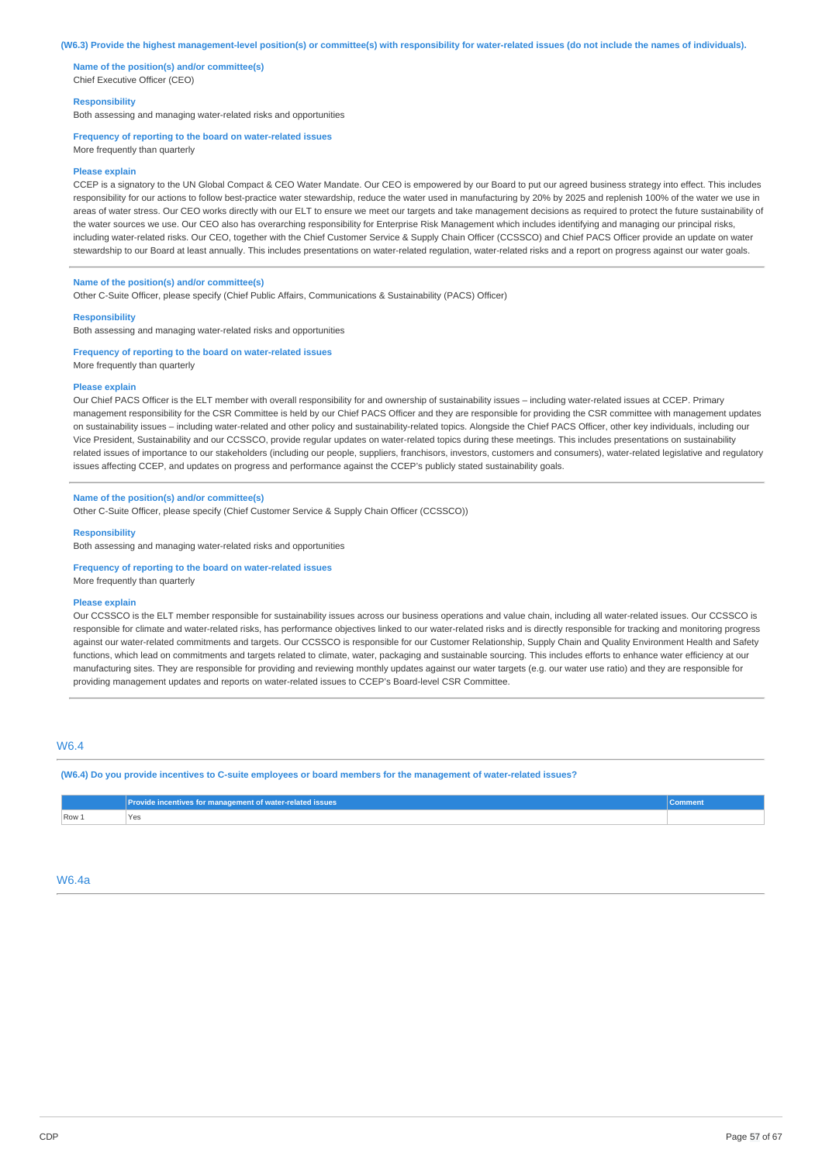#### (W6.3) Provide the highest management-level position(s) or committee(s) with responsibility for water-related issues (do not include the names of individuals).

**Name of the position(s) and/or committee(s)** Chief Executive Officer (CEO)

### **Responsibility**

Both assessing and managing water-related risks and opportunities

### **Frequency of reporting to the board on water-related issues**

More frequently than quarterly

#### **Please explain**

CCEP is a signatory to the UN Global Compact & CEO Water Mandate. Our CEO is empowered by our Board to put our agreed business strategy into effect. This includes responsibility for our actions to follow best-practice water stewardship, reduce the water used in manufacturing by 20% by 2025 and replenish 100% of the water we use in areas of water stress. Our CEO works directly with our ELT to ensure we meet our targets and take management decisions as required to protect the future sustainability of the water sources we use. Our CEO also has overarching responsibility for Enterprise Risk Management which includes identifying and managing our principal risks, including water-related risks. Our CEO, together with the Chief Customer Service & Supply Chain Officer (CCSSCO) and Chief PACS Officer provide an update on water stewardship to our Board at least annually. This includes presentations on water-related regulation, water-related risks and a report on progress against our water goals.

### **Name of the position(s) and/or committee(s)**

Other C-Suite Officer, please specify (Chief Public Affairs, Communications & Sustainability (PACS) Officer)

#### **Responsibility**

Both assessing and managing water-related risks and opportunities

#### **Frequency of reporting to the board on water-related issues**

More frequently than quarterly

#### **Please explain**

Our Chief PACS Officer is the ELT member with overall responsibility for and ownership of sustainability issues – including water-related issues at CCEP. Primary management responsibility for the CSR Committee is held by our Chief PACS Officer and they are responsible for providing the CSR committee with management updates on sustainability issues – including water-related and other policy and sustainability-related topics. Alongside the Chief PACS Officer, other key individuals, including our Vice President, Sustainability and our CCSSCO, provide regular updates on water-related topics during these meetings. This includes presentations on sustainability related issues of importance to our stakeholders (including our people, suppliers, franchisors, investors, customers and consumers), water-related legislative and regulatory issues affecting CCEP, and updates on progress and performance against the CCEP's publicly stated sustainability goals.

#### **Name of the position(s) and/or committee(s)**

Other C-Suite Officer, please specify (Chief Customer Service & Supply Chain Officer (CCSSCO))

#### **Responsibility**

Both assessing and managing water-related risks and opportunities

### **Frequency of reporting to the board on water-related issues** More frequently than quarterly

### **Please explain**

Our CCSSCO is the ELT member responsible for sustainability issues across our business operations and value chain, including all water-related issues. Our CCSSCO is responsible for climate and water-related risks, has performance objectives linked to our water-related risks and is directly responsible for tracking and monitoring progress against our water-related commitments and targets. Our CCSSCO is responsible for our Customer Relationship, Supply Chain and Quality Environment Health and Safety functions, which lead on commitments and targets related to climate, water, packaging and sustainable sourcing. This includes efforts to enhance water efficiency at our manufacturing sites. They are responsible for providing and reviewing monthly updates against our water targets (e.g. our water use ratio) and they are responsible for providing management updates and reports on water-related issues to CCEP's Board-level CSR Committee.

### W6.4

(W6.4) Do you provide incentives to C-suite employees or board members for the management of water-related issues?

|       | Provide incentives for management of water-related issues | Comment |
|-------|-----------------------------------------------------------|---------|
| Row 1 | <b>Yes</b>                                                |         |

#### W6.4a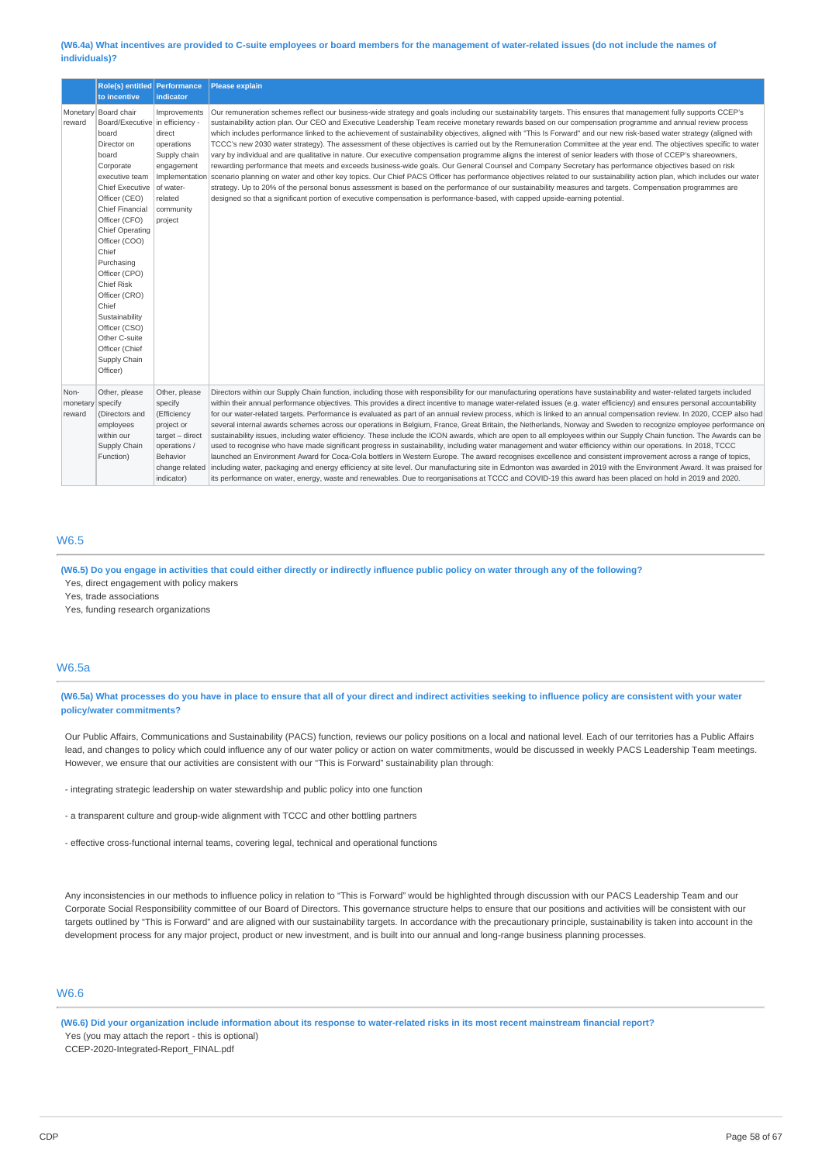#### (W6.4a) What incentives are provided to C-suite employees or board members for the management of water-related issues (do not include the names of **individuals)?**

|                                    | Role(s) entitled Performance                                                                                                                                                                                                                                                                                                                                                                                                        |                                                                                                                                      | <b>Please explain</b>                                                                                                                                                                                                                                                                                                                                                                                                                                                                                                                                                                                                                                                                                                                                                                                                                                                                                                                                                                                                                                                                                                                                                                                                                                                                                                                                                                                                                                                                                                                         |
|------------------------------------|-------------------------------------------------------------------------------------------------------------------------------------------------------------------------------------------------------------------------------------------------------------------------------------------------------------------------------------------------------------------------------------------------------------------------------------|--------------------------------------------------------------------------------------------------------------------------------------|-----------------------------------------------------------------------------------------------------------------------------------------------------------------------------------------------------------------------------------------------------------------------------------------------------------------------------------------------------------------------------------------------------------------------------------------------------------------------------------------------------------------------------------------------------------------------------------------------------------------------------------------------------------------------------------------------------------------------------------------------------------------------------------------------------------------------------------------------------------------------------------------------------------------------------------------------------------------------------------------------------------------------------------------------------------------------------------------------------------------------------------------------------------------------------------------------------------------------------------------------------------------------------------------------------------------------------------------------------------------------------------------------------------------------------------------------------------------------------------------------------------------------------------------------|
|                                    | to incentive                                                                                                                                                                                                                                                                                                                                                                                                                        | indicator                                                                                                                            |                                                                                                                                                                                                                                                                                                                                                                                                                                                                                                                                                                                                                                                                                                                                                                                                                                                                                                                                                                                                                                                                                                                                                                                                                                                                                                                                                                                                                                                                                                                                               |
| reward                             | Monetary Board chair<br>Board/Executive in efficiency -<br>board<br>Director on<br>board<br>Corporate<br>executive team<br><b>Chief Executive</b><br>Officer (CEO)<br><b>Chief Financial</b><br>Officer (CFO)<br>Chief Operating<br>Officer (COO)<br>Chief<br>Purchasing<br>Officer (CPO)<br>Chief Risk<br>Officer (CRO)<br>Chief<br>Sustainability<br>Officer (CSO)<br>Other C-suite<br>Officer (Chief<br>Supply Chain<br>Officer) | Improvements<br>direct<br>operations<br>Supply chain<br>engagement<br>Implementation<br>of water-<br>related<br>community<br>project | Our remuneration schemes reflect our business-wide strategy and goals including our sustainability targets. This ensures that management fully supports CCEP's<br>sustainability action plan. Our CEO and Executive Leadership Team receive monetary rewards based on our compensation programme and annual review process<br>which includes performance linked to the achievement of sustainability objectives, aligned with "This Is Forward" and our new risk-based water strategy (aligned with<br>TCCC's new 2030 water strategy). The assessment of these objectives is carried out by the Remuneration Committee at the year end. The objectives specific to water<br>vary by individual and are qualitative in nature. Our executive compensation programme aligns the interest of senior leaders with those of CCEP's shareowners,<br>rewarding performance that meets and exceeds business-wide goals. Our General Counsel and Company Secretary has performance objectives based on risk<br>scenario planning on water and other key topics. Our Chief PACS Officer has performance objectives related to our sustainability action plan, which includes our water<br>strategy. Up to 20% of the personal bonus assessment is based on the performance of our sustainability measures and targets. Compensation programmes are<br>designed so that a significant portion of executive compensation is performance-based, with capped upside-earning potential.                                                                     |
| Non-<br>monetary specify<br>reward | Other, please<br>(Directors and<br>employees<br>within our<br>Supply Chain<br>Function)                                                                                                                                                                                                                                                                                                                                             | Other, please<br>specify<br>(Efficiency<br>project or<br>target - direct<br>operations /<br>Behavior<br>change related<br>indicator) | Directors within our Supply Chain function, including those with responsibility for our manufacturing operations have sustainability and water-related targets included<br>within their annual performance objectives. This provides a direct incentive to manage water-related issues (e.g. water efficiency) and ensures personal accountability<br>for our water-related targets. Performance is evaluated as part of an annual review process, which is linked to an annual compensation review. In 2020, CCEP also had<br>several internal awards schemes across our operations in Belgium, France, Great Britain, the Netherlands, Norway and Sweden to recognize employee performance on<br>sustainability issues, including water efficiency. These include the ICON awards, which are open to all employees within our Supply Chain function. The Awards can be<br>used to recognise who have made significant progress in sustainability, including water management and water efficiency within our operations. In 2018, TCCC<br>launched an Environment Award for Coca-Cola bottlers in Western Europe. The award recognises excellence and consistent improvement across a range of topics,<br>including water, packaging and energy efficiency at site level. Our manufacturing site in Edmonton was awarded in 2019 with the Environment Award. It was praised for<br>its performance on water, energy, waste and renewables. Due to reorganisations at TCCC and COVID-19 this award has been placed on hold in 2019 and 2020. |

# W6.5

(W6.5) Do you engage in activities that could either directly or indirectly influence public policy on water through any of the following? Yes, direct engagement with policy makers

Yes, trade associations

Yes, funding research organizations

### W6.5a

(W6.5a) What processes do you have in place to ensure that all of your direct and indirect activities seeking to influence policy are consistent with your water **policy/water commitments?**

Our Public Affairs, Communications and Sustainability (PACS) function, reviews our policy positions on a local and national level. Each of our territories has a Public Affairs lead, and changes to policy which could influence any of our water policy or action on water commitments, would be discussed in weekly PACS Leadership Team meetings. However, we ensure that our activities are consistent with our "This is Forward" sustainability plan through:

- integrating strategic leadership on water stewardship and public policy into one function

- a transparent culture and group-wide alignment with TCCC and other bottling partners
- effective cross-functional internal teams, covering legal, technical and operational functions

Any inconsistencies in our methods to influence policy in relation to "This is Forward" would be highlighted through discussion with our PACS Leadership Team and our Corporate Social Responsibility committee of our Board of Directors. This governance structure helps to ensure that our positions and activities will be consistent with our targets outlined by "This is Forward" and are aligned with our sustainability targets. In accordance with the precautionary principle, sustainability is taken into account in the development process for any major project, product or new investment, and is built into our annual and long-range business planning processes.

# W6.6

(W6.6) Did your organization include information about its response to water-related risks in its most recent mainstream financial report? Yes (you may attach the report - this is optional)

CCEP-2020-Integrated-Report\_FINAL.pdf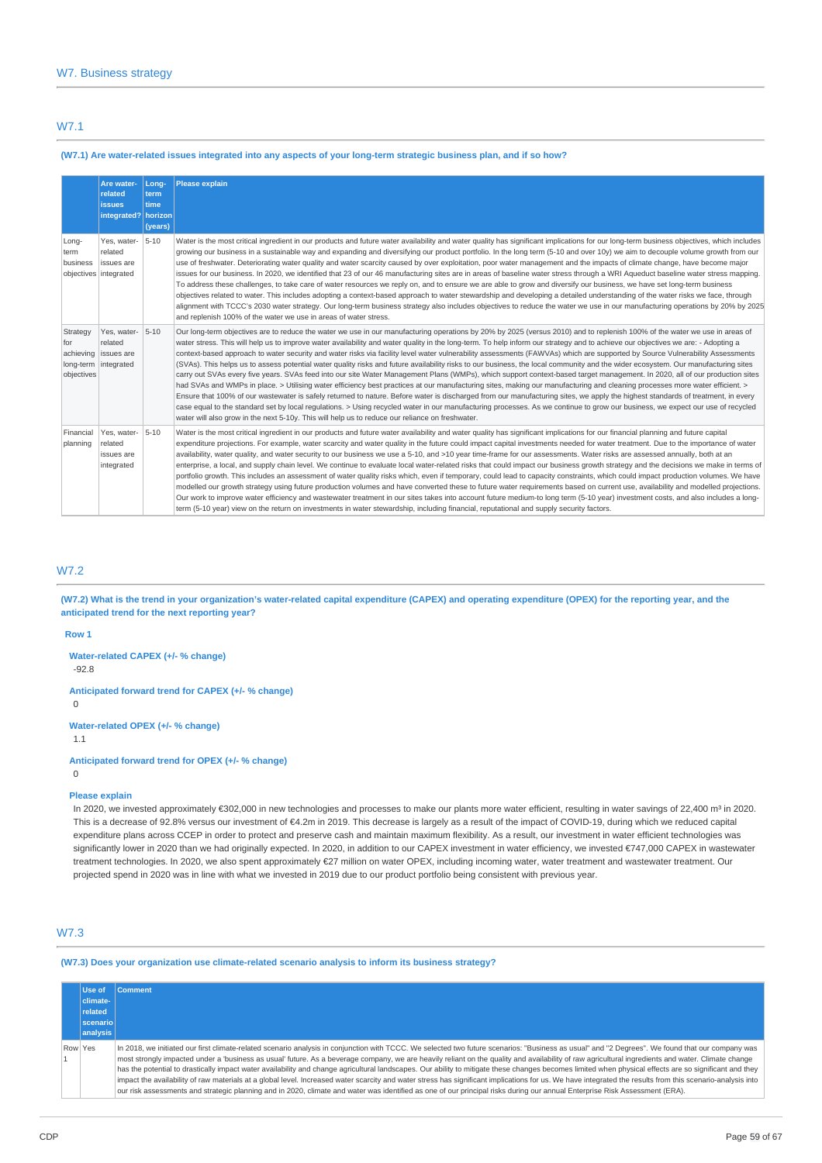### W7.1

### (W7.1) Are water-related issues integrated into any aspects of your long-term strategic business plan, and if so how?

|                                            | Are water-<br>related<br><b>issues</b><br>integrated?   horizon | Long-<br>term<br>time<br>(years) | <b>Please explain</b>                                                                                                                                                                                                                                                                                                                                                                                                                                                                                                                                                                                                                                                                                                                                                                                                                                                                                                                                                                                                                                                                                                                                                                                                                                                                                                                                                                                                                                                                                                                                                     |
|--------------------------------------------|-----------------------------------------------------------------|----------------------------------|---------------------------------------------------------------------------------------------------------------------------------------------------------------------------------------------------------------------------------------------------------------------------------------------------------------------------------------------------------------------------------------------------------------------------------------------------------------------------------------------------------------------------------------------------------------------------------------------------------------------------------------------------------------------------------------------------------------------------------------------------------------------------------------------------------------------------------------------------------------------------------------------------------------------------------------------------------------------------------------------------------------------------------------------------------------------------------------------------------------------------------------------------------------------------------------------------------------------------------------------------------------------------------------------------------------------------------------------------------------------------------------------------------------------------------------------------------------------------------------------------------------------------------------------------------------------------|
| Long-<br>term<br>business                  | Yes, water-<br>related<br>issues are<br>objectives integrated   | $5 - 10$                         | Water is the most critical ingredient in our products and future water availability and water quality has significant implications for our long-term business objectives, which includes<br>growing our business in a sustainable way and expanding and diversifying our product portfolio. In the long term (5-10 and over 10y) we aim to decouple volume growth from our<br>use of freshwater. Deteriorating water quality and water scarcity caused by over exploitation, poor water management and the impacts of climate change, have become major<br>issues for our business. In 2020, we identified that 23 of our 46 manufacturing sites are in areas of baseline water stress through a WRI Aqueduct baseline water stress mapping.<br>To address these challenges, to take care of water resources we reply on, and to ensure we are able to grow and diversify our business, we have set long-term business<br>objectives related to water. This includes adopting a context-based approach to water stewardship and developing a detailed understanding of the water risks we face, through<br>alignment with TCCC's 2030 water strategy. Our long-term business strategy also includes objectives to reduce the water we use in our manufacturing operations by 2095 by 2025<br>and replenish 100% of the water we use in areas of water stress.                                                                                                                                                                                                             |
| Strategy<br>for<br>achieving<br>objectives | Yes, water-<br>related<br>issues are<br>long-term integrated    | $5 - 10$                         | Our long-term objectives are to reduce the water we use in our manufacturing operations by 20% by 2025 (versus 2010) and to replenish 100% of the water we use in areas of<br>water stress. This will help us to improve water availability and water quality in the long-term. To help inform our strategy and to achieve our objectives we are: - Adopting a<br>context-based approach to water security and water risks via facility level water vulnerability assessments (FAWVAs) which are supported by Source Vulnerability Assessments<br>(SVAs). This helps us to assess potential water quality risks and future availability risks to our business, the local community and the wider ecosystem. Our manufacturing sites<br>carry out SVAs every five years. SVAs feed into our site Water Management Plans (WMPs), which support context-based target management. In 2020, all of our production sites<br>had SVAs and WMPs in place. > Utilising water efficiency best practices at our manufacturing sites, making our manufacturing and cleaning processes more water efficient. ><br>Ensure that 100% of our wastewater is safely returned to nature. Before water is discharged from our manufacturing sites, we apply the highest standards of treatment, in every<br>case equal to the standard set by local requlations. > Using recycled water in our manufacturing processes. As we continue to grow our business, we expect our use of recycled<br>water will also grow in the next 5-10y. This will help us to reduce our reliance on freshwater. |
| Financial<br>planning                      | Yes, water-<br>related<br>issues are<br>integrated              | $5 - 10$                         | Water is the most critical ingredient in our products and future water availability and water quality has significant implications for our financial planning and future capital<br>expenditure projections. For example, water scarcity and water quality in the future could impact capital investments needed for water treatment. Due to the importance of water<br>availability, water quality, and water security to our business we use a 5-10, and >10 year time-frame for our assessments. Water risks are assessed annually, both at an<br>enterprise, a local, and supply chain level. We continue to evaluate local water-related risks that could impact our business growth strategy and the decisions we make in terms of<br>portfolio growth. This includes an assessment of water quality risks which, even if temporary, could lead to capacity constraints, which could impact production volumes. We have<br>modelled our growth strategy using future production volumes and have converted these to future water requirements based on current use, availability and modelled projections.<br>Our work to improve water efficiency and wastewater treatment in our sites takes into account future medium-to long term (5-10 year) investment costs, and also includes a long-<br>term (5-10 year) view on the return on investments in water stewardship, including financial, reputational and supply security factors.                                                                                                                           |

# W7.2

(W7.2) What is the trend in your organization's water-related capital expenditure (CAPEX) and operating expenditure (OPEX) for the reporting year, and the **anticipated trend for the next reporting year?**

#### **Row 1**

**Water-related CAPEX (+/- % change)**

-92.8

**Anticipated forward trend for CAPEX (+/- % change)**  $\Omega$ 

**Water-related OPEX (+/- % change)**

1.1

 $\cap$ 

**Anticipated forward trend for OPEX (+/- % change)**

### **Please explain**

In 2020, we invested approximately €302,000 in new technologies and processes to make our plants more water efficient, resulting in water savings of 22,400 m<sup>3</sup> in 2020. This is a decrease of 92.8% versus our investment of €4.2m in 2019. This decrease is largely as a result of the impact of COVID-19, during which we reduced capital expenditure plans across CCEP in order to protect and preserve cash and maintain maximum flexibility. As a result, our investment in water efficient technologies was significantly lower in 2020 than we had originally expected. In 2020, in addition to our CAPEX investment in water efficiency, we invested €747,000 CAPEX in wastewater treatment technologies. In 2020, we also spent approximately €27 million on water OPEX, including incoming water, water treatment and wastewater treatment. Our projected spend in 2020 was in line with what we invested in 2019 due to our product portfolio being consistent with previous year.

# W7.3

**(W7.3) Does your organization use climate-related scenario analysis to inform its business strategy?**

|         | Use of          | <b>Comment</b>                                                                                                                                                                                                                                                                                                                                                                                                                                                                                                                                                                                                                                                                                                                                                                                                                                                                                                                                                                                                |
|---------|-----------------|---------------------------------------------------------------------------------------------------------------------------------------------------------------------------------------------------------------------------------------------------------------------------------------------------------------------------------------------------------------------------------------------------------------------------------------------------------------------------------------------------------------------------------------------------------------------------------------------------------------------------------------------------------------------------------------------------------------------------------------------------------------------------------------------------------------------------------------------------------------------------------------------------------------------------------------------------------------------------------------------------------------|
|         | climate-        |                                                                                                                                                                                                                                                                                                                                                                                                                                                                                                                                                                                                                                                                                                                                                                                                                                                                                                                                                                                                               |
|         | related         |                                                                                                                                                                                                                                                                                                                                                                                                                                                                                                                                                                                                                                                                                                                                                                                                                                                                                                                                                                                                               |
|         | <b>scenario</b> |                                                                                                                                                                                                                                                                                                                                                                                                                                                                                                                                                                                                                                                                                                                                                                                                                                                                                                                                                                                                               |
|         | analysis        |                                                                                                                                                                                                                                                                                                                                                                                                                                                                                                                                                                                                                                                                                                                                                                                                                                                                                                                                                                                                               |
| Row Yes |                 | In 2018, we initiated our first climate-related scenario analysis in conjunction with TCCC. We selected two future scenarios: "Business as usual" and "2 Degrees". We found that our company was<br>most strongly impacted under a 'business as usual' future. As a beverage company, we are heavily reliant on the quality and availability of raw agricultural ingredients and water. Climate change<br>has the potential to drastically impact water availability and change agricultural landscapes. Our ability to mitigate these changes becomes limited when physical effects are so significant and they<br>impact the availability of raw materials at a global level. Increased water scarcity and water stress has significant implications for us. We have integrated the results from this scenario-analysis into<br>our risk assessments and strategic planning and in 2020, climate and water was identified as one of our principal risks during our annual Enterprise Risk Assessment (ERA). |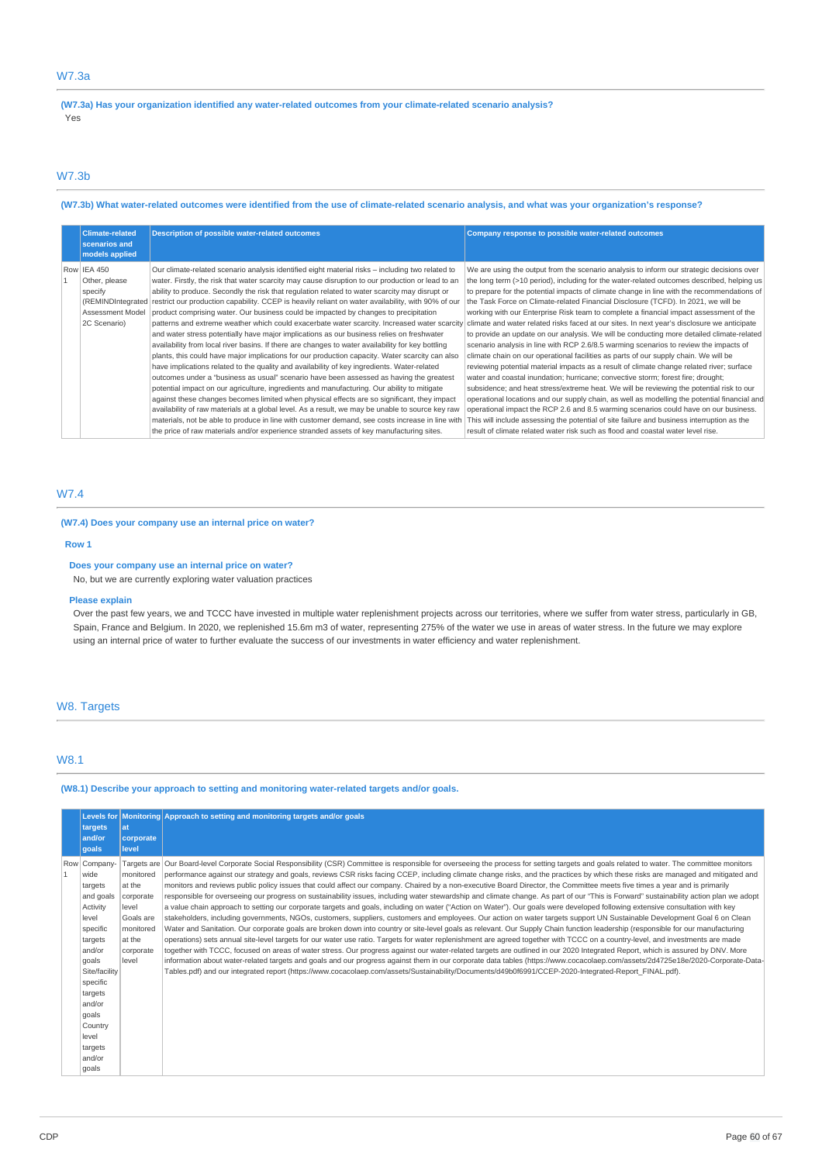# W7.3a

**(W7.3a) Has your organization identified any water-related outcomes from your climate-related scenario analysis?** Yes

# W7.3b

### (W7.3b) What water-related outcomes were identified from the use of climate-related scenario analysis, and what was your organization's response?

| <b>Climate-related</b><br>scenarios and<br>models applied                   | <b>Description of possible water-related outcomes</b>                                                                                                                                                                                                                                                                                                                                                                                                                                                                                                                                                                                                                                                                                                                                                                                                                                                                                                                                                                                                                                                                                                                                                                                                                                                                                                                                                                                                                                                                                                                                                                     | Company response to possible water-related outcomes                                                                                                                                                                                                                                                                                                                                                                                                                                                                                                                                                                                                                                                                                                                                                                                                                                                                                                                                                                                                                                                                                                                                                                                                                                                                                                                                                                                                                                                       |
|-----------------------------------------------------------------------------|---------------------------------------------------------------------------------------------------------------------------------------------------------------------------------------------------------------------------------------------------------------------------------------------------------------------------------------------------------------------------------------------------------------------------------------------------------------------------------------------------------------------------------------------------------------------------------------------------------------------------------------------------------------------------------------------------------------------------------------------------------------------------------------------------------------------------------------------------------------------------------------------------------------------------------------------------------------------------------------------------------------------------------------------------------------------------------------------------------------------------------------------------------------------------------------------------------------------------------------------------------------------------------------------------------------------------------------------------------------------------------------------------------------------------------------------------------------------------------------------------------------------------------------------------------------------------------------------------------------------------|-----------------------------------------------------------------------------------------------------------------------------------------------------------------------------------------------------------------------------------------------------------------------------------------------------------------------------------------------------------------------------------------------------------------------------------------------------------------------------------------------------------------------------------------------------------------------------------------------------------------------------------------------------------------------------------------------------------------------------------------------------------------------------------------------------------------------------------------------------------------------------------------------------------------------------------------------------------------------------------------------------------------------------------------------------------------------------------------------------------------------------------------------------------------------------------------------------------------------------------------------------------------------------------------------------------------------------------------------------------------------------------------------------------------------------------------------------------------------------------------------------------|
| Row IEA 450<br>Other, please<br>specify<br>Assessment Model<br>2C Scenario) | Our climate-related scenario analysis identified eight material risks - including two related to<br>water. Firstly, the risk that water scarcity may cause disruption to our production or lead to an<br>ability to produce. Secondly the risk that regulation related to water scarcity may disrupt or<br>(REMINDIntegrated   restrict our production capability. CCEP is heavily reliant on water availability, with 90% of our<br>product comprising water. Our business could be impacted by changes to precipitation<br>patterns and extreme weather which could exacerbate water scarcity. Increased water scarcity<br>and water stress potentially have major implications as our business relies on freshwater<br>availability from local river basins. If there are changes to water availability for key bottling<br>plants, this could have major implications for our production capacity. Water scarcity can also<br>have implications related to the quality and availability of key ingredients. Water-related<br>outcomes under a "business as usual" scenario have been assessed as having the greatest<br>potential impact on our agriculture, ingredients and manufacturing. Our ability to mitigate<br>against these changes becomes limited when physical effects are so significant, they impact<br>availability of raw materials at a global level. As a result, we may be unable to source key raw<br>materials, not be able to produce in line with customer demand, see costs increase in line with<br>the price of raw materials and/or experience stranded assets of key manufacturing sites. | We are using the output from the scenario analysis to inform our strategic decisions over<br>the long term (>10 period), including for the water-related outcomes described, helping us<br>to prepare for the potential impacts of climate change in line with the recommendations of<br>the Task Force on Climate-related Financial Disclosure (TCFD). In 2021, we will be<br>working with our Enterprise Risk team to complete a financial impact assessment of the<br>climate and water related risks faced at our sites. In next year's disclosure we anticipate<br>to provide an update on our analysis. We will be conducting more detailed climate-related<br>scenario analysis in line with RCP 2.6/8.5 warming scenarios to review the impacts of<br>climate chain on our operational facilities as parts of our supply chain. We will be<br>reviewing potential material impacts as a result of climate change related river; surface<br>water and coastal inundation; hurricane; convective storm; forest fire; drought;<br>subsidence; and heat stress/extreme heat. We will be reviewing the potential risk to our<br>operational locations and our supply chain, as well as modelling the potential financial and<br>operational impact the RCP 2.6 and 8.5 warming scenarios could have on our business.<br>This will include assessing the potential of site failure and business interruption as the<br>result of climate related water risk such as flood and coastal water level rise. |

# W7.4

### **(W7.4) Does your company use an internal price on water?**

#### **Row 1**

**Does your company use an internal price on water?**

No, but we are currently exploring water valuation practices

### **Please explain**

Over the past few years, we and TCCC have invested in multiple water replenishment projects across our territories, where we suffer from water stress, particularly in GB, Spain, France and Belgium. In 2020, we replenished 15.6m m3 of water, representing 275% of the water we use in areas of water stress. In the future we may explore using an internal price of water to further evaluate the success of our investments in water efficiency and water replenishment.

### W8. Targets

### W8.1

### **(W8.1) Describe your approach to setting and monitoring water-related targets and/or goals.**

| targets<br>and/or<br>qoals                                                                                                                                                                                               | lat<br>corporate<br>level                                                                           | Levels for Monitoring Approach to setting and monitoring targets and/or goals                                                                                                                                                                                                                                                                                                                                                                                                                                                                                                                                                                                                                                                                                                                                                                                                                                                                                                                                                                                                                                                                                                                                                                                                                                                                                                                                                                                                                                                                                                                                                                                                                                                                                                                                                                                                                                                                                                                                          |
|--------------------------------------------------------------------------------------------------------------------------------------------------------------------------------------------------------------------------|-----------------------------------------------------------------------------------------------------|------------------------------------------------------------------------------------------------------------------------------------------------------------------------------------------------------------------------------------------------------------------------------------------------------------------------------------------------------------------------------------------------------------------------------------------------------------------------------------------------------------------------------------------------------------------------------------------------------------------------------------------------------------------------------------------------------------------------------------------------------------------------------------------------------------------------------------------------------------------------------------------------------------------------------------------------------------------------------------------------------------------------------------------------------------------------------------------------------------------------------------------------------------------------------------------------------------------------------------------------------------------------------------------------------------------------------------------------------------------------------------------------------------------------------------------------------------------------------------------------------------------------------------------------------------------------------------------------------------------------------------------------------------------------------------------------------------------------------------------------------------------------------------------------------------------------------------------------------------------------------------------------------------------------------------------------------------------------------------------------------------------------|
| Row Company-<br>wide<br>targets<br>and goals<br>Activity<br>level<br>specific<br>targets<br>and/or<br>goals<br>Site/facility<br>specific<br>targets<br>and/or<br>goals<br>Country<br>level<br>targets<br>and/or<br>goals | monitored<br>at the<br>corporate<br>level<br>Goals are<br>monitored<br>at the<br>corporate<br>level | Targets are Our Board-level Corporate Social Responsibility (CSR) Committee is responsible for overseeing the process for setting targets and goals related to water. The committee monitors<br>performance against our strategy and goals, reviews CSR risks facing CCEP, including climate change risks, and the practices by which these risks are managed and mitigated and<br>monitors and reviews public policy issues that could affect our company. Chaired by a non-executive Board Director, the Committee meets five times a year and is primarily<br>responsible for overseeing our progress on sustainability issues, including water stewardship and climate change. As part of our "This is Forward" sustainability action plan we adopt<br>a value chain approach to setting our corporate targets and goals, including on water ("Action on Water"). Our goals were developed following extensive consultation with key<br>stakeholders, including governments, NGOs, customers, suppliers, customers and employees. Our action on water targets support UN Sustainable Development Goal 6 on Clean<br>Water and Sanitation. Our corporate goals are broken down into country or site-level goals as relevant. Our Supply Chain function leadership (responsible for our manufacturing<br>operations) sets annual site-level targets for our water use ratio. Targets for water replenishment are agreed together with TCCC on a country-level, and investments are made<br>together with TCCC, focused on areas of water stress. Our progress against our water-related targets are outlined in our 2020 Integrated Report, which is assured by DNV. More<br>information about water-related targets and goals and our progress against them in our corporate data tables (https://www.cocacolaep.com/assets/2d4725e18e/2020-Corporate-Data-<br>Tables.pdf) and our integrated report (https://www.cocacolaep.com/assets/Sustainability/Documents/d49b0f6991/CCEP-2020-Integrated-Report FINAL.pdf). |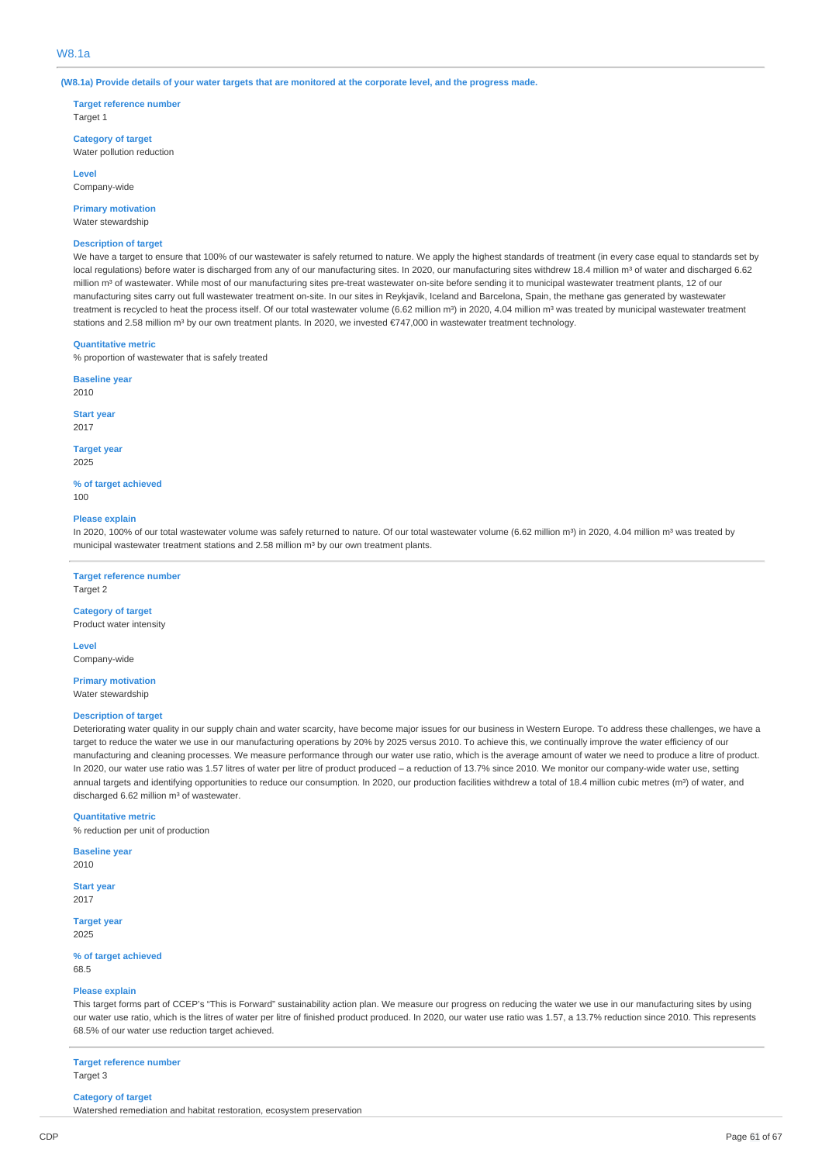(W8.1a) Provide details of your water targets that are monitored at the corporate level, and the progress made.

**Target reference number** Target 1

**Category of target** Water pollution reduction

**Level** Company-wide

**Primary motivation**

Water stewardship

#### **Description of target**

We have a target to ensure that 100% of our wastewater is safely returned to nature. We apply the highest standards of treatment (in every case equal to standards set by local regulations) before water is discharged from any of our manufacturing sites. In 2020, our manufacturing sites withdrew 18.4 million m<sup>3</sup> of water and discharged 6.62 million m<sup>3</sup> of wastewater. While most of our manufacturing sites pre-treat wastewater on-site before sending it to municipal wastewater treatment plants, 12 of our manufacturing sites carry out full wastewater treatment on-site. In our sites in Reykjavik, Iceland and Barcelona, Spain, the methane gas generated by wastewater treatment is recycled to heat the process itself. Of our total wastewater volume (6.62 million m<sup>3</sup>) in 2020, 4.04 million m<sup>3</sup> was treated by municipal wastewater treatment stations and 2.58 million m<sup>3</sup> by our own treatment plants. In 2020, we invested €747,000 in wastewater treatment technology.

#### **Quantitative metric**

% proportion of wastewater that is safely treated

**Baseline year** 2010

**Start year** 2017

#### **Target year** 2025

**% of target achieved**

100

#### **Please explain**

In 2020, 100% of our total wastewater volume was safely returned to nature. Of our total wastewater volume (6.62 million m<sup>3</sup>) in 2020, 4.04 million m<sup>3</sup> was treated by municipal wastewater treatment stations and 2.58 million m<sup>3</sup> by our own treatment plants.

### **Target reference number**

Target 2

### **Category of target** Product water intensity

**Level**

Company-wide

**Primary motivation** Water stewardship

#### **Description of target**

Deteriorating water quality in our supply chain and water scarcity, have become major issues for our business in Western Europe. To address these challenges, we have a target to reduce the water we use in our manufacturing operations by 20% by 2025 versus 2010. To achieve this, we continually improve the water efficiency of our manufacturing and cleaning processes. We measure performance through our water use ratio, which is the average amount of water we need to produce a litre of product. In 2020, our water use ratio was 1.57 litres of water per litre of product produced – a reduction of 13.7% since 2010. We monitor our company-wide water use, setting annual targets and identifying opportunities to reduce our consumption. In 2020, our production facilities withdrew a total of 18.4 million cubic metres (m<sup>3</sup>) of water, and discharged 6.62 million m<sup>3</sup> of wastewater.

#### **Quantitative metric**

% reduction per unit of production

**Baseline year** 2010

**Start year** 2017

**Target year** 2025

#### **% of target achieved** 68.5

# **Please explain**

This target forms part of CCEP's "This is Forward" sustainability action plan. We measure our progress on reducing the water we use in our manufacturing sites by using our water use ratio, which is the litres of water per litre of finished product produced. In 2020, our water use ratio was 1.57, a 13.7% reduction since 2010. This represents 68.5% of our water use reduction target achieved.

**Target reference number** Target 3

### **Category of target**

Watershed remediation and habitat restoration, ecosystem preservation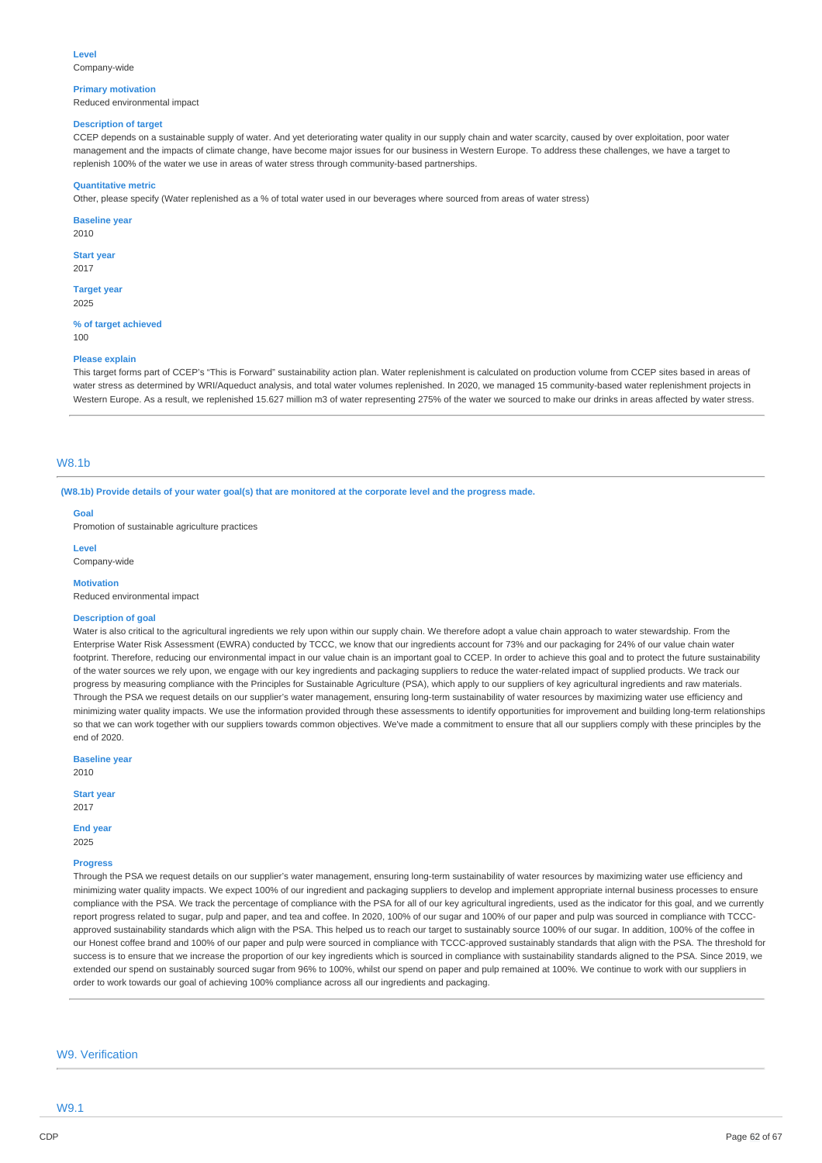#### **Primary motivation**

Reduced environmental impact

#### **Description of target**

CCEP depends on a sustainable supply of water. And yet deteriorating water quality in our supply chain and water scarcity, caused by over exploitation, poor water management and the impacts of climate change, have become major issues for our business in Western Europe. To address these challenges, we have a target to replenish 100% of the water we use in areas of water stress through community-based partnerships.

#### **Quantitative metric**

Other, please specify (Water replenished as a % of total water used in our beverages where sourced from areas of water stress)

**Baseline year** 2010

**Start year**

2017

**Target year** 2025

**% of target achieved** 100

#### **Please explain**

This target forms part of CCEP's "This is Forward" sustainability action plan. Water replenishment is calculated on production volume from CCEP sites based in areas of water stress as determined by WRI/Aqueduct analysis, and total water volumes replenished. In 2020, we managed 15 community-based water replenishment projects in Western Europe. As a result, we replenished 15.627 million m3 of water representing 275% of the water we sourced to make our drinks in areas affected by water stress.

# W8.1b

(W8.1b) Provide details of your water goal(s) that are monitored at the corporate level and the progress made.

**Goal**

Promotion of sustainable agriculture practices

**Level**

Company-wide

#### **Motivation**

Reduced environmental impact

#### **Description of goal**

Water is also critical to the agricultural ingredients we rely upon within our supply chain. We therefore adopt a value chain approach to water stewardship. From the Enterprise Water Risk Assessment (EWRA) conducted by TCCC, we know that our ingredients account for 73% and our packaging for 24% of our value chain water footprint. Therefore, reducing our environmental impact in our value chain is an important goal to CCEP. In order to achieve this goal and to protect the future sustainability of the water sources we rely upon, we engage with our key ingredients and packaging suppliers to reduce the water-related impact of supplied products. We track our progress by measuring compliance with the Principles for Sustainable Agriculture (PSA), which apply to our suppliers of key agricultural ingredients and raw materials. Through the PSA we request details on our supplier's water management, ensuring long-term sustainability of water resources by maximizing water use efficiency and minimizing water quality impacts. We use the information provided through these assessments to identify opportunities for improvement and building long-term relationships so that we can work together with our suppliers towards common objectives. We've made a commitment to ensure that all our suppliers comply with these principles by the end of 2020.

**Baseline year** 2010

**Start year**

#### 2017

**End year** 2025

#### **Progress**

Through the PSA we request details on our supplier's water management, ensuring long-term sustainability of water resources by maximizing water use efficiency and minimizing water quality impacts. We expect 100% of our ingredient and packaging suppliers to develop and implement appropriate internal business processes to ensure compliance with the PSA. We track the percentage of compliance with the PSA for all of our key agricultural ingredients, used as the indicator for this goal, and we currently report progress related to sugar, pulp and paper, and tea and coffee. In 2020, 100% of our sugar and 100% of our paper and pulp was sourced in compliance with TCCCapproved sustainability standards which align with the PSA. This helped us to reach our target to sustainably source 100% of our sugar. In addition, 100% of the coffee in our Honest coffee brand and 100% of our paper and pulp were sourced in compliance with TCCC-approved sustainably standards that align with the PSA. The threshold for success is to ensure that we increase the proportion of our key ingredients which is sourced in compliance with sustainability standards aligned to the PSA. Since 2019, we extended our spend on sustainably sourced sugar from 96% to 100%, whilst our spend on paper and pulp remained at 100%. We continue to work with our suppliers in order to work towards our goal of achieving 100% compliance across all our ingredients and packaging.

### W9. Verification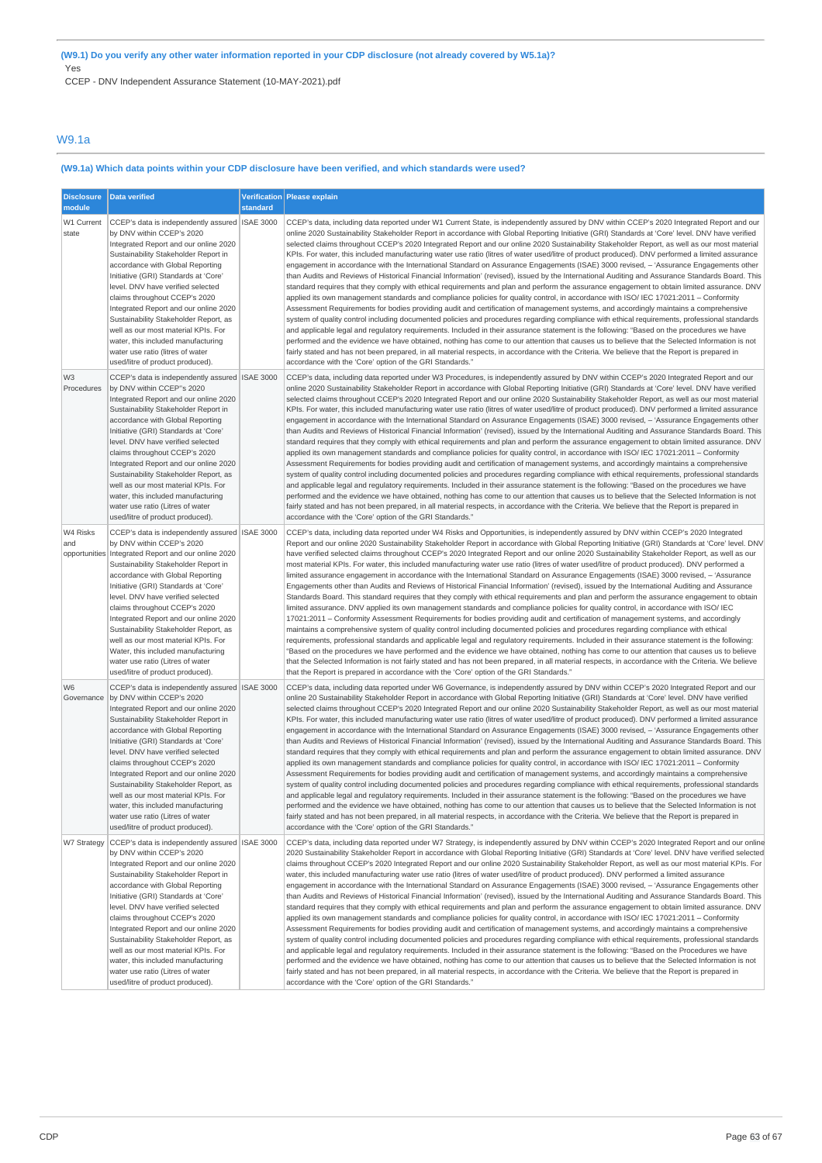CCEP - DNV Independent Assurance Statement (10-MAY-2021).pdf

### W9.1a

# **(W9.1a) Which data points within your CDP disclosure have been verified, and which standards were used?**

| <b>Disclosure</b><br>module      | Data verified                                                                                                                                                                                                                                                                                                                                                                                                                                                                                                                                           | standard | Verification Please explain                                                                                                                                                                                                                                                                                                                                                                                                                                                                                                                                                                                                                                                                                                                                                                                                                                                                                                                                                                                                                                                                                                                                                                                                                                                                                                                                                                                                                                                                                                                                                                                                                                                                                                                                                                                                                                                                                                                                                                           |
|----------------------------------|---------------------------------------------------------------------------------------------------------------------------------------------------------------------------------------------------------------------------------------------------------------------------------------------------------------------------------------------------------------------------------------------------------------------------------------------------------------------------------------------------------------------------------------------------------|----------|-------------------------------------------------------------------------------------------------------------------------------------------------------------------------------------------------------------------------------------------------------------------------------------------------------------------------------------------------------------------------------------------------------------------------------------------------------------------------------------------------------------------------------------------------------------------------------------------------------------------------------------------------------------------------------------------------------------------------------------------------------------------------------------------------------------------------------------------------------------------------------------------------------------------------------------------------------------------------------------------------------------------------------------------------------------------------------------------------------------------------------------------------------------------------------------------------------------------------------------------------------------------------------------------------------------------------------------------------------------------------------------------------------------------------------------------------------------------------------------------------------------------------------------------------------------------------------------------------------------------------------------------------------------------------------------------------------------------------------------------------------------------------------------------------------------------------------------------------------------------------------------------------------------------------------------------------------------------------------------------------------|
| W1 Current<br>state              | CCEP's data is independently assured   ISAE 3000<br>by DNV within CCEP's 2020<br>Integrated Report and our online 2020<br>Sustainability Stakeholder Report in<br>accordance with Global Reporting<br>Initiative (GRI) Standards at 'Core'<br>level. DNV have verified selected<br>claims throughout CCEP's 2020<br>Integrated Report and our online 2020<br>Sustainability Stakeholder Report, as<br>well as our most material KPIs. For<br>water, this included manufacturing<br>water use ratio (litres of water<br>used/litre of product produced). |          | CCEP's data, including data reported under W1 Current State, is independently assured by DNV within CCEP's 2020 Integrated Report and our<br>online 2020 Sustainability Stakeholder Report in accordance with Global Reporting Initiative (GRI) Standards at 'Core' level. DNV have verified<br>selected claims throughout CCEP's 2020 Integrated Report and our online 2020 Sustainability Stakeholder Report, as well as our most material<br>KPIs. For water, this included manufacturing water use ratio (litres of water used/litre of product produced). DNV performed a limited assurance<br>engagement in accordance with the International Standard on Assurance Engagements (ISAE) 3000 revised, - 'Assurance Engagements other<br>than Audits and Reviews of Historical Financial Information' (revised), issued by the International Auditing and Assurance Standards Board. This<br>standard requires that they comply with ethical requirements and plan and perform the assurance engagement to obtain limited assurance. DNV<br>applied its own management standards and compliance policies for quality control, in accordance with ISO/ IEC 17021:2011 - Conformity<br>Assessment Requirements for bodies providing audit and certification of management systems, and accordingly maintains a comprehensive<br>system of quality control including documented policies and procedures regarding compliance with ethical requirements, professional standards<br>and applicable legal and regulatory requirements. Included in their assurance statement is the following: "Based on the procedures we have<br>performed and the evidence we have obtained, nothing has come to our attention that causes us to believe that the Selected Information is not<br>fairly stated and has not been prepared, in all material respects, in accordance with the Criteria. We believe that the Report is prepared in<br>accordance with the 'Core' option of the GRI Standards."           |
| W3<br>Procedures                 | CCEP's data is independently assured ISAE 3000<br>by DNV within CCEP"s 2020<br>Integrated Report and our online 2020<br>Sustainability Stakeholder Report in<br>accordance with Global Reporting<br>Initiative (GRI) Standards at 'Core'<br>level. DNV have verified selected<br>claims throughout CCEP's 2020<br>Integrated Report and our online 2020<br>Sustainability Stakeholder Report, as<br>well as our most material KPIs. For<br>water, this included manufacturing<br>water use ratio (Litres of water<br>used/litre of product produced).   |          | CCEP's data, including data reported under W3 Procedures, is independently assured by DNV within CCEP's 2020 Integrated Report and our<br>online 2020 Sustainability Stakeholder Report in accordance with Global Reporting Initiative (GRI) Standards at 'Core' level. DNV have verified<br>selected claims throughout CCEP's 2020 Integrated Report and our online 2020 Sustainability Stakeholder Report, as well as our most material<br>KPIs. For water, this included manufacturing water use ratio (litres of water used/litre of product produced). DNV performed a limited assurance<br>engagement in accordance with the International Standard on Assurance Engagements (ISAE) 3000 revised, - 'Assurance Engagements other<br>than Audits and Reviews of Historical Financial Information' (revised), issued by the International Auditing and Assurance Standards Board. This<br>standard requires that they comply with ethical requirements and plan and perform the assurance engagement to obtain limited assurance. DNV<br>applied its own management standards and compliance policies for quality control, in accordance with ISO/ IEC 17021:2011 - Conformity<br>Assessment Requirements for bodies providing audit and certification of management systems, and accordingly maintains a comprehensive<br>system of quality control including documented policies and procedures regarding compliance with ethical requirements, professional standards<br>and applicable legal and regulatory requirements. Included in their assurance statement is the following: "Based on the procedures we have<br>performed and the evidence we have obtained, nothing has come to our attention that causes us to believe that the Selected Information is not<br>fairly stated and has not been prepared, in all material respects, in accordance with the Criteria. We believe that the Report is prepared in<br>accordance with the 'Core' option of the GRI Standards."              |
| W4 Risks<br>and<br>opportunities | CCEP's data is independently assured ISAE 3000<br>by DNV within CCEP's 2020<br>Integrated Report and our online 2020<br>Sustainability Stakeholder Report in<br>accordance with Global Reporting<br>Initiative (GRI) Standards at 'Core'<br>level. DNV have verified selected<br>claims throughout CCEP's 2020<br>Integrated Report and our online 2020<br>Sustainability Stakeholder Report, as<br>well as our most material KPIs. For<br>Water, this included manufacturing<br>water use ratio (Litres of water<br>used/litre of product produced).   |          | CCEP's data, including data reported under W4 Risks and Opportunities, is independently assured by DNV within CCEP's 2020 Integrated<br>Report and our online 2020 Sustainability Stakeholder Report in accordance with Global Reporting Initiative (GRI) Standards at 'Core' level. DNV<br>have verified selected claims throughout CCEP's 2020 Integrated Report and our online 2020 Sustainability Stakeholder Report, as well as our<br>most material KPIs. For water, this included manufacturing water use ratio (litres of water used/litre of product produced). DNV performed a<br>limited assurance engagement in accordance with the International Standard on Assurance Engagements (ISAE) 3000 revised, - 'Assurance<br>Engagements other than Audits and Reviews of Historical Financial Information' (revised), issued by the International Auditing and Assurance<br>Standards Board. This standard requires that they comply with ethical requirements and plan and perform the assurance engagement to obtain<br>limited assurance. DNV applied its own management standards and compliance policies for quality control, in accordance with ISO/ IEC<br>17021:2011 - Conformity Assessment Requirements for bodies providing audit and certification of management systems, and accordingly<br>maintains a comprehensive system of quality control including documented policies and procedures regarding compliance with ethical<br>requirements, professional standards and applicable legal and regulatory requirements. Included in their assurance statement is the following:<br>"Based on the procedures we have performed and the evidence we have obtained, nothing has come to our attention that causes us to believe<br>that the Selected Information is not fairly stated and has not been prepared, in all material respects, in accordance with the Criteria. We believe<br>that the Report is prepared in accordance with the 'Core' option of the GRI Standards." |
| W <sub>6</sub><br>Governance     | CCEP's data is independently assured ISAE 3000<br>by DNV within CCEP's 2020<br>Integrated Report and our online 2020<br>Sustainability Stakeholder Report in<br>accordance with Global Reporting<br>Initiative (GRI) Standards at 'Core'<br>level. DNV have verified selected<br>claims throughout CCEP's 2020<br>Integrated Report and our online 2020<br>Sustainability Stakeholder Report, as<br>well as our most material KPIs. For<br>water, this included manufacturing<br>water use ratio (Litres of water<br>used/litre of product produced).   |          | CCEP's data, including data reported under W6 Governance, is independently assured by DNV within CCEP's 2020 Integrated Report and our<br>online 20 Sustainability Stakeholder Report in accordance with Global Reporting Initiative (GRI) Standards at 'Core' level. DNV have verified<br>selected claims throughout CCEP's 2020 Integrated Report and our online 2020 Sustainability Stakeholder Report, as well as our most material<br>KPIs. For water, this included manufacturing water use ratio (litres of water used/litre of product produced). DNV performed a limited assurance<br>engagement in accordance with the International Standard on Assurance Engagements (ISAE) 3000 revised, - 'Assurance Engagements other<br>than Audits and Reviews of Historical Financial Information' (revised), issued by the International Auditing and Assurance Standards Board. This<br>standard requires that they comply with ethical requirements and plan and perform the assurance engagement to obtain limited assurance. DNV<br>applied its own management standards and compliance policies for quality control, in accordance with ISO/ IEC 17021:2011 - Conformity<br>Assessment Requirements for bodies providing audit and certification of management systems, and accordingly maintains a comprehensive<br>system of quality control including documented policies and procedures regarding compliance with ethical requirements, professional standards<br>and applicable legal and regulatory requirements. Included in their assurance statement is the following: "Based on the procedures we have<br>performed and the evidence we have obtained, nothing has come to our attention that causes us to believe that the Selected Information is not<br>fairly stated and has not been prepared, in all material respects, in accordance with the Criteria. We believe that the Report is prepared in<br>accordance with the 'Core' option of the GRI Standards."                |
| W7 Strategy                      | CCEP's data is independently assured ISAE 3000<br>by DNV within CCEP's 2020<br>Integrated Report and our online 2020<br>Sustainability Stakeholder Report in<br>accordance with Global Reporting<br>Initiative (GRI) Standards at 'Core'<br>level. DNV have verified selected<br>claims throughout CCEP's 2020<br>Integrated Report and our online 2020<br>Sustainability Stakeholder Report, as<br>well as our most material KPIs. For<br>water, this included manufacturing<br>water use ratio (Litres of water<br>used/litre of product produced).   |          | CCEP's data, including data reported under W7 Strategy, is independently assured by DNV within CCEP's 2020 Integrated Report and our online<br>2020 Sustainability Stakeholder Report in accordance with Global Reporting Initiative (GRI) Standards at 'Core' level, DNV have verified selected<br>claims throughout CCEP's 2020 Integrated Report and our online 2020 Sustainability Stakeholder Report, as well as our most material KPIs. For<br>water, this included manufacturing water use ratio (litres of water used/litre of product produced). DNV performed a limited assurance<br>engagement in accordance with the International Standard on Assurance Engagements (ISAE) 3000 revised, - 'Assurance Engagements other<br>than Audits and Reviews of Historical Financial Information' (revised), issued by the International Auditing and Assurance Standards Board. This<br>standard requires that they comply with ethical requirements and plan and perform the assurance engagement to obtain limited assurance. DNV<br>applied its own management standards and compliance policies for quality control, in accordance with ISO/ IEC 17021:2011 - Conformity<br>Assessment Requirements for bodies providing audit and certification of management systems, and accordingly maintains a comprehensive<br>system of quality control including documented policies and procedures regarding compliance with ethical requirements, professional standards<br>and applicable legal and regulatory requirements. Included in their assurance statement is the following: "Based on the Procedures we have<br>performed and the evidence we have obtained, nothing has come to our attention that causes us to believe that the Selected Information is not<br>fairly stated and has not been prepared, in all material respects, in accordance with the Criteria. We believe that the Report is prepared in<br>accordance with the 'Core' option of the GRI Standards."                |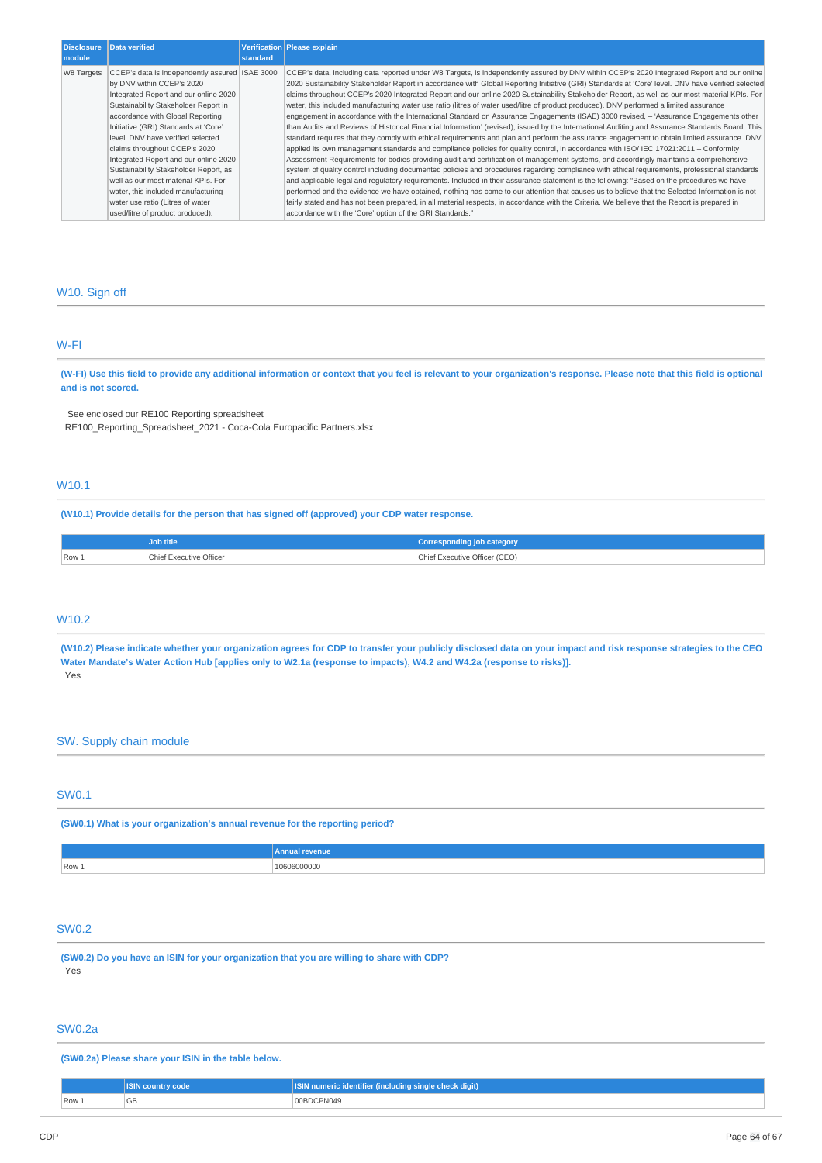| <b>Disclosure</b><br>module | Data verified                                                                                                                                                                                                                                                                                                                                                                                                                                                                                                       | standard | Verification Please explain                                                                                                                                                                                                                                                                                                                                                                                                                                                                                                                                                                                                                                                                                                                                                                                                                                                                                                                                                                                                                                                                                                                                                                                                                                                                                                                                                                                                                                                                                                                                                                                                                                                                                                                                                                                                                                                                                               |
|-----------------------------|---------------------------------------------------------------------------------------------------------------------------------------------------------------------------------------------------------------------------------------------------------------------------------------------------------------------------------------------------------------------------------------------------------------------------------------------------------------------------------------------------------------------|----------|---------------------------------------------------------------------------------------------------------------------------------------------------------------------------------------------------------------------------------------------------------------------------------------------------------------------------------------------------------------------------------------------------------------------------------------------------------------------------------------------------------------------------------------------------------------------------------------------------------------------------------------------------------------------------------------------------------------------------------------------------------------------------------------------------------------------------------------------------------------------------------------------------------------------------------------------------------------------------------------------------------------------------------------------------------------------------------------------------------------------------------------------------------------------------------------------------------------------------------------------------------------------------------------------------------------------------------------------------------------------------------------------------------------------------------------------------------------------------------------------------------------------------------------------------------------------------------------------------------------------------------------------------------------------------------------------------------------------------------------------------------------------------------------------------------------------------------------------------------------------------------------------------------------------------|
| W8 Targets                  | CCEP's data is independently assured   ISAE 3000<br>by DNV within CCEP's 2020<br>Integrated Report and our online 2020<br>Sustainability Stakeholder Report in<br>accordance with Global Reporting<br>Initiative (GRI) Standards at 'Core'<br>level. DNV have verified selected<br>claims throughout CCEP's 2020<br>Integrated Report and our online 2020<br>Sustainability Stakeholder Report, as<br>well as our most material KPIs. For<br>water, this included manufacturing<br>water use ratio (Litres of water |          | CCEP's data, including data reported under W8 Targets, is independently assured by DNV within CCEP's 2020 Integrated Report and our online<br>2020 Sustainability Stakeholder Report in accordance with Global Reporting Initiative (GRI) Standards at 'Core' level. DNV have verified selected<br>claims throughout CCEP's 2020 Integrated Report and our online 2020 Sustainability Stakeholder Report, as well as our most material KPIs. For<br>water, this included manufacturing water use ratio (litres of water used/litre of product produced). DNV performed a limited assurance<br>engagement in accordance with the International Standard on Assurance Engagements (ISAE) 3000 revised, - 'Assurance Engagements other<br>than Audits and Reviews of Historical Financial Information' (revised), issued by the International Auditing and Assurance Standards Board. This<br>standard requires that they comply with ethical requirements and plan and perform the assurance engagement to obtain limited assurance. DNV<br>applied its own management standards and compliance policies for quality control, in accordance with ISO/ IEC 17021:2011 - Conformity<br>Assessment Requirements for bodies providing audit and certification of management systems, and accordingly maintains a comprehensive<br>system of quality control including documented policies and procedures regarding compliance with ethical requirements, professional standards<br>and applicable legal and regulatory reguirements. Included in their assurance statement is the following: "Based on the procedures we have<br>performed and the evidence we have obtained, nothing has come to our attention that causes us to believe that the Selected Information is not<br>fairly stated and has not been prepared, in all material respects, in accordance with the Criteria. We believe that the Report is prepared in |
|                             | used/litre of product produced).                                                                                                                                                                                                                                                                                                                                                                                                                                                                                    |          | accordance with the 'Core' option of the GRI Standards."                                                                                                                                                                                                                                                                                                                                                                                                                                                                                                                                                                                                                                                                                                                                                                                                                                                                                                                                                                                                                                                                                                                                                                                                                                                                                                                                                                                                                                                                                                                                                                                                                                                                                                                                                                                                                                                                  |

### W10. Sign off

### W-FI

(W-FI) Use this field to provide any additional information or context that you feel is relevant to your organization's response. Please note that this field is optional **and is not scored.**

See enclosed our RE100 Reporting spreadsheet

RE100\_Reporting\_Spreadsheet\_2021 - Coca-Cola Europacific Partners.xlsx

# W10.1

**(W10.1) Provide details for the person that has signed off (approved) your CDP water response.**

|       | <b>Job title</b>        | Corresponding job category'        |
|-------|-------------------------|------------------------------------|
| Row 1 | Chief Executive Officer | Chief Executive Officer (CEO)<br>. |

### W10.2

(W10.2) Please indicate whether your organization agrees for CDP to transfer your publicly disclosed data on your impact and risk response strategies to the CEO Water Mandate's Water Action Hub [applies only to W2.1a (response to impacts), W4.2 and W4.2a (response to risks)]. Yes

## SW. Supply chain module

### SW0.1

**(SW0.1) What is your organization's annual revenue for the reporting period?**

|         | venue<br>. |
|---------|------------|
| $Row_1$ | (UU)<br>.  |

### SW0.2

**(SW0.2) Do you have an ISIN for your organization that you are willing to share with CDP?** Yes

# SW0.2a

**(SW0.2a) Please share your ISIN in the table below.**

|       | w code<br><b>ISIN COUNTY</b> | <b>ISIN numeric identifier (including single check digit)</b> |
|-------|------------------------------|---------------------------------------------------------------|
| Row 1 | $\cap$<br>ъb                 | 00BDCPN049                                                    |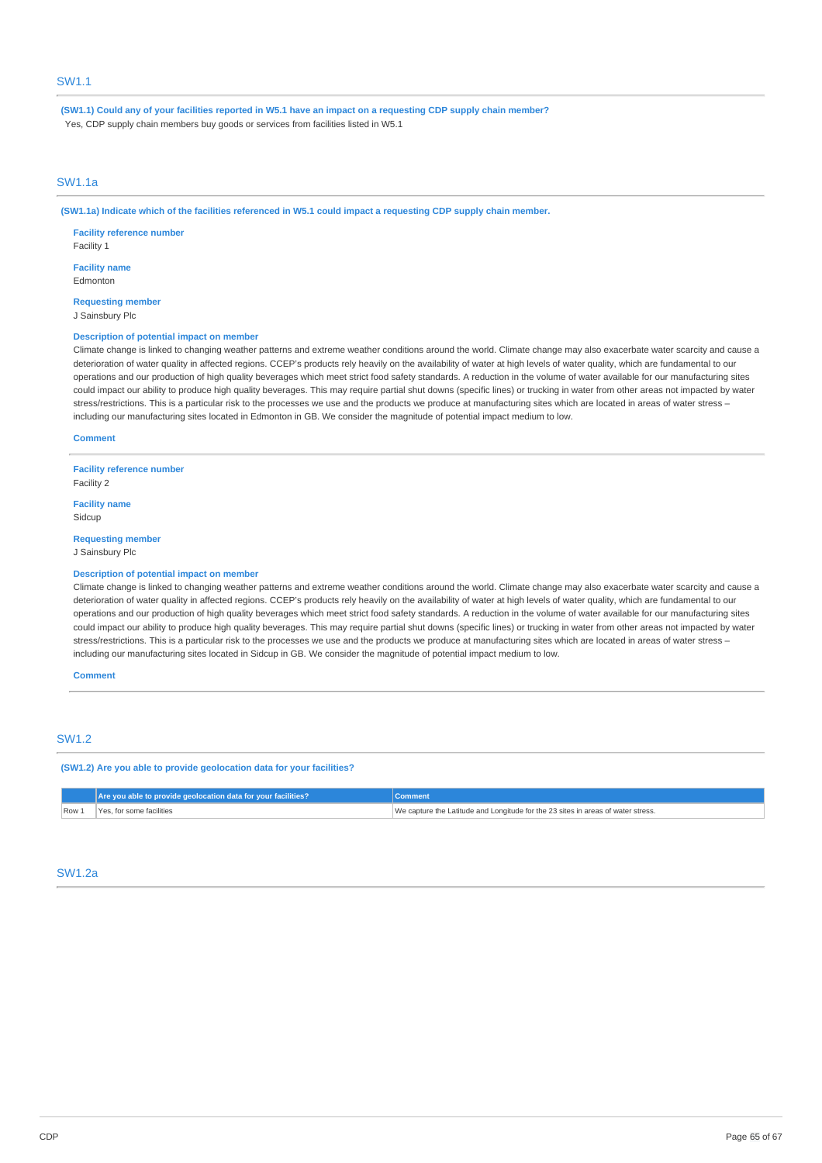(SW1.1) Could any of your facilities reported in W5.1 have an impact on a requesting CDP supply chain member? Yes, CDP supply chain members buy goods or services from facilities listed in W5.1

### SW1.1a

(SW1.1a) Indicate which of the facilities referenced in W5.1 could impact a requesting CDP supply chain member.

**Facility reference number** Facility 1 **Facility name**

Edmonton **Requesting member**

J Sainsbury Plc

### **Description of potential impact on member**

Climate change is linked to changing weather patterns and extreme weather conditions around the world. Climate change may also exacerbate water scarcity and cause a deterioration of water quality in affected regions. CCEP's products rely heavily on the availability of water at high levels of water quality, which are fundamental to our operations and our production of high quality beverages which meet strict food safety standards. A reduction in the volume of water available for our manufacturing sites could impact our ability to produce high quality beverages. This may require partial shut downs (specific lines) or trucking in water from other areas not impacted by water stress/restrictions. This is a particular risk to the processes we use and the products we produce at manufacturing sites which are located in areas of water stress including our manufacturing sites located in Edmonton in GB. We consider the magnitude of potential impact medium to low.

#### **Comment**

**Facility reference number** Facility 2

**Facility name Sidcup** 

**Requesting member** J Sainsbury Plc

#### **Description of potential impact on member**

Climate change is linked to changing weather patterns and extreme weather conditions around the world. Climate change may also exacerbate water scarcity and cause a deterioration of water quality in affected regions. CCEP's products rely heavily on the availability of water at high levels of water quality, which are fundamental to our operations and our production of high quality beverages which meet strict food safety standards. A reduction in the volume of water available for our manufacturing sites could impact our ability to produce high quality beverages. This may require partial shut downs (specific lines) or trucking in water from other areas not impacted by water stress/restrictions. This is a particular risk to the processes we use and the products we produce at manufacturing sites which are located in areas of water stress – including our manufacturing sites located in Sidcup in GB. We consider the magnitude of potential impact medium to low.

**Comment**

### SW1.2

**(SW1.2) Are you able to provide geolocation data for your facilities?**

| We capture the Latitude and Longitude for the 23 sites in areas of water stress.<br>Row<br>for some facilities. | Are you able to provide geolocation data for your facilities? |  |
|-----------------------------------------------------------------------------------------------------------------|---------------------------------------------------------------|--|
|                                                                                                                 |                                                               |  |

### SW1.2a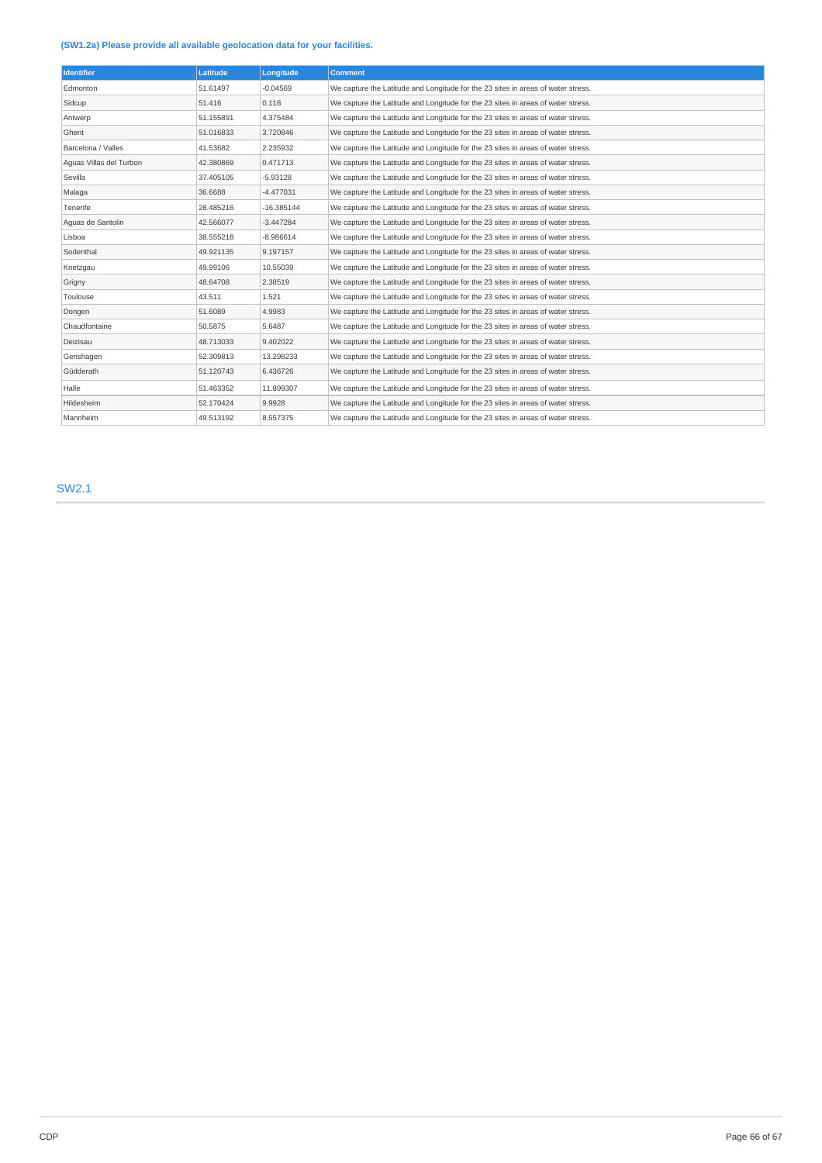### **(SW1.2a) Please provide all available geolocation data for your facilities.**

| <b>Identifier</b>       | Latitude  | Longitude    | <b>Comment</b>                                                                   |
|-------------------------|-----------|--------------|----------------------------------------------------------------------------------|
| Edmonton                | 51.61497  | $-0.04569$   | We capture the Latitude and Longitude for the 23 sites in areas of water stress. |
| Sidcup                  | 51.416    | 0.118        | We capture the Latitude and Longitude for the 23 sites in areas of water stress. |
| Antwerp                 | 51.155891 | 4.375484     | We capture the Latitude and Longitude for the 23 sites in areas of water stress. |
| Ghent                   | 51.016833 | 3.720846     | We capture the Latitude and Longitude for the 23 sites in areas of water stress. |
| Barcelona / Valles      | 41.53682  | 2.235932     | We capture the Latitude and Longitude for the 23 sites in areas of water stress. |
| Aquas Villas del Turbon | 42.380869 | 0.471713     | We capture the Latitude and Longitude for the 23 sites in areas of water stress. |
| Sevilla                 | 37.405105 | $-5.93128$   | We capture the Latitude and Longitude for the 23 sites in areas of water stress. |
| Malaga                  | 36,6688   | $-4.477031$  | We capture the Latitude and Longitude for the 23 sites in areas of water stress. |
| Tenerife                | 28.485216 | $-16.385144$ | We capture the Latitude and Longitude for the 23 sites in areas of water stress. |
| Aguas de Santolin       | 42.566077 | $-3.447284$  | We capture the Latitude and Longitude for the 23 sites in areas of water stress. |
| Lisboa                  | 38.555218 | $-8.986614$  | We capture the Latitude and Longitude for the 23 sites in areas of water stress. |
| Sodenthal               | 49.921135 | 9.197157     | We capture the Latitude and Longitude for the 23 sites in areas of water stress. |
| Knetzgau                | 49.99106  | 10.55039     | We capture the Latitude and Longitude for the 23 sites in areas of water stress. |
| Grigny                  | 48.64708  | 2.38519      | We capture the Latitude and Longitude for the 23 sites in areas of water stress. |
| Toulouse                | 43.511    | 1.521        | We capture the Latitude and Longitude for the 23 sites in areas of water stress. |
| Dongen                  | 51,6089   | 4.9983       | We capture the Latitude and Longitude for the 23 sites in areas of water stress. |
| Chaudfontaine           | 50.5875   | 5.6487       | We capture the Latitude and Longitude for the 23 sites in areas of water stress. |
| Deizisau                | 48.713033 | 9.402022     | We capture the Latitude and Longitude for the 23 sites in areas of water stress. |
| Genshagen               | 52.309813 | 13.298233    | We capture the Latitude and Longitude for the 23 sites in areas of water stress. |
| Güdderath               | 51.120743 | 6.436726     | We capture the Latitude and Longitude for the 23 sites in areas of water stress. |
| Halle                   | 51.463352 | 11.899307    | We capture the Latitude and Longitude for the 23 sites in areas of water stress. |
| Hildesheim              | 52.170424 | 9.9928       | We capture the Latitude and Longitude for the 23 sites in areas of water stress. |
| Mannheim                | 49.513192 | 8.557375     | We capture the Latitude and Longitude for the 23 sites in areas of water stress. |

SW2.1